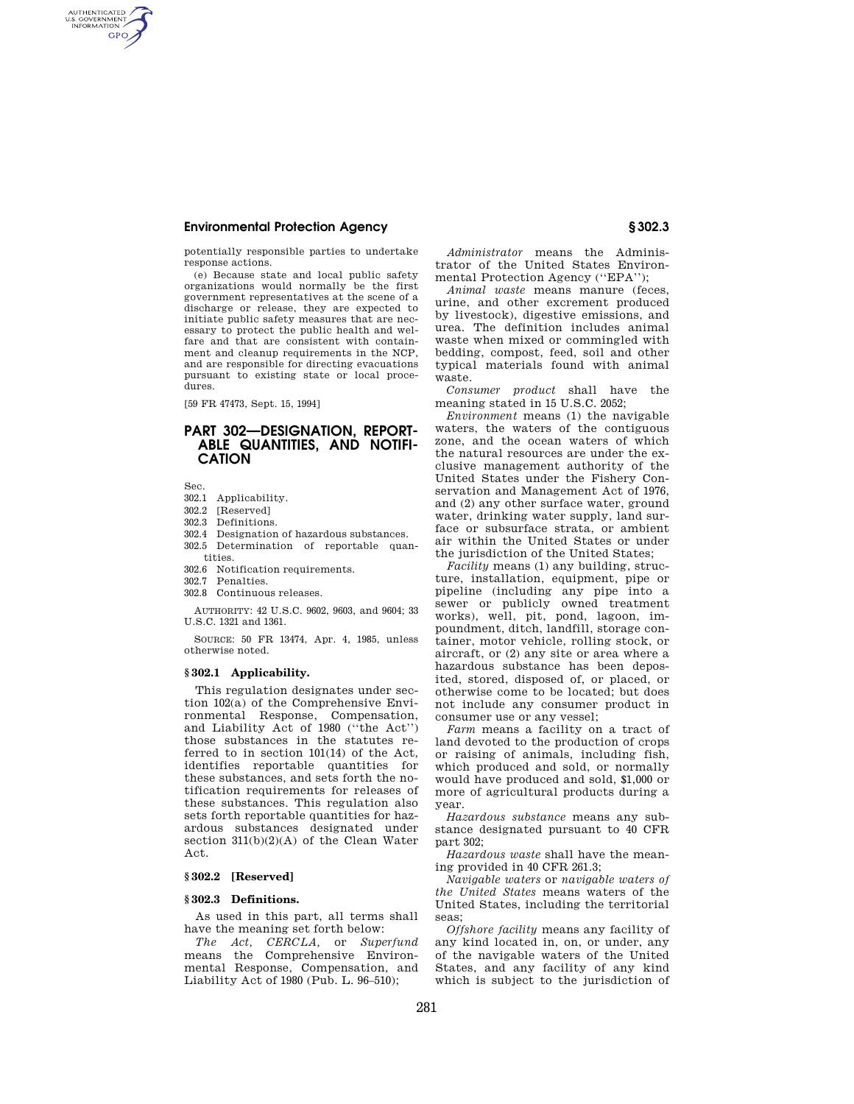potentially responsible parties to undertake response actions.

(e) Because state and local public safety organizations would normally be the first government representatives at the scene of a discharge or release, they are expected to initiate public safety measures that are necessary to protect the public health and welfare and that are consistent with containment and cleanup requirements in the NCP, and are responsible for directing evacuations pursuant to existing state or local procedures.

[59 FR 47473, Sept. 15, 1994]

## **PART 302—DESIGNATION, REPORT-ABLE QUANTITIES, AND NOTIFI-CATION**

Sec.

AUTHENTICATED<br>U.S. GOVERNMENT<br>INFORMATION **GPO** 

- 302.1 Applicability.
- 302.2 [Reserved]
- 302.3 Definitions.
- 302.4 Designation of hazardous substances.
- 302.5 Determination of reportable quantities.
- 302.6 Notification requirements.
- 302.7 Penalties.
- 302.8 Continuous releases.

AUTHORITY: 42 U.S.C. 9602, 9603, and 9604; 33

U.S.C. 1321 and 1361.

SOURCE: 50 FR 13474, Apr. 4, 1985, unless otherwise noted.

### **§ 302.1 Applicability.**

This regulation designates under section 102(a) of the Comprehensive Environmental Response, Compensation, and Liability Act of 1980 (''the Act'') those substances in the statutes referred to in section 101(14) of the Act, identifies reportable quantities for these substances, and sets forth the notification requirements for releases of these substances. This regulation also sets forth reportable quantities for hazardous substances designated under section 311(b)(2)(A) of the Clean Water Act.

### **§ 302.2 [Reserved]**

### **§ 302.3 Definitions.**

As used in this part, all terms shall have the meaning set forth below:

*The Act, CERCLA,* or *Superfund*  means the Comprehensive Environmental Response, Compensation, and Liability Act of 1980 (Pub. L. 96–510);

*Administrator* means the Administrator of the United States Environmental Protection Agency (''EPA'');

*Animal waste* means manure (feces, urine, and other excrement produced by livestock), digestive emissions, and urea. The definition includes animal waste when mixed or commingled with bedding, compost, feed, soil and other typical materials found with animal waste.

*Consumer product* shall have the meaning stated in 15 U.S.C. 2052;

*Environment* means (1) the navigable waters, the waters of the contiguous zone, and the ocean waters of which the natural resources are under the exclusive management authority of the United States under the Fishery Conservation and Management Act of 1976, and (2) any other surface water, ground water, drinking water supply, land surface or subsurface strata, or ambient air within the United States or under the jurisdiction of the United States;

*Facility* means (1) any building, structure, installation, equipment, pipe or pipeline (including any pipe into a sewer or publicly owned treatment works), well, pit, pond, lagoon, impoundment, ditch, landfill, storage container, motor vehicle, rolling stock, or aircraft, or (2) any site or area where a hazardous substance has been deposited, stored, disposed of, or placed, or otherwise come to be located; but does not include any consumer product in consumer use or any vessel;

*Farm* means a facility on a tract of land devoted to the production of crops or raising of animals, including fish, which produced and sold, or normally would have produced and sold, \$1,000 or more of agricultural products during a year.

*Hazardous substance* means any substance designated pursuant to 40 CFR part 302;

*Hazardous waste* shall have the meaning provided in 40 CFR 261.3;

*Navigable waters* or *navigable waters of the United States* means waters of the United States, including the territorial seas;

*Offshore facility* means any facility of any kind located in, on, or under, any of the navigable waters of the United States, and any facility of any kind which is subject to the jurisdiction of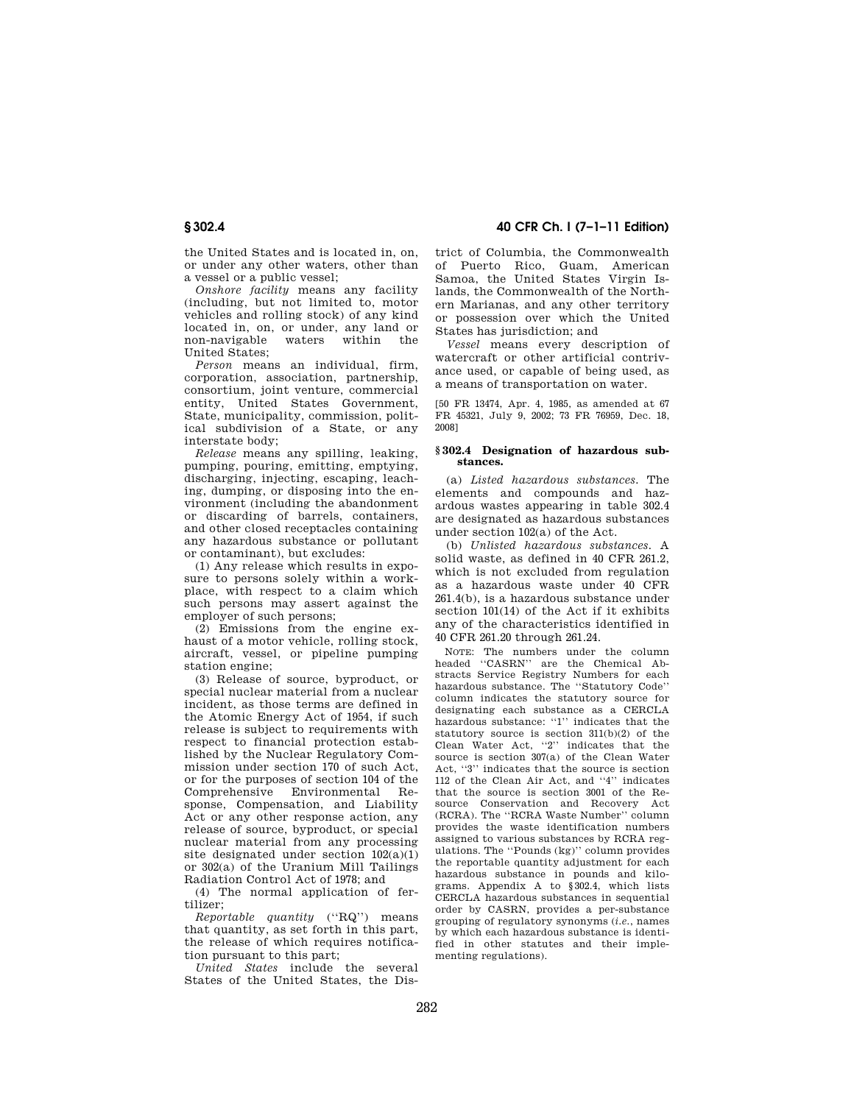the United States and is located in, on, or under any other waters, other than a vessel or a public vessel;

*Onshore facility* means any facility (including, but not limited to, motor vehicles and rolling stock) of any kind located in, on, or under, any land or non-navigable waters within the United States;

*Person* means an individual, firm, corporation, association, partnership, consortium, joint venture, commercial entity, United States Government, State, municipality, commission, political subdivision of a State, or any interstate body;

*Release* means any spilling, leaking, pumping, pouring, emitting, emptying, discharging, injecting, escaping, leaching, dumping, or disposing into the environment (including the abandonment or discarding of barrels, containers, and other closed receptacles containing any hazardous substance or pollutant or contaminant), but excludes:

(1) Any release which results in exposure to persons solely within a workplace, with respect to a claim which such persons may assert against the employer of such persons;

(2) Emissions from the engine exhaust of a motor vehicle, rolling stock, aircraft, vessel, or pipeline pumping station engine;

(3) Release of source, byproduct, or special nuclear material from a nuclear incident, as those terms are defined in the Atomic Energy Act of 1954, if such release is subject to requirements with respect to financial protection established by the Nuclear Regulatory Commission under section 170 of such Act or for the purposes of section 104 of the Comprehensive Environmental Response, Compensation, and Liability Act or any other response action, any release of source, byproduct, or special nuclear material from any processing site designated under section 102(a)(1) or 302(a) of the Uranium Mill Tailings Radiation Control Act of 1978; and

(4) The normal application of fertilizer;

*Reportable quantity* (''RQ'') means that quantity, as set forth in this part, the release of which requires notification pursuant to this part;

*United States* include the several States of the United States, the Dis-

**§ 302.4 40 CFR Ch. I (7–1–11 Edition)** 

trict of Columbia, the Commonwealth of Puerto Rico, Guam, American Samoa, the United States Virgin Islands, the Commonwealth of the Northern Marianas, and any other territory or possession over which the United States has jurisdiction; and

*Vessel* means every description of watercraft or other artificial contrivance used, or capable of being used, as a means of transportation on water.

[50 FR 13474, Apr. 4, 1985, as amended at 67 FR 45321, July 9, 2002; 73 FR 76959, Dec. 18, 2008]

### **§ 302.4 Designation of hazardous substances.**

(a) *Listed hazardous substances.* The elements and compounds and hazardous wastes appearing in table 302.4 are designated as hazardous substances under section 102(a) of the Act.

(b) *Unlisted hazardous substances.* A solid waste, as defined in 40 CFR 261.2, which is not excluded from regulation as a hazardous waste under 40 CFR 261.4(b), is a hazardous substance under section 101(14) of the Act if it exhibits any of the characteristics identified in 40 CFR 261.20 through 261.24.

NOTE: The numbers under the column headed ''CASRN'' are the Chemical Abstracts Service Registry Numbers for each hazardous substance. The ''Statutory Code'' column indicates the statutory source for designating each substance as a CERCLA hazardous substance: "1" indicates that the statutory source is section 311(b)(2) of the Clean Water Act, ''2'' indicates that the source is section 307(a) of the Clean Water Act, ''3'' indicates that the source is section 112 of the Clean Air Act, and ''4'' indicates that the source is section 3001 of the Resource Conservation and Recovery Act (RCRA). The ''RCRA Waste Number'' column provides the waste identification numbers assigned to various substances by RCRA regulations. The ''Pounds (kg)'' column provides the reportable quantity adjustment for each hazardous substance in pounds and kilograms. Appendix A to §302.4, which lists CERCLA hazardous substances in sequential order by CASRN, provides a per-substance grouping of regulatory synonyms (*i.e.*, names by which each hazardous substance is identified in other statutes and their implementing regulations).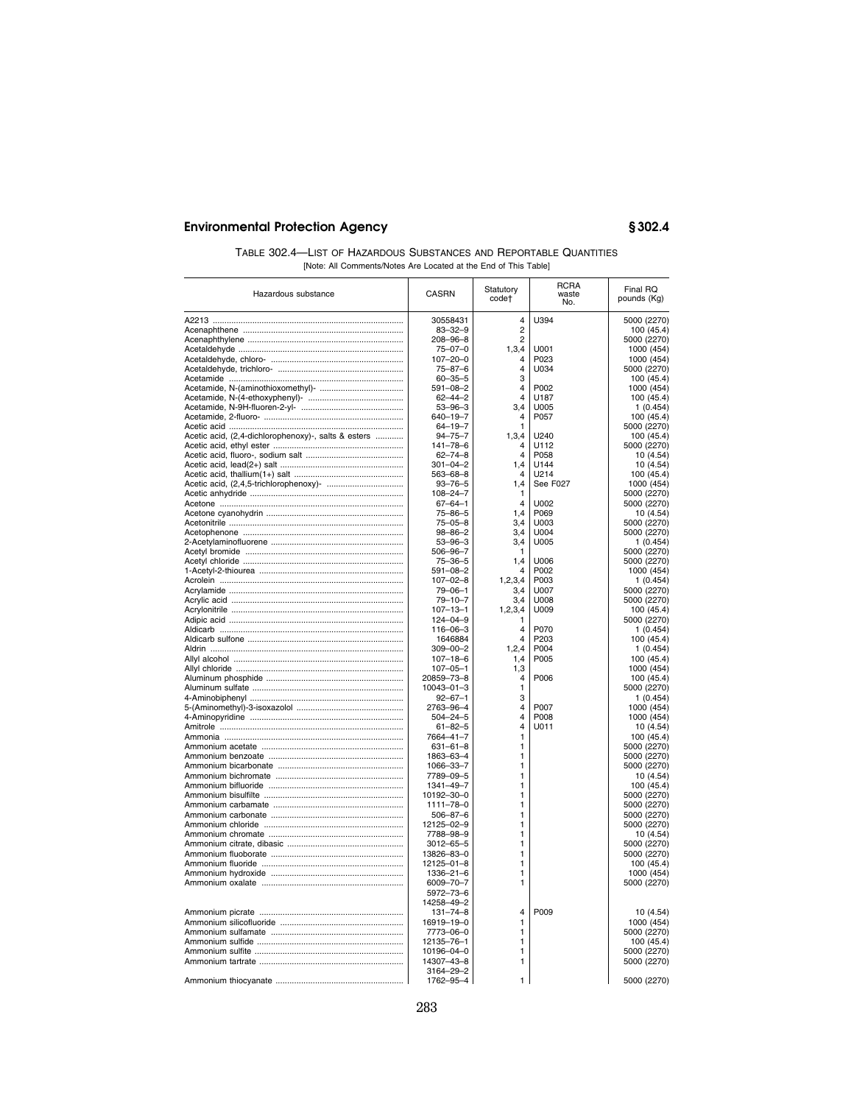| TABLE 302.4-LIST OF HAZARDOUS SUBSTANCES AND REPORTABLE QUANTITIES |                                                                 |  |  |
|--------------------------------------------------------------------|-----------------------------------------------------------------|--|--|
|                                                                    | [Note: All Comments/Notes Are Located at the End of This Table] |  |  |

| Hazardous substance                                 | <b>CASRN</b>                    | Statutory<br>code†           | <b>RCRA</b><br>waste<br>No. | Final RQ<br>pounds (Kg)    |
|-----------------------------------------------------|---------------------------------|------------------------------|-----------------------------|----------------------------|
|                                                     | 30558431                        | 4                            | U394                        | 5000 (2270)                |
|                                                     | $83 - 32 - 9$                   | $\overline{2}$               |                             | 100 (45.4)                 |
|                                                     | $208 - 96 - 8$                  | $\overline{2}$               |                             | 5000 (2270)                |
|                                                     | $75 - 07 - 0$                   | 1,3,4                        | U001                        | 1000 (454)                 |
|                                                     | $107 - 20 - 0$                  | 4                            | P023                        | 1000 (454)                 |
|                                                     | $75 - 87 - 6$                   | 4                            | U034                        | 5000 (2270)                |
|                                                     | $60 - 35 - 5$                   | 3                            |                             | 100 (45.4)                 |
|                                                     | $591 - 08 - 2$                  | 4                            | P002                        | 1000 (454)                 |
|                                                     | $62 - 44 - 2$                   | 4                            | U187                        | 100 (45.4)                 |
|                                                     | $53 - 96 - 3$                   | 3,4                          | U005                        | 1(0.454)                   |
|                                                     | 640-19-7                        | 4                            | P057                        | 100 (45.4)                 |
|                                                     | $64 - 19 - 7$                   | 1                            |                             | 5000 (2270)                |
| Acetic acid, (2,4-dichlorophenoxy)-, salts & esters | $94 - 75 - 7$                   | 1,3,4<br>4                   | U240                        | 100 (45.4)                 |
|                                                     | $141 - 78 - 6$<br>$62 - 74 - 8$ | 4                            | U112<br>P058                | 5000 (2270)<br>10(4.54)    |
|                                                     | $301 - 04 - 2$                  | 1,4                          | U144                        | 10(4.54)                   |
|                                                     | $563 - 68 - 8$                  | 4                            | U214                        | 100 (45.4)                 |
|                                                     | $93 - 76 - 5$                   | 1,4                          | See F027                    | 1000 (454)                 |
|                                                     | $108 - 24 - 7$                  | 1                            |                             | 5000 (2270)                |
|                                                     | $67 - 64 - 1$                   | $\overline{\mathbf{4}}$      | U002                        | 5000 (2270)                |
|                                                     | $75 - 86 - 5$                   | 1,4                          | P069                        | 10 (4.54)                  |
|                                                     | $75 - 05 - 8$                   | 3,4                          | U003                        | 5000 (2270)                |
|                                                     | 98-86-2                         | 3,4                          | U004                        | 5000 (2270)                |
|                                                     | $53 - 96 - 3$                   | 3,4                          | U005                        | 1(0.454)                   |
|                                                     | 506-96-7                        | 1                            |                             | 5000 (2270)                |
|                                                     | $75 - 36 - 5$                   | 1,4                          | U006                        | 5000 (2270)                |
|                                                     | $591 - 08 - 2$                  | $\overline{4}$               | P002                        | 1000 (454)                 |
|                                                     | $107 - 02 - 8$                  | 1,2,3,4                      | P003                        | 1(0.454)                   |
|                                                     | $79 - 06 - 1$                   | 3,4                          | U007                        | 5000 (2270)                |
|                                                     | $79 - 10 - 7$                   | 3,4                          | U008                        | 5000 (2270)                |
|                                                     | $107 - 13 - 1$                  | 1,2,3,4                      | U009                        | 100 (45.4)                 |
|                                                     | $124 - 04 - 9$                  | 1<br>4                       | P070                        | 5000 (2270)                |
|                                                     | $116 - 06 - 3$<br>1646884       | 4                            | P203                        | 1(0.454)<br>100 (45.4)     |
|                                                     | $309 - 00 - 2$                  | 1,2,4                        | P004                        | 1(0.454)                   |
|                                                     | $107 - 18 - 6$                  | 1,4                          | P005                        | 100 (45.4)                 |
|                                                     | $107 - 05 - 1$                  | 1,3                          |                             | 1000 (454)                 |
|                                                     | 20859-73-8                      | 4                            | P006                        | 100 (45.4)                 |
|                                                     | 10043-01-3                      | 1                            |                             | 5000 (2270)                |
|                                                     | $92 - 67 - 1$                   | 3                            |                             | 1(0.454)                   |
|                                                     | 2763-96-4                       | 4                            | P007                        | 1000 (454)                 |
|                                                     | $504 - 24 - 5$                  | 4                            | P008                        | 1000 (454)                 |
|                                                     | $61 - 82 - 5$                   | 4                            | U011                        | 10 (4.54)                  |
|                                                     | 7664-41-7                       | 1                            |                             | 100 (45.4)                 |
|                                                     | $631 - 61 - 8$                  | 1                            |                             | 5000 (2270)                |
|                                                     | 1863-63-4                       | 1                            |                             | 5000 (2270)                |
|                                                     | 1066-33-7                       | 1                            |                             | 5000 (2270)                |
|                                                     | 7789-09-5                       | 1                            |                             | 10 (4.54)                  |
|                                                     | 1341-49-7                       | $\mathbf{1}$<br>$\mathbf{1}$ |                             | 100 (45.4)                 |
|                                                     | 10192-30-0                      | 1                            |                             | 5000 (2270)                |
|                                                     | 1111-78-0<br>$506 - 87 - 6$     | 1                            |                             | 5000 (2270)                |
|                                                     | 12125-02-9                      | 1                            |                             | 5000 (2270)<br>5000 (2270) |
|                                                     | 7788-98-9                       | 1                            |                             | 10(4.54)                   |
|                                                     | $3012 - 65 - 5$                 | 1                            |                             | 5000 (2270)                |
|                                                     | 13826-83-0                      | 1                            |                             | 5000 (2270)                |
|                                                     | 12125-01-8                      | 1                            |                             | 100 (45.4)                 |
|                                                     | 1336-21-6                       | 1                            |                             | 1000 (454)                 |
|                                                     | 6009-70-7                       | 1                            |                             | 5000 (2270)                |
|                                                     | 5972-73-6                       |                              |                             |                            |
|                                                     | 14258-49-2                      |                              |                             |                            |
|                                                     | $131 - 74 - 8$                  | $\overline{4}$               | P009                        | 10 (4.54)                  |
|                                                     | 16919-19-0                      | 1                            |                             | 1000 (454)                 |
|                                                     | 7773-06-0                       | 1                            |                             | 5000 (2270)                |
|                                                     | 12135-76-1                      | 1                            |                             | 100 (45.4)                 |
|                                                     | 10196-04-0                      | 1                            |                             | 5000 (2270)                |
|                                                     | 14307-43-8                      | 1                            |                             | 5000 (2270)                |
|                                                     | 3164-29-2                       |                              |                             |                            |
|                                                     | 1762-95-4                       | 1                            |                             | 5000 (2270)                |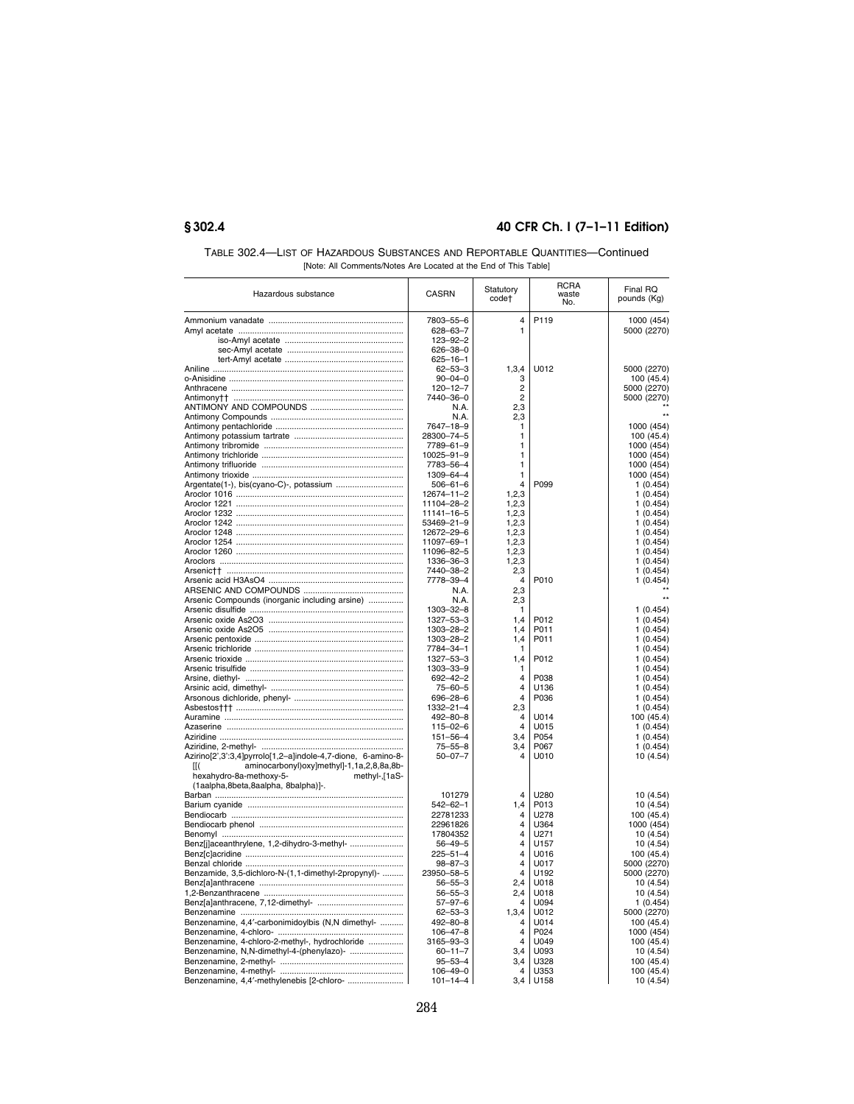| TABLE 302.4—LIST OF HAZARDOUS SUBSTANCES AND REPORTABLE QUANTITIES—Continued |
|------------------------------------------------------------------------------|
| [Note: All Comments/Notes Are Located at the End of This Table]              |

| Hazardous substance                                          | <b>CASRN</b>                     | Statutory<br>code†      | <b>RCRA</b><br>waste<br>No. | Final RQ<br>pounds (Kg)   |
|--------------------------------------------------------------|----------------------------------|-------------------------|-----------------------------|---------------------------|
|                                                              | 7803-55-6                        | 4                       | P119                        | 1000 (454)                |
|                                                              | $628 - 63 - 7$                   | $\mathbf{1}$            |                             | 5000 (2270)               |
|                                                              | $123 - 92 - 2$                   |                         |                             |                           |
|                                                              | 626-38-0                         |                         |                             |                           |
|                                                              | 625-16-1                         |                         |                             |                           |
|                                                              | $62 - 53 - 3$                    | 1, 3, 4                 | U012                        | 5000 (2270)               |
|                                                              | $90 - 04 - 0$<br>$120 - 12 - 7$  | 3<br>2                  |                             | 100 (45.4)<br>5000 (2270) |
|                                                              | 7440-36-0                        | $\overline{2}$          |                             | 5000 (2270)               |
|                                                              | N.A.                             | 2.3                     |                             |                           |
|                                                              | N.A.                             | 2,3                     |                             |                           |
|                                                              | 7647-18-9                        | 1                       |                             | 1000 (454)                |
|                                                              | 28300-74-5                       | 1                       |                             | 100 (45.4)                |
|                                                              | 7789-61-9                        | $\mathbf{1}$            |                             | 1000 (454)                |
|                                                              | 10025-91-9                       | 1<br>1                  |                             | 1000 (454)                |
|                                                              | 7783-56-4<br>1309-64-4           | 1                       |                             | 1000 (454)<br>1000 (454)  |
| Argentate(1-), bis(cyano-C)-, potassium                      | $506 - 61 - 6$                   | 4                       | P099                        | 1(0.454)                  |
|                                                              | 12674-11-2                       | 1,2,3                   |                             | 1(0.454)                  |
|                                                              | 11104-28-2                       | 1,2,3                   |                             | 1(0.454)                  |
|                                                              | 11141-16-5                       | 1,2,3                   |                             | 1(0.454)                  |
|                                                              | 53469-21-9                       | 1,2,3                   |                             | 1(0.454)                  |
|                                                              | 12672-29-6                       | 1,2,3                   |                             | 1(0.454)                  |
|                                                              | 11097-69-1                       | 1.2.3                   |                             | 1(0.454)                  |
|                                                              | 11096-82-5<br>1336-36-3          | 1,2,3<br>1,2,3          |                             | 1(0.454)<br>1(0.454)      |
|                                                              | 7440-38-2                        | 2,3                     |                             | 1(0.454)                  |
|                                                              | 7778-39-4                        | 4                       | P010                        | 1(0.454)                  |
|                                                              | N.A.                             | 2,3                     |                             |                           |
| Arsenic Compounds (inorganic including arsine)               | N.A.                             | 2,3                     |                             |                           |
|                                                              | 1303-32-8                        | 1                       |                             | 1(0.454)                  |
|                                                              | 1327-53-3                        | 1,4                     | P012                        | 1(0.454)                  |
|                                                              | 1303-28-2                        | 1.4                     | P011                        | 1(0.454)                  |
|                                                              | 1303-28-2<br>7784-34-1           | 1,4<br>1                | P011                        | 1(0.454)<br>1(0.454)      |
|                                                              | 1327-53-3                        | 1,4                     | P012                        | 1(0.454)                  |
|                                                              | 1303-33-9                        | 1                       |                             | 1(0.454)                  |
|                                                              | $692 - 42 - 2$                   | $\overline{4}$          | P038                        | 1(0.454)                  |
|                                                              | 75-60-5                          | $\overline{4}$          | U136                        | 1(0.454)                  |
|                                                              | $696 - 28 - 6$                   | $\overline{\mathbf{4}}$ | P036                        | 1(0.454)                  |
|                                                              | 1332-21-4                        | 2,3                     |                             | 1(0.454)                  |
|                                                              | 492-80-8                         | 4<br>$\Delta$           | U014                        | 100 (45.4)                |
|                                                              | $115 - 02 - 6$<br>$151 - 56 - 4$ | 3,4                     | U015<br>P054                | 1(0.454)<br>1(0.454)      |
|                                                              | $75 - 55 - 8$                    | 3,4                     | P067                        | 1(0.454)                  |
| Azirino[2',3':3,4]pyrrolo[1,2-a]indole-4,7-dione, 6-amino-8- | $50 - 07 - 7$                    | 4                       | U010                        | 10 (4.54)                 |
| aminocarbonyl)oxy]methyl]-1,1a,2,8,8a,8b-<br>II(             |                                  |                         |                             |                           |
| hexahydro-8a-methoxy-5-<br>methyl-,[1aS-                     |                                  |                         |                             |                           |
| (1aalpha,8beta,8aalpha, 8balpha)]-.                          |                                  |                         |                             |                           |
|                                                              | 101279                           | 4                       | U280                        | 10 (4.54)                 |
|                                                              | $542 - 62 - 1$<br>22781233       | 1,4<br>4                | P013<br>U278                | 10 (4.54)                 |
|                                                              | 22961826                         | 4                       | U364                        | 100 (45.4)<br>1000 (454)  |
|                                                              | 17804352                         | 4                       | U271                        | 10(4.54)                  |
| Benz[j]aceanthrylene, 1,2-dihydro-3-methyl-                  | $56 - 49 - 5$                    | 4                       | U157                        | 10 (4.54)                 |
|                                                              | $225 - 51 - 4$                   | 4                       | U016                        | 100 (45.4)                |
|                                                              | $98 - 87 - 3$                    | $\overline{4}$          | U017                        | 5000 (2270)               |
| Benzamide, 3,5-dichloro-N-(1,1-dimethyl-2propynyl)-          | 23950-58-5                       | 4                       | U192                        | 5000 (2270)               |
|                                                              | $56 - 55 - 3$                    | 2,4                     | U018                        | 10(4.54)                  |
|                                                              | $56 - 55 - 3$<br>$57 - 97 - 6$   | 2,4<br>4                | U018<br>U094                | 10(4.54)<br>1(0.454)      |
|                                                              | $62 - 53 - 3$                    | 1,3,4                   | U012                        | 5000 (2270)               |
| Benzenamine, 4,4'-carbonimidoylbis (N,N dimethyl-            | $492 - 80 - 8$                   | 4                       | U014                        | 100 (45.4)                |
|                                                              | $106 - 47 - 8$                   | 4                       | P024                        | 1000 (454)                |
| Benzenamine, 4-chloro-2-methyl-, hydrochloride               | 3165-93-3                        | $\overline{4}$          | U049                        | 100 (45.4)                |
| Benzenamine, N,N-dimethyl-4-(phenylazo)-                     | 60-11-7                          | 3,4                     | U093                        | 10(4.54)                  |
|                                                              | $95 - 53 - 4$                    | 3,4                     | U328                        | 100 (45.4)                |
|                                                              | $106 - 49 - 0$                   | 4                       | U353                        | 100 (45.4)                |
|                                                              | $101 - 14 - 4$                   | 3.4 l                   | U158                        | 10(4.54)                  |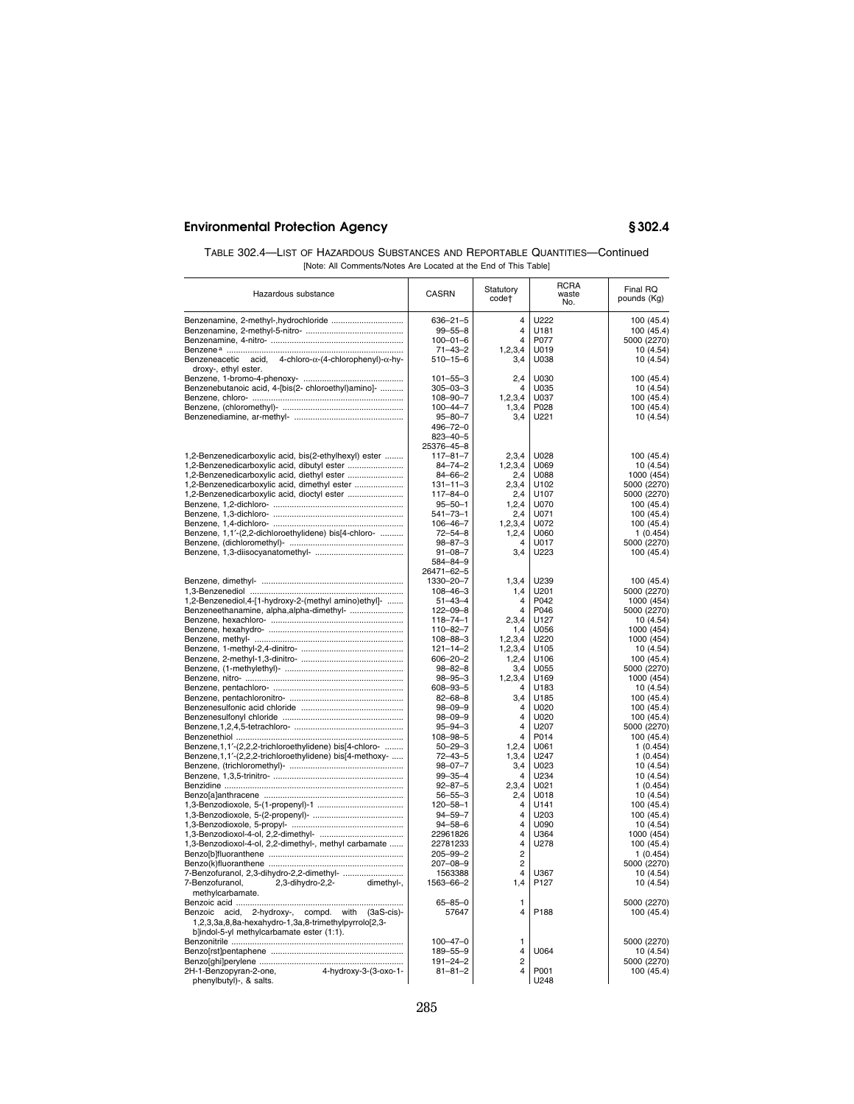| TABLE 302.4—LIST OF HAZARDOUS SUBSTANCES AND REPORTABLE QUANTITIES—Continued |
|------------------------------------------------------------------------------|
| [Note: All Comments/Notes Are Located at the End of This Table]              |

| Hazardous substance                                                                                                                                                                                                                                                                                        | CASRN                                                                                                                                                                                     | Statutory<br>code†                                                                     | <b>RCRA</b><br>waste<br>No.                                                  | Final RQ<br>pounds (Kg)                                                                                                                  |
|------------------------------------------------------------------------------------------------------------------------------------------------------------------------------------------------------------------------------------------------------------------------------------------------------------|-------------------------------------------------------------------------------------------------------------------------------------------------------------------------------------------|----------------------------------------------------------------------------------------|------------------------------------------------------------------------------|------------------------------------------------------------------------------------------------------------------------------------------|
| Benzeneacetic acid, $4\text{-chloro-}\alpha$ - $(4\text{-chlorophenyl})$ - $\alpha$ -hy-<br>droxy-, ethyl ester.                                                                                                                                                                                           | $636 - 21 - 5$<br>$99 - 55 - 8$<br>$100 - 01 - 6$<br>$71 - 43 - 2$<br>$510 - 15 - 6$                                                                                                      | 4<br>$\overline{4}$<br>$\overline{4}$<br>1,2,3,4<br>3,4                                | U222<br>U181<br>P077<br>U019<br>U038                                         | 100 (45.4)<br>100 (45.4)<br>5000 (2270)<br>10(4.54)<br>10(4.54)                                                                          |
| Benzenebutanoic acid, 4-[bis(2- chloroethyl)amino]-                                                                                                                                                                                                                                                        | $101 - 55 - 3$<br>$305 - 03 - 3$<br>$108 - 90 - 7$<br>$100 - 44 - 7$<br>$95 - 80 - 7$<br>496-72-0<br>$823 - 40 - 5$                                                                       | 2,4<br>$\overline{\mathbf{A}}$<br>1, 2, 3, 4<br>1,3,4<br>3,4                           | U030<br>U035<br>U037<br>P028<br>U221                                         | 100 (45.4)<br>10 (4.54)<br>100 (45.4)<br>100 (45.4)<br>10(4.54)                                                                          |
| 1,2-Benzenedicarboxylic acid, bis(2-ethylhexyl) ester<br>1,2-Benzenedicarboxylic acid, dibutyl ester<br>1,2-Benzenedicarboxylic acid, diethyl ester<br>1,2-Benzenedicarboxylic acid, dimethyl ester<br>1,2-Benzenedicarboxylic acid, dioctyl ester<br>Benzene, 1,1'-(2,2-dichloroethylidene) bis[4-chloro- | 25376-45-8<br>$117 - 81 - 7$<br>$84 - 74 - 2$<br>$84 - 66 - 2$<br>$131 - 11 - 3$<br>$117 - 84 - 0$<br>$95 - 50 - 1$<br>$541 - 73 - 1$<br>$106 - 46 - 7$<br>$72 - 54 - 8$<br>$98 - 87 - 3$ | 2,3,4<br>1, 2, 3, 4<br>2,4<br>2,3,4<br>2,4<br>1,2,4<br>2,4<br>1, 2, 3, 4<br>1,2,4<br>4 | U028<br>U069<br>U088<br>U102<br>U107<br>U070<br>U071<br>U072<br>U060<br>U017 | 100 (45.4)<br>10 (4.54)<br>1000 (454)<br>5000 (2270)<br>5000 (2270)<br>100 (45.4)<br>100 (45.4)<br>100 (45.4)<br>1(0.454)<br>5000 (2270) |
|                                                                                                                                                                                                                                                                                                            | $91 - 08 - 7$<br>584-84-9<br>26471-62-5                                                                                                                                                   | 3,4                                                                                    | U223                                                                         | 100 (45.4)                                                                                                                               |
| 1,2-Benzenediol,4-[1-hydroxy-2-(methyl amino)ethyl]-<br>Benzeneethanamine, alpha, alpha-dimethyl-                                                                                                                                                                                                          | 1330-20-7<br>$108 - 46 - 3$<br>$51 - 43 - 4$<br>$122 - 09 - 8$<br>$118 - 74 - 1$<br>$110 - 82 - 7$                                                                                        | 1,3,4<br>1,4<br>$\overline{4}$<br>$\overline{4}$<br>2,3,4<br>1,4                       | U239<br>U201<br>P042<br>P046<br>U <sub>127</sub><br>U056                     | 100 (45.4)<br>5000 (2270)<br>1000 (454)<br>5000 (2270)<br>10 (4.54)<br>1000 (454)                                                        |
|                                                                                                                                                                                                                                                                                                            | $108 - 88 - 3$<br>$121 - 14 - 2$<br>$606 - 20 - 2$<br>$98 - 82 - 8$                                                                                                                       | 1, 2, 3, 4<br>1,2,3,4<br>1,2,4<br>3,4                                                  | U220<br>U <sub>105</sub><br>U106<br>U055                                     | 1000 (454)<br>10(4.54)<br>100 (45.4)<br>5000 (2270)                                                                                      |
|                                                                                                                                                                                                                                                                                                            | $98 - 95 - 3$<br>$608 - 93 - 5$<br>$82 - 68 - 8$<br>$98 - 09 - 9$<br>$98 - 09 - 9$                                                                                                        | 1, 2, 3, 4<br>$\overline{4}$<br>3,4<br>$\overline{\mathbf{A}}$<br>$\overline{4}$       | U169<br>U183<br>U185<br>U020<br>U020                                         | 1000 (454)<br>10 (4.54)<br>100 (45.4)<br>100 (45.4)<br>100 (45.4)                                                                        |
| Benzene, 1, 1'-(2,2,2-trichloroethylidene) bis[4-chloro-<br>Benzene, 1, 1'-(2,2,2-trichloroethylidene) bis[4-methoxy-                                                                                                                                                                                      | $95 - 94 - 3$<br>108-98-5<br>$50 - 29 - 3$<br>$72 - 43 - 5$                                                                                                                               | 4<br>4<br>1, 2, 4<br>1.3.4                                                             | U207<br>P014<br>U061<br>U247                                                 | 5000 (2270)<br>100 (45.4)<br>1(0.454)<br>1(0.454)                                                                                        |
|                                                                                                                                                                                                                                                                                                            | $98 - 07 - 7$<br>$99 - 35 - 4$<br>$92 - 87 - 5$                                                                                                                                           | 3,4<br>$\overline{\mathbf{A}}$<br>2,3,4                                                | U023<br>U234<br>U021                                                         | 10 (4.54)<br>10 (4.54)<br>1(0.454)                                                                                                       |
|                                                                                                                                                                                                                                                                                                            | $56 - 55 - 3$<br>$120 - 58 - 1$<br>$94 - 59 - 7$<br>94-58-6                                                                                                                               | 2,4<br>4<br>4<br>4                                                                     | U018<br>U141<br>U203<br>U090                                                 | 10 (4.54)<br>100 (45.4)<br>100 (45.4)<br>10(4.54)                                                                                        |
| 1,3-Benzodioxol-4-ol, 2,2-dimethyl-, methyl carbamate                                                                                                                                                                                                                                                      | 22961826<br>22781233<br>$205 - 99 - 2$<br>207-08-9                                                                                                                                        | 4<br>$\overline{4}$<br>$\overline{2}$<br>$\overline{2}$                                | U364<br>U278                                                                 | 1000 (454)<br>100 (45.4)<br>1(0.454)<br>5000 (2270)                                                                                      |
| 7-Benzofuranol, 2,3-dihydro-2,2-dimethyl-<br>2,3-dihydro-2,2-<br>7-Benzofuranol,<br>dimethyl-,<br>methylcarbamate.                                                                                                                                                                                         | 1563388<br>1563-66-2<br>$65 - 85 - 0$                                                                                                                                                     | $\overline{4}$<br>1,4<br>1                                                             | U367<br>P <sub>127</sub>                                                     | 10 (4.54)<br>10 (4.54)<br>5000 (2270)                                                                                                    |
| Benzoic acid, 2-hydroxy-, compd. with (3aS-cis)-<br>1,2,3,3a,8,8a-hexahydro-1,3a,8-trimethylpyrrolo[2,3-<br>b]indol-5-yl methylcarbamate ester (1:1).                                                                                                                                                      | 57647                                                                                                                                                                                     | 4                                                                                      | P188                                                                         | 100 (45.4)                                                                                                                               |
| 4-hydroxy-3-(3-oxo-1-<br>2H-1-Benzopyran-2-one,                                                                                                                                                                                                                                                            | $100 - 47 - 0$<br>189-55-9<br>$191 - 24 - 2$<br>$81 - 81 - 2$                                                                                                                             | 1<br>$\overline{4}$<br>$\overline{2}$<br>$\overline{\mathbf{4}}$                       | U064<br>P001                                                                 | 5000 (2270)<br>10 (4.54)<br>5000 (2270)<br>100 (45.4)                                                                                    |
| phenylbutyl)-, & salts.                                                                                                                                                                                                                                                                                    |                                                                                                                                                                                           |                                                                                        | U248                                                                         |                                                                                                                                          |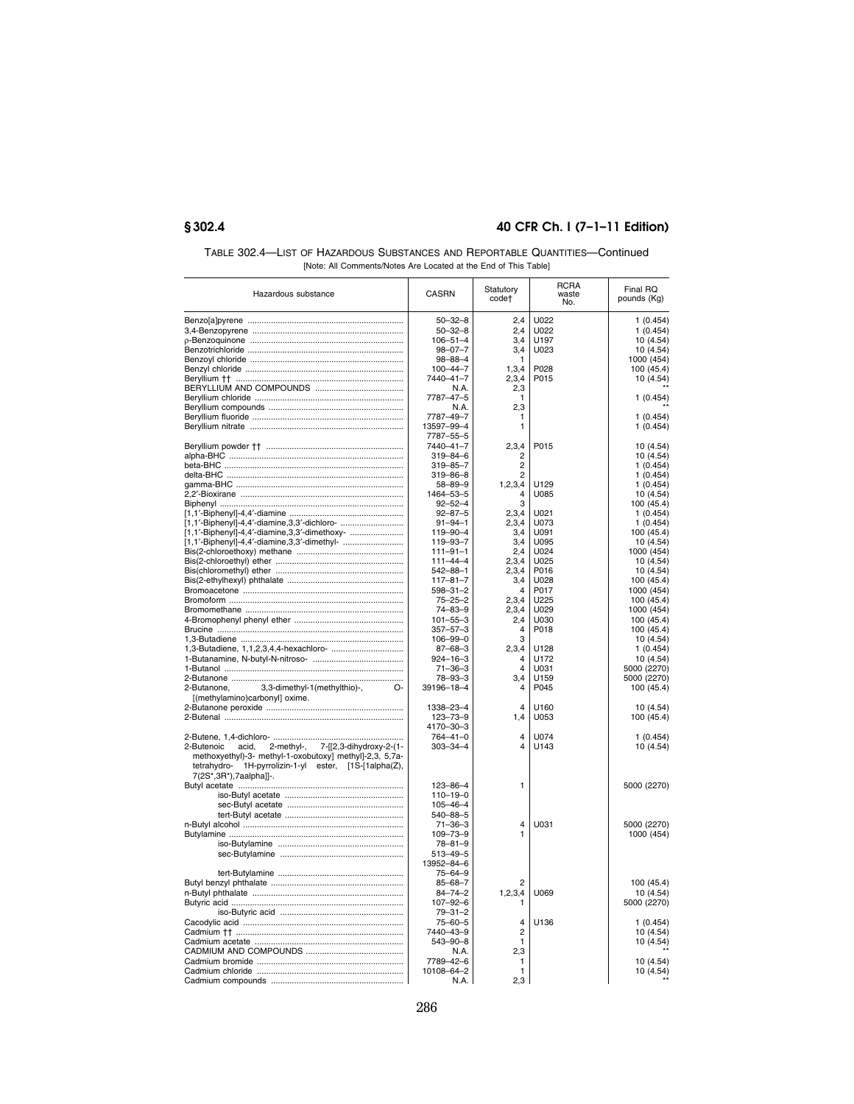| TABLE 302.4—LIST OF HAZARDOUS SUBSTANCES AND REPORTABLE QUANTITIES—Continued |
|------------------------------------------------------------------------------|
| [Note: All Comments/Notes Are Located at the End of This Table]              |

| Hazardous substance                                                                                                                        | <b>CASRN</b>                    | Statutory<br>code† | <b>RCRA</b><br>waste<br>No. | Final RQ<br>pounds (Kg) |
|--------------------------------------------------------------------------------------------------------------------------------------------|---------------------------------|--------------------|-----------------------------|-------------------------|
|                                                                                                                                            | $50 - 32 - 8$                   | 2.4                | U022                        | 1(0.454)                |
|                                                                                                                                            | $50 - 32 - 8$                   | 2,4                | U022                        | 1(0.454)                |
|                                                                                                                                            | $106 - 51 - 4$                  | 3,4                | U197                        | 10(4.54)                |
|                                                                                                                                            | $98 - 07 - 7$                   | 3,4                | U023                        | 10 (4.54)               |
|                                                                                                                                            | $98 - 88 - 4$                   | 1                  |                             | 1000 (454)              |
|                                                                                                                                            | $100 - 44 - 7$                  | 1,3,4              | P028                        | 100 (45.4)              |
|                                                                                                                                            | 7440-41-7                       | 2,3,4              | P015                        | 10 (4.54)               |
|                                                                                                                                            | N.A.                            | 2,3                |                             |                         |
|                                                                                                                                            | 7787-47-5                       | 1                  |                             | 1(0.454)                |
|                                                                                                                                            | N.A.                            | 2,3                |                             |                         |
|                                                                                                                                            | 7787-49-7                       | 1                  |                             | 1(0.454)                |
|                                                                                                                                            | 13597-99-4                      | 1                  |                             | 1(0.454)                |
|                                                                                                                                            | 7787-55-5                       |                    |                             |                         |
|                                                                                                                                            | 7440-41-7                       | 2,3,4              | P015                        | 10 (4.54)               |
|                                                                                                                                            | $319 - 84 - 6$                  | 2                  |                             | 10 (4.54)               |
|                                                                                                                                            | $319 - 85 - 7$                  | $\overline{c}$     |                             | 1(0.454)                |
|                                                                                                                                            | 319-86-8                        | $\overline{c}$     |                             | 1 (0.454)               |
|                                                                                                                                            | $58 - 89 - 9$                   | 1, 2, 3, 4         | U129                        | 1(0.454)                |
|                                                                                                                                            | 1464-53-5                       | 4                  | U085                        | 10 (4.54)               |
|                                                                                                                                            | $92 - 52 - 4$                   | з                  |                             | 100 (45.4)              |
| [1,1'-Biphenyl]-4,4'-diamine,3,3'-dichloro-                                                                                                | $92 - 87 - 5$<br>$91 - 94 - 1$  | 2,3,4              | U021<br>U073                | 1(0.454)                |
| [1,1'-Biphenyl]-4,4'-diamine,3,3'-dimethoxy-                                                                                               | 119-90-4                        | 2,3,4<br>3,4       | U091                        | 1(0.454)<br>100 (45.4)  |
| [1,1'-Biphenyl]-4,4'-diamine,3,3'-dimethyl-                                                                                                | 119-93-7                        | 3,4                | U095                        | 10(4.54)                |
|                                                                                                                                            | $111 - 91 - 1$                  | 2,4                | U024                        | 1000 (454)              |
|                                                                                                                                            | $111 - 44 - 4$                  | 2,3,4              | U025                        | 10(4.54)                |
|                                                                                                                                            | $542 - 88 - 1$                  | 2,3,4              | P016                        | 10(4.54)                |
|                                                                                                                                            | $117 - 81 - 7$                  | 3,4                | 11028                       | 100 (45.4)              |
|                                                                                                                                            | $598 - 31 - 2$                  | 4                  | P017                        | 1000 (454)              |
|                                                                                                                                            | $75 - 25 - 2$                   | 2,3,4              | U225                        | 100 (45.4)              |
|                                                                                                                                            | 74-83-9                         | 2,3,4              | U029                        | 1000 (454)              |
|                                                                                                                                            | $101 - 55 - 3$                  | 2,4                | U030                        | 100 (45.4)              |
|                                                                                                                                            | $357 - 57 - 3$                  | 4                  | P018                        | 100 (45.4)              |
|                                                                                                                                            | $106 - 99 - 0$                  | 3                  |                             | 10(4.54)                |
|                                                                                                                                            | $87 - 68 - 3$                   | 2,3,4              | U128                        | 1(0.454)                |
|                                                                                                                                            | $924 - 16 - 3$                  | $\overline{4}$     | U172                        | 10 (4.54)               |
|                                                                                                                                            | $71 - 36 - 3$                   | $\overline{4}$     | U031                        | 5000 (2270)             |
|                                                                                                                                            | 78–93–3                         | 3,4                | U159                        | 5000 (2270)             |
| 3,3-dimethyl-1(methylthio)-,<br>O-<br>2-Butanone,                                                                                          | 39196-18-4                      | 4                  | P045                        | 100 (45.4)              |
| [(methylamino)carbonyl] oxime.                                                                                                             |                                 | 4                  | U160                        |                         |
|                                                                                                                                            | 1338-23-4<br>123-73-9           | 1,4                | U053                        | 10 (4.54)<br>100 (45.4) |
|                                                                                                                                            | 4170-30-3                       |                    |                             |                         |
|                                                                                                                                            | $764 - 41 - 0$                  | $\overline{4}$     | U074                        | 1(0.454)                |
| 2-methyl-, 7-[[2,3-dihydroxy-2-(1-<br>2-Butenoic<br>acid,                                                                                  | $303 - 34 - 4$                  | 4                  | U143                        | 10 (4.54)               |
| methoxyethyl)-3- methyl-1-oxobutoxy] methyl]-2,3, 5,7a-<br>tetrahydro- 1H-pyrrolizin-1-yl ester, [1S-[1alpha(Z),<br>7(2S*,3R*),7aalpha]]-. |                                 |                    |                             |                         |
|                                                                                                                                            | $123 - 86 - 4$                  | 1                  |                             | 5000 (2270)             |
|                                                                                                                                            | $110 - 19 - 0$                  |                    |                             |                         |
|                                                                                                                                            | $105 - 46 - 4$                  |                    |                             |                         |
|                                                                                                                                            | $540 - 88 - 5$                  |                    |                             |                         |
|                                                                                                                                            | $71 - 36 - 3$                   | 4                  | U031                        | 5000 (2270)             |
|                                                                                                                                            | $109 - 73 - 9$                  | 1                  |                             | 1000 (454)              |
|                                                                                                                                            | $78 - 81 - 9$<br>$513 - 49 - 5$ |                    |                             |                         |
|                                                                                                                                            | 13952-84-6                      |                    |                             |                         |
|                                                                                                                                            | $75 - 64 - 9$                   |                    |                             |                         |
|                                                                                                                                            | $85 - 68 - 7$                   | 2                  |                             | 100 (45.4)              |
|                                                                                                                                            | $84 - 74 - 2$                   | 1, 2, 3, 4         | U069                        | 10 (4.54)               |
|                                                                                                                                            | $107 - 92 - 6$                  | 1                  |                             | 5000 (2270)             |
|                                                                                                                                            | $79 - 31 - 2$                   |                    |                             |                         |
|                                                                                                                                            | $75 - 60 - 5$                   | 4                  | U136                        | 1(0.454)                |
|                                                                                                                                            | 7440-43-9                       | $\overline{2}$     |                             | 10 (4.54)               |
|                                                                                                                                            | 543-90-8                        | 1                  |                             | 10 (4.54)               |
|                                                                                                                                            | N.A.                            | 2,3                |                             |                         |
|                                                                                                                                            | 7789-42-6                       | $\mathbf{1}$       |                             | 10 (4.54)               |
|                                                                                                                                            | 10108-64-2                      | $\mathbf{1}$       |                             | 10 (4.54)               |
|                                                                                                                                            | N.A.                            | 2,3                |                             |                         |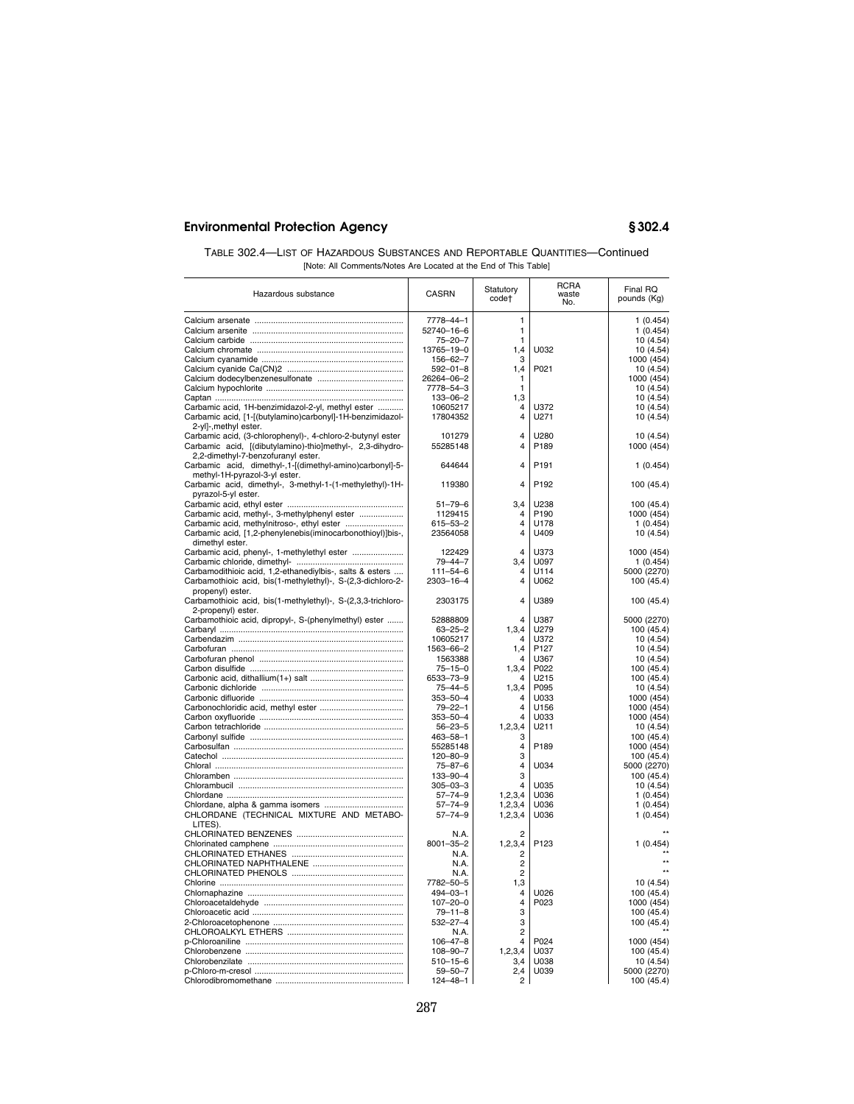| TABLE 302.4—LIST OF HAZARDOUS SUBSTANCES AND REPORTABLE QUANTITIES—Continued |
|------------------------------------------------------------------------------|
| [Note: All Comments/Notes Are Located at the End of This Table]              |

| Hazardous substance                                                                | <b>CASRN</b>            | Statutory<br>code†      | <b>RCRA</b><br>waste<br>No. | Final RQ<br>pounds (Kg) |
|------------------------------------------------------------------------------------|-------------------------|-------------------------|-----------------------------|-------------------------|
|                                                                                    | 7778-44-1               | 1                       |                             | 1(0.454)                |
|                                                                                    | 52740-16-6              | 1                       |                             | 1(0.454)                |
|                                                                                    | $75 - 20 - 7$           | 1                       |                             | 10 (4.54)               |
|                                                                                    | 13765-19-0              | 1,4                     | U032                        | 10 (4.54)               |
|                                                                                    | 156-62-7                | 3                       |                             | 1000 (454)              |
|                                                                                    | $592 - 01 - 8$          | 1,4                     | P021                        | 10 (4.54)               |
|                                                                                    | 26264-06-2              | 1                       |                             | 1000 (454)              |
|                                                                                    | 7778-54-3               | $\mathbf{1}$            |                             | 10 (4.54)               |
|                                                                                    | $133 - 06 - 2$          | 1,3                     |                             | 10 (4.54)               |
| Carbamic acid, 1H-benzimidazol-2-yl, methyl ester                                  | 10605217                | $\overline{4}$          | U372                        | 10 (4.54)               |
| Carbamic acid, [1-[(butylamino)carbonyl]-1H-benzimidazol-                          | 17804352                | $\overline{4}$          | U271                        | 10 (4.54)               |
| 2-yl]-, methyl ester.                                                              |                         |                         |                             |                         |
| Carbamic acid, (3-chlorophenyl)-, 4-chloro-2-butynyl ester                         | 101279                  | $\overline{4}$          | U280                        | 10 (4.54)               |
| Carbamic acid, [(dibutylamino)-thio]methyl-, 2,3-dihydro-                          | 55285148                | $\overline{\mathbf{4}}$ | P189                        | 1000 (454)              |
| 2,2-dimethyl-7-benzofuranyl ester.                                                 |                         |                         |                             |                         |
| Carbamic acid, dimethyl-, 1-[(dimethyl-amino)carbonyl]-5-                          | 644644                  | $\overline{4}$          | P <sub>191</sub>            | 1(0.454)                |
| methyl-1H-pyrazol-3-yl ester.                                                      |                         |                         |                             |                         |
| Carbamic acid, dimethyl-, 3-methyl-1-(1-methylethyl)-1H-                           | 119380                  | $\overline{4}$          | P192                        | 100 (45.4)              |
| pyrazol-5-yl ester.                                                                |                         |                         |                             |                         |
|                                                                                    | $51 - 79 - 6$           | 3,4                     | U238                        | 100 (45.4)              |
| Carbamic acid, methyl-, 3-methylphenyl ester                                       | 1129415                 | 4                       | P <sub>190</sub>            | 1000 (454)              |
| Carbamic acid, methylnitroso-, ethyl ester                                         | $615 - 53 - 2$          | 4<br>4                  | U178                        | 1(0.454)                |
| Carbamic acid, [1,2-phenylenebis(iminocarbonothioyl)]bis-,                         | 23564058                |                         | U409                        | 10 (4.54)               |
| dimethyl ester.                                                                    |                         | 4                       |                             |                         |
|                                                                                    | 122429<br>$79 - 44 - 7$ | 3.4                     | U373<br>U097                | 1000 (454)              |
| Carbamodithioic acid, 1,2-ethanediylbis-, salts & esters                           | $111 - 54 - 6$          | $\overline{4}$          | U114                        | 1(0.454)<br>5000 (2270) |
| Carbamothioic acid, bis(1-methylethyl)-, S-(2,3-dichloro-2-                        | 2303-16-4               | $\overline{4}$          | U062                        | 100 (45.4)              |
| propenyl) ester.                                                                   |                         |                         |                             |                         |
| Carbamothioic acid, bis(1-methylethyl)-, S-(2,3,3-trichloro-<br>2-propenyl) ester. | 2303175                 | $\overline{4}$          | U389                        | 100 (45.4)              |
| Carbamothioic acid, dipropyl-, S-(phenylmethyl) ester                              | 52888809                | 4                       | U387                        | 5000 (2270)             |
|                                                                                    | $63 - 25 - 2$           | 1,3,4                   | U279                        | 100 (45.4)              |
|                                                                                    | 10605217                | Δ                       | U372                        | 10(4.54)                |
|                                                                                    | 1563-66-2               | 1,4                     | P <sub>127</sub>            | 10(4.54)                |
|                                                                                    | 1563388                 | 4                       | U367                        | 10 (4.54)               |
|                                                                                    | $75 - 15 - 0$           | 1,3,4                   | P022                        | 100 (45.4)              |
|                                                                                    | 6533-73-9               | 4                       | U215                        | 100 (45.4)              |
|                                                                                    | $75 - 44 - 5$           | 1,3,4                   | P095                        | 10 (4.54)               |
|                                                                                    | $353 - 50 - 4$          | 4                       | U033                        | 1000 (454)              |
|                                                                                    | $79 - 22 - 1$           | $\overline{4}$          | U156                        | 1000 (454)              |
|                                                                                    | $353 - 50 - 4$          | $\overline{4}$          | U033                        | 1000 (454)              |
|                                                                                    | $56 - 23 - 5$           | 1,2,3,4                 | U211                        | 10 (4.54)               |
|                                                                                    | $463 - 58 - 1$          | 3                       |                             | 100 (45.4)              |
|                                                                                    | 55285148                | $\overline{4}$          | P189                        | 1000 (454)              |
|                                                                                    | 120-80-9                | 3                       |                             | 100 (45.4)              |
|                                                                                    | $75 - 87 - 6$           | $\overline{4}$          | U034                        | 5000 (2270)             |
|                                                                                    | 133-90-4                | 3                       |                             | 100 (45.4)              |
|                                                                                    | $305 - 03 - 3$          | 4                       | U035                        | 10(4.54)                |
|                                                                                    | $57 - 74 - 9$           | 1,2,3,4                 | U036                        | 1(0.454)                |
|                                                                                    | $57 - 74 - 9$           | 1, 2, 3, 4              | U036                        | 1(0.454)                |
| CHLORDANE (TECHNICAL MIXTURE AND METABO-<br>LITES).                                | $57 - 74 - 9$           | 1, 2, 3, 4              | U036                        | 1(0.454)                |
|                                                                                    | N.A.                    | 2                       |                             |                         |
|                                                                                    | $8001 - 35 - 2$         | 1,2,3,4                 | P123                        | 1(0.454)                |
|                                                                                    | N.A.                    | $\overline{2}$          |                             |                         |
|                                                                                    | N.A.                    | $\overline{c}$          |                             |                         |
|                                                                                    | N.A.                    | $\overline{2}$          |                             |                         |
|                                                                                    | 7782-50-5               | 1,3                     |                             | 10 (4.54)               |
|                                                                                    | $494 - 03 - 1$          | $\overline{4}$          | U026                        | 100 (45.4)              |
|                                                                                    | $107 - 20 - 0$          | $\overline{4}$          | P023                        | 1000 (454)              |
|                                                                                    | $79 - 11 - 8$           | 3                       |                             | 100 (45.4)              |
|                                                                                    | $532 - 27 - 4$          | 3                       |                             | 100 (45.4)              |
|                                                                                    | N.A.                    | $\overline{2}$          |                             |                         |
|                                                                                    | $106 - 47 - 8$          | $\overline{4}$          | P024                        | 1000 (454)              |
|                                                                                    | $108 - 90 - 7$          | 1,2,3,4                 | U037                        | 100 (45.4)              |
|                                                                                    | $510 - 15 - 6$          | 3,4                     | U038                        | 10 (4.54)               |
|                                                                                    | $59 - 50 - 7$           | 2,4                     | U039                        | 5000 (2270)             |
|                                                                                    | 124-48-1                | $\overline{2}$          |                             | 100 (45.4)              |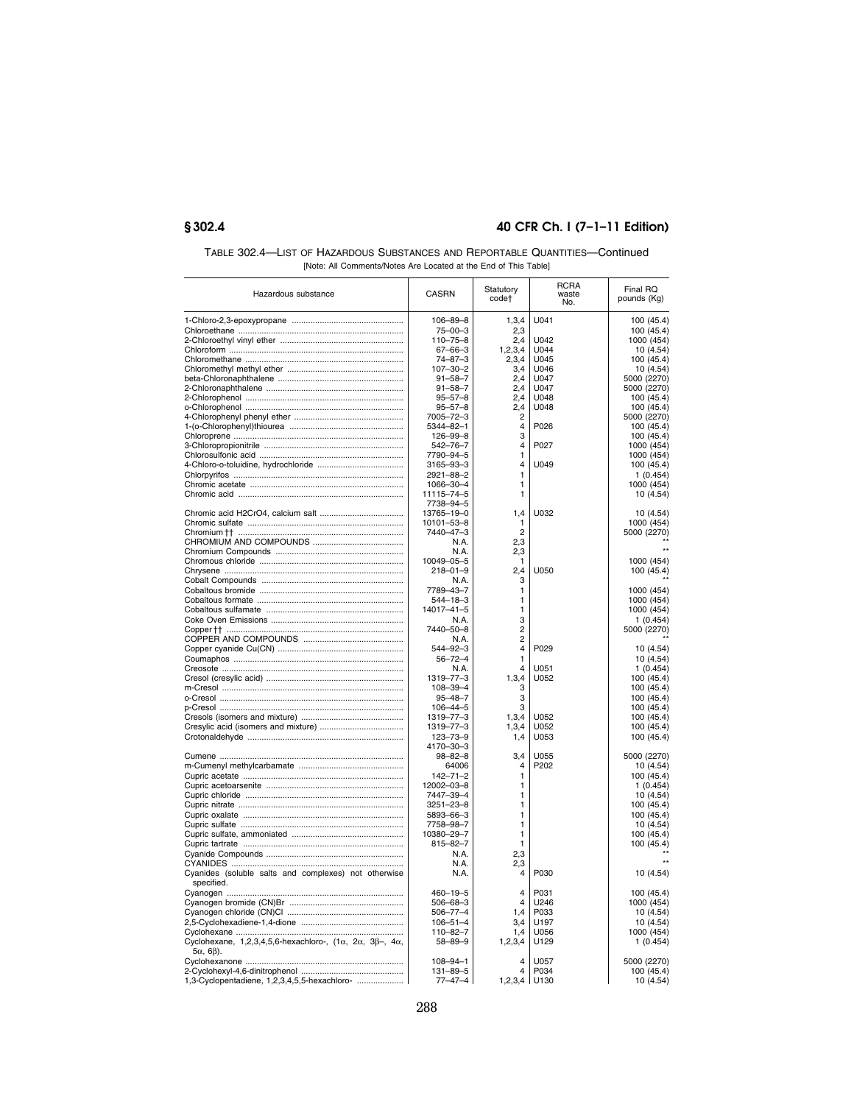| TABLE 302.4—LIST OF HAZARDOUS SUBSTANCES AND REPORTABLE QUANTITIES—Continued |
|------------------------------------------------------------------------------|
| [Note: All Comments/Notes Are Located at the End of This Table]              |

| Hazardous substance                                                              | <b>CASRN</b>            | Statutory<br>code†      | <b>RCRA</b><br>waste<br>No. | Final RQ<br>pounds (Kg) |
|----------------------------------------------------------------------------------|-------------------------|-------------------------|-----------------------------|-------------------------|
|                                                                                  | $106 - 89 - 8$          | 1,3,4                   | U041                        | 100 (45.4)              |
|                                                                                  | $75 - 00 - 3$           | 2,3                     |                             | 100 (45.4)              |
|                                                                                  | $110 - 75 - 8$          | 2.4                     | U042                        | 1000 (454)              |
|                                                                                  | $67 - 66 - 3$           | 1,2,3,4                 | U044                        | 10 (4.54)               |
|                                                                                  | $74 - 87 - 3$           | 2,3,4                   | U045                        | 100 (45.4)              |
|                                                                                  | $107 - 30 - 2$          | 3.4                     | U046                        | 10 (4.54)               |
|                                                                                  | $91 - 58 - 7$           | 2,4                     | U047                        | 5000 (2270)             |
|                                                                                  | $91 - 58 - 7$           | 2,4                     | U047                        | 5000 (2270)             |
|                                                                                  | $95 - 57 - 8$           | 2,4                     | U048                        | 100 (45.4)              |
|                                                                                  | $95 - 57 - 8$           | 2,4                     | U048                        | 100 (45.4)              |
|                                                                                  | 7005-72-3               | $\overline{2}$          |                             | 5000 (2270)             |
|                                                                                  | 5344-82-1               | 4                       | P026                        | 100 (45.4)              |
|                                                                                  | $126 - 99 - 8$          | 3                       |                             | 100 (45.4)              |
|                                                                                  | 542-76-7                | 4                       | P027                        | 1000 (454)              |
|                                                                                  | 7790-94-5               | 1<br>4                  |                             | 1000 (454)              |
|                                                                                  | 3165-93-3               |                         | U049                        | 100 (45.4)              |
|                                                                                  | 2921-88-2               | 1                       |                             | 1(0.454)                |
|                                                                                  | 1066-30-4<br>11115-74-5 | 1<br>1                  |                             | 1000 (454)<br>10 (4.54) |
|                                                                                  | 7738-94-5               |                         |                             |                         |
|                                                                                  | 13765-19-0              | 1,4                     | U032                        | 10 (4.54)               |
|                                                                                  | 10101-53-8              | 1                       |                             | 1000 (454)              |
|                                                                                  | 7440-47-3               | $\overline{c}$          |                             | 5000 (2270)             |
|                                                                                  | N.A.                    | 2,3                     |                             |                         |
|                                                                                  | N.A.                    | 2,3                     |                             |                         |
|                                                                                  | 10049-05-5              | 1                       |                             | 1000 (454)              |
|                                                                                  | $218 - 01 - 9$          | 2.4                     | U050                        | 100(45.4)               |
|                                                                                  | N.A.                    | 3                       |                             |                         |
|                                                                                  | 7789-43-7               | 1                       |                             | 1000 (454)              |
|                                                                                  | $544 - 18 - 3$          | $\mathbf{1}$            |                             | 1000 (454)              |
|                                                                                  | 14017-41-5              | 1                       |                             | 1000 (454)              |
|                                                                                  | N.A.                    | 3                       |                             | 1(0.454)                |
|                                                                                  | 7440-50-8               | $\overline{2}$          |                             | 5000 (2270)             |
|                                                                                  | N.A.                    | $\overline{2}$          |                             |                         |
|                                                                                  | 544-92-3                | 4                       | P029                        | 10 (4.54)               |
|                                                                                  | $56 - 72 - 4$           | 1                       |                             | 10(4.54)                |
|                                                                                  | N.A.                    | $\overline{\mathbf{A}}$ | U051                        | 1(0.454)                |
|                                                                                  | 1319-77-3               | 1,3,4                   | U052                        | 100 (45.4)              |
|                                                                                  | $108 - 39 - 4$          | 3                       |                             | 100 (45.4)              |
|                                                                                  | $95 - 48 - 7$           | 3                       |                             | 100 (45.4)              |
|                                                                                  | $106 - 44 - 5$          | 3                       |                             | 100 (45.4)              |
|                                                                                  | 1319-77-3               | 1,3,4                   | U052                        | 100 (45.4)              |
|                                                                                  | 1319-77-3               | 1,3,4                   | U052                        | 100 (45.4)              |
|                                                                                  | $123 - 73 - 9$          | 1,4                     | U053                        | 100 (45.4)              |
|                                                                                  | 4170-30-3               | 3,4                     | U055                        |                         |
|                                                                                  | $98 - 82 - 8$<br>64006  | 4                       | P202                        | 5000 (2270)             |
|                                                                                  | $142 - 71 - 2$          | 1                       |                             | 10(4.54)<br>100 (45.4)  |
|                                                                                  | 12002-03-8              | 1                       |                             | 1(0.454)                |
|                                                                                  | 7447-39-4               | 1                       |                             | 10 (4.54)               |
|                                                                                  | $3251 - 23 - 8$         | 1                       |                             | 100 (45.4)              |
|                                                                                  | 5893-66-3               | 1                       |                             | 100 (45.4)              |
|                                                                                  | 7758-98-7               | 1                       |                             | 10(4.54)                |
|                                                                                  | 10380-29-7              | 1                       |                             | 100 (45.4)              |
|                                                                                  | $815 - 82 - 7$          | 1                       |                             | 100 (45.4)              |
|                                                                                  | N.A.                    | 2,3                     |                             |                         |
|                                                                                  | N.A.                    | 2,3                     |                             |                         |
| Cyanides (soluble salts and complexes) not otherwise                             | N.A.                    | $\overline{4}$          | P030                        | 10 (4.54)               |
| specified.                                                                       |                         |                         |                             |                         |
|                                                                                  | $460 - 19 - 5$          | $\overline{4}$          | P031                        | 100 (45.4)              |
|                                                                                  | $506 - 68 - 3$          | $\overline{4}$          | U246                        | 1000 (454)              |
|                                                                                  | $506 - 77 - 4$          | 1,4                     | P033                        | 10 (4.54)               |
|                                                                                  | $106 - 51 - 4$          | 3,4                     | U197                        | 10 (4.54)               |
|                                                                                  | $110 - 82 - 7$          | 1,4                     | U056                        | 1000 (454)              |
| Cyclohexane, 1,2,3,4,5,6-hexachloro-, $(1\alpha, 2\alpha, 3\beta$ -, $4\alpha$ , | $58 - 89 - 9$           | 1,2,3,4                 | U129                        | 1(0.454)                |
| 5α, 6β).                                                                         |                         |                         |                             |                         |
|                                                                                  | $108 - 94 - 1$          | $\overline{4}$          | U057                        | 5000 (2270)             |
|                                                                                  | $131 - 89 - 5$          | 4                       | P034                        | 100(45.4)               |
| 1,3-Cyclopentadiene, 1,2,3,4,5,5-hexachloro-                                     | $77 - 47 - 4$           | 1,2,3,4                 | U130                        | 10(4.54)                |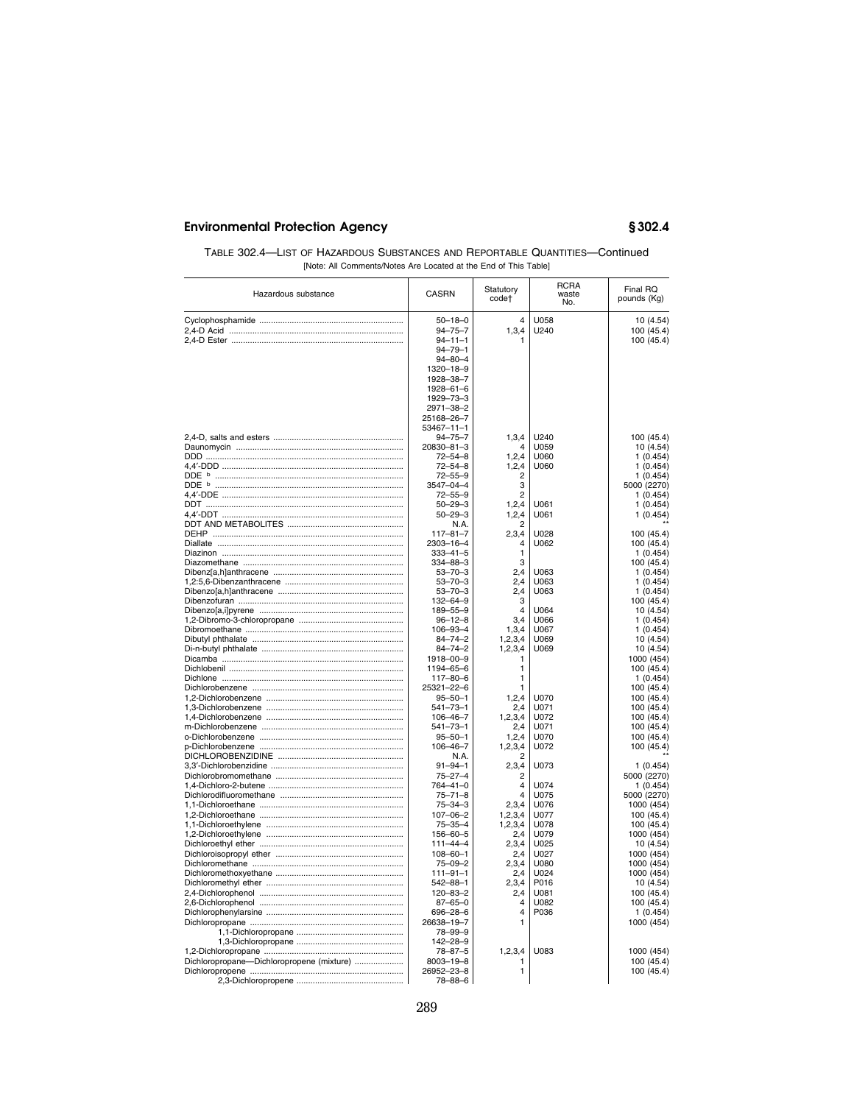| TABLE 302.4—LIST OF HAZARDOUS SUBSTANCES AND REPORTABLE QUANTITIES—Continued |
|------------------------------------------------------------------------------|
| [Note: All Comments/Notes Are Located at the End of This Table]              |

| Hazardous substance                       | <b>CASRN</b>                                                                                                                                                                         | Statutory<br>code†                                       | <b>RCRA</b><br>waste<br>No.          | Final RQ<br>pounds (Kg)                                                                            |
|-------------------------------------------|--------------------------------------------------------------------------------------------------------------------------------------------------------------------------------------|----------------------------------------------------------|--------------------------------------|----------------------------------------------------------------------------------------------------|
|                                           | $50 - 18 - 0$<br>$94 - 75 - 7$<br>$94 - 11 - 1$<br>$94 - 79 - 1$<br>$94 - 80 - 4$<br>1320-18-9<br>1928-38-7<br>$1928 - 61 - 6$<br>1929-73-3<br>2971-38-2<br>25168-26-7<br>53467-11-1 | 4<br>1, 3, 4                                             | U058<br>U240                         | 10 (4.54)<br>100 (45.4)<br>100 (45.4)                                                              |
|                                           | $94 - 75 - 7$<br>20830-81-3<br>$72 - 54 - 8$<br>$72 - 54 - 8$<br>$72 - 55 - 9$<br>3547-04-4<br>$72 - 55 - 9$<br>$50 - 29 - 3$                                                        | 1,3,4<br>Δ<br>1, 2, 4<br>1,2,4<br>2<br>3<br>2<br>1, 2, 4 | U240<br>U059<br>U060<br>U060<br>U061 | 100 (45.4)<br>10 (4.54)<br>1(0.454)<br>1(0.454)<br>1(0.454)<br>5000 (2270)<br>1(0.454)<br>1(0.454) |
|                                           | $50 - 29 - 3$<br>N.A.<br>$117 - 81 - 7$<br>2303-16-4                                                                                                                                 | 1,2,4<br>2<br>2,3,4<br>$\overline{4}$                    | U061<br>U028<br>U062                 | 1(0.454)<br>100 (45.4)<br>100 (45.4)                                                               |
|                                           | $333 - 41 - 5$<br>334-88-3<br>$53 - 70 - 3$<br>$53 - 70 - 3$<br>$53 - 70 - 3$<br>132-64-9                                                                                            | 1<br>3<br>2.4<br>2.4<br>2,4<br>3                         | U063<br>LJ063<br>U063                | 1(0.454)<br>100 (45.4)<br>1(0.454)<br>1(0.454)<br>1(0.454)<br>100 (45.4)                           |
|                                           | 189-55-9<br>$96 - 12 - 8$<br>106-93-4<br>84-74-2<br>84-74-2                                                                                                                          | $\Delta$<br>3,4<br>1,3,4<br>1,2,3,4<br>1,2,3,4           | U064<br>U066<br>U067<br>U069<br>U069 | 10 (4.54)<br>1(0.454)<br>1(0.454)<br>10(4.54)<br>10(4.54)                                          |
|                                           | 1918-00-9<br>1194-65-6<br>$117 - 80 - 6$<br>25321-22-6<br>$95 - 50 - 1$                                                                                                              | 1<br>1<br>1<br>1<br>1, 2, 4                              | U070                                 | 1000 (454)<br>100 (45.4)<br>1(0.454)<br>100 (45.4)<br>100 (45.4)                                   |
|                                           | $541 - 73 - 1$<br>$106 - 46 - 7$<br>$541 - 73 - 1$<br>$95 - 50 - 1$<br>$106 - 46 - 7$                                                                                                | 2,4<br>1,2,3,4<br>2,4<br>1, 2, 4<br>1,2,3,4              | U071<br>U072<br>U071<br>U070<br>U072 | 100 (45.4)<br>100 (45.4)<br>100 (45.4)<br>100 (45.4)<br>100 (45.4)                                 |
|                                           | N.A.<br>$91 - 94 - 1$<br>$75 - 27 - 4$<br>764-41-0<br>$75 - 71 - 8$                                                                                                                  | 2<br>2,3,4<br>$\overline{2}$<br>4<br>$\Delta$            | U073<br>U074<br>U075                 | 1(0.454)<br>5000 (2270)<br>1(0.454)<br>5000 (2270)                                                 |
|                                           | $75 - 34 - 3$<br>$107 - 06 - 2$<br>$75 - 35 - 4$<br>$156 - 60 - 5$<br>$111 - 44 - 4$                                                                                                 | 2,3,4<br>1,2,3,4<br>1,2,3,4<br>2.4<br>2,3,4              | U076<br>U077<br>U078<br>U079<br>U025 | 1000 (454)<br>100 (45.4)<br>100 (45.4)<br>1000 (454)<br>10 (4.54)                                  |
|                                           | $108 - 60 - 1$<br>$75 - 09 - 2$<br>$111 - 91 - 1$<br>$542 - 88 - 1$<br>$120 - 83 - 2$                                                                                                | 2,4<br>2,3,4<br>2,4<br>2,3,4<br>2,4                      | U027<br>U080<br>U024<br>P016<br>U081 | 1000 (454)<br>1000 (454)<br>1000 (454)<br>10 (4.54)<br>100 (45.4)                                  |
|                                           | $87 - 65 - 0$<br>$696 - 28 - 6$<br>26638-19-7<br>78-99-9<br>142-28-9                                                                                                                 | $\overline{\mathbf{A}}$<br>$\overline{\mathbf{A}}$<br>1  | U082<br>P036                         | 100 (45.4)<br>1(0.454)<br>1000 (454)                                                               |
| Dichloropropane-Dichloropropene (mixture) | 78-87-5<br>$8003 - 19 - 8$<br>26952-23-8<br>$78 - 88 - 6$                                                                                                                            | 1,2,3,4<br>1<br>1                                        | U083                                 | 1000 (454)<br>100 (45.4)<br>100 (45.4)                                                             |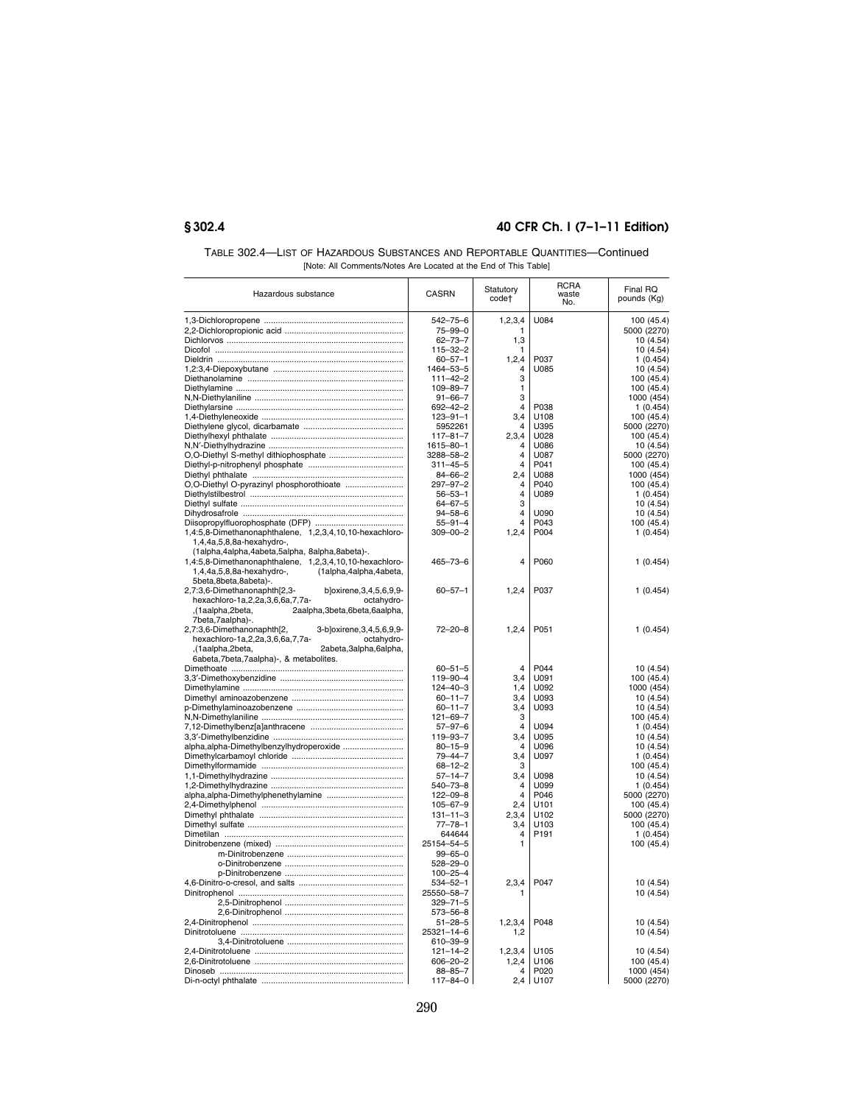| TABLE 302.4—LIST OF HAZARDOUS SUBSTANCES AND REPORTABLE QUANTITIES—Continued |
|------------------------------------------------------------------------------|
| [Note: All Comments/Notes Are Located at the End of This Table]              |

| $542 - 75 - 6$<br>U084<br>100 (45.4)<br>1, 2, 3, 4<br>75-99-0<br>5000 (2270)<br>1<br>$62 - 73 - 7$<br>1,3<br>10(4.54)<br>$115 - 32 - 2$<br>10 (4.54)<br>1<br>1, 2, 4<br>$60 - 57 - 1$<br>P037<br>1(0.454)<br>1464-53-5<br>$\overline{4}$<br>U085<br>10 (4.54)<br>3<br>$111 - 42 - 2$<br>100(45.4)<br>$109 - 89 - 7$<br>$\mathbf{1}$<br>100 (45.4)<br>3<br>1000 (454)<br>$91 - 66 - 7$<br>$\overline{4}$<br>P038<br>1(0.454)<br>$692 - 42 - 2$<br>$123 - 91 - 1$<br>3,4<br>U108<br>100 (45.4)<br>5952261<br>$\overline{4}$<br>U395<br>5000 (2270)<br>2,3,4<br>100 (45.4)<br>$117 - 81 - 7$<br>U028<br>1615-80-1<br>$\overline{\mathbf{4}}$<br>U086<br>10 (4.54)<br>3288-58-2<br>$\overline{4}$<br>U087<br>5000 (2270)<br>$311 - 45 - 5$<br>$\overline{4}$<br>P041<br>100 (45.4)<br>2,4<br>U088<br>1000 (454)<br>$84 - 66 - 2$<br>O,O-Diethyl O-pyrazinyl phosphorothioate<br>$297 - 97 - 2$<br>$\overline{4}$<br>100 (45.4)<br>P040<br>$\overline{4}$<br>1(0.454)<br>$56 - 53 - 1$<br>U089<br>3<br>$64 - 67 - 5$<br>10 (4.54)<br>$\overline{\mathbf{4}}$<br>10 (4.54)<br>$94 - 58 - 6$<br>U090<br>4<br>100 (45.4)<br>$55 - 91 - 4$<br>P043<br>1,4:5,8-Dimethanonaphthalene, 1,2,3,4,10,10-hexachloro-<br>1, 2, 4<br>P004<br>$309 - 00 - 2$<br>1(0.454)<br>1,4,4a,5,8,8a-hexahydro-,<br>(1alpha,4alpha,4abeta,5alpha, 8alpha,8abeta)-.<br>1,4:5,8-Dimethanonaphthalene, 1,2,3,4,10,10-hexachloro-<br>$465 - 73 - 6$<br>P060<br>1(0.454)<br>4<br>1,4,4a,5,8,8a-hexahydro-,<br>(1alpha,4alpha,4abeta,<br>5beta,8beta,8abeta)-.<br>2,7:3,6-Dimethanonaphth[2,3-<br>b]oxirene, 3, 4, 5, 6, 9, 9-<br>$60 - 57 - 1$<br>1,2,4<br>P037<br>1(0.454)<br>hexachloro-1a,2,2a,3,6,6a,7,7a-<br>octahydro-<br>,(1aalpha,2beta,<br>2aalpha, 3beta, 6beta, 6aalpha,<br>7beta,7aalpha)-.<br>2,7:3,6-Dimethanonaphth[2,<br>3-b]oxirene, 3, 4, 5, 6, 9, 9-<br>$72 - 20 - 8$<br>1, 2, 4<br>P051<br>1(0.454)<br>octahydro-<br>hexachloro-1a,2,2a,3,6,6a,7,7a-<br>2abeta,3alpha,6alpha,<br>, 1aalpha, 2beta,<br>6abeta, 7beta, 7aalpha)-, & metabolites.<br>$60 - 51 - 5$<br>P044<br>10 (4.54)<br>4<br>119-90-4<br>3,4<br>U091<br>100 (45.4)<br>1,4<br>U092<br>1000 (454)<br>$124 - 40 - 3$<br>$60 - 11 - 7$<br>3,4<br>U093<br>10 (4.54)<br>$60 - 11 - 7$<br>3,4<br>U093<br>10 (4.54)<br>$121 - 69 - 7$<br>3<br>100(45.4)<br>$57 - 97 - 6$<br>$\Delta$<br>U094<br>1(0.454)<br>3,4<br>10 (4.54)<br>119-93-7<br>U095<br>alpha, alpha-Dimethylbenzylhydroperoxide<br>10 (4.54)<br>$80 - 15 - 9$<br>4<br>U096<br>$79 - 44 - 7$<br>3,4<br>U097<br>1(0.454)<br>$68 - 12 - 2$<br>з<br>100 (45.4)<br>$57 - 14 - 7$<br>3,4<br>U098<br>10(4.54)<br>$540 - 73 - 8$<br>4<br>U099<br>1(0.454)<br>$122 - 09 - 8$<br>4<br>P046<br>5000 (2270)<br>$105 - 67 - 9$<br>2,4<br>U101<br>100 (45.4)<br>$131 - 11 - 3$<br>2,3,4<br>U102<br>5000 (2270)<br>$77 - 78 - 1$<br>3,4<br>U103<br>100 (45.4)<br>644644<br>$\overline{4}$<br>P191<br>1(0.454)<br>25154-54-5<br>1<br>100 (45.4)<br>$99 - 65 - 0$<br>$528 - 29 - 0$<br>$100 - 25 - 4$<br>2,3,4<br>P047<br>10 (4.54)<br>$534 - 52 - 1$<br>25550-58-7<br>10 (4.54)<br>$329 - 71 - 5$<br>$573 - 56 - 8$<br>P048<br>10 (4.54)<br>$51 - 28 - 5$<br>1, 2, 3, 4<br>25321-14-6<br>10 (4.54)<br>1,2<br>610-39-9<br>1,2,3,4<br>$121 - 14 - 2$<br>U105<br>10 (4.54)<br>$606 - 20 - 2$<br>1, 2, 4<br>U106<br>100(45.4)<br>$88 - 85 - 7$<br>P020<br>1000 (454)<br>4<br>2.4<br>5000 (2270)<br>117-84-0<br>U107 | Hazardous substance | <b>CASRN</b> | Statutory<br>code† | <b>RCRA</b><br>waste<br>No. | Final RQ<br>pounds (Kg) |
|-------------------------------------------------------------------------------------------------------------------------------------------------------------------------------------------------------------------------------------------------------------------------------------------------------------------------------------------------------------------------------------------------------------------------------------------------------------------------------------------------------------------------------------------------------------------------------------------------------------------------------------------------------------------------------------------------------------------------------------------------------------------------------------------------------------------------------------------------------------------------------------------------------------------------------------------------------------------------------------------------------------------------------------------------------------------------------------------------------------------------------------------------------------------------------------------------------------------------------------------------------------------------------------------------------------------------------------------------------------------------------------------------------------------------------------------------------------------------------------------------------------------------------------------------------------------------------------------------------------------------------------------------------------------------------------------------------------------------------------------------------------------------------------------------------------------------------------------------------------------------------------------------------------------------------------------------------------------------------------------------------------------------------------------------------------------------------------------------------------------------------------------------------------------------------------------------------------------------------------------------------------------------------------------------------------------------------------------------------------------------------------------------------------------------------------------------------------------------------------------------------------------------------------------------------------------------------------------------------------------------------------------------------------------------------------------------------------------------------------------------------------------------------------------------------------------------------------------------------------------------------------------------------------------------------------------------------------------------------------------------------------------------------------------------------------------------------------------------------------------------------------------------------------------------------------------------------------------------------------------------------------------------------------------------------------------------------------------------------------------------------------------------------|---------------------|--------------|--------------------|-----------------------------|-------------------------|
|                                                                                                                                                                                                                                                                                                                                                                                                                                                                                                                                                                                                                                                                                                                                                                                                                                                                                                                                                                                                                                                                                                                                                                                                                                                                                                                                                                                                                                                                                                                                                                                                                                                                                                                                                                                                                                                                                                                                                                                                                                                                                                                                                                                                                                                                                                                                                                                                                                                                                                                                                                                                                                                                                                                                                                                                                                                                                                                                                                                                                                                                                                                                                                                                                                                                                                                                                                                                       |                     |              |                    |                             |                         |
|                                                                                                                                                                                                                                                                                                                                                                                                                                                                                                                                                                                                                                                                                                                                                                                                                                                                                                                                                                                                                                                                                                                                                                                                                                                                                                                                                                                                                                                                                                                                                                                                                                                                                                                                                                                                                                                                                                                                                                                                                                                                                                                                                                                                                                                                                                                                                                                                                                                                                                                                                                                                                                                                                                                                                                                                                                                                                                                                                                                                                                                                                                                                                                                                                                                                                                                                                                                                       |                     |              |                    |                             |                         |
|                                                                                                                                                                                                                                                                                                                                                                                                                                                                                                                                                                                                                                                                                                                                                                                                                                                                                                                                                                                                                                                                                                                                                                                                                                                                                                                                                                                                                                                                                                                                                                                                                                                                                                                                                                                                                                                                                                                                                                                                                                                                                                                                                                                                                                                                                                                                                                                                                                                                                                                                                                                                                                                                                                                                                                                                                                                                                                                                                                                                                                                                                                                                                                                                                                                                                                                                                                                                       |                     |              |                    |                             |                         |
|                                                                                                                                                                                                                                                                                                                                                                                                                                                                                                                                                                                                                                                                                                                                                                                                                                                                                                                                                                                                                                                                                                                                                                                                                                                                                                                                                                                                                                                                                                                                                                                                                                                                                                                                                                                                                                                                                                                                                                                                                                                                                                                                                                                                                                                                                                                                                                                                                                                                                                                                                                                                                                                                                                                                                                                                                                                                                                                                                                                                                                                                                                                                                                                                                                                                                                                                                                                                       |                     |              |                    |                             |                         |
|                                                                                                                                                                                                                                                                                                                                                                                                                                                                                                                                                                                                                                                                                                                                                                                                                                                                                                                                                                                                                                                                                                                                                                                                                                                                                                                                                                                                                                                                                                                                                                                                                                                                                                                                                                                                                                                                                                                                                                                                                                                                                                                                                                                                                                                                                                                                                                                                                                                                                                                                                                                                                                                                                                                                                                                                                                                                                                                                                                                                                                                                                                                                                                                                                                                                                                                                                                                                       |                     |              |                    |                             |                         |
|                                                                                                                                                                                                                                                                                                                                                                                                                                                                                                                                                                                                                                                                                                                                                                                                                                                                                                                                                                                                                                                                                                                                                                                                                                                                                                                                                                                                                                                                                                                                                                                                                                                                                                                                                                                                                                                                                                                                                                                                                                                                                                                                                                                                                                                                                                                                                                                                                                                                                                                                                                                                                                                                                                                                                                                                                                                                                                                                                                                                                                                                                                                                                                                                                                                                                                                                                                                                       |                     |              |                    |                             |                         |
|                                                                                                                                                                                                                                                                                                                                                                                                                                                                                                                                                                                                                                                                                                                                                                                                                                                                                                                                                                                                                                                                                                                                                                                                                                                                                                                                                                                                                                                                                                                                                                                                                                                                                                                                                                                                                                                                                                                                                                                                                                                                                                                                                                                                                                                                                                                                                                                                                                                                                                                                                                                                                                                                                                                                                                                                                                                                                                                                                                                                                                                                                                                                                                                                                                                                                                                                                                                                       |                     |              |                    |                             |                         |
|                                                                                                                                                                                                                                                                                                                                                                                                                                                                                                                                                                                                                                                                                                                                                                                                                                                                                                                                                                                                                                                                                                                                                                                                                                                                                                                                                                                                                                                                                                                                                                                                                                                                                                                                                                                                                                                                                                                                                                                                                                                                                                                                                                                                                                                                                                                                                                                                                                                                                                                                                                                                                                                                                                                                                                                                                                                                                                                                                                                                                                                                                                                                                                                                                                                                                                                                                                                                       |                     |              |                    |                             |                         |
|                                                                                                                                                                                                                                                                                                                                                                                                                                                                                                                                                                                                                                                                                                                                                                                                                                                                                                                                                                                                                                                                                                                                                                                                                                                                                                                                                                                                                                                                                                                                                                                                                                                                                                                                                                                                                                                                                                                                                                                                                                                                                                                                                                                                                                                                                                                                                                                                                                                                                                                                                                                                                                                                                                                                                                                                                                                                                                                                                                                                                                                                                                                                                                                                                                                                                                                                                                                                       |                     |              |                    |                             |                         |
|                                                                                                                                                                                                                                                                                                                                                                                                                                                                                                                                                                                                                                                                                                                                                                                                                                                                                                                                                                                                                                                                                                                                                                                                                                                                                                                                                                                                                                                                                                                                                                                                                                                                                                                                                                                                                                                                                                                                                                                                                                                                                                                                                                                                                                                                                                                                                                                                                                                                                                                                                                                                                                                                                                                                                                                                                                                                                                                                                                                                                                                                                                                                                                                                                                                                                                                                                                                                       |                     |              |                    |                             |                         |
|                                                                                                                                                                                                                                                                                                                                                                                                                                                                                                                                                                                                                                                                                                                                                                                                                                                                                                                                                                                                                                                                                                                                                                                                                                                                                                                                                                                                                                                                                                                                                                                                                                                                                                                                                                                                                                                                                                                                                                                                                                                                                                                                                                                                                                                                                                                                                                                                                                                                                                                                                                                                                                                                                                                                                                                                                                                                                                                                                                                                                                                                                                                                                                                                                                                                                                                                                                                                       |                     |              |                    |                             |                         |
|                                                                                                                                                                                                                                                                                                                                                                                                                                                                                                                                                                                                                                                                                                                                                                                                                                                                                                                                                                                                                                                                                                                                                                                                                                                                                                                                                                                                                                                                                                                                                                                                                                                                                                                                                                                                                                                                                                                                                                                                                                                                                                                                                                                                                                                                                                                                                                                                                                                                                                                                                                                                                                                                                                                                                                                                                                                                                                                                                                                                                                                                                                                                                                                                                                                                                                                                                                                                       |                     |              |                    |                             |                         |
|                                                                                                                                                                                                                                                                                                                                                                                                                                                                                                                                                                                                                                                                                                                                                                                                                                                                                                                                                                                                                                                                                                                                                                                                                                                                                                                                                                                                                                                                                                                                                                                                                                                                                                                                                                                                                                                                                                                                                                                                                                                                                                                                                                                                                                                                                                                                                                                                                                                                                                                                                                                                                                                                                                                                                                                                                                                                                                                                                                                                                                                                                                                                                                                                                                                                                                                                                                                                       |                     |              |                    |                             |                         |
|                                                                                                                                                                                                                                                                                                                                                                                                                                                                                                                                                                                                                                                                                                                                                                                                                                                                                                                                                                                                                                                                                                                                                                                                                                                                                                                                                                                                                                                                                                                                                                                                                                                                                                                                                                                                                                                                                                                                                                                                                                                                                                                                                                                                                                                                                                                                                                                                                                                                                                                                                                                                                                                                                                                                                                                                                                                                                                                                                                                                                                                                                                                                                                                                                                                                                                                                                                                                       |                     |              |                    |                             |                         |
|                                                                                                                                                                                                                                                                                                                                                                                                                                                                                                                                                                                                                                                                                                                                                                                                                                                                                                                                                                                                                                                                                                                                                                                                                                                                                                                                                                                                                                                                                                                                                                                                                                                                                                                                                                                                                                                                                                                                                                                                                                                                                                                                                                                                                                                                                                                                                                                                                                                                                                                                                                                                                                                                                                                                                                                                                                                                                                                                                                                                                                                                                                                                                                                                                                                                                                                                                                                                       |                     |              |                    |                             |                         |
|                                                                                                                                                                                                                                                                                                                                                                                                                                                                                                                                                                                                                                                                                                                                                                                                                                                                                                                                                                                                                                                                                                                                                                                                                                                                                                                                                                                                                                                                                                                                                                                                                                                                                                                                                                                                                                                                                                                                                                                                                                                                                                                                                                                                                                                                                                                                                                                                                                                                                                                                                                                                                                                                                                                                                                                                                                                                                                                                                                                                                                                                                                                                                                                                                                                                                                                                                                                                       |                     |              |                    |                             |                         |
|                                                                                                                                                                                                                                                                                                                                                                                                                                                                                                                                                                                                                                                                                                                                                                                                                                                                                                                                                                                                                                                                                                                                                                                                                                                                                                                                                                                                                                                                                                                                                                                                                                                                                                                                                                                                                                                                                                                                                                                                                                                                                                                                                                                                                                                                                                                                                                                                                                                                                                                                                                                                                                                                                                                                                                                                                                                                                                                                                                                                                                                                                                                                                                                                                                                                                                                                                                                                       |                     |              |                    |                             |                         |
|                                                                                                                                                                                                                                                                                                                                                                                                                                                                                                                                                                                                                                                                                                                                                                                                                                                                                                                                                                                                                                                                                                                                                                                                                                                                                                                                                                                                                                                                                                                                                                                                                                                                                                                                                                                                                                                                                                                                                                                                                                                                                                                                                                                                                                                                                                                                                                                                                                                                                                                                                                                                                                                                                                                                                                                                                                                                                                                                                                                                                                                                                                                                                                                                                                                                                                                                                                                                       |                     |              |                    |                             |                         |
|                                                                                                                                                                                                                                                                                                                                                                                                                                                                                                                                                                                                                                                                                                                                                                                                                                                                                                                                                                                                                                                                                                                                                                                                                                                                                                                                                                                                                                                                                                                                                                                                                                                                                                                                                                                                                                                                                                                                                                                                                                                                                                                                                                                                                                                                                                                                                                                                                                                                                                                                                                                                                                                                                                                                                                                                                                                                                                                                                                                                                                                                                                                                                                                                                                                                                                                                                                                                       |                     |              |                    |                             |                         |
|                                                                                                                                                                                                                                                                                                                                                                                                                                                                                                                                                                                                                                                                                                                                                                                                                                                                                                                                                                                                                                                                                                                                                                                                                                                                                                                                                                                                                                                                                                                                                                                                                                                                                                                                                                                                                                                                                                                                                                                                                                                                                                                                                                                                                                                                                                                                                                                                                                                                                                                                                                                                                                                                                                                                                                                                                                                                                                                                                                                                                                                                                                                                                                                                                                                                                                                                                                                                       |                     |              |                    |                             |                         |
|                                                                                                                                                                                                                                                                                                                                                                                                                                                                                                                                                                                                                                                                                                                                                                                                                                                                                                                                                                                                                                                                                                                                                                                                                                                                                                                                                                                                                                                                                                                                                                                                                                                                                                                                                                                                                                                                                                                                                                                                                                                                                                                                                                                                                                                                                                                                                                                                                                                                                                                                                                                                                                                                                                                                                                                                                                                                                                                                                                                                                                                                                                                                                                                                                                                                                                                                                                                                       |                     |              |                    |                             |                         |
|                                                                                                                                                                                                                                                                                                                                                                                                                                                                                                                                                                                                                                                                                                                                                                                                                                                                                                                                                                                                                                                                                                                                                                                                                                                                                                                                                                                                                                                                                                                                                                                                                                                                                                                                                                                                                                                                                                                                                                                                                                                                                                                                                                                                                                                                                                                                                                                                                                                                                                                                                                                                                                                                                                                                                                                                                                                                                                                                                                                                                                                                                                                                                                                                                                                                                                                                                                                                       |                     |              |                    |                             |                         |
|                                                                                                                                                                                                                                                                                                                                                                                                                                                                                                                                                                                                                                                                                                                                                                                                                                                                                                                                                                                                                                                                                                                                                                                                                                                                                                                                                                                                                                                                                                                                                                                                                                                                                                                                                                                                                                                                                                                                                                                                                                                                                                                                                                                                                                                                                                                                                                                                                                                                                                                                                                                                                                                                                                                                                                                                                                                                                                                                                                                                                                                                                                                                                                                                                                                                                                                                                                                                       |                     |              |                    |                             |                         |
|                                                                                                                                                                                                                                                                                                                                                                                                                                                                                                                                                                                                                                                                                                                                                                                                                                                                                                                                                                                                                                                                                                                                                                                                                                                                                                                                                                                                                                                                                                                                                                                                                                                                                                                                                                                                                                                                                                                                                                                                                                                                                                                                                                                                                                                                                                                                                                                                                                                                                                                                                                                                                                                                                                                                                                                                                                                                                                                                                                                                                                                                                                                                                                                                                                                                                                                                                                                                       |                     |              |                    |                             |                         |
|                                                                                                                                                                                                                                                                                                                                                                                                                                                                                                                                                                                                                                                                                                                                                                                                                                                                                                                                                                                                                                                                                                                                                                                                                                                                                                                                                                                                                                                                                                                                                                                                                                                                                                                                                                                                                                                                                                                                                                                                                                                                                                                                                                                                                                                                                                                                                                                                                                                                                                                                                                                                                                                                                                                                                                                                                                                                                                                                                                                                                                                                                                                                                                                                                                                                                                                                                                                                       |                     |              |                    |                             |                         |
|                                                                                                                                                                                                                                                                                                                                                                                                                                                                                                                                                                                                                                                                                                                                                                                                                                                                                                                                                                                                                                                                                                                                                                                                                                                                                                                                                                                                                                                                                                                                                                                                                                                                                                                                                                                                                                                                                                                                                                                                                                                                                                                                                                                                                                                                                                                                                                                                                                                                                                                                                                                                                                                                                                                                                                                                                                                                                                                                                                                                                                                                                                                                                                                                                                                                                                                                                                                                       |                     |              |                    |                             |                         |
|                                                                                                                                                                                                                                                                                                                                                                                                                                                                                                                                                                                                                                                                                                                                                                                                                                                                                                                                                                                                                                                                                                                                                                                                                                                                                                                                                                                                                                                                                                                                                                                                                                                                                                                                                                                                                                                                                                                                                                                                                                                                                                                                                                                                                                                                                                                                                                                                                                                                                                                                                                                                                                                                                                                                                                                                                                                                                                                                                                                                                                                                                                                                                                                                                                                                                                                                                                                                       |                     |              |                    |                             |                         |
|                                                                                                                                                                                                                                                                                                                                                                                                                                                                                                                                                                                                                                                                                                                                                                                                                                                                                                                                                                                                                                                                                                                                                                                                                                                                                                                                                                                                                                                                                                                                                                                                                                                                                                                                                                                                                                                                                                                                                                                                                                                                                                                                                                                                                                                                                                                                                                                                                                                                                                                                                                                                                                                                                                                                                                                                                                                                                                                                                                                                                                                                                                                                                                                                                                                                                                                                                                                                       |                     |              |                    |                             |                         |
|                                                                                                                                                                                                                                                                                                                                                                                                                                                                                                                                                                                                                                                                                                                                                                                                                                                                                                                                                                                                                                                                                                                                                                                                                                                                                                                                                                                                                                                                                                                                                                                                                                                                                                                                                                                                                                                                                                                                                                                                                                                                                                                                                                                                                                                                                                                                                                                                                                                                                                                                                                                                                                                                                                                                                                                                                                                                                                                                                                                                                                                                                                                                                                                                                                                                                                                                                                                                       |                     |              |                    |                             |                         |
|                                                                                                                                                                                                                                                                                                                                                                                                                                                                                                                                                                                                                                                                                                                                                                                                                                                                                                                                                                                                                                                                                                                                                                                                                                                                                                                                                                                                                                                                                                                                                                                                                                                                                                                                                                                                                                                                                                                                                                                                                                                                                                                                                                                                                                                                                                                                                                                                                                                                                                                                                                                                                                                                                                                                                                                                                                                                                                                                                                                                                                                                                                                                                                                                                                                                                                                                                                                                       |                     |              |                    |                             |                         |
|                                                                                                                                                                                                                                                                                                                                                                                                                                                                                                                                                                                                                                                                                                                                                                                                                                                                                                                                                                                                                                                                                                                                                                                                                                                                                                                                                                                                                                                                                                                                                                                                                                                                                                                                                                                                                                                                                                                                                                                                                                                                                                                                                                                                                                                                                                                                                                                                                                                                                                                                                                                                                                                                                                                                                                                                                                                                                                                                                                                                                                                                                                                                                                                                                                                                                                                                                                                                       |                     |              |                    |                             |                         |
|                                                                                                                                                                                                                                                                                                                                                                                                                                                                                                                                                                                                                                                                                                                                                                                                                                                                                                                                                                                                                                                                                                                                                                                                                                                                                                                                                                                                                                                                                                                                                                                                                                                                                                                                                                                                                                                                                                                                                                                                                                                                                                                                                                                                                                                                                                                                                                                                                                                                                                                                                                                                                                                                                                                                                                                                                                                                                                                                                                                                                                                                                                                                                                                                                                                                                                                                                                                                       |                     |              |                    |                             |                         |
|                                                                                                                                                                                                                                                                                                                                                                                                                                                                                                                                                                                                                                                                                                                                                                                                                                                                                                                                                                                                                                                                                                                                                                                                                                                                                                                                                                                                                                                                                                                                                                                                                                                                                                                                                                                                                                                                                                                                                                                                                                                                                                                                                                                                                                                                                                                                                                                                                                                                                                                                                                                                                                                                                                                                                                                                                                                                                                                                                                                                                                                                                                                                                                                                                                                                                                                                                                                                       |                     |              |                    |                             |                         |
|                                                                                                                                                                                                                                                                                                                                                                                                                                                                                                                                                                                                                                                                                                                                                                                                                                                                                                                                                                                                                                                                                                                                                                                                                                                                                                                                                                                                                                                                                                                                                                                                                                                                                                                                                                                                                                                                                                                                                                                                                                                                                                                                                                                                                                                                                                                                                                                                                                                                                                                                                                                                                                                                                                                                                                                                                                                                                                                                                                                                                                                                                                                                                                                                                                                                                                                                                                                                       |                     |              |                    |                             |                         |
|                                                                                                                                                                                                                                                                                                                                                                                                                                                                                                                                                                                                                                                                                                                                                                                                                                                                                                                                                                                                                                                                                                                                                                                                                                                                                                                                                                                                                                                                                                                                                                                                                                                                                                                                                                                                                                                                                                                                                                                                                                                                                                                                                                                                                                                                                                                                                                                                                                                                                                                                                                                                                                                                                                                                                                                                                                                                                                                                                                                                                                                                                                                                                                                                                                                                                                                                                                                                       |                     |              |                    |                             |                         |
|                                                                                                                                                                                                                                                                                                                                                                                                                                                                                                                                                                                                                                                                                                                                                                                                                                                                                                                                                                                                                                                                                                                                                                                                                                                                                                                                                                                                                                                                                                                                                                                                                                                                                                                                                                                                                                                                                                                                                                                                                                                                                                                                                                                                                                                                                                                                                                                                                                                                                                                                                                                                                                                                                                                                                                                                                                                                                                                                                                                                                                                                                                                                                                                                                                                                                                                                                                                                       |                     |              |                    |                             |                         |
|                                                                                                                                                                                                                                                                                                                                                                                                                                                                                                                                                                                                                                                                                                                                                                                                                                                                                                                                                                                                                                                                                                                                                                                                                                                                                                                                                                                                                                                                                                                                                                                                                                                                                                                                                                                                                                                                                                                                                                                                                                                                                                                                                                                                                                                                                                                                                                                                                                                                                                                                                                                                                                                                                                                                                                                                                                                                                                                                                                                                                                                                                                                                                                                                                                                                                                                                                                                                       |                     |              |                    |                             |                         |
|                                                                                                                                                                                                                                                                                                                                                                                                                                                                                                                                                                                                                                                                                                                                                                                                                                                                                                                                                                                                                                                                                                                                                                                                                                                                                                                                                                                                                                                                                                                                                                                                                                                                                                                                                                                                                                                                                                                                                                                                                                                                                                                                                                                                                                                                                                                                                                                                                                                                                                                                                                                                                                                                                                                                                                                                                                                                                                                                                                                                                                                                                                                                                                                                                                                                                                                                                                                                       |                     |              |                    |                             |                         |
|                                                                                                                                                                                                                                                                                                                                                                                                                                                                                                                                                                                                                                                                                                                                                                                                                                                                                                                                                                                                                                                                                                                                                                                                                                                                                                                                                                                                                                                                                                                                                                                                                                                                                                                                                                                                                                                                                                                                                                                                                                                                                                                                                                                                                                                                                                                                                                                                                                                                                                                                                                                                                                                                                                                                                                                                                                                                                                                                                                                                                                                                                                                                                                                                                                                                                                                                                                                                       |                     |              |                    |                             |                         |
|                                                                                                                                                                                                                                                                                                                                                                                                                                                                                                                                                                                                                                                                                                                                                                                                                                                                                                                                                                                                                                                                                                                                                                                                                                                                                                                                                                                                                                                                                                                                                                                                                                                                                                                                                                                                                                                                                                                                                                                                                                                                                                                                                                                                                                                                                                                                                                                                                                                                                                                                                                                                                                                                                                                                                                                                                                                                                                                                                                                                                                                                                                                                                                                                                                                                                                                                                                                                       |                     |              |                    |                             |                         |
|                                                                                                                                                                                                                                                                                                                                                                                                                                                                                                                                                                                                                                                                                                                                                                                                                                                                                                                                                                                                                                                                                                                                                                                                                                                                                                                                                                                                                                                                                                                                                                                                                                                                                                                                                                                                                                                                                                                                                                                                                                                                                                                                                                                                                                                                                                                                                                                                                                                                                                                                                                                                                                                                                                                                                                                                                                                                                                                                                                                                                                                                                                                                                                                                                                                                                                                                                                                                       |                     |              |                    |                             |                         |
|                                                                                                                                                                                                                                                                                                                                                                                                                                                                                                                                                                                                                                                                                                                                                                                                                                                                                                                                                                                                                                                                                                                                                                                                                                                                                                                                                                                                                                                                                                                                                                                                                                                                                                                                                                                                                                                                                                                                                                                                                                                                                                                                                                                                                                                                                                                                                                                                                                                                                                                                                                                                                                                                                                                                                                                                                                                                                                                                                                                                                                                                                                                                                                                                                                                                                                                                                                                                       |                     |              |                    |                             |                         |
|                                                                                                                                                                                                                                                                                                                                                                                                                                                                                                                                                                                                                                                                                                                                                                                                                                                                                                                                                                                                                                                                                                                                                                                                                                                                                                                                                                                                                                                                                                                                                                                                                                                                                                                                                                                                                                                                                                                                                                                                                                                                                                                                                                                                                                                                                                                                                                                                                                                                                                                                                                                                                                                                                                                                                                                                                                                                                                                                                                                                                                                                                                                                                                                                                                                                                                                                                                                                       |                     |              |                    |                             |                         |
|                                                                                                                                                                                                                                                                                                                                                                                                                                                                                                                                                                                                                                                                                                                                                                                                                                                                                                                                                                                                                                                                                                                                                                                                                                                                                                                                                                                                                                                                                                                                                                                                                                                                                                                                                                                                                                                                                                                                                                                                                                                                                                                                                                                                                                                                                                                                                                                                                                                                                                                                                                                                                                                                                                                                                                                                                                                                                                                                                                                                                                                                                                                                                                                                                                                                                                                                                                                                       |                     |              |                    |                             |                         |
|                                                                                                                                                                                                                                                                                                                                                                                                                                                                                                                                                                                                                                                                                                                                                                                                                                                                                                                                                                                                                                                                                                                                                                                                                                                                                                                                                                                                                                                                                                                                                                                                                                                                                                                                                                                                                                                                                                                                                                                                                                                                                                                                                                                                                                                                                                                                                                                                                                                                                                                                                                                                                                                                                                                                                                                                                                                                                                                                                                                                                                                                                                                                                                                                                                                                                                                                                                                                       |                     |              |                    |                             |                         |
|                                                                                                                                                                                                                                                                                                                                                                                                                                                                                                                                                                                                                                                                                                                                                                                                                                                                                                                                                                                                                                                                                                                                                                                                                                                                                                                                                                                                                                                                                                                                                                                                                                                                                                                                                                                                                                                                                                                                                                                                                                                                                                                                                                                                                                                                                                                                                                                                                                                                                                                                                                                                                                                                                                                                                                                                                                                                                                                                                                                                                                                                                                                                                                                                                                                                                                                                                                                                       |                     |              |                    |                             |                         |
|                                                                                                                                                                                                                                                                                                                                                                                                                                                                                                                                                                                                                                                                                                                                                                                                                                                                                                                                                                                                                                                                                                                                                                                                                                                                                                                                                                                                                                                                                                                                                                                                                                                                                                                                                                                                                                                                                                                                                                                                                                                                                                                                                                                                                                                                                                                                                                                                                                                                                                                                                                                                                                                                                                                                                                                                                                                                                                                                                                                                                                                                                                                                                                                                                                                                                                                                                                                                       |                     |              |                    |                             |                         |
|                                                                                                                                                                                                                                                                                                                                                                                                                                                                                                                                                                                                                                                                                                                                                                                                                                                                                                                                                                                                                                                                                                                                                                                                                                                                                                                                                                                                                                                                                                                                                                                                                                                                                                                                                                                                                                                                                                                                                                                                                                                                                                                                                                                                                                                                                                                                                                                                                                                                                                                                                                                                                                                                                                                                                                                                                                                                                                                                                                                                                                                                                                                                                                                                                                                                                                                                                                                                       |                     |              |                    |                             |                         |
|                                                                                                                                                                                                                                                                                                                                                                                                                                                                                                                                                                                                                                                                                                                                                                                                                                                                                                                                                                                                                                                                                                                                                                                                                                                                                                                                                                                                                                                                                                                                                                                                                                                                                                                                                                                                                                                                                                                                                                                                                                                                                                                                                                                                                                                                                                                                                                                                                                                                                                                                                                                                                                                                                                                                                                                                                                                                                                                                                                                                                                                                                                                                                                                                                                                                                                                                                                                                       |                     |              |                    |                             |                         |
|                                                                                                                                                                                                                                                                                                                                                                                                                                                                                                                                                                                                                                                                                                                                                                                                                                                                                                                                                                                                                                                                                                                                                                                                                                                                                                                                                                                                                                                                                                                                                                                                                                                                                                                                                                                                                                                                                                                                                                                                                                                                                                                                                                                                                                                                                                                                                                                                                                                                                                                                                                                                                                                                                                                                                                                                                                                                                                                                                                                                                                                                                                                                                                                                                                                                                                                                                                                                       |                     |              |                    |                             |                         |
|                                                                                                                                                                                                                                                                                                                                                                                                                                                                                                                                                                                                                                                                                                                                                                                                                                                                                                                                                                                                                                                                                                                                                                                                                                                                                                                                                                                                                                                                                                                                                                                                                                                                                                                                                                                                                                                                                                                                                                                                                                                                                                                                                                                                                                                                                                                                                                                                                                                                                                                                                                                                                                                                                                                                                                                                                                                                                                                                                                                                                                                                                                                                                                                                                                                                                                                                                                                                       |                     |              |                    |                             |                         |
|                                                                                                                                                                                                                                                                                                                                                                                                                                                                                                                                                                                                                                                                                                                                                                                                                                                                                                                                                                                                                                                                                                                                                                                                                                                                                                                                                                                                                                                                                                                                                                                                                                                                                                                                                                                                                                                                                                                                                                                                                                                                                                                                                                                                                                                                                                                                                                                                                                                                                                                                                                                                                                                                                                                                                                                                                                                                                                                                                                                                                                                                                                                                                                                                                                                                                                                                                                                                       |                     |              |                    |                             |                         |
|                                                                                                                                                                                                                                                                                                                                                                                                                                                                                                                                                                                                                                                                                                                                                                                                                                                                                                                                                                                                                                                                                                                                                                                                                                                                                                                                                                                                                                                                                                                                                                                                                                                                                                                                                                                                                                                                                                                                                                                                                                                                                                                                                                                                                                                                                                                                                                                                                                                                                                                                                                                                                                                                                                                                                                                                                                                                                                                                                                                                                                                                                                                                                                                                                                                                                                                                                                                                       |                     |              |                    |                             |                         |
|                                                                                                                                                                                                                                                                                                                                                                                                                                                                                                                                                                                                                                                                                                                                                                                                                                                                                                                                                                                                                                                                                                                                                                                                                                                                                                                                                                                                                                                                                                                                                                                                                                                                                                                                                                                                                                                                                                                                                                                                                                                                                                                                                                                                                                                                                                                                                                                                                                                                                                                                                                                                                                                                                                                                                                                                                                                                                                                                                                                                                                                                                                                                                                                                                                                                                                                                                                                                       |                     |              |                    |                             |                         |
|                                                                                                                                                                                                                                                                                                                                                                                                                                                                                                                                                                                                                                                                                                                                                                                                                                                                                                                                                                                                                                                                                                                                                                                                                                                                                                                                                                                                                                                                                                                                                                                                                                                                                                                                                                                                                                                                                                                                                                                                                                                                                                                                                                                                                                                                                                                                                                                                                                                                                                                                                                                                                                                                                                                                                                                                                                                                                                                                                                                                                                                                                                                                                                                                                                                                                                                                                                                                       |                     |              |                    |                             |                         |
|                                                                                                                                                                                                                                                                                                                                                                                                                                                                                                                                                                                                                                                                                                                                                                                                                                                                                                                                                                                                                                                                                                                                                                                                                                                                                                                                                                                                                                                                                                                                                                                                                                                                                                                                                                                                                                                                                                                                                                                                                                                                                                                                                                                                                                                                                                                                                                                                                                                                                                                                                                                                                                                                                                                                                                                                                                                                                                                                                                                                                                                                                                                                                                                                                                                                                                                                                                                                       |                     |              |                    |                             |                         |
|                                                                                                                                                                                                                                                                                                                                                                                                                                                                                                                                                                                                                                                                                                                                                                                                                                                                                                                                                                                                                                                                                                                                                                                                                                                                                                                                                                                                                                                                                                                                                                                                                                                                                                                                                                                                                                                                                                                                                                                                                                                                                                                                                                                                                                                                                                                                                                                                                                                                                                                                                                                                                                                                                                                                                                                                                                                                                                                                                                                                                                                                                                                                                                                                                                                                                                                                                                                                       |                     |              |                    |                             |                         |
|                                                                                                                                                                                                                                                                                                                                                                                                                                                                                                                                                                                                                                                                                                                                                                                                                                                                                                                                                                                                                                                                                                                                                                                                                                                                                                                                                                                                                                                                                                                                                                                                                                                                                                                                                                                                                                                                                                                                                                                                                                                                                                                                                                                                                                                                                                                                                                                                                                                                                                                                                                                                                                                                                                                                                                                                                                                                                                                                                                                                                                                                                                                                                                                                                                                                                                                                                                                                       |                     |              |                    |                             |                         |
|                                                                                                                                                                                                                                                                                                                                                                                                                                                                                                                                                                                                                                                                                                                                                                                                                                                                                                                                                                                                                                                                                                                                                                                                                                                                                                                                                                                                                                                                                                                                                                                                                                                                                                                                                                                                                                                                                                                                                                                                                                                                                                                                                                                                                                                                                                                                                                                                                                                                                                                                                                                                                                                                                                                                                                                                                                                                                                                                                                                                                                                                                                                                                                                                                                                                                                                                                                                                       |                     |              |                    |                             |                         |
|                                                                                                                                                                                                                                                                                                                                                                                                                                                                                                                                                                                                                                                                                                                                                                                                                                                                                                                                                                                                                                                                                                                                                                                                                                                                                                                                                                                                                                                                                                                                                                                                                                                                                                                                                                                                                                                                                                                                                                                                                                                                                                                                                                                                                                                                                                                                                                                                                                                                                                                                                                                                                                                                                                                                                                                                                                                                                                                                                                                                                                                                                                                                                                                                                                                                                                                                                                                                       |                     |              |                    |                             |                         |
|                                                                                                                                                                                                                                                                                                                                                                                                                                                                                                                                                                                                                                                                                                                                                                                                                                                                                                                                                                                                                                                                                                                                                                                                                                                                                                                                                                                                                                                                                                                                                                                                                                                                                                                                                                                                                                                                                                                                                                                                                                                                                                                                                                                                                                                                                                                                                                                                                                                                                                                                                                                                                                                                                                                                                                                                                                                                                                                                                                                                                                                                                                                                                                                                                                                                                                                                                                                                       |                     |              |                    |                             |                         |
|                                                                                                                                                                                                                                                                                                                                                                                                                                                                                                                                                                                                                                                                                                                                                                                                                                                                                                                                                                                                                                                                                                                                                                                                                                                                                                                                                                                                                                                                                                                                                                                                                                                                                                                                                                                                                                                                                                                                                                                                                                                                                                                                                                                                                                                                                                                                                                                                                                                                                                                                                                                                                                                                                                                                                                                                                                                                                                                                                                                                                                                                                                                                                                                                                                                                                                                                                                                                       |                     |              |                    |                             |                         |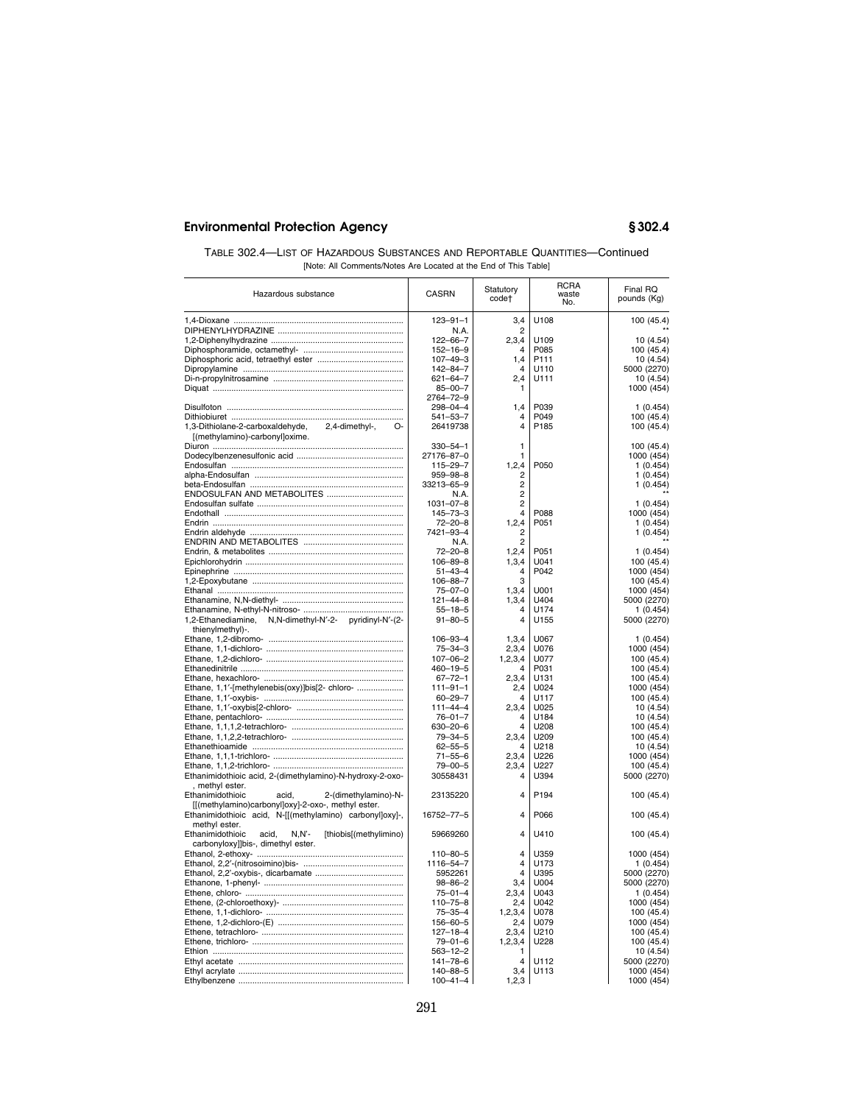| TABLE 302.4—LIST OF HAZARDOUS SUBSTANCES AND REPORTABLE QUANTITIES—Continued |
|------------------------------------------------------------------------------|
| [Note: All Comments/Notes Are Located at the End of This Table]              |

| Hazardous substance                                                        | <b>CASRN</b>                    | Statutory<br>code† | <b>RCRA</b><br>waste<br>No. | Final RQ<br>pounds (Kg)  |
|----------------------------------------------------------------------------|---------------------------------|--------------------|-----------------------------|--------------------------|
|                                                                            | $123 - 91 - 1$                  | 3.4                | U108                        | 100 (45.4)               |
|                                                                            | N.A.                            | 2                  |                             |                          |
|                                                                            | $122 - 66 - 7$                  | 2,3,4              | U109                        | 10 (4.54)                |
|                                                                            | $152 - 16 - 9$                  | 4                  | P085                        | 100 (45.4)               |
|                                                                            | $107 - 49 - 3$                  | 1,4                | P111                        | 10 (4.54)                |
|                                                                            | 142-84-7                        | 4                  | U110                        | 5000 (2270)              |
|                                                                            | 621-64-7                        | 2,4                | U111                        | 10(4.54)                 |
|                                                                            | $85 - 00 - 7$                   | 1                  |                             | 1000 (454)               |
|                                                                            | 2764-72-9<br>298-04-4           | 1,4                | P039                        | 1(0.454)                 |
|                                                                            | 541-53-7                        | 4                  | P049                        | 100 (45.4)               |
| 1,3-Dithiolane-2-carboxaldehyde,<br>2.4-dimethyl-.<br>O-                   | 26419738                        | 4                  | P185                        | 100 (45.4)               |
| [(methylamino)-carbonyl]oxime.                                             |                                 |                    |                             |                          |
|                                                                            | $330 - 54 - 1$                  | 1                  |                             | 100 (45.4)               |
|                                                                            | 27176-87-0                      | 1                  |                             | 1000 (454)               |
|                                                                            | 115-29-7                        | 1, 2, 4            | P050                        | 1(0.454)                 |
|                                                                            | 959–98–8                        | 2                  |                             | 1(0.454)                 |
|                                                                            | 33213-65-9                      | 2                  |                             | 1(0.454)                 |
| ENDOSULFAN AND METABOLITES                                                 | N.A.                            | $\overline{2}$     |                             |                          |
|                                                                            | $1031 - 07 - 8$                 | $\overline{2}$     |                             | 1(0.454)                 |
|                                                                            | $145 - 73 - 3$                  | 4                  | P088                        | 1000 (454)               |
|                                                                            | $72 - 20 - 8$                   | 1, 2, 4            | P051                        | 1(0.454)                 |
|                                                                            | 7421-93-4                       | $\overline{2}$     |                             | 1(0.454)                 |
|                                                                            | N.A.                            | $\overline{2}$     |                             |                          |
|                                                                            | $72 - 20 - 8$                   | 1,2,4              | P051                        | 1(0.454)                 |
|                                                                            | $106 - 89 - 8$                  | 1,3,4<br>4         | U041<br>P042                | 100 (45.4)               |
|                                                                            | $51 - 43 - 4$<br>$106 - 88 - 7$ | 3                  |                             | 1000 (454)<br>100 (45.4) |
|                                                                            | $75 - 07 - 0$                   | 1,3,4              | U001                        | 1000 (454)               |
|                                                                            | 121-44-8                        | 1,3,4              | U404                        | 5000 (2270)              |
|                                                                            | $55 - 18 - 5$                   | 4                  | U174                        | 1(0.454)                 |
| 1,2-Ethanediamine, N,N-dimethyl-N'-2- pyridinyl-N'-(2-<br>thienylmethyl)-. | $91 - 80 - 5$                   | 4                  | U155                        | 5000 (2270)              |
|                                                                            | $106 - 93 - 4$                  | 1,3,4              | U067                        | 1(0.454)                 |
|                                                                            | $75 - 34 - 3$                   | 2,3,4              | U076                        | 1000 (454)               |
|                                                                            | $107 - 06 - 2$                  | 1, 2, 3, 4         | U077                        | 100 (45.4)               |
|                                                                            | 460-19-5                        | 4                  | P031                        | 100 (45.4)               |
|                                                                            | $67 - 72 - 1$                   | 2,3,4              | U131                        | 100 (45.4)               |
| Ethane, 1,1'-[methylenebis(oxy)]bis[2- chloro-                             | $111 - 91 - 1$                  | 2,4                | U024                        | 1000 (454)               |
|                                                                            | $60 - 29 - 7$                   | 4                  | U117                        | 100 (45.4)               |
|                                                                            | $111 - 44 - 4$                  | 2,3,4              | U025                        | 10 (4.54)                |
|                                                                            | $76 - 01 - 7$                   | 4                  | U184                        | 10 (4.54)                |
|                                                                            | 630-20-6                        | 4                  | U208                        | 100 (45.4)               |
|                                                                            | 79-34-5<br>$62 - 55 - 5$        | 2,3,4<br>4         | U209<br>U218                | 100 (45.4)<br>10 (4.54)  |
|                                                                            | $71 - 55 - 6$                   | 2,3,4              | U226                        | 1000 (454)               |
|                                                                            | $79 - 00 - 5$                   | 2,3,4              | U227                        | 100 (45.4)               |
| Ethanimidothioic acid, 2-(dimethylamino)-N-hydroxy-2-oxo-                  | 30558431                        | 4                  | U394                        | 5000 (2270)              |
| , methyl ester.                                                            |                                 |                    |                             |                          |
| 2-(dimethylamino)-N-<br>Ethanimidothioic<br>acid,                          | 23135220                        | 4                  | P194                        | 100 (45.4)               |
| [[(methylamino)carbonyl]oxy]-2-oxo-, methyl ester.                         |                                 |                    |                             |                          |
| Ethanimidothioic acid, N-[[(methylamino) carbonyl]oxy]-,<br>methyl ester.  | 16752-77-5                      | 4                  | P066                        | 100 (45.4)               |
| $N.N'$ -<br>[thiobis[(methylimino)<br>Ethanimidothioic<br>acid,            | 59669260                        | 4                  | U410                        | 100 (45.4)               |
| carbonyloxy]]bis-, dimethyl ester.                                         |                                 |                    |                             |                          |
|                                                                            | $110 - 80 - 5$                  | $\overline{4}$     | U359                        | 1000 (454)               |
|                                                                            | 1116-54-7                       | $\overline{4}$     | U173                        | 1(0.454)                 |
|                                                                            | 5952261                         | 4                  | U395                        | 5000 (2270)              |
|                                                                            | $98 - 86 - 2$                   | 3,4                | U004                        | 5000 (2270)              |
|                                                                            | $75 - 01 - 4$                   | 2,3,4              | U043                        | 1(0.454)                 |
|                                                                            | $110 - 75 - 8$                  | 2.4                | U042                        | 1000 (454)               |
|                                                                            | $75 - 35 - 4$                   | 1, 2, 3, 4         | U078                        | 100 (45.4)               |
|                                                                            | 156-60-5                        | 2,4                | U079                        | 1000 (454)               |
|                                                                            | $127 - 18 - 4$                  | 2,3,4              | U210                        | 100 (45.4)               |
|                                                                            | $79 - 01 - 6$                   | 1, 2, 3, 4<br>1    | U228                        | 100 (45.4)               |
|                                                                            | 563–12–2<br>$141 - 78 - 6$      | $\overline{4}$     | U112                        | 10 (4.54)<br>5000 (2270) |
|                                                                            | 140-88-5                        | 3,4                | U113                        | 1000 (454)               |
|                                                                            | $100 - 41 - 4$                  | 1,2,3              |                             | 1000 (454)               |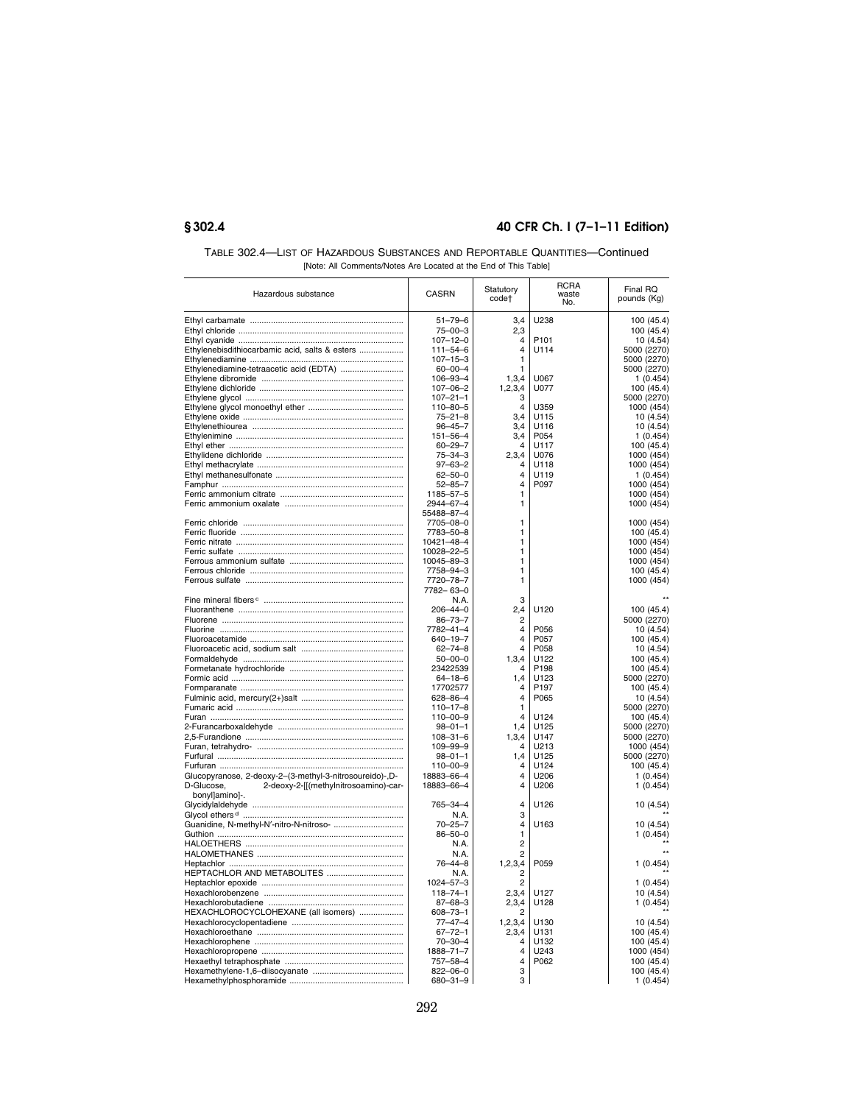| TABLE 302.4—LIST OF HAZARDOUS SUBSTANCES AND REPORTABLE QUANTITIES—Continued |
|------------------------------------------------------------------------------|
| [Note: All Comments/Notes Are Located at the End of This Table]              |

| Hazardous substance                                     | CASRN                           | Statutory<br>code <sup>+</sup> | RCRA<br>waste<br>No. | Final RQ<br>pounds (Kg)   |
|---------------------------------------------------------|---------------------------------|--------------------------------|----------------------|---------------------------|
|                                                         | $51 - 79 - 6$                   | 3,4                            | U238                 | 100 (45.4)                |
|                                                         | $75 - 00 - 3$                   | 2,3                            |                      | 100 (45.4)                |
|                                                         | $107 - 12 - 0$                  | 4                              | P <sub>101</sub>     | 10 (4.54)                 |
| Ethylenebisdithiocarbamic acid, salts & esters          | $111 - 54 - 6$                  | 4                              | U114                 | 5000 (2270)               |
|                                                         | $107 - 15 - 3$                  | 1                              |                      | 5000 (2270)               |
| Ethylenediamine-tetraacetic acid (EDTA)                 | $60 - 00 - 4$                   | 1                              |                      | 5000 (2270)               |
|                                                         | $106 - 93 - 4$                  | 1,3,4                          | U067                 | 1(0.454)                  |
|                                                         | $107 - 06 - 2$                  | 1, 2, 3, 4                     | U077                 | 100 (45.4)                |
|                                                         | $107 - 21 - 1$                  | З                              |                      | 5000 (2270)               |
|                                                         | $110 - 80 - 5$                  | 4                              | U359                 | 1000 (454)                |
|                                                         | $75 - 21 - 8$<br>$96 - 45 - 7$  | 3,4<br>3,4                     | U115<br>U116         | 10 (4.54)                 |
|                                                         | $151 - 56 - 4$                  | 3,4                            | P054                 | 10 (4.54)<br>1(0.454)     |
|                                                         | $60 - 29 - 7$                   | 4                              | U117                 | 100 (45.4)                |
|                                                         | $75 - 34 - 3$                   | 2,3,4                          | U076                 | 1000 (454)                |
|                                                         | $97 - 63 - 2$                   | 4                              | U118                 | 1000 (454)                |
|                                                         | $62 - 50 - 0$                   | 4                              | U119                 | 1(0.454)                  |
|                                                         | $52 - 85 - 7$                   | 4                              | P097                 | 1000 (454)                |
|                                                         | 1185-57-5                       | 1                              |                      | 1000 (454)                |
|                                                         | 2944-67-4                       | 1                              |                      | 1000 (454)                |
|                                                         | 55488-87-4                      |                                |                      |                           |
|                                                         | 7705-08-0                       | 1                              |                      | 1000 (454)                |
|                                                         | 7783-50-8                       | 1                              |                      | 100 (45.4)                |
|                                                         | 10421-48-4                      | 1                              |                      | 1000 (454)                |
|                                                         | 10028-22-5                      | 1                              |                      | 1000 (454)                |
|                                                         | 10045-89-3                      | 1                              |                      | 1000 (454)                |
|                                                         | 7758-94-3                       | 1                              |                      | 100 (45.4)                |
|                                                         | 7720-78-7                       | 1                              |                      | 1000 (454)                |
|                                                         | 7782-63-0                       |                                |                      |                           |
|                                                         | N.A.                            | 3                              |                      |                           |
|                                                         | $206 - 44 - 0$<br>$86 - 73 - 7$ | 2,4<br>$\overline{2}$          | U120                 | 100 (45.4)<br>5000 (2270) |
|                                                         | 7782-41-4                       | 4                              | P056                 | 10 (4.54)                 |
|                                                         | $640 - 19 - 7$                  | 4                              | P057                 | 100 (45.4)                |
|                                                         | $62 - 74 - 8$                   | 4                              | P058                 | 10 (4.54)                 |
|                                                         | $50 - 00 - 0$                   | 1,3,4                          | U122                 | 100 (45.4)                |
|                                                         | 23422539                        | 4                              | P <sub>198</sub>     | 100 (45.4)                |
|                                                         | $64 - 18 - 6$                   | 1,4                            | U123                 | 5000 (2270)               |
|                                                         | 17702577                        | 4                              | P <sub>197</sub>     | 100 (45.4)                |
|                                                         | 628-86-4                        | 4                              | P065                 | 10(4.54)                  |
|                                                         | $110 - 17 - 8$                  | 1                              |                      | 5000 (2270)               |
|                                                         | $110 - 00 - 9$                  | $\Delta$                       | U124                 | 100 (45.4)                |
|                                                         | $98 - 01 - 1$                   | 1,4                            | U125                 | 5000 (2270)               |
|                                                         | $108 - 31 - 6$                  | 1,3,4                          | U147                 | 5000 (2270)               |
|                                                         | $109 - 99 - 9$                  | 4                              | U213                 | 1000 (454)                |
|                                                         | $98 - 01 - 1$                   | 1,4                            | U125                 | 5000 (2270)               |
|                                                         | $110 - 00 - 9$                  | 4                              | U124                 | 100 (45.4)                |
| Glucopyranose, 2-deoxy-2-(3-methyl-3-nitrosoureido)-,D- | 18883-66-4                      | 4                              | U206                 | 1(0.454)                  |
| 2-deoxy-2-[[(methylnitrosoamino)-car-<br>D-Glucose,     | 18883-66-4                      | $\overline{4}$                 | U206                 | 1(0.454)                  |
| bonyl]amino]-.                                          | 765-34-4                        | 4                              | U126                 | 10 (4.54)                 |
|                                                         | N.A.                            | 3                              |                      |                           |
|                                                         | $70 - 25 - 7$                   | 4                              | U163                 | 10 (4.54)                 |
|                                                         | $86 - 50 - 0$                   | 1                              |                      | 1(0.454)                  |
|                                                         | N.A.                            | $\overline{2}$                 |                      |                           |
|                                                         | N.A.                            | $\overline{c}$                 |                      |                           |
|                                                         | 76-44-8                         | 1,2,3,4                        | P059                 | 1(0.454)                  |
| HEPTACHLOR AND METABOLITES                              | N.A.                            | $\overline{2}$                 |                      |                           |
|                                                         | $1024 - 57 - 3$                 | 2                              |                      | 1(0.454)                  |
|                                                         | $118 - 74 - 1$                  | 2,3,4                          | U127                 | 10 (4.54)                 |
|                                                         | $87 - 68 - 3$                   | 2,3,4                          | U128                 | 1(0.454)                  |
| HEXACHLOROCYCLOHEXANE (all isomers)                     | $608 - 73 - 1$                  |                                |                      |                           |
|                                                         | $77 - 47 - 4$                   | 1, 2, 3, 4                     | U130                 | 10 (4.54)                 |
|                                                         | $67 - 72 - 1$                   | 2,3,4                          | U131                 | 100 (45.4)                |
|                                                         | $70 - 30 - 4$                   | 4                              | U132                 | 100 (45.4)                |
|                                                         | 1888-71-7                       | 4                              | U243                 | 1000 (454)                |
|                                                         | 757-58-4                        | 4                              | P062                 | 100 (45.4)                |
|                                                         | $822 - 06 - 0$                  | 3                              |                      | 100 (45.4)                |
|                                                         | 680-31-9                        | 3                              |                      | 1(0.454)                  |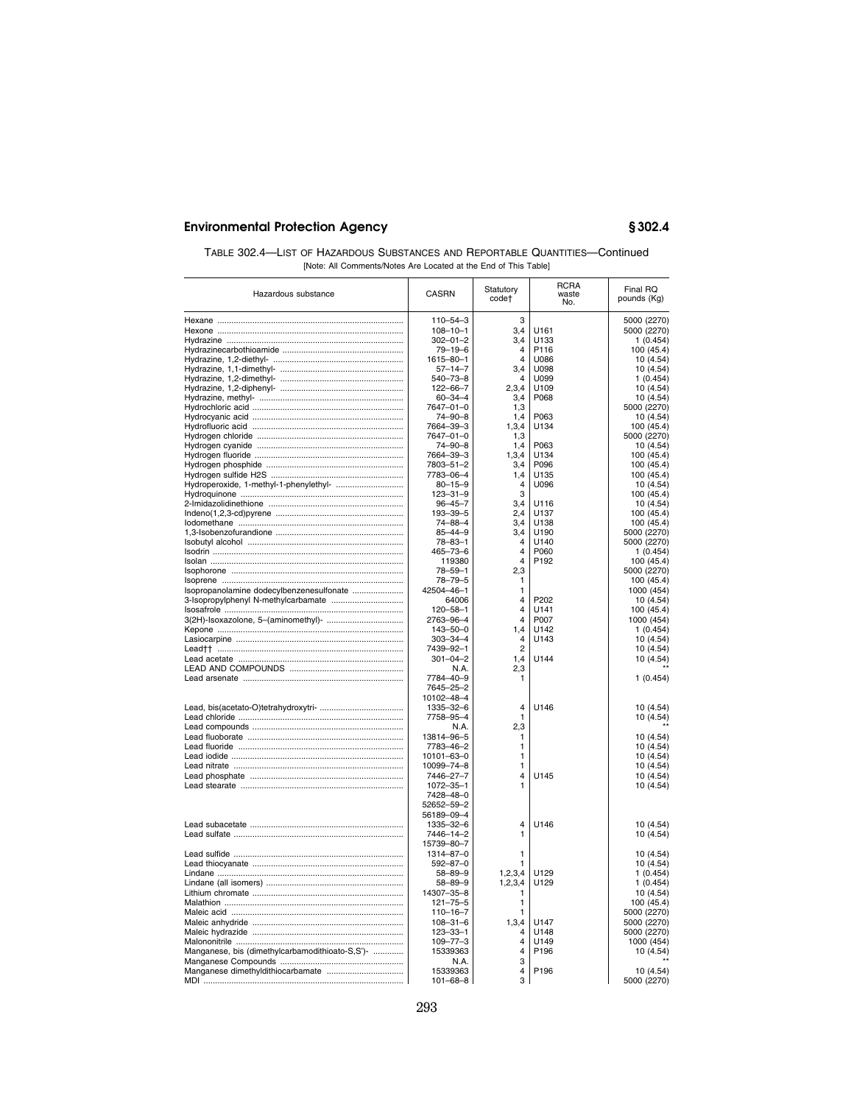| TABLE 302.4—LIST OF HAZARDOUS SUBSTANCES AND REPORTABLE QUANTITIES—Continued |
|------------------------------------------------------------------------------|
| [Note: All Comments/Notes Are Located at the End of This Table]              |

| Hazardous substance                             | <b>CASRN</b>    | Statutory<br>code†      | <b>RCRA</b><br>waste<br>No. | Final RQ<br>pounds (Kg) |
|-------------------------------------------------|-----------------|-------------------------|-----------------------------|-------------------------|
|                                                 | $110 - 54 - 3$  | 3                       |                             | 5000 (2270)             |
|                                                 | $108 - 10 - 1$  | 3.4                     | U161                        | 5000 (2270)             |
|                                                 | 302-01-2        | 3,4                     | U133                        | 1(0.454)                |
|                                                 | $79 - 19 - 6$   | $\overline{4}$          | P116                        |                         |
|                                                 |                 | 4                       | U086                        | 100 (45.4)              |
|                                                 | 1615-80-1       |                         |                             | 10 (4.54)               |
|                                                 | $57 - 14 - 7$   | 3,4                     | <b>U098</b>                 | 10 (4.54)               |
|                                                 | 540–73–8        | 4                       | U099                        | 1(0.454)                |
|                                                 | 122-66-7        | 2,3,4                   | U109                        | 10(4.54)                |
|                                                 | $60 - 34 - 4$   | 3,4                     | P068                        | 10 (4.54)               |
|                                                 | 7647-01-0       | 1,3                     |                             | 5000 (2270)             |
|                                                 | 74-90-8         | 1,4                     | P063                        | 10(4.54)                |
|                                                 | 7664-39-3       | 1,3,4                   | U134                        | 100 (45.4)              |
|                                                 | 7647-01-0       | 1,3                     |                             | 5000 (2270)             |
|                                                 | 74-90-8         | 1.4                     | P063                        | 10 (4.54)               |
|                                                 | 7664-39-3       | 1,3,4                   | U134                        | 100 (45.4)              |
|                                                 | 7803-51-2       | 3,4                     | P096                        | 100 (45.4)              |
|                                                 | 7783-06-4       | 1,4                     | U135                        | 100 (45.4)              |
| Hydroperoxide, 1-methyl-1-phenylethyl-          | $80 - 15 - 9$   | $\overline{4}$          | U096                        | 10 (4.54)               |
|                                                 | $123 - 31 - 9$  | 3                       |                             | 100 (45.4)              |
|                                                 | $96 - 45 - 7$   | 3,4                     | U116                        | 10 (4.54)               |
|                                                 | 193-39-5        | 2,4                     | U137                        | 100 (45.4)              |
|                                                 | 74-88-4         | 3,4                     | U138                        | 100 (45.4)              |
|                                                 | $85 - 44 - 9$   | 3,4                     | U190                        | 5000 (2270)             |
|                                                 |                 | $\overline{4}$          | U140                        |                         |
|                                                 | $78 - 83 - 1$   |                         |                             | 5000 (2270)             |
|                                                 | 465-73-6        | $\overline{4}$          | P060                        | 1(0.454)                |
|                                                 | 119380          | 4                       | P192                        | 100 (45.4)              |
|                                                 | $78 - 59 - 1$   | 2,3                     |                             | 5000 (2270)             |
|                                                 | $78 - 79 - 5$   | 1                       |                             | 100 (45.4)              |
| Isopropanolamine dodecylbenzenesulfonate        | 42504-46-1      | 1                       |                             | 1000 (454)              |
|                                                 | 64006           | $\overline{\mathbf{4}}$ | P202                        | 10 (4.54)               |
|                                                 | $120 - 58 - 1$  | 4                       | U141                        | 100 (45.4)              |
|                                                 | 2763-96-4       | $\overline{\mathbf{4}}$ | P007                        | 1000 (454)              |
|                                                 | $143 - 50 - 0$  | 1,4                     | U142                        | 1(0.454)                |
|                                                 | 303-34-4        | $\overline{4}$          | U143                        | 10(4.54)                |
| Lead†† …………………………………………………………………                | 7439-92-1       | $\overline{2}$          |                             | 10 (4.54)               |
|                                                 | $301 - 04 - 2$  | 1,4                     | U144                        | 10 (4.54)               |
|                                                 | N.A.            | 2,3                     |                             |                         |
|                                                 | 7784-40-9       | 1                       |                             | 1(0.454)                |
|                                                 | 7645-25-2       |                         |                             |                         |
|                                                 | 10102-48-4      |                         |                             |                         |
|                                                 | 1335-32-6       | 4                       | U146                        | 10 (4.54)               |
|                                                 | 7758-95-4       | 1                       |                             |                         |
|                                                 |                 |                         |                             | 10 (4.54)               |
|                                                 | N.A.            | 2,3                     |                             |                         |
|                                                 | 13814-96-5      | 1                       |                             | 10 (4.54)               |
|                                                 | 7783-46-2       | 1                       |                             | 10 (4.54)               |
|                                                 | 10101-63-0      | 1                       |                             | 10 (4.54)               |
|                                                 | 10099-74-8      | 1                       |                             | 10 (4.54)               |
|                                                 | 7446-27-7       | 4                       | U145                        | 10 (4.54)               |
|                                                 | $1072 - 35 - 1$ | 1                       |                             | 10 (4.54)               |
|                                                 | 7428-48-0       |                         |                             |                         |
|                                                 | 52652-59-2      |                         |                             |                         |
|                                                 | 56189-09-4      |                         |                             |                         |
|                                                 | 1335-32-6       | 4                       | U146                        | 10 (4.54)               |
|                                                 | 7446-14-2       | 1                       |                             | 10 (4.54)               |
|                                                 | 15739-80-7      |                         |                             |                         |
|                                                 | 1314-87-0       | 1                       |                             | 10 (4.54)               |
|                                                 | $592 - 87 - 0$  | 1                       |                             | 10 (4.54)               |
|                                                 |                 |                         | U129                        |                         |
|                                                 | $58 - 89 - 9$   | 1, 2, 3, 4              |                             | 1(0.454)                |
|                                                 | $58 - 89 - 9$   | 1,2,3,4                 | U129                        | 1(0.454)                |
|                                                 | 14307-35-8      | 1                       |                             | 10(4.54)                |
|                                                 | $121 - 75 - 5$  | 1                       |                             | 100 (45.4)              |
|                                                 | $110 - 16 - 7$  | 1                       |                             | 5000 (2270)             |
|                                                 | $108 - 31 - 6$  | 1,3,4                   | U147                        | 5000 (2270)             |
|                                                 | $123 - 33 - 1$  | 4                       | U148                        | 5000 (2270)             |
|                                                 | $109 - 77 - 3$  | 4                       | U149                        | 1000 (454)              |
| Manganese, bis (dimethylcarbamodithioato-S,S')- | 15339363        | $\overline{\mathbf{4}}$ | P196                        | 10 (4.54)               |
|                                                 | N.A.            | 3                       |                             |                         |
|                                                 | 15339363        | 4                       | P196                        | 10 (4.54)               |
|                                                 | $101 - 68 - 8$  | 3                       |                             | 5000 (2270)             |
|                                                 |                 |                         |                             |                         |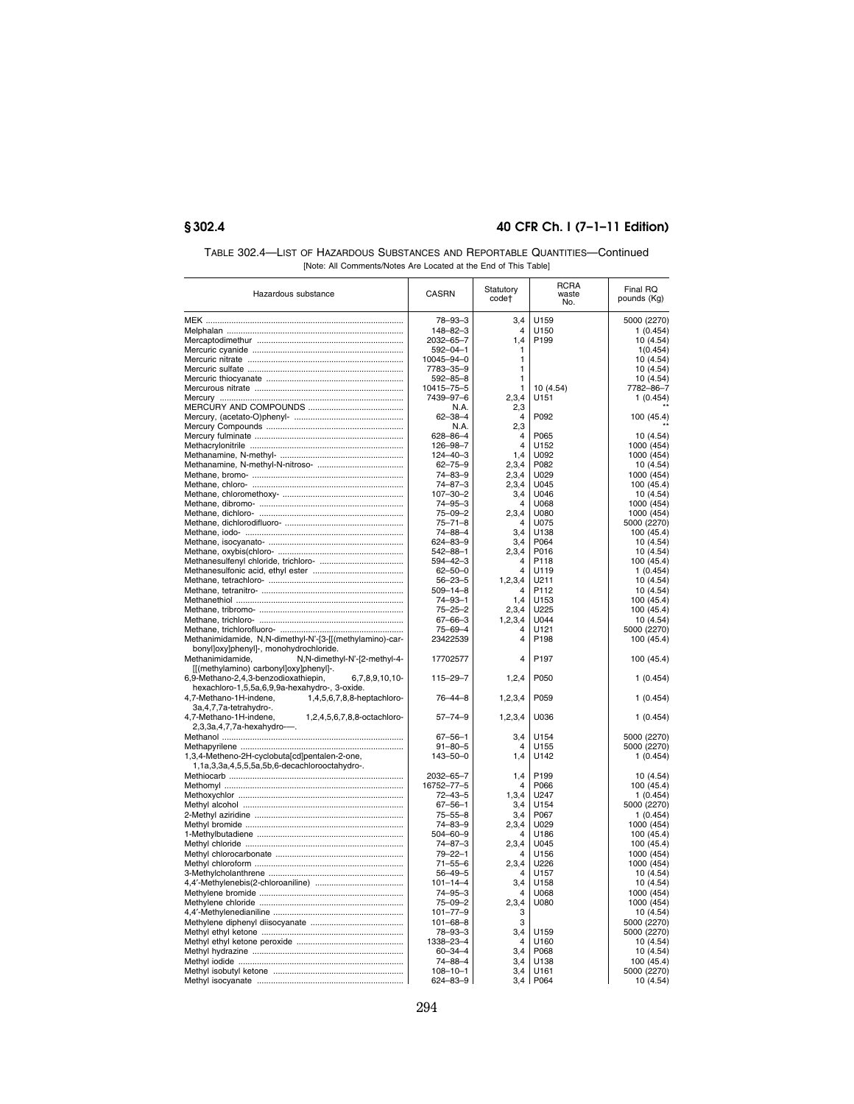| TABLE 302.4—LIST OF HAZARDOUS SUBSTANCES AND REPORTABLE QUANTITIES—Continued |
|------------------------------------------------------------------------------|
| [Note: All Comments/Notes Are Located at the End of This Table]              |

| Hazardous substance                                      | <b>CASRN</b>   | Statutory<br>code†      | <b>RCRA</b><br>waste<br>No. | Final RQ<br>pounds (Kg) |
|----------------------------------------------------------|----------------|-------------------------|-----------------------------|-------------------------|
|                                                          | $78 - 93 - 3$  | 3,4                     | U159                        | 5000 (2270)             |
|                                                          | 148-82-3       | 4                       | U150                        | 1(0.454)                |
|                                                          | 2032-65-7      | 1,4                     | P <sub>199</sub>            | 10 (4.54)               |
|                                                          | $592 - 04 - 1$ | 1                       |                             | 1(0.454)                |
|                                                          | 10045-94-0     | 1                       |                             | 10 (4.54)               |
|                                                          | 7783-35-9      | 1                       |                             | 10 (4.54)               |
|                                                          | $592 - 85 - 8$ | 1                       |                             | 10 (4.54)               |
|                                                          | 10415-75-5     | 1                       | 10 (4.54)                   | 7782-86-7               |
|                                                          | 7439-97-6      | 2,3,4                   | U151                        | 1(0.454)                |
|                                                          | N.A.           | 2,3                     |                             |                         |
|                                                          | $62 - 38 - 4$  | $\overline{4}$          | P092                        | 100 (45.4)              |
|                                                          | N.A.           | 2,3                     |                             |                         |
|                                                          | $628 - 86 - 4$ | 4                       | P065                        | 10 (4.54)               |
|                                                          | $126 - 98 - 7$ | $\overline{\mathbf{4}}$ | U152                        | 1000 (454)              |
|                                                          | $124 - 40 - 3$ | 1,4                     | U092                        | 1000 (454)              |
|                                                          | $62 - 75 - 9$  | 2,3,4                   | P082                        | 10 (4.54)               |
|                                                          | $74 - 83 - 9$  | 2,3,4                   | U029                        | 1000 (454)              |
|                                                          | $74 - 87 - 3$  | 2,3,4                   | U045                        | 100 (45.4)              |
|                                                          | $107 - 30 - 2$ | 3,4                     | U046                        | 10 (4.54)               |
|                                                          | $74 - 95 - 3$  | 4                       | U068                        | 1000 (454)              |
|                                                          | $75 - 09 - 2$  | 2,3,4                   | U080                        | 1000 (454)              |
|                                                          | $75 - 71 - 8$  | $\overline{4}$          | U075                        | 5000 (2270)             |
|                                                          | $74 - 88 - 4$  | 3,4                     | U138                        | 100 (45.4)              |
|                                                          | 624-83-9       | 3,4                     | P064                        | 10 (4.54)               |
|                                                          | $542 - 88 - 1$ | 2,3,4                   | P016                        | 10(4.54)                |
|                                                          | $594 - 42 - 3$ | 4                       | P118                        | 100 (45.4)              |
|                                                          | $62 - 50 - 0$  | $\overline{\mathbf{4}}$ | 11119                       | 1(0.454)                |
|                                                          | $56 - 23 - 5$  | 1,2,3,4                 | U211                        | 10 (4.54)               |
|                                                          | $509 - 14 - 8$ |                         | P112                        | 10 (4.54)               |
|                                                          | $74 - 93 - 1$  | 1,4                     | U153                        | 100 (45.4)              |
|                                                          | $75 - 25 - 2$  | 2,3,4                   | U225                        | 100 (45.4)              |
|                                                          | $67 - 66 - 3$  | 1, 2, 3, 4              | U044                        | 10 (4.54)               |
|                                                          | $75 - 69 - 4$  | $\overline{4}$          | U121                        | 5000 (2270)             |
| Methanimidamide, N,N-dimethyl-N'-[3-[[(methylamino)-car- | 23422539       | $\overline{4}$          | P198                        | 100 (45.4)              |
| bonyl]oxy]phenyl]-, monohydrochloride.                   |                |                         |                             |                         |
| Methanimidamide,<br>N,N-dimethyl-N'-[2-methyl-4-         | 17702577       | 4                       | P197                        | 100 (45.4)              |
| [[(methylamino) carbonyl]oxy]phenyl]-.                   |                |                         |                             |                         |
| 6,9-Methano-2,4,3-benzodioxathiepin,<br>6,7,8,9,10,10-   | $115 - 29 - 7$ | 1,2,4                   | P050                        | 1(0.454)                |
| hexachloro-1,5,5a,6,9,9a-hexahydro-, 3-oxide.            |                |                         |                             |                         |
| 4,7-Methano-1H-indene,<br>1,4,5,6,7,8,8-heptachloro-     | $76 - 44 - 8$  | 1,2,3,4                 | P059                        | 1(0.454)                |
| 3a, 4, 7, 7a-tetrahydro-.                                | $57 - 74 - 9$  |                         | U036                        |                         |
| 1,2,4,5,6,7,8,8-octachloro-<br>4,7-Methano-1H-indene,    |                | 1,2,3,4                 |                             | 1(0.454)                |
| 2,3,3a,4,7,7a-hexahydro----.                             | $67 - 56 - 1$  | 3,4                     | U154                        | 5000 (2270)             |
|                                                          | $91 - 80 - 5$  | 4                       | U155                        | 5000 (2270)             |
| 1,3,4-Metheno-2H-cyclobuta[cd]pentalen-2-one,            | 143-50-0       | 1,4                     | U142                        | 1(0.454)                |
| 1,1a,3,3a,4,5,5,5a,5b,6-decachlorooctahydro-.            |                |                         |                             |                         |
|                                                          | 2032-65-7      | 1,4                     | P <sub>199</sub>            | 10 (4.54)               |
|                                                          | 16752-77-5     | 4                       | P066                        | 100 (45.4)              |
|                                                          | $72 - 43 - 5$  | 1,3,4                   | U247                        | 1(0.454)                |
|                                                          | $67 - 56 - 1$  | 3,4                     | U154                        | 5000 (2270)             |
|                                                          | $75 - 55 - 8$  | 3,4                     | P067                        | 1(0.454)                |
|                                                          | $74 - 83 - 9$  | 2,3,4                   | U029                        | 1000 (454)              |
|                                                          | $504 - 60 - 9$ | 4                       | U <sub>186</sub>            | 100 (45.4)              |
|                                                          | $74 - 87 - 3$  | 2,3,4                   | U045                        | 100 (45.4)              |
|                                                          | $79 - 22 - 1$  | 4                       | U156                        | 1000 (454)              |
|                                                          | $71 - 55 - 6$  | 2,3,4                   | U226                        | 1000 (454)              |
|                                                          | $56 - 49 - 5$  | 4                       | U157                        | 10 (4.54)               |
|                                                          | $101 - 14 - 4$ | 3,4                     | U158                        | 10(4.54)                |
|                                                          | $74 - 95 - 3$  | $\overline{\mathbf{A}}$ | U068                        | 1000 (454)              |
|                                                          | $75 - 09 - 2$  | 2,3,4                   | U080                        | 1000 (454)              |
|                                                          | $101 - 77 - 9$ | 3                       |                             | 10 (4.54)               |
|                                                          | $101 - 68 - 8$ | 3                       |                             | 5000 (2270)             |
|                                                          | 78-93-3        | 3,4                     | U <sub>159</sub>            | 5000 (2270)             |
|                                                          | 1338-23-4      | 4                       | U160                        | 10 (4.54)               |
|                                                          | $60 - 34 - 4$  | 3,4                     | P068                        | 10 (4.54)               |
|                                                          | $74 - 88 - 4$  | 3,4                     | U138                        | 100 (45.4)              |
|                                                          | $108 - 10 - 1$ | 3,4                     | U161                        | 5000 (2270)             |
|                                                          | 624-83-9       | 3.4                     | P064                        | 10(4.54)                |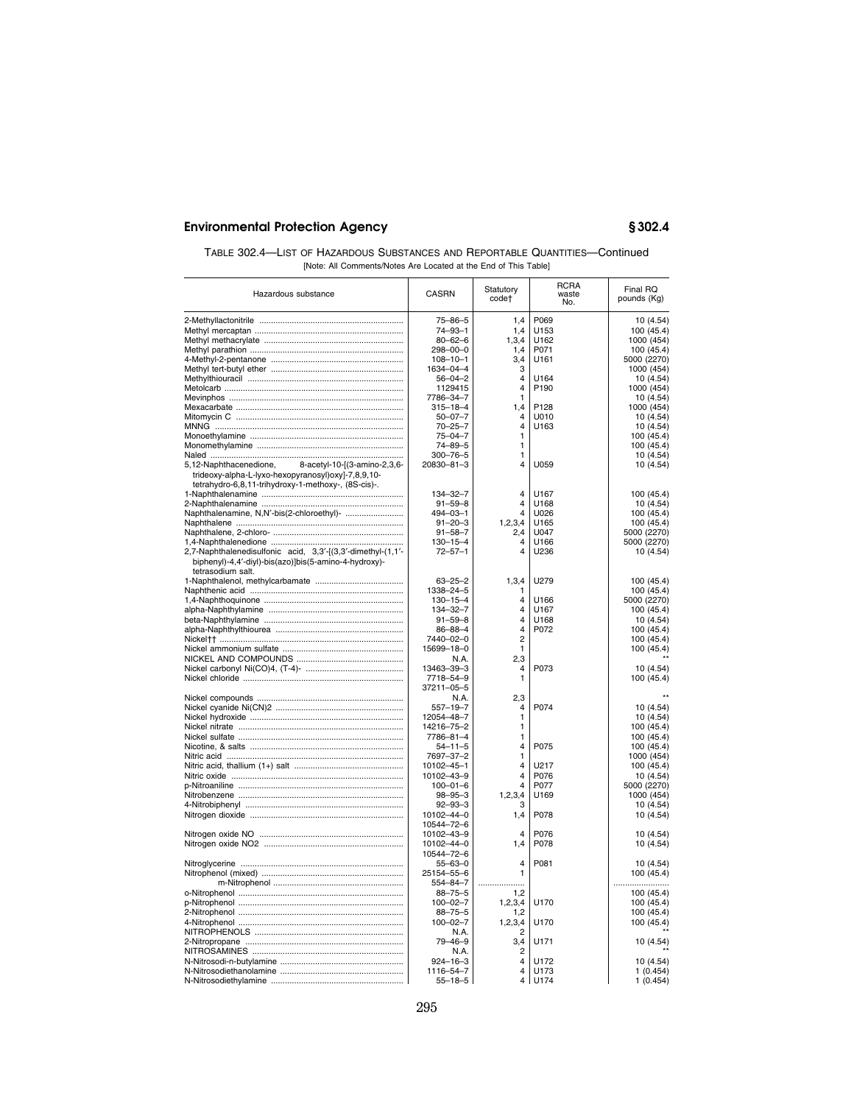| TABLE 302.4—LIST OF HAZARDOUS SUBSTANCES AND REPORTABLE QUANTITIES—Continued |
|------------------------------------------------------------------------------|
| [Note: All Comments/Notes Are Located at the End of This Table]              |

| Hazardous substance                                                                                                                                                 | CASRN                    | Statutory<br>code†      | <b>RCRA</b><br>waste<br>No. | Final RQ<br>pounds (Kg) |
|---------------------------------------------------------------------------------------------------------------------------------------------------------------------|--------------------------|-------------------------|-----------------------------|-------------------------|
|                                                                                                                                                                     | 75-86-5                  | 1.4                     | P069                        | 10 (4.54)               |
|                                                                                                                                                                     | 74-93-1                  | 1,4                     | U153                        | 100 (45.4)              |
|                                                                                                                                                                     | $80 - 62 - 6$            | 1,3,4                   | U162                        | 1000 (454)              |
|                                                                                                                                                                     | 298-00-0                 | 1,4                     | P071                        | 100 (45.4)              |
|                                                                                                                                                                     |                          |                         | U161                        |                         |
|                                                                                                                                                                     | $108 - 10 - 1$           | 3,4<br>3                |                             | 5000 (2270)             |
|                                                                                                                                                                     | 1634-04-4                |                         |                             | 1000 (454)              |
|                                                                                                                                                                     | $56 - 04 - 2$            | $\overline{4}$          | U <sub>164</sub>            | 10 (4.54)               |
|                                                                                                                                                                     | 1129415                  | $\overline{\mathbf{4}}$ | P <sub>190</sub>            | 1000 (454)              |
|                                                                                                                                                                     | 7786-34-7                | 1                       |                             | 10 (4.54)               |
|                                                                                                                                                                     | $315 - 18 - 4$           | 1,4                     | P128                        | 1000 (454)              |
|                                                                                                                                                                     | $50 - 07 - 7$            | 4                       | U010                        | 10 (4.54)               |
|                                                                                                                                                                     | $70 - 25 - 7$            | $\overline{4}$          | U163                        | 10 (4.54)               |
|                                                                                                                                                                     | $75 - 04 - 7$            | 1                       |                             | 100 (45.4)              |
|                                                                                                                                                                     | $74 - 89 - 5$            | 1                       |                             | 100 (45.4)              |
|                                                                                                                                                                     | $300 - 76 - 5$           | 1                       |                             | 10(4.54)                |
| 5,12-Naphthacenedione,<br>8-acetyl-10-[(3-amino-2,3,6-<br>trideoxy-alpha-L-lyxo-hexopyranosyl)oxy]-7,8,9,10-<br>tetrahydro-6,8,11-trihydroxy-1-methoxy-, (8S-cis)-. | 20830-81-3               | 4                       | U059                        | 10 (4.54)               |
|                                                                                                                                                                     | $134 - 32 - 7$           | 4                       | U167                        | 100 (45.4)              |
|                                                                                                                                                                     | $91 - 59 - 8$            | 4                       | U168                        | 10(4.54)                |
| Naphthalenamine, N,N'-bis(2-chloroethyl)-                                                                                                                           | 494-03-1                 | 4                       | U026                        | 100 (45.4)              |
|                                                                                                                                                                     | $91 - 20 - 3$            | 1, 2, 3, 4              | U165                        | 100 (45.4)              |
|                                                                                                                                                                     | $91 - 58 - 7$            | 2,4                     | U047                        | 5000 (2270)             |
|                                                                                                                                                                     | $130 - 15 - 4$           | 4                       | U166                        | 5000 (2270)             |
| 2,7-Naphthalenedisulfonic acid, 3,3'-[(3,3'-dimethyl-(1,1'-<br>biphenyl)-4,4'-diyl)-bis(azo)]bis(5-amino-4-hydroxy)-<br>tetrasodium salt.                           | $72 - 57 - 1$            | 4                       | U236                        | 10 (4.54)               |
|                                                                                                                                                                     | $63 - 25 - 2$            | 1,3,4                   | U279                        | 100 (45.4)              |
|                                                                                                                                                                     | 1338-24-5                | 1                       |                             | 100 (45.4)              |
|                                                                                                                                                                     | $130 - 15 - 4$           | $\overline{\mathbf{4}}$ | U166                        | 5000 (2270)             |
|                                                                                                                                                                     |                          | $\overline{\mathbf{4}}$ |                             |                         |
|                                                                                                                                                                     | 134-32-7                 | $\overline{4}$          | U167                        | 100 (45.4)              |
|                                                                                                                                                                     | $91 - 59 - 8$            |                         | U168                        | 10 (4.54)               |
|                                                                                                                                                                     | 86-88-4                  | $\overline{4}$          | P072                        | 100 (45.4)              |
|                                                                                                                                                                     | 7440-02-0                | $\overline{2}$          |                             | 100 (45.4)              |
|                                                                                                                                                                     | 15699-18-0               | 1                       |                             | 100 (45.4)              |
|                                                                                                                                                                     | N.A.                     | 2,3                     |                             |                         |
|                                                                                                                                                                     | 13463-39-3               | $\overline{4}$          | P073                        | 10 (4.54)               |
|                                                                                                                                                                     | 7718-54-9                | $\mathbf{1}$            |                             | 100 (45.4)              |
|                                                                                                                                                                     | 37211-05-5               |                         |                             |                         |
|                                                                                                                                                                     | N.A.                     | 2,3                     |                             |                         |
|                                                                                                                                                                     | $557 - 19 - 7$           | $\overline{4}$          | P074                        | 10 (4.54)               |
|                                                                                                                                                                     | 12054-48-7               | 1                       |                             | 10(4.54)                |
|                                                                                                                                                                     | 14216-75-2               | 1                       |                             | 100 (45.4)              |
|                                                                                                                                                                     | 7786-81-4                | 1                       |                             | 100 (45.4)              |
|                                                                                                                                                                     |                          | $\overline{\mathbf{4}}$ | P075                        |                         |
|                                                                                                                                                                     | 54-11-5                  |                         |                             | 100 (45.4)              |
|                                                                                                                                                                     | 7697-37-2                | 1<br>4                  |                             | 1000 (454)              |
|                                                                                                                                                                     | 10102-45-1               |                         | U217                        | 100 (45.4)              |
|                                                                                                                                                                     | 10102-43-9               | 4                       | P076                        | 10 (4.54)               |
|                                                                                                                                                                     | $100 - 01 - 6$           | 4                       | P077                        | 5000 (2270)             |
|                                                                                                                                                                     | $98 - 95 - 3$            | 1,2,3,4                 | U169                        | 1000 (454)              |
|                                                                                                                                                                     | $92 - 93 - 3$            | 3                       |                             | 10 (4.54)               |
|                                                                                                                                                                     | 10102-44-0<br>10544-72-6 | 1,4<br>4                | P078<br>P076                | 10 (4.54)               |
|                                                                                                                                                                     | 10102-43-9               |                         |                             | 10 (4.54)               |
|                                                                                                                                                                     | 10102-44-0               | 1,4                     | P078                        | 10 (4.54)               |
|                                                                                                                                                                     | 10544-72-6               |                         |                             |                         |
|                                                                                                                                                                     | $55 - 63 - 0$            | $\overline{\mathbf{4}}$ | P081                        | 10 (4.54)               |
|                                                                                                                                                                     | 25154-55-6               | 1                       |                             | 100 (45.4)              |
|                                                                                                                                                                     | 554-84-7                 | .                       |                             |                         |
|                                                                                                                                                                     | 88-75-5                  | 1,2                     |                             | 100 (45.4)              |
|                                                                                                                                                                     | $100 - 02 - 7$           | 1,2,3,4                 | U170                        | 100 (45.4)              |
|                                                                                                                                                                     | $88 - 75 - 5$            | 1,2                     |                             | 100 (45.4)              |
|                                                                                                                                                                     | $100 - 02 - 7$           | 1,2,3,4                 | U170                        | 100 (45.4)              |
|                                                                                                                                                                     | N.A.                     | $\overline{2}$          |                             |                         |
|                                                                                                                                                                     | 79-46-9                  | 3,4                     | U171                        | 10 (4.54)               |
|                                                                                                                                                                     | N.A.                     | $\overline{2}$          |                             |                         |
|                                                                                                                                                                     | $924 - 16 - 3$           | $\overline{\mathbf{4}}$ | U172                        | 10 (4.54)               |
|                                                                                                                                                                     |                          | 4                       | U173                        |                         |
|                                                                                                                                                                     | 1116-54-7                | 4                       |                             | 1(0.454)                |
|                                                                                                                                                                     | $55 - 18 - 5$            |                         | U174                        | 1(0.454)                |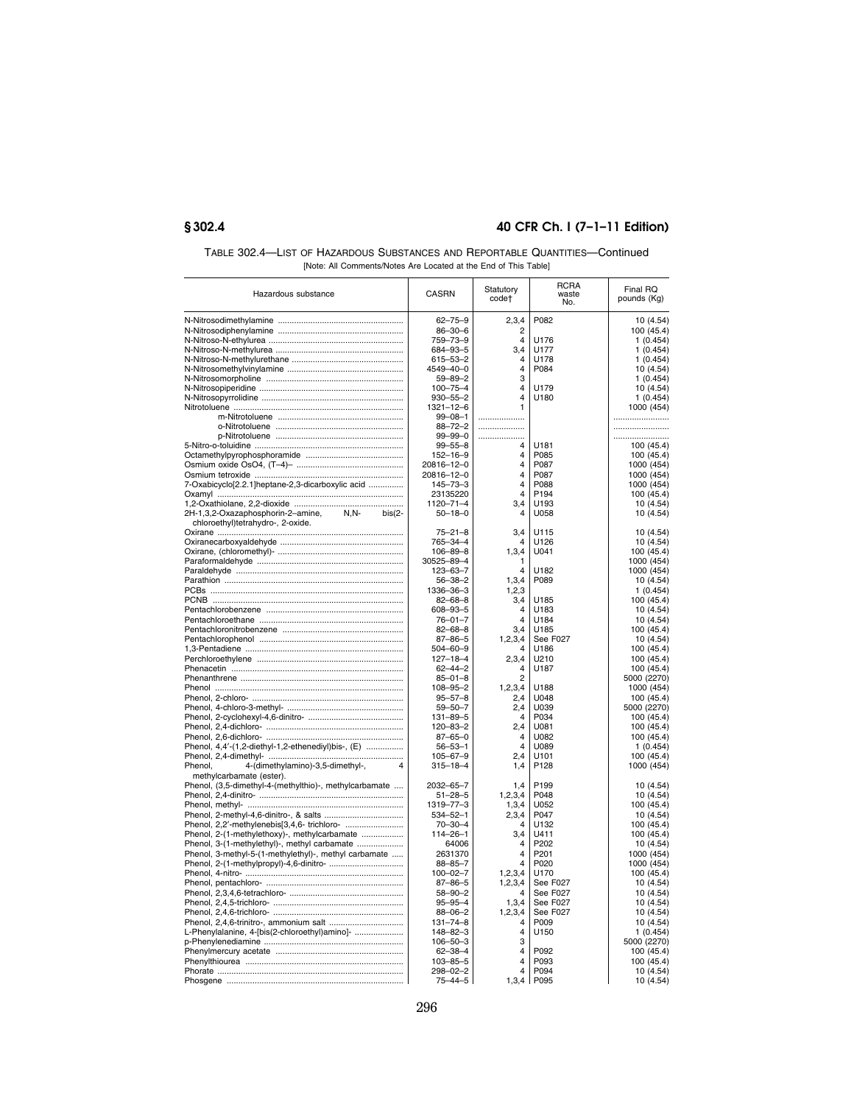| TABLE 302.4—LIST OF HAZARDOUS SUBSTANCES AND REPORTABLE QUANTITIES—Continued |
|------------------------------------------------------------------------------|
| [Note: All Comments/Notes Are Located at the End of This Table]              |

| Hazardous substance                                      | <b>CASRN</b>                     | Statutory<br>code†      | <b>RCRA</b><br>waste<br>No. | Final RQ<br>pounds (Kg)   |
|----------------------------------------------------------|----------------------------------|-------------------------|-----------------------------|---------------------------|
|                                                          | $62 - 75 - 9$                    | 2,3,4                   | P082                        | 10 (4.54)                 |
|                                                          | $86 - 30 - 6$                    | $\overline{2}$          |                             | 100 (45.4)                |
|                                                          | 759-73-9                         | $\overline{4}$          | U176                        | 1(0.454)                  |
|                                                          | 684-93-5                         | 3.4                     | U177                        | 1(0.454)                  |
|                                                          | $615 - 53 - 2$                   | $\overline{\mathbf{A}}$ | U178                        | 1(0.454)                  |
|                                                          | 4549-40-0                        | 4                       | P084                        | 10 (4.54)                 |
|                                                          | $59 - 89 - 2$                    | 3                       |                             | 1(0.454)                  |
|                                                          | $100 - 75 - 4$                   | 4                       | U179                        | 10(4.54)                  |
|                                                          | $930 - 55 - 2$                   | 4                       | U180                        | 1(0.454)                  |
|                                                          | $1321 - 12 - 6$                  | 1                       |                             | 1000 (454)                |
|                                                          | $99 - 08 - 1$                    | .                       |                             |                           |
|                                                          | $88 - 72 - 2$                    |                         |                             |                           |
|                                                          | $99 - 99 - 0$                    |                         |                             |                           |
|                                                          | $99 - 55 - 8$                    | $\overline{\mathbf{4}}$ | U181                        | 100 (45.4)                |
|                                                          | $152 - 16 - 9$<br>20816-12-0     | $\overline{4}$<br>4     | P085<br>P087                | 100 (45.4)                |
|                                                          |                                  | $\overline{4}$          | P087                        | 1000 (454)<br>1000 (454)  |
| 7-Oxabicyclo[2.2.1]heptane-2,3-dicarboxylic acid         | 20816-12-0<br>$145 - 73 - 3$     | $\overline{\mathbf{4}}$ | P088                        |                           |
|                                                          | 23135220                         | $\overline{\mathbf{A}}$ | P194                        | 1000 (454)<br>100 (45.4)  |
|                                                          | 1120-71-4                        | 3,4                     | U193                        | 10 (4.54)                 |
| $N.N-$<br>2H-1,3,2-Oxazaphosphorin-2-amine,<br>$bis(2 -$ | $50 - 18 - 0$                    | 4                       | U058                        | 10 (4.54)                 |
| chloroethyl)tetrahydro-, 2-oxide.                        |                                  |                         |                             |                           |
|                                                          | $75 - 21 - 8$                    | 3,4                     | U115                        | 10 (4.54)                 |
|                                                          | 765-34-4                         | 4                       | U126                        | 10 (4.54)                 |
|                                                          | $106 - 89 - 8$                   | 1,3,4                   | U041                        | 100 (45.4)                |
|                                                          | 30525-89-4                       | 1                       |                             | 1000 (454)                |
|                                                          | 123-63-7                         | $\overline{4}$          | U182                        | 1000 (454)                |
|                                                          | $56 - 38 - 2$                    | 1,3,4                   | P089                        | 10 (4.54)                 |
|                                                          | 1336-36-3                        | 1,2,3                   |                             | 1(0.454)                  |
|                                                          | $82 - 68 - 8$                    | 3,4                     | U185                        | 100 (45.4)                |
|                                                          | 608-93-5                         | $\overline{4}$          | U <sub>183</sub>            | 10 (4.54)                 |
|                                                          | $76 - 01 - 7$                    | $\overline{4}$          | U184                        | 10 (4.54)                 |
|                                                          | $82 - 68 - 8$                    | 3,4                     | U185                        | 100 (45.4)                |
|                                                          | $87 - 86 - 5$                    | 1,2,3,4                 | See F027                    | 10(4.54)                  |
|                                                          | $504 - 60 - 9$                   | Δ                       | U186                        | 100 (45.4)                |
|                                                          | $127 - 18 - 4$                   | 2,3,4                   | U210                        | 100 (45.4)                |
|                                                          | $62 - 44 - 2$                    | $\overline{4}$          | U187                        | 100 (45.4)                |
|                                                          | $85 - 01 - 8$                    | $\overline{2}$          |                             | 5000 (2270)               |
|                                                          | $108 - 95 - 2$                   | 1,2,3,4                 | U188                        | 1000 (454)                |
|                                                          | $95 - 57 - 8$<br>$59 - 50 - 7$   | 2.4                     | U048<br>U039                | 100 (45.4)                |
|                                                          | $131 - 89 - 5$                   | 2,4<br>4                | P034                        | 5000 (2270)<br>100 (45.4) |
|                                                          | 120-83-2                         | 2,4                     | U081                        | 100 (45.4)                |
|                                                          | $87 - 65 - 0$                    | 4                       | U082                        | 100 (45.4)                |
| Phenol, 4,4'-(1,2-diethyl-1,2-ethenediyl)bis-, (E)       | $56 - 53 - 1$                    | 4                       | U089                        | 1(0.454)                  |
|                                                          | $105 - 67 - 9$                   | 2.4                     | U <sub>101</sub>            | 100 (45.4)                |
| Phenol,<br>4-(dimethylamino)-3,5-dimethyl-,<br>4         | $315 - 18 - 4$                   | 1,4                     | P128                        | 1000 (454)                |
| methylcarbamate (ester).                                 |                                  |                         |                             |                           |
| Phenol, (3,5-dimethyl-4-(methylthio)-, methylcarbamate   | 2032-65-7                        | 1.4                     | P <sub>199</sub>            | 10 (4.54)                 |
|                                                          | $51 - 28 - 5$                    | 1,2,3,4                 | P048                        | 10(4.54)                  |
|                                                          | 1319-77-3                        | 1,3,4                   | U052                        | 100 (45.4)                |
|                                                          | $534 - 52 - 1$                   | 2,3,4                   | P047                        | 10 (4.54)                 |
|                                                          | $70 - 30 - 4$                    | 4                       | U132                        | 100 (45.4)                |
| Phenol, 2-(1-methylethoxy)-, methylcarbamate             | $114 - 26 - 1$                   | 3,4                     | U411                        | 100 (45.4)                |
| Phenol, 3-(1-methylethyl)-, methyl carbamate             | 64006                            | 4                       | P202                        | 10 (4.54)                 |
| Phenol, 3-methyl-5-(1-methylethyl)-, methyl carbamate    | 2631370                          | $\overline{4}$          | P201                        | 1000 (454)                |
|                                                          | $88 - 85 - 7$                    | 4                       | P020                        | 1000 (454)                |
|                                                          | $100 - 02 - 7$                   | 1,2,3,4                 | U170                        | 100 (45.4)                |
|                                                          | $87 - 86 - 5$                    | 1,2,3,4                 | See F027                    | 10(4.54)                  |
|                                                          | $58 - 90 - 2$                    | 4                       | See F027                    | 10(4.54)                  |
|                                                          | $95 - 95 - 4$                    | 1,3,4                   | See F027                    | 10(4.54)                  |
|                                                          | $88 - 06 - 2$                    | 1, 2, 3, 4              | See F027                    | 10 (4.54)                 |
|                                                          | $131 - 74 - 8$                   | Δ                       | P009                        | 10 (4.54)                 |
| L-Phenylalanine, 4-[bis(2-chloroethyl)amino]-            | $148 - 82 - 3$                   | $\overline{4}$          | U <sub>150</sub>            | 1(0.454)                  |
|                                                          | $106 - 50 - 3$                   | 3                       |                             | 5000 (2270)               |
|                                                          | $62 - 38 - 4$                    | 4                       | P092                        | 100 (45.4)                |
|                                                          | $103 - 85 - 5$<br>$298 - 02 - 2$ | 4<br>4                  | P093<br>P094                | 100 (45.4)<br>10(4.54)    |
|                                                          | $75 - 44 - 5$                    | 1,3,4                   | P095                        | 10 (4.54)                 |
|                                                          |                                  |                         |                             |                           |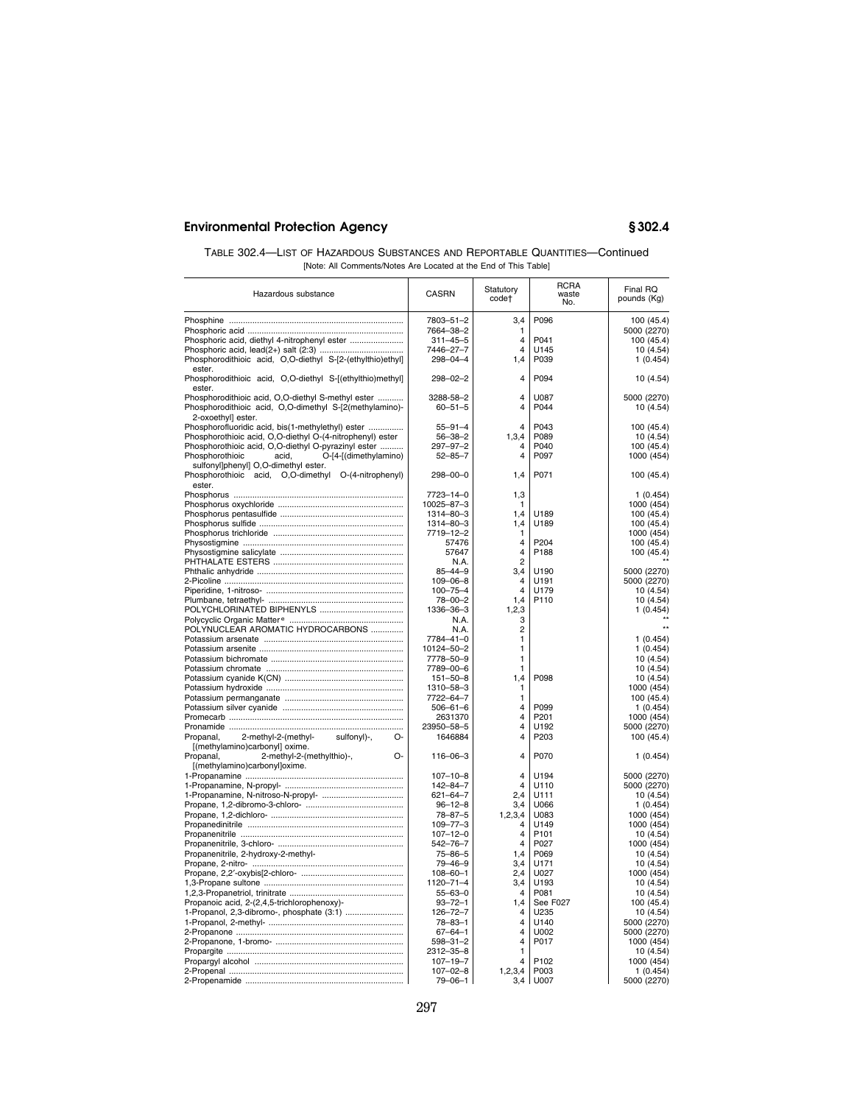| TABLE 302.4—LIST OF HAZARDOUS SUBSTANCES AND REPORTABLE QUANTITIES—Continued |
|------------------------------------------------------------------------------|
| [Note: All Comments/Notes Are Located at the End of This Table]              |

| Hazardous substance                                                           | CASRN          | Statutory<br>code†      | <b>RCRA</b><br>waste<br>No. | Final RQ<br>pounds (Kg) |
|-------------------------------------------------------------------------------|----------------|-------------------------|-----------------------------|-------------------------|
|                                                                               | 7803-51-2      | 3,4                     | P096                        | 100 (45.4)              |
|                                                                               | 7664-38-2      | 1                       |                             | 5000 (2270)             |
| Phosphoric acid, diethyl 4-nitrophenyl ester                                  |                | $\overline{\mathbf{4}}$ | P041                        |                         |
|                                                                               | $311 - 45 - 5$ | 4                       |                             | 100 (45.4)              |
|                                                                               | 7446-27-7      |                         | U145                        | 10(4.54)                |
| Phosphorodithioic acid, O,O-diethyl S-[2-(ethylthio)ethyl]                    | $298 - 04 - 4$ | 1,4                     | P039                        | 1(0.454)                |
| ester.<br>Phosphorodithioic acid, O,O-diethyl S-[(ethylthio)methyl]<br>ester  | $298 - 02 - 2$ | 4                       | P094                        | 10 (4.54)               |
| Phosphorodithioic acid, O,O-diethyl S-methyl ester                            | 3288-58-2      | 4                       | U087                        | 5000 (2270)             |
| Phosphorodithioic acid, O,O-dimethyl S-[2(methylamino)-<br>2-oxoethyl] ester. | $60 - 51 - 5$  | 4                       | P044                        | 10 (4.54)               |
| Phosphorofluoridic acid, bis(1-methylethyl) ester                             | $55 - 91 - 4$  | 4                       | P043                        | 100 (45.4)              |
| Phosphorothioic acid, O,O-diethyl O-(4-nitrophenyl) ester                     | $56 - 38 - 2$  | 1,3,4                   | P089                        | 10(4.54)                |
| Phosphorothioic acid, O,O-diethyl O-pyrazinyl ester                           | $297 - 97 - 2$ | 4                       | P040                        | 100 (45.4)              |
| O-[4-[(dimethylamino)<br>Phosphorothioic<br>acid,                             | $52 - 85 - 7$  | 4                       | P097                        | 1000 (454)              |
| sulfonyl]phenyl] O,O-dimethyl ester.                                          |                |                         |                             |                         |
| Phosphorothioic acid, O,O-dimethyl O-(4-nitrophenyl)                          | 298-00-0       | 1,4                     | P071                        | 100 (45.4)              |
| ester.                                                                        |                |                         |                             |                         |
|                                                                               | 7723-14-0      | 1,3                     |                             | 1(0.454)                |
|                                                                               | 10025-87-3     | 1                       |                             | 1000 (454)              |
|                                                                               | 1314-80-3      | 1.4                     | U189                        | 100 (45.4)              |
|                                                                               | 1314-80-3      | 1,4                     | U189                        | 100 (45.4)              |
|                                                                               | 7719-12-2      | 1                       |                             | 1000 (454)              |
|                                                                               | 57476          | $\overline{4}$          | P204                        | 100 (45.4)              |
|                                                                               | 57647          | $\overline{4}$          | P188                        | 100 (45.4)              |
|                                                                               | N.A.           | $\overline{2}$          |                             |                         |
|                                                                               | $85 - 44 - 9$  | 3,4                     | U190                        |                         |
|                                                                               |                | 4                       |                             | 5000 (2270)             |
|                                                                               | $109 - 06 - 8$ | $\overline{4}$          | U191                        | 5000 (2270)             |
|                                                                               | $100 - 75 - 4$ | 1,4                     | U179                        | 10(4.54)                |
|                                                                               | 78-00-2        |                         | P110                        | 10 (4.54)               |
|                                                                               | 1336-36-3      | 1,2,3                   |                             | 1(0.454)                |
|                                                                               | N.A.           | 3                       |                             |                         |
| POLYNUCLEAR AROMATIC HYDROCARBONS                                             | N.A.           | $\overline{c}$          |                             |                         |
|                                                                               | 7784-41-0      | 1                       |                             | 1(0.454)                |
|                                                                               | 10124-50-2     | 1                       |                             | 1(0.454)                |
|                                                                               | 7778-50-9      | 1                       |                             | 10 (4.54)               |
|                                                                               | 7789-00-6      | 1                       |                             | 10 (4.54)               |
|                                                                               | 151-50-8       | 1,4                     | P098                        | 10 (4.54)               |
|                                                                               | 1310-58-3      | 1                       |                             | 1000 (454)              |
|                                                                               | 7722-64-7      | 1                       |                             | 100 (45.4)              |
|                                                                               | $506 - 61 - 6$ | 4                       | P099                        | 1(0.454)                |
|                                                                               | 2631370        | 4                       | P201                        | 1000 (454)              |
|                                                                               | 23950-58-5     | 4                       | U192                        | 5000 (2270)             |
| Propanal,<br>2-methyl-2-(methyl-<br>sulfonyl)-,<br>O-                         | 1646884        | 4                       | P203                        | 100 (45.4)              |
| [(methylamino)carbonyl] oxime.                                                |                |                         |                             |                         |
| 2-methyl-2-(methylthio)-,<br>Propanal,<br>∩-                                  | 116-06-3       | $\overline{\mathbf{A}}$ | P070                        | 1(0.454)                |
| [(methylamino)carbonyl]oxime.                                                 |                |                         |                             |                         |
|                                                                               | $107 - 10 - 8$ | $\overline{4}$          | U194                        | 5000 (2270)             |
|                                                                               | $142 - 84 - 7$ | 4                       | U110                        | 5000 (2270)             |
|                                                                               | $621 - 64 - 7$ | 2.4                     | U111                        | 10 (4.54)               |
|                                                                               | $96 - 12 - 8$  | 3.4                     | U066                        | 1(0.454)                |
|                                                                               | $78 - 87 - 5$  | 1, 2, 3, 4              | U083                        | 1000 (454)              |
|                                                                               | $109 - 77 - 3$ | 4                       | U149                        | 1000 (454)              |
|                                                                               | $107 - 12 - 0$ | 4                       | P <sub>101</sub>            | 10 (4.54)               |
|                                                                               | $542 - 76 - 7$ | 4                       | P027                        | 1000 (454)              |
| Propanenitrile, 2-hydroxy-2-methyl-                                           | $75 - 86 - 5$  | 1.4                     | P069                        | 10 (4.54)               |
|                                                                               | $79 - 46 - 9$  | 3.4                     | U171                        | 10(4.54)                |
|                                                                               | $108 - 60 - 1$ | 2,4                     | U027                        | 1000 (454)              |
|                                                                               | 1120-71-4      | 3,4                     | 11193                       | 10 (4.54)               |
|                                                                               | $55 - 63 - 0$  | $\Delta$                | P081                        | 10 (4.54)               |
| Propanoic acid, 2-(2,4,5-trichlorophenoxy)-                                   | $93 - 72 - 1$  | 1,4                     | See F027                    | 100 (45.4)              |
| 1-Propanol, 2,3-dibromo-, phosphate (3:1)                                     | 126-72-7       | 4                       | U235                        | 10 (4.54)               |
|                                                                               | $78 - 83 - 1$  | 4                       | U140                        | 5000 (2270)             |
|                                                                               | $67 - 64 - 1$  | 4                       | U002                        | 5000 (2270)             |
|                                                                               | $598 - 31 - 2$ | 4                       | P017                        | 1000 (454)              |
|                                                                               | 2312-35-8      | $\mathbf{1}$            |                             | 10 (4.54)               |
|                                                                               | $107 - 19 - 7$ | 4                       | P102                        | 1000 (454)              |
|                                                                               | $107 - 02 - 8$ | 1, 2, 3, 4              | P003                        | 1(0.454)                |
|                                                                               | 79-06-1        | 3,4                     | U007                        | 5000 (2270)             |
|                                                                               |                |                         |                             |                         |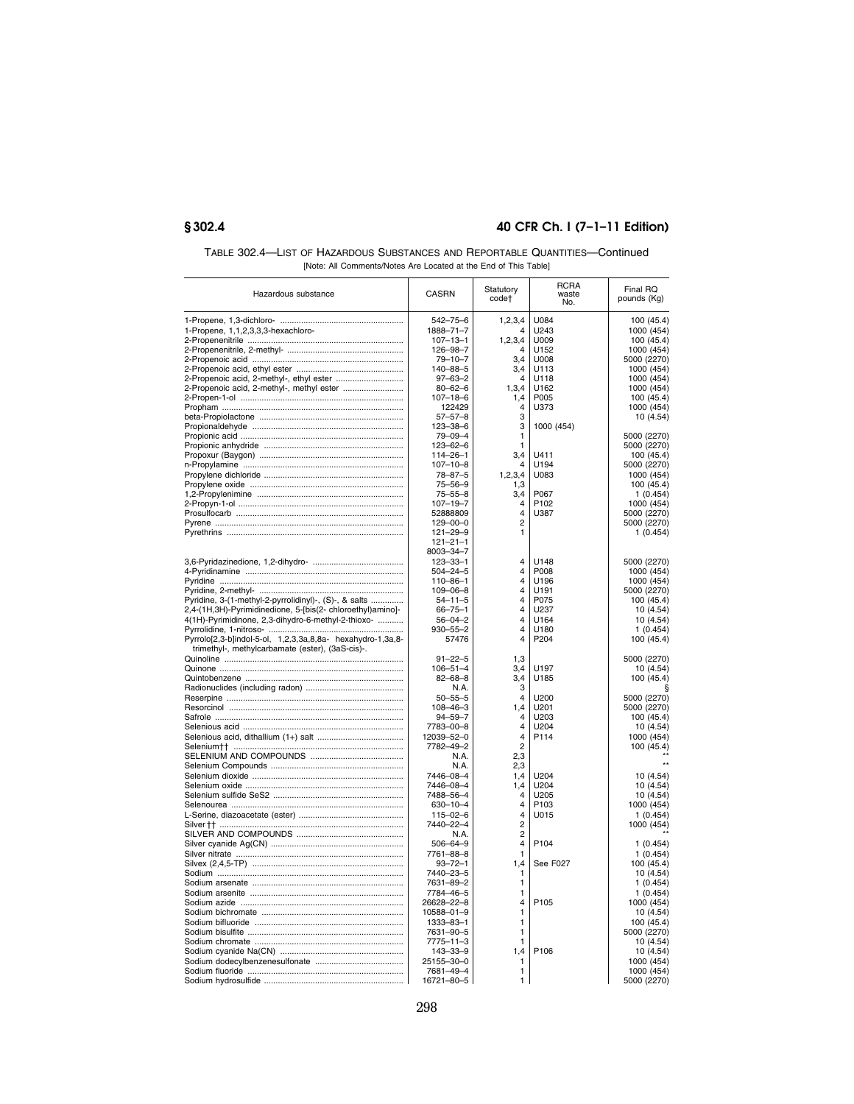| TABLE 302.4—LIST OF HAZARDOUS SUBSTANCES AND REPORTABLE QUANTITIES—Continued |
|------------------------------------------------------------------------------|
| [Note: All Comments/Notes Are Located at the End of This Table]              |

| Hazardous substance                                        | <b>CASRN</b>                     | Statutory<br>code†  | <b>RCRA</b><br>waste<br>No. | Final RQ<br>pounds (Kg)    |
|------------------------------------------------------------|----------------------------------|---------------------|-----------------------------|----------------------------|
|                                                            |                                  |                     |                             |                            |
|                                                            | $542 - 75 - 6$                   | 1, 2, 3, 4          | U084                        | 100 (45.4)                 |
| 1-Propene, 1,1,2,3,3,3-hexachloro-                         | 1888-71-7                        | 4<br>1,2,3,4        | U243                        | 1000 (454)<br>100 (45.4)   |
|                                                            | $107 - 13 - 1$<br>$126 - 98 - 7$ | 4                   | U009<br>U152                |                            |
|                                                            | $79 - 10 - 7$                    | 3,4                 | U008                        | 1000 (454)<br>5000 (2270)  |
|                                                            | 140-88-5                         | 3,4                 | U113                        | 1000 (454)                 |
| 2-Propenoic acid, 2-methyl-, ethyl ester                   | $97 - 63 - 2$                    | 4                   | U118                        | 1000 (454)                 |
|                                                            | $80 - 62 - 6$                    | 1,3,4               | U162                        | 1000 (454)                 |
|                                                            | $107 - 18 - 6$                   | 1,4                 | P005                        | 100 (45.4)                 |
|                                                            | 122429                           | $\overline{4}$      | U373                        | 1000 (454)                 |
|                                                            | $57 - 57 - 8$                    | 3                   |                             | 10 (4.54)                  |
|                                                            | 123-38-6                         | 3                   | 1000 (454)                  |                            |
|                                                            | 79-09-4                          | 1                   |                             | 5000 (2270)                |
|                                                            | $123 - 62 - 6$                   | 1                   |                             | 5000 (2270)                |
|                                                            | $114 - 26 - 1$                   | 3,4                 | U411                        | 100(45.4)                  |
|                                                            | $107 - 10 - 8$                   | Δ                   | U194                        | 5000 (2270)                |
|                                                            | $78 - 87 - 5$                    | 1, 2, 3, 4          | U083                        | 1000 (454)                 |
|                                                            | $75 - 56 - 9$                    | 1,3                 |                             | 100 (45.4)                 |
|                                                            | $75 - 55 - 8$                    | 3,4                 | P067                        | 1(0.454)                   |
|                                                            | $107 - 19 - 7$                   | $\overline{4}$      | P <sub>102</sub>            | 1000 (454)                 |
|                                                            | 52888809                         | $\overline{4}$      | U387                        | 5000 (2270)                |
|                                                            | $129 - 00 - 0$                   | $\overline{2}$      |                             | 5000 (2270)                |
|                                                            | $121 - 29 - 9$                   | 1                   |                             | 1(0.454)                   |
|                                                            | $121 - 21 - 1$                   |                     |                             |                            |
|                                                            | 8003-34-7                        |                     |                             |                            |
|                                                            | $123 - 33 - 1$                   | $\overline{4}$      | U148                        | 5000 (2270)                |
|                                                            | $504 - 24 - 5$                   | $\overline{4}$      | P008                        | 1000 (454)                 |
|                                                            | $110 - 86 - 1$                   | $\overline{4}$      | U196                        | 1000 (454)                 |
|                                                            | $109 - 06 - 8$                   | $\overline{4}$      | U191                        | 5000 (2270)                |
| Pyridine, 3-(1-methyl-2-pyrrolidinyl)-, (S)-, & salts      | $54 - 11 - 5$                    | $\overline{4}$      | P075                        | 100 (45.4)                 |
| 2,4-(1H,3H)-Pyrimidinedione, 5-[bis(2- chloroethyl)amino]- | $66 - 75 - 1$                    | $\overline{4}$<br>4 | U237                        | 10 (4.54)                  |
| 4(1H)-Pyrimidinone, 2,3-dihydro-6-methyl-2-thioxo-         | $56 - 04 - 2$                    | $\overline{4}$      | U164                        | 10 (4.54)                  |
| Pyrrolo[2,3-b]indol-5-ol, 1,2,3,3a,8,8a- hexahydro-1,3a,8- | $930 - 55 - 2$<br>57476          | $\overline{4}$      | U180<br>P204                | 1(0.454)                   |
| trimethyl-, methylcarbamate (ester), (3aS-cis)-.           |                                  |                     |                             | 100 (45.4)                 |
|                                                            | $91 - 22 - 5$                    | 1,3                 |                             | 5000 (2270)                |
|                                                            | 106-51-4                         | 3,4                 | U197                        | 10 (4.54)                  |
|                                                            | $82 - 68 - 8$                    | 3,4                 | U185                        | 100 (45.4)                 |
|                                                            | N.A.                             | 3<br>4              |                             | Š                          |
|                                                            | $50 - 55 - 5$<br>108-46-3        | 1,4                 | U200<br>U201                | 5000 (2270)<br>5000 (2270) |
|                                                            | $94 - 59 - 7$                    | 4                   | U203                        | 100 (45.4)                 |
|                                                            | 7783-00-8                        | $\overline{4}$      | U204                        | 10 (4.54)                  |
|                                                            | 12039-52-0                       | $\overline{4}$      | P114                        | 1000 (454)                 |
|                                                            | 7782-49-2                        | $\overline{2}$      |                             | 100 (45.4)                 |
|                                                            | N.A.                             | 2,3                 |                             |                            |
|                                                            | N.A.                             | 2,3                 |                             |                            |
|                                                            | 7446-08-4                        | 1,4                 | U204                        | 10 (4.54)                  |
|                                                            | 7446-08-4                        | 1,4                 | U204                        | 10 (4.54)                  |
|                                                            | 7488-56-4                        | 4                   | U205                        | 10 (4.54)                  |
|                                                            | $630 - 10 - 4$                   | $\overline{4}$      | P <sub>103</sub>            | 1000 (454)                 |
|                                                            | $115 - 02 - 6$                   | $\overline{4}$      | U015                        | 1(0.454)                   |
|                                                            | 7440-22-4                        | $\overline{2}$      |                             | 1000 (454)                 |
|                                                            | N.A.                             | $\overline{2}$      |                             |                            |
|                                                            | $506 - 64 - 9$                   | $\overline{4}$      | P104                        | 1(0.454)                   |
|                                                            | 7761-88-8                        | $\mathbf{1}$        |                             | 1(0.454)                   |
|                                                            | $93 - 72 - 1$                    | 1,4                 | See F027                    | 100 (45.4)                 |
|                                                            | 7440-23-5                        | 1                   |                             | 10(4.54)                   |
|                                                            | 7631-89-2                        | $\mathbf{1}$        |                             | 1(0.454)                   |
|                                                            | 7784-46-5                        | 1                   |                             | 1(0.454)                   |
|                                                            | 26628-22-8                       | $\overline{4}$      | P105                        | 1000 (454)                 |
|                                                            | 10588-01-9                       | 1                   |                             | 10 (4.54)                  |
|                                                            | 1333-83-1                        | 1                   |                             | 100 (45.4)                 |
|                                                            | 7631-90-5                        | 1                   |                             | 5000 (2270)                |
|                                                            | 7775-11-3                        | 1                   |                             | 10 (4.54)                  |
|                                                            | 143-33-9                         | 1,4                 | P106                        | 10 (4.54)                  |
|                                                            | 25155-30-0                       | 1                   |                             | 1000 (454)                 |
|                                                            | 7681-49-4                        | 1                   |                             | 1000 (454)                 |
|                                                            | 16721-80-5                       | 1                   |                             | 5000 (2270)                |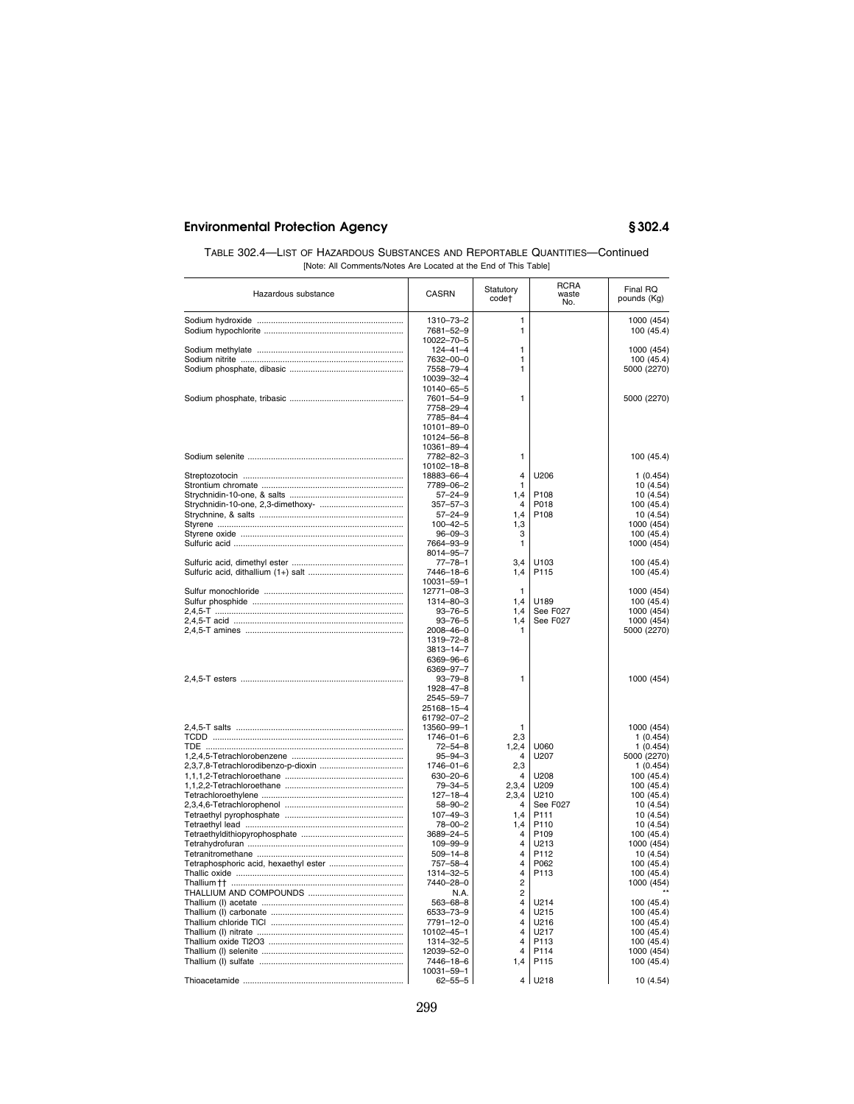| TABLE 302.4—LIST OF HAZARDOUS SUBSTANCES AND REPORTABLE QUANTITIES—Continued |
|------------------------------------------------------------------------------|
| [Note: All Comments/Notes Are Located at the End of This Table]              |

| Hazardous substance | <b>CASRN</b>               | Statutory<br>code <sup>+</sup> | RCRA<br>waste<br>No. | Final RQ<br>pounds (Kg) |
|---------------------|----------------------------|--------------------------------|----------------------|-------------------------|
|                     |                            | 1                              |                      |                         |
|                     | 1310-73-2                  |                                |                      | 1000 (454)              |
|                     | 7681-52-9                  | 1                              |                      | 100 (45.4)              |
|                     | 10022-70-5                 |                                |                      |                         |
|                     | $124 - 41 - 4$             | 1<br>1                         |                      | 1000 (454)              |
|                     | 7632-00-0                  | 1                              |                      | 100 (45.4)              |
|                     | 7558-79-4<br>10039-32-4    |                                |                      | 5000 (2270)             |
|                     | 10140-65-5                 |                                |                      |                         |
|                     | 7601-54-9                  | 1                              |                      |                         |
|                     | 7758-29-4                  |                                |                      | 5000 (2270)             |
|                     |                            |                                |                      |                         |
|                     | 7785-84-4                  |                                |                      |                         |
|                     | 10101-89-0                 |                                |                      |                         |
|                     | 10124-56-8                 |                                |                      |                         |
|                     | 10361-89-4<br>7782-82-3    | 1                              |                      |                         |
|                     |                            |                                |                      | 100 (45.4)              |
|                     | 10102-18-8                 | $\overline{4}$                 | U206                 |                         |
|                     | 18883-66-4                 | 1                              |                      | 1(0.454)                |
|                     | 7789-06-2                  |                                | P108                 | 10 (4.54)               |
|                     | $57 - 24 - 9$              | 1,4<br>$\overline{4}$          |                      | 10 (4.54)               |
|                     | $357 - 57 - 3$             |                                | P018                 | 100 (45.4)              |
|                     | $57 - 24 - 9$              | 1,4                            | P108                 | 10 (4.54)               |
|                     | $100 - 42 - 5$             | 1,3                            |                      | 1000 (454)              |
|                     | $96 - 09 - 3$              | 3<br>1                         |                      | 100 (45.4)              |
|                     | 7664-93-9                  |                                |                      | 1000 (454)              |
|                     | 8014-95-7<br>$77 - 78 - 1$ | 3.4                            | U <sub>103</sub>     |                         |
|                     | 7446-18-6                  | 1,4                            | P115                 | 100 (45.4)              |
|                     | 10031-59-1                 |                                |                      | 100 (45.4)              |
|                     | 12771-08-3                 | 1                              |                      | 1000 (454)              |
|                     | 1314-80-3                  | 1,4                            | U189                 | 100 (45.4)              |
|                     | $93 - 76 - 5$              | 1,4                            | See F027             | 1000 (454)              |
|                     | $93 - 76 - 5$              |                                | See F027             | 1000 (454)              |
|                     | 2008-46-0                  | 1,4<br>1                       |                      | 5000 (2270)             |
|                     | 1319-72-8                  |                                |                      |                         |
|                     | 3813-14-7                  |                                |                      |                         |
|                     | 6369-96-6                  |                                |                      |                         |
|                     | 6369-97-7                  |                                |                      |                         |
|                     | $93 - 79 - 8$              | 1                              |                      | 1000 (454)              |
|                     | 1928-47-8                  |                                |                      |                         |
|                     | 2545-59-7                  |                                |                      |                         |
|                     | 25168-15-4                 |                                |                      |                         |
|                     | 61792-07-2                 |                                |                      |                         |
|                     | 13560-99-1                 | 1                              |                      | 1000 (454)              |
|                     | 1746-01-6                  | 2,3                            |                      | 1(0.454)                |
|                     | $72 - 54 - 8$              | 1,2,4                          | U060                 | 1(0.454)                |
|                     | $95 - 94 - 3$              | $\overline{4}$                 | U207                 | 5000 (2270)             |
|                     | $1746 - 01 - 6$            | 2,3                            |                      | 1(0.454)                |
|                     | $630 - 20 - 6$             | 4                              | U208                 | 100 (45.4)              |
|                     | $79 - 34 - 5$              | 2,3,4                          | U209                 | 100 (45.4)              |
|                     | $127 - 18 - 4$             | 2,3,4                          | U210                 | 100 (45.4)              |
|                     | $58 - 90 - 2$              | 4                              | See F027             | 10 (4.54)               |
|                     | $107 - 49 - 3$             | 1,4                            | P111                 | 10(4.54)                |
|                     | 78-00-2                    | 1,4                            | P110                 | 10 (4.54)               |
|                     | 3689-24-5                  | 4                              | P <sub>109</sub>     | 100 (45.4)              |
|                     | $109 - 99 - 9$             | 4                              | U213                 | 1000 (454)              |
|                     | $509 - 14 - 8$             | 4                              | P112                 | 10 (4.54)               |
|                     | 757-58-4                   | 4                              | P062                 | 100 (45.4)              |
|                     | 1314-32-5                  | $\overline{4}$                 | P113                 | 100 (45.4)              |
|                     | 7440-28-0                  | $\overline{2}$                 |                      | 1000 (454)              |
|                     | N.A.                       | $\overline{2}$                 |                      |                         |
|                     | $563 - 68 - 8$             | 4                              | U214                 | 100 (45.4)              |
|                     | 6533-73-9                  | 4                              | U215                 | 100 (45.4)              |
|                     | 7791-12-0                  | 4                              | U216                 | 100 (45.4)              |
|                     | 10102-45-1                 | 4                              | U217                 | 100 (45.4)              |
|                     | 1314-32-5                  | $\overline{4}$                 | P113                 | 100 (45.4)              |
|                     | 12039-52-0                 | 4                              | P114                 | 1000 (454)              |
|                     | 7446-18-6                  | 1,4                            | P115                 | 100 (45.4)              |
|                     | 10031-59-1                 |                                |                      |                         |
|                     | $62 - 55 - 5$              | 4                              | U218                 | 10 (4.54)               |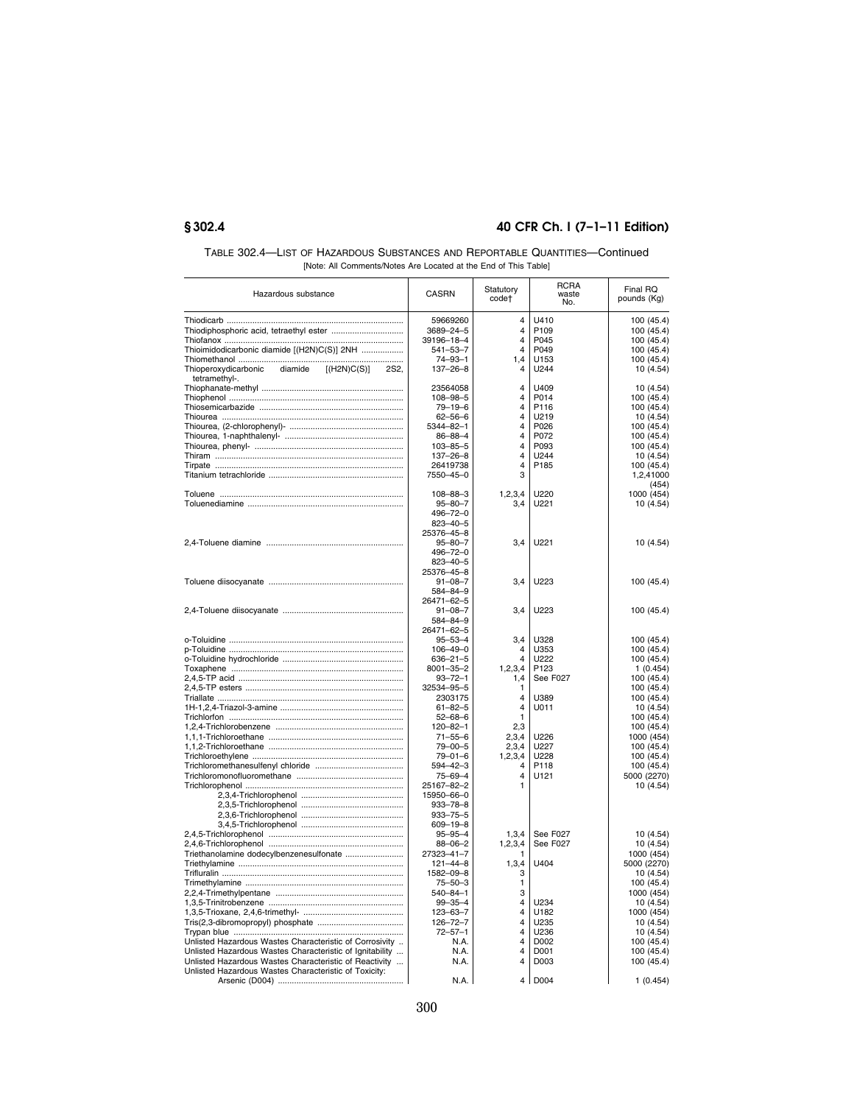| TABLE 302.4—LIST OF HAZARDOUS SUBSTANCES AND REPORTABLE QUANTITIES—Continued |
|------------------------------------------------------------------------------|
| [Note: All Comments/Notes Are Located at the End of This Table]              |

| Hazardous substance                                               | CASRN                             | Statutory<br>code <sup>+</sup>   | RCRA<br>waste<br>No. | Final RQ<br>pounds (Kg)  |
|-------------------------------------------------------------------|-----------------------------------|----------------------------------|----------------------|--------------------------|
|                                                                   | 59669260                          | $\overline{4}$                   | U410                 | 100 (45.4)               |
|                                                                   | 3689-24-5                         | $\overline{4}$                   | P <sub>109</sub>     | 100 (45.4)               |
|                                                                   | 39196-18-4                        | $\overline{4}$                   | P045                 | 100 (45.4)               |
| Thioimidodicarbonic diamide [(H2N)C(S)] 2NH                       | $541 - 53 - 7$                    | $\overline{4}$                   | P049                 | 100 (45.4)               |
|                                                                   | $74 - 93 - 1$                     | 1,4                              | U153                 | 100 (45.4)               |
| Thioperoxydicarbonic<br>diamide<br>[(H2N)C(S)]<br>2S <sub>2</sub> | $137 - 26 - 8$                    | 4                                | U244                 | 10(4.54)                 |
| tetramethyl-.                                                     |                                   |                                  |                      |                          |
|                                                                   | 23564058<br>$108 - 98 - 5$        | $\overline{4}$<br>$\overline{4}$ | U409<br>P014         | 10 (4.54)<br>100 (45.4)  |
|                                                                   | $79 - 19 - 6$                     | $\overline{4}$                   | P116                 | 100 (45.4)               |
|                                                                   | $62 - 56 - 6$                     | $\overline{4}$                   | U219                 | 10 (4.54)                |
|                                                                   | $5344 - 82 - 1$                   | 4                                | P026                 | 100 (45.4)               |
|                                                                   | $86 - 88 - 4$                     | $\overline{4}$                   | P072                 | 100 (45.4)               |
|                                                                   | $103 - 85 - 5$                    | $\overline{\mathbf{4}}$          | P093                 | 100 (45.4)               |
|                                                                   | 137-26-8                          | $\overline{4}$                   | U244                 | 10 (4.54)                |
|                                                                   | 26419738                          | $\overline{4}$                   | P185                 | 100 (45.4)               |
|                                                                   | 7550-45-0                         | 3                                |                      | 1,2,41000                |
|                                                                   | $108 - 88 - 3$                    | 1, 2, 3, 4                       | U220                 | (454)<br>1000 (454)      |
|                                                                   | $95 - 80 - 7$                     | 3,4                              | U221                 | 10 (4.54)                |
|                                                                   | 496-72-0                          |                                  |                      |                          |
|                                                                   | $823 - 40 - 5$                    |                                  |                      |                          |
|                                                                   | 25376-45-8                        |                                  |                      |                          |
|                                                                   | $95 - 80 - 7$                     | 3,4                              | U221                 | 10 (4.54)                |
|                                                                   | 496-72-0                          |                                  |                      |                          |
|                                                                   | $823 - 40 - 5$                    |                                  |                      |                          |
|                                                                   | 25376-45-8<br>$91 - 08 - 7$       | 3,4                              | U223                 | 100 (45.4)               |
|                                                                   | 584-84-9                          |                                  |                      |                          |
|                                                                   | 26471-62-5                        |                                  |                      |                          |
|                                                                   | $91 - 08 - 7$                     | 3,4                              | U223                 | 100 (45.4)               |
|                                                                   | 584-84-9                          |                                  |                      |                          |
|                                                                   | 26471-62-5                        |                                  |                      |                          |
|                                                                   | $95 - 53 - 4$                     | 3,4                              | U328                 | 100 (45.4)               |
|                                                                   | $106 - 49 - 0$                    | 4<br>$\overline{4}$              | U353                 | 100 (45.4)               |
|                                                                   | $636 - 21 - 5$<br>$8001 - 35 - 2$ | 1,2,3,4                          | U222<br>P123         | 100 (45.4)<br>1(0.454)   |
|                                                                   | $93 - 72 - 1$                     | 1,4                              | See F027             | 100 (45.4)               |
|                                                                   | 32534-95-5                        | 1                                |                      | 100 (45.4)               |
|                                                                   | 2303175                           | $\overline{4}$                   | U389                 | 100 (45.4)               |
|                                                                   | $61 - 82 - 5$                     | $\overline{\mathbf{4}}$          | U011                 | 10 (4.54)                |
|                                                                   | $52 - 68 - 6$                     | $\mathbf{1}$                     |                      | 100 (45.4)               |
|                                                                   | $120 - 82 - 1$                    | 2,3                              |                      | 100 (45.4)               |
|                                                                   | $71 - 55 - 6$<br>$79 - 00 - 5$    | 2,3,4<br>2,3,4                   | U226<br>U227         | 1000 (454)<br>100 (45.4) |
|                                                                   | $79 - 01 - 6$                     | 1, 2, 3, 4                       | U228                 | 100 (45.4)               |
|                                                                   | $594 - 42 - 3$                    | 4                                | P118                 | 100 (45.4)               |
|                                                                   | 75-69-4                           | $\overline{\mathbf{4}}$          | U121                 | 5000 (2270)              |
|                                                                   | 25167-82-2                        | 1                                |                      | 10 (4.54)                |
|                                                                   | 15950-66-0                        |                                  |                      |                          |
|                                                                   | $933 - 78 - 8$                    |                                  |                      |                          |
|                                                                   | $933 - 75 - 5$                    |                                  |                      |                          |
|                                                                   | $609 - 19 - 8$<br>$95 - 95 - 4$   | 1,3,4                            | See F027             | 10 (4.54)                |
|                                                                   | $88 - 06 - 2$                     | 1,2,3,4                          | See F027             | 10 (4.54)                |
| Triethanolamine dodecylbenzenesulfonate                           | 27323-41-7                        | 1                                |                      | 1000 (454)               |
|                                                                   | $121 - 44 - 8$                    | 1,3,4                            | U404                 | 5000 (2270)              |
|                                                                   | 1582-09-8                         | 3                                |                      | 10 (4.54)                |
|                                                                   | $75 - 50 - 3$                     | $\mathbf{1}$                     |                      | 100 (45.4)               |
|                                                                   | $540 - 84 - 1$                    | 3                                |                      | 1000 (454)               |
|                                                                   | $99 - 35 - 4$<br>$123 - 63 - 7$   | 4<br>4                           | U234<br>U182         | 10 (4.54)<br>1000 (454)  |
|                                                                   | $126 - 72 - 7$                    | $\overline{\mathbf{4}}$          | U235                 | 10 (4.54)                |
|                                                                   | $72 - 57 - 1$                     | $\overline{4}$                   | U236                 | 10 (4.54)                |
| Unlisted Hazardous Wastes Characteristic of Corrosivity           | N.A.                              | $\overline{4}$                   | D002                 | 100 (45.4)               |
| Unlisted Hazardous Wastes Characteristic of Ignitability          | N.A.                              | $\overline{4}$                   | D001                 | 100 (45.4)               |
| Unlisted Hazardous Wastes Characteristic of Reactivity            | N.A.                              | 4                                | D003                 | 100 (45.4)               |
| Unlisted Hazardous Wastes Characteristic of Toxicity:             |                                   |                                  |                      |                          |
|                                                                   | N.A.                              | 4                                | D004                 | 1(0.454)                 |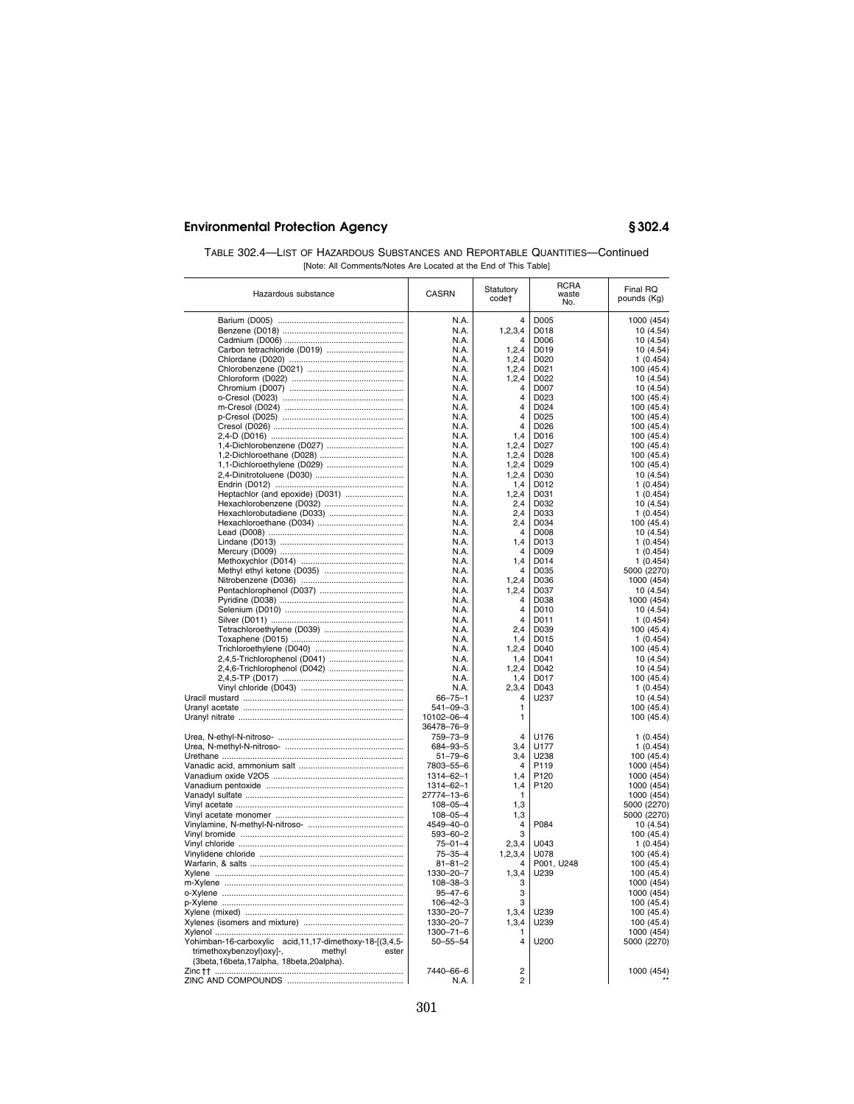| TABLE 302.4—LIST OF HAZARDOUS SUBSTANCES AND REPORTABLE QUANTITIES—Continued |                                                                 |  |
|------------------------------------------------------------------------------|-----------------------------------------------------------------|--|
|                                                                              | [Note: All Comments/Notes Are Located at the End of This Table] |  |

| Hazardous substance                                       | CASRN                       | Statutory<br>code†        | <b>RCRA</b><br>waste<br>No. | Final RQ<br>pounds (Kg)  |
|-----------------------------------------------------------|-----------------------------|---------------------------|-----------------------------|--------------------------|
|                                                           | N.A.                        | 4                         | D005                        | 1000 (454)               |
|                                                           | N.A.                        | 1, 2, 3, 4                | D018                        | 10 (4.54)                |
|                                                           | N.A.                        | 4                         | D006                        | 10 (4.54)                |
| Carbon tetrachloride (D019)                               | N.A.                        | 1, 2, 4                   | D019                        | 10 (4.54)                |
|                                                           | N.A.                        | 1, 2, 4                   | D020                        | 1(0.454)                 |
|                                                           | N.A.                        | 1, 2, 4                   | D021                        | 100 (45.4)               |
|                                                           | N.A.                        | 1, 2, 4                   | D022                        | 10 (4.54)                |
|                                                           | N.A.                        | Δ                         | D007                        | 10 (4.54)                |
|                                                           | N.A.                        | 4                         | D023                        | 100 (45.4)               |
|                                                           | N.A.                        | $\overline{\mathbf{A}}$   | D <sub>024</sub>            | 100 (45.4)               |
|                                                           | N.A.                        | 4                         | D <sub>025</sub>            | 100 (45.4)               |
|                                                           | N.A.                        | 4                         | D026                        | 100 (45.4)               |
|                                                           | N.A.                        | 1,4                       | D016                        | 100 (45.4)               |
|                                                           | N.A.                        | 1,2,4                     | D027                        | 100 (45.4)               |
|                                                           | N.A.                        | 1,2,4                     | D028                        | 100 (45.4)               |
| 1,1-Dichloroethylene (D029)                               | N.A.                        | 1,2,4                     | D029                        | 100 (45.4)               |
|                                                           | N.A.                        | 1, 2, 4                   | D030                        | 10 (4.54)                |
|                                                           | N.A.                        | 1,4                       | D012                        | 1(0.454)                 |
| Heptachlor (and epoxide) (D031)                           | N.A.                        | 1,2,4                     | D031                        | 1(0.454)                 |
|                                                           | N.A.                        | 2,4                       | D032                        | 10 (4.54)                |
| Hexachlorobutadiene (D033)                                | N.A.                        | 2,4                       | D033                        | 1(0.454)                 |
|                                                           | N.A.                        | 2,4                       | D034                        | 100 (45.4)               |
|                                                           | N.A.                        | 4                         | D008                        | 10 (4.54)                |
|                                                           | N.A.                        | 1,4                       | D013                        | 1(0.454)                 |
|                                                           | N.A.                        | 4                         | D009                        | 1(0.454)                 |
|                                                           | N.A.                        | 1,4                       | D014                        | 1(0.454)                 |
|                                                           | N.A.                        | $\overline{4}$            | D035                        | 5000 (2270)              |
|                                                           | N.A.<br>N.A.                | 1,2,4                     | D036<br>D037                | 1000 (454)               |
|                                                           | N.A.                        | 1, 2, 4<br>$\overline{4}$ |                             | 10 (4.54)                |
|                                                           | N.A.                        | $\overline{4}$            | D038<br>D010                | 1000 (454)<br>10 (4.54)  |
|                                                           | N.A.                        | 4                         | D011                        | 1(0.454)                 |
|                                                           | N.A.                        | 2,4                       | D039                        | 100 (45.4)               |
|                                                           | N.A.                        | 1,4                       | D015                        | 1(0.454)                 |
|                                                           | N.A.                        | 1, 2, 4                   | D040                        | 100 (45.4)               |
|                                                           | N.A.                        | 1,4                       | D041                        | 10 (4.54)                |
| 2,4,6-Trichlorophenol (D042)                              | N.A.                        | 1, 2, 4                   | D042                        | 10 (4.54)                |
|                                                           | N.A.                        | 1,4                       | D017                        | 100 (45.4)               |
|                                                           | N.A.                        | 2,3,4                     | D043                        | 1(0.454)                 |
|                                                           | $66 - 75 - 1$               | $\overline{4}$            | U237                        | 10 (4.54)                |
|                                                           | $541 - 09 - 3$              | 1                         |                             | 100 (45.4)               |
|                                                           | 10102-06-4                  | 1                         |                             | 100 (45.4)               |
|                                                           | 36478-76-9                  |                           |                             |                          |
|                                                           | 759-73-9                    | $\overline{4}$            | U176                        | 1(0.454)                 |
|                                                           | 684-93-5                    | 3,4                       | U177                        | 1(0.454)                 |
|                                                           | $51 - 79 - 6$               | 3,4                       | U238                        | 100 (45.4)               |
|                                                           | 7803-55-6                   | 4                         | P119                        | 1000 (454)               |
|                                                           | 1314-62-1                   | 1.4                       | P <sub>120</sub>            | 1000 (454)               |
|                                                           | 1314-62-1                   | 1,4                       | P120                        | 1000 (454)               |
|                                                           | 27774-13-6                  | 1                         |                             | 1000 (454)               |
|                                                           | $108 - 05 - 4$              | 1,3                       |                             | 5000 (2270)              |
|                                                           | $108 - 05 - 4$              | 1,3                       |                             | 5000 (2270)              |
|                                                           | 4549-40-0                   | 4                         | P084                        | 10 (4.54)                |
|                                                           | $593 - 60 - 2$              | 3                         |                             | 100 (45.4)               |
|                                                           | $75 - 01 - 4$               | 2,3,4                     | U043                        | 1(0.454)                 |
|                                                           | $75 - 35 - 4$               | 1,2,3,4<br>4              | U078                        | 100 (45.4)               |
|                                                           | $81 - 81 - 2$               |                           | P001, U248                  | 100 (45.4)               |
|                                                           | 1330-20-7<br>$108 - 38 - 3$ | 1,3,4<br>3                | U239                        | 100 (45.4)               |
|                                                           | $95 - 47 - 6$               | 3                         |                             | 1000 (454)<br>1000 (454) |
|                                                           | $106 - 42 - 3$              | 3                         |                             | 100(45.4)                |
|                                                           | 1330-20-7                   | 1,3,4                     | U239                        | 100 (45.4)               |
|                                                           | 1330-20-7                   | 1,3,4                     | U239                        | 100 (45.4)               |
|                                                           | $1300 - 71 - 6$             | 1                         |                             | 1000 (454)               |
| Yohimban-16-carboxylic acid, 11, 17-dimethoxy-18-[(3,4,5- | $50 - 55 - 54$              | 4                         | U200                        | 5000 (2270)              |
| trimethoxybenzoyl)oxy]-,<br>methyl<br>ester               |                             |                           |                             |                          |
| (3beta, 16beta, 17alpha, 18beta, 20alpha).                |                             |                           |                             |                          |
| Zinc †† …………………………………………………………………                         | 7440-66-6                   | $\overline{2}$            |                             | 1000 (454)               |
| ZINC AND COMPOUNDS                                        | N.A.                        | $\overline{c}$            |                             |                          |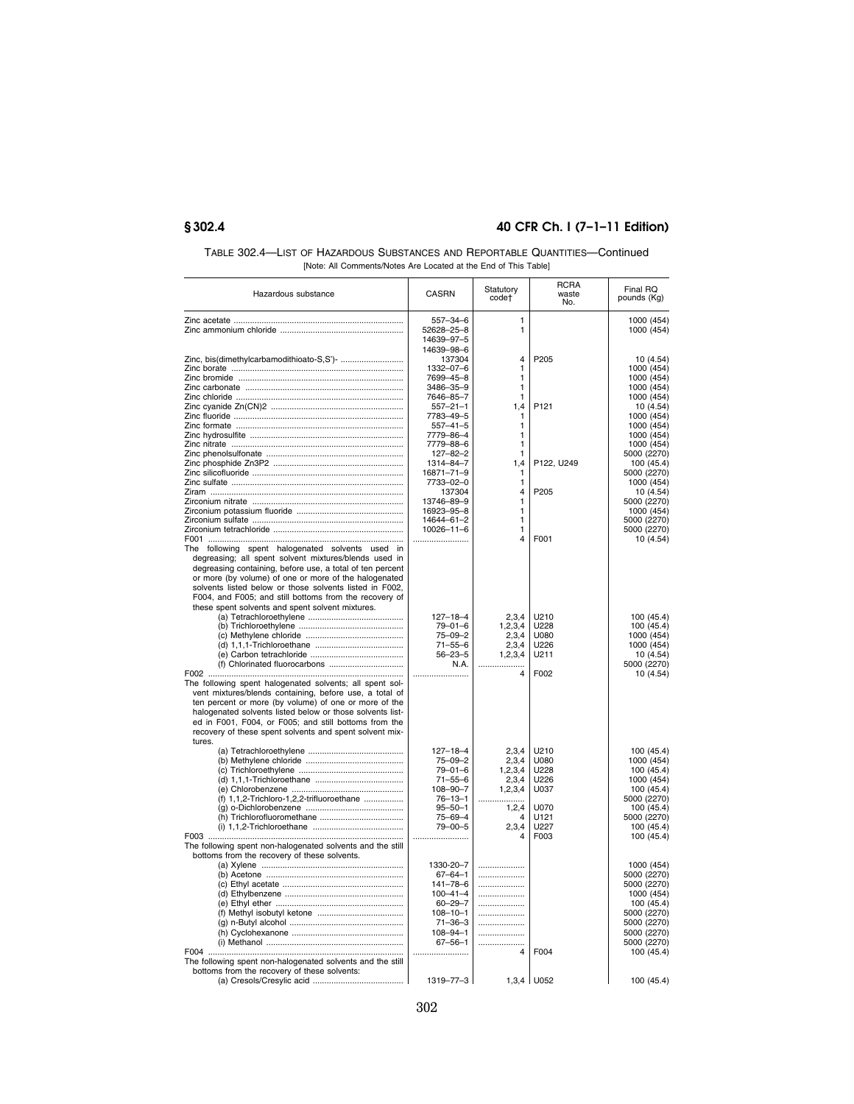| TABLE 302.4—LIST OF HAZARDOUS SUBSTANCES AND REPORTABLE QUANTITIES—Continued |
|------------------------------------------------------------------------------|
| [Note: All Comments/Notes Are Located at the End of This Table]              |

| Hazardous substance                                                                                                                                                                                                                                                                        | <b>CASRN</b>           | Statutory<br>code† | <b>RCRA</b><br>waste<br>No. | Final RQ<br>pounds (Kg)  |
|--------------------------------------------------------------------------------------------------------------------------------------------------------------------------------------------------------------------------------------------------------------------------------------------|------------------------|--------------------|-----------------------------|--------------------------|
|                                                                                                                                                                                                                                                                                            | $557 - 34 - 6$         | 1                  |                             | 1000 (454)               |
|                                                                                                                                                                                                                                                                                            | 52628-25-8             | 1                  |                             | 1000 (454)               |
|                                                                                                                                                                                                                                                                                            | 14639-97-5             |                    |                             |                          |
|                                                                                                                                                                                                                                                                                            | 14639-98-6             |                    |                             |                          |
|                                                                                                                                                                                                                                                                                            | 137304                 | 4                  | P205                        | 10 (4.54)                |
|                                                                                                                                                                                                                                                                                            | 1332-07-6              | 1                  |                             | 1000 (454)               |
|                                                                                                                                                                                                                                                                                            | 7699-45-8              | 1                  |                             | 1000 (454)               |
|                                                                                                                                                                                                                                                                                            | 3486-35-9<br>7646-85-7 | 1<br>1             |                             | 1000 (454)<br>1000 (454) |
|                                                                                                                                                                                                                                                                                            | $557 - 21 - 1$         | 1,4                | P <sub>121</sub>            | 10 (4.54)                |
|                                                                                                                                                                                                                                                                                            | 7783-49-5              | 1                  |                             | 1000 (454)               |
|                                                                                                                                                                                                                                                                                            | $557 - 41 - 5$         | 1                  |                             | 1000 (454)               |
|                                                                                                                                                                                                                                                                                            | 7779-86-4              | 1                  |                             | 1000 (454)               |
|                                                                                                                                                                                                                                                                                            | 7779-88-6              | 1                  |                             | 1000 (454)               |
|                                                                                                                                                                                                                                                                                            | $127 - 82 - 2$         | 1                  |                             | 5000 (2270)              |
|                                                                                                                                                                                                                                                                                            | 1314-84-7              | 1,4                | P122, U249                  | 100 (45.4)               |
|                                                                                                                                                                                                                                                                                            | 16871-71-9             | 1                  |                             | 5000 (2270)              |
|                                                                                                                                                                                                                                                                                            | 7733-02-0              | 1                  |                             | 1000 (454)               |
|                                                                                                                                                                                                                                                                                            | 137304<br>13746-89-9   | 4<br>1             | P205                        | 10(4.54)<br>5000 (2270)  |
|                                                                                                                                                                                                                                                                                            | 16923-95-8             | 1                  |                             | 1000 (454)               |
|                                                                                                                                                                                                                                                                                            | 14644-61-2             | 1                  |                             | 5000 (2270)              |
|                                                                                                                                                                                                                                                                                            | 10026-11-6             | 1                  |                             | 5000 (2270)              |
|                                                                                                                                                                                                                                                                                            |                        | $\overline{4}$     | F001                        | 10 (4.54)                |
| The following spent halogenated solvents used in<br>degreasing; all spent solvent mixtures/blends used in<br>degreasing containing, before use, a total of ten percent<br>or more (by volume) of one or more of the halogenated<br>solvents listed below or those solvents listed in F002, |                        |                    |                             |                          |
| F004, and F005; and still bottoms from the recovery of                                                                                                                                                                                                                                     |                        |                    |                             |                          |
| these spent solvents and spent solvent mixtures.                                                                                                                                                                                                                                           | $127 - 18 - 4$         | 2,3,4              | U210                        | 100 (45.4)               |
|                                                                                                                                                                                                                                                                                            | $79 - 01 - 6$          | 1, 2, 3, 4         | U228                        | 100 (45.4)               |
|                                                                                                                                                                                                                                                                                            | $75 - 09 - 2$          | 2,3,4              | U080                        | 1000 (454)               |
|                                                                                                                                                                                                                                                                                            | $71 - 55 - 6$          | 2,3,4              | U226                        | 1000 (454)               |
|                                                                                                                                                                                                                                                                                            | $56 - 23 - 5$          | 1, 2, 3, 4         | U211                        | 10 (4.54)                |
|                                                                                                                                                                                                                                                                                            | N.A.                   |                    |                             | 5000 (2270)              |
|                                                                                                                                                                                                                                                                                            |                        | 4                  | F002                        | 10(4.54)                 |
| The following spent halogenated solvents; all spent sol-                                                                                                                                                                                                                                   |                        |                    |                             |                          |
| vent mixtures/blends containing, before use, a total of                                                                                                                                                                                                                                    |                        |                    |                             |                          |
| ten percent or more (by volume) of one or more of the                                                                                                                                                                                                                                      |                        |                    |                             |                          |
| halogenated solvents listed below or those solvents list-                                                                                                                                                                                                                                  |                        |                    |                             |                          |
| ed in F001, F004, or F005; and still bottoms from the<br>recovery of these spent solvents and spent solvent mix-                                                                                                                                                                           |                        |                    |                             |                          |
| tures.                                                                                                                                                                                                                                                                                     |                        |                    |                             |                          |
|                                                                                                                                                                                                                                                                                            | $127 - 18 - 4$         | 2,3,4              | U210                        | 100 (45.4)               |
|                                                                                                                                                                                                                                                                                            | 75-09-2                | 2,3,4              | U080                        | 1000 (454)               |
|                                                                                                                                                                                                                                                                                            | 79-01-6                | 1,2,3,4            | U228                        | 100 (45.4)               |
|                                                                                                                                                                                                                                                                                            | $71 - 55 - 6$          | 2,3,4              | U226                        | 1000 (454)               |
|                                                                                                                                                                                                                                                                                            | $108 - 90 - 7$         | 1,2,3,4            | U037                        | 100 (45.4)               |
| (f) $1, 1, 2$ -Trichloro-1, 2, 2-trifluoroethane                                                                                                                                                                                                                                           | 76-13-1                | .                  |                             | 5000 (2270)              |
|                                                                                                                                                                                                                                                                                            | $95 - 50 - 1$          | 1,2,4              | U070                        | 100 (45.4)               |
|                                                                                                                                                                                                                                                                                            | $75 - 69 - 4$          | 4                  | U121                        | 5000 (2270)              |
|                                                                                                                                                                                                                                                                                            | $79 - 00 - 5$          | 2,3,4<br>4         | U227<br>F003                | 100 (45.4)               |
| The following spent non-halogenated solvents and the still<br>bottoms from the recovery of these solvents.                                                                                                                                                                                 |                        |                    |                             | 100 (45.4)               |
|                                                                                                                                                                                                                                                                                            | 1330-20-7              |                    |                             | 1000 (454)               |
|                                                                                                                                                                                                                                                                                            | $67 - 64 - 1$          |                    |                             | 5000 (2270)              |
|                                                                                                                                                                                                                                                                                            | $141 - 78 - 6$         |                    |                             | 5000 (2270)              |
|                                                                                                                                                                                                                                                                                            | $100 - 41 - 4$         |                    |                             | 1000 (454)               |
|                                                                                                                                                                                                                                                                                            | $60 - 29 - 7$          |                    |                             | 100 (45.4)               |
|                                                                                                                                                                                                                                                                                            | $108 - 10 - 1$         | .                  |                             | 5000 (2270)              |
|                                                                                                                                                                                                                                                                                            | $71 - 36 - 3$          |                    |                             | 5000 (2270)              |
|                                                                                                                                                                                                                                                                                            | $108 - 94 - 1$         | .                  |                             | 5000 (2270)              |
|                                                                                                                                                                                                                                                                                            | $67 - 56 - 1$          | .                  |                             | 5000 (2270)              |
|                                                                                                                                                                                                                                                                                            |                        | 4                  | F004                        | 100 (45.4)               |
| The following spent non-halogenated solvents and the still<br>bottoms from the recovery of these solvents:                                                                                                                                                                                 |                        |                    |                             |                          |
|                                                                                                                                                                                                                                                                                            | 1319-77-3              |                    | $1,3,4$ U052                | 100 (45.4)               |
|                                                                                                                                                                                                                                                                                            |                        |                    |                             |                          |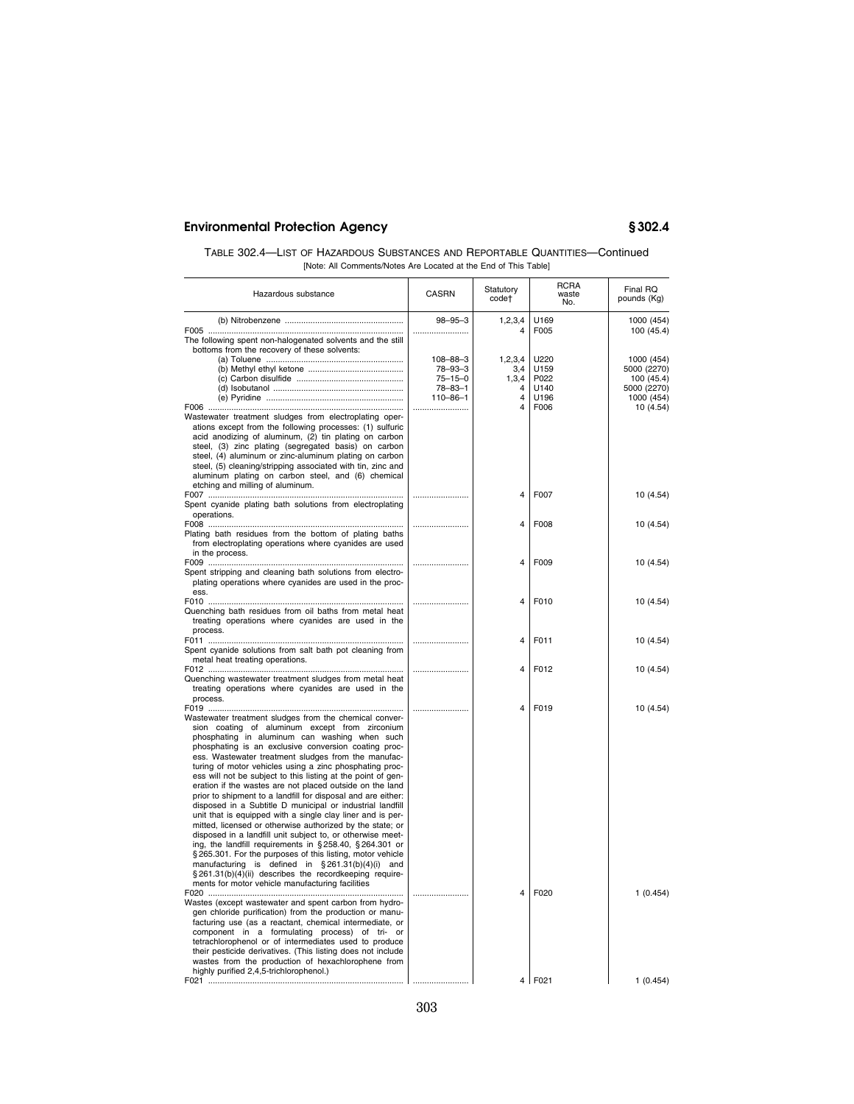| TABLE 302.4—LIST OF HAZARDOUS SUBSTANCES AND REPORTABLE QUANTITIES—Continued |
|------------------------------------------------------------------------------|
| [Note: All Comments/Notes Are Located at the End of This Table]              |

| Hazardous substance                                                                                                                                                                                                                                                                                                                                                                                                                                                                                                                                                                                                                                                                                                                                                                                                                                                                                                                                                                                                                                                                                                                                                                                     | CASRN                                                                         | Statutory<br>code†                             | <b>RCRA</b><br>waste<br>No.          | Final RQ<br>pounds (Kg)                                              |
|---------------------------------------------------------------------------------------------------------------------------------------------------------------------------------------------------------------------------------------------------------------------------------------------------------------------------------------------------------------------------------------------------------------------------------------------------------------------------------------------------------------------------------------------------------------------------------------------------------------------------------------------------------------------------------------------------------------------------------------------------------------------------------------------------------------------------------------------------------------------------------------------------------------------------------------------------------------------------------------------------------------------------------------------------------------------------------------------------------------------------------------------------------------------------------------------------------|-------------------------------------------------------------------------------|------------------------------------------------|--------------------------------------|----------------------------------------------------------------------|
|                                                                                                                                                                                                                                                                                                                                                                                                                                                                                                                                                                                                                                                                                                                                                                                                                                                                                                                                                                                                                                                                                                                                                                                                         | $98 - 95 - 3$<br>                                                             | 1, 2, 3, 4<br>4                                | U169<br>F005                         | 1000 (454)<br>100 (45.4)                                             |
| The following spent non-halogenated solvents and the still<br>bottoms from the recovery of these solvents:                                                                                                                                                                                                                                                                                                                                                                                                                                                                                                                                                                                                                                                                                                                                                                                                                                                                                                                                                                                                                                                                                              | $108 - 88 - 3$<br>78-93-3<br>$75 - 15 - 0$<br>$78 - 83 - 1$<br>$110 - 86 - 1$ | 1,2,3,4<br>3,4<br>1,3,4<br>4<br>$\overline{4}$ | U220<br>U159<br>P022<br>U140<br>U196 | 1000 (454)<br>5000 (2270)<br>100 (45.4)<br>5000 (2270)<br>1000 (454) |
| Wastewater treatment sludges from electroplating oper-<br>ations except from the following processes: (1) sulfuric<br>acid anodizing of aluminum, (2) tin plating on carbon<br>steel, (3) zinc plating (segregated basis) on carbon<br>steel, (4) aluminum or zinc-aluminum plating on carbon<br>steel, (5) cleaning/stripping associated with tin, zinc and<br>aluminum plating on carbon steel, and (6) chemical<br>etching and milling of aluminum.                                                                                                                                                                                                                                                                                                                                                                                                                                                                                                                                                                                                                                                                                                                                                  |                                                                               | 4                                              | F006                                 | 10(4.54)                                                             |
| Spent cyanide plating bath solutions from electroplating<br>operations.                                                                                                                                                                                                                                                                                                                                                                                                                                                                                                                                                                                                                                                                                                                                                                                                                                                                                                                                                                                                                                                                                                                                 |                                                                               | 4                                              | F007                                 | 10 (4.54)                                                            |
| Plating bath residues from the bottom of plating baths<br>from electroplating operations where cyanides are used<br>in the process.                                                                                                                                                                                                                                                                                                                                                                                                                                                                                                                                                                                                                                                                                                                                                                                                                                                                                                                                                                                                                                                                     |                                                                               | 4                                              | F008                                 | 10 (4.54)                                                            |
| Spent stripping and cleaning bath solutions from electro-<br>plating operations where cyanides are used in the proc-<br>ess.                                                                                                                                                                                                                                                                                                                                                                                                                                                                                                                                                                                                                                                                                                                                                                                                                                                                                                                                                                                                                                                                            |                                                                               | 4                                              | F009                                 | 10 (4.54)                                                            |
| Quenching bath residues from oil baths from metal heat<br>treating operations where cyanides are used in the<br>process.                                                                                                                                                                                                                                                                                                                                                                                                                                                                                                                                                                                                                                                                                                                                                                                                                                                                                                                                                                                                                                                                                |                                                                               | 4                                              | F010                                 | 10 (4.54)                                                            |
| Spent cyanide solutions from salt bath pot cleaning from<br>metal heat treating operations.                                                                                                                                                                                                                                                                                                                                                                                                                                                                                                                                                                                                                                                                                                                                                                                                                                                                                                                                                                                                                                                                                                             |                                                                               | 4                                              | F011                                 | 10 (4.54)                                                            |
| Quenching wastewater treatment sludges from metal heat<br>treating operations where cyanides are used in the<br>process.                                                                                                                                                                                                                                                                                                                                                                                                                                                                                                                                                                                                                                                                                                                                                                                                                                                                                                                                                                                                                                                                                |                                                                               | 4                                              | F012                                 | 10 (4.54)                                                            |
| Wastewater treatment sludges from the chemical conver-<br>sion coating of aluminum except from zirconium<br>phosphating in aluminum can washing when such<br>phosphating is an exclusive conversion coating proc-<br>ess. Wastewater treatment sludges from the manufac-<br>turing of motor vehicles using a zinc phosphating proc-<br>ess will not be subject to this listing at the point of gen-<br>eration if the wastes are not placed outside on the land<br>prior to shipment to a landfill for disposal and are either:<br>disposed in a Subtitle D municipal or industrial landfill<br>unit that is equipped with a single clay liner and is per-<br>mitted, licensed or otherwise authorized by the state; or<br>disposed in a landfill unit subject to, or otherwise meet-<br>ing, the landfill requirements in §258.40, §264.301 or<br>§265.301. For the purposes of this listing, motor vehicle<br>manufacturing is defined in $\S$ 261.31(b)(4)(i) and<br>§261.31(b)(4)(ii) describes the recordkeeping require-<br>ments for motor vehicle manufacturing facilities<br>Wastes (except wastewater and spent carbon from hydro-<br>gen chloride purification) from the production or manu- |                                                                               | $\overline{\mathbf{A}}$<br>4                   | F019<br>F020                         | 10 (4.54)<br>1(0.454)                                                |
| facturing use (as a reactant, chemical intermediate, or<br>component in a formulating process) of tri- or<br>tetrachlorophenol or of intermediates used to produce<br>their pesticide derivatives. (This listing does not include<br>wastes from the production of hexachlorophene from<br>highly purified 2,4,5-trichlorophenol.)                                                                                                                                                                                                                                                                                                                                                                                                                                                                                                                                                                                                                                                                                                                                                                                                                                                                      |                                                                               |                                                | 4 F021                               | 1(0.454)                                                             |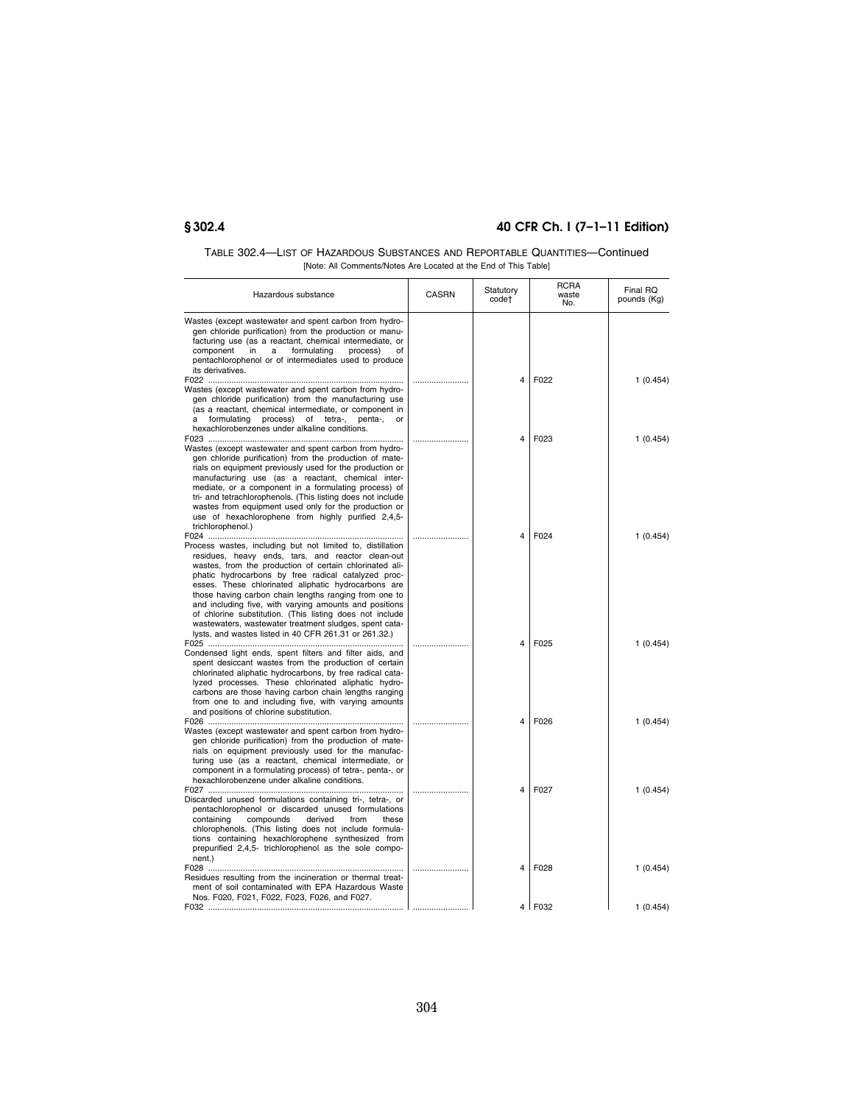| TABLE 302.4—LIST OF HAZARDOUS SUBSTANCES AND REPORTABLE QUANTITIES—Continued |
|------------------------------------------------------------------------------|
| [Note: All Comments/Notes Are Located at the End of This Table]              |

| Hazardous substance                                                                                                                                                                                                                                                                                                                                                                                                                                                                                                                                                                        | <b>CASRN</b> | Statutory<br>code†      | <b>RCRA</b><br>waste<br>No. | Final RQ<br>pounds (Kg) |
|--------------------------------------------------------------------------------------------------------------------------------------------------------------------------------------------------------------------------------------------------------------------------------------------------------------------------------------------------------------------------------------------------------------------------------------------------------------------------------------------------------------------------------------------------------------------------------------------|--------------|-------------------------|-----------------------------|-------------------------|
| Wastes (except wastewater and spent carbon from hydro-<br>gen chloride purification) from the production or manu-<br>facturing use (as a reactant, chemical intermediate, or<br>component<br>in<br>a<br>formulating<br>process)<br>οf<br>pentachlorophenol or of intermediates used to produce<br>its derivatives.                                                                                                                                                                                                                                                                         |              |                         |                             |                         |
|                                                                                                                                                                                                                                                                                                                                                                                                                                                                                                                                                                                            |              | 4                       | F022                        | 1 (0.454)               |
| Wastes (except wastewater and spent carbon from hydro-<br>gen chloride purification) from the manufacturing use<br>(as a reactant, chemical intermediate, or component in<br>a<br>formulating process) of tetra-, penta-,<br>or<br>hexachlorobenzenes under alkaline conditions.                                                                                                                                                                                                                                                                                                           |              |                         |                             |                         |
|                                                                                                                                                                                                                                                                                                                                                                                                                                                                                                                                                                                            |              | $\overline{\mathbf{A}}$ | F023                        | 1(0.454)                |
| Wastes (except wastewater and spent carbon from hydro-<br>gen chloride purification) from the production of mate-<br>rials on equipment previously used for the production or<br>manufacturing use (as a reactant, chemical inter-<br>mediate, or a component in a formulating process) of<br>tri- and tetrachlorophenols. (This listing does not include<br>wastes from equipment used only for the production or<br>use of hexachlorophene from highly purified 2,4,5-<br>trichlorophenol.)                                                                                              |              |                         |                             |                         |
|                                                                                                                                                                                                                                                                                                                                                                                                                                                                                                                                                                                            |              | 4                       | F024                        | 1(0.454)                |
| Process wastes, including but not limited to, distillation<br>residues, heavy ends, tars, and reactor clean-out<br>wastes, from the production of certain chlorinated ali-<br>phatic hydrocarbons by free radical catalyzed proc-<br>esses. These chlorinated aliphatic hydrocarbons are<br>those having carbon chain lengths ranging from one to<br>and including five, with varying amounts and positions<br>of chlorine substitution. (This listing does not include<br>wastewaters, wastewater treatment sludges, spent cata-<br>lysts, and wastes listed in 40 CFR 261.31 or 261.32.) |              |                         |                             |                         |
|                                                                                                                                                                                                                                                                                                                                                                                                                                                                                                                                                                                            |              | 4                       | F025                        | 1(0.454)                |
| Condensed light ends, spent filters and filter aids, and<br>spent desiccant wastes from the production of certain<br>chlorinated aliphatic hydrocarbons, by free radical cata-<br>lyzed processes. These chlorinated aliphatic hydro-<br>carbons are those having carbon chain lengths ranging<br>from one to and including five, with varying amounts<br>and positions of chlorine substitution.                                                                                                                                                                                          |              |                         |                             |                         |
| Wastes (except wastewater and spent carbon from hydro-<br>gen chloride purification) from the production of mate-<br>rials on equipment previously used for the manufac-<br>turing use (as a reactant, chemical intermediate, or<br>component in a formulating process) of tetra-, penta-, or<br>hexachlorobenzene under alkaline conditions.                                                                                                                                                                                                                                              |              | 4                       | F026                        | 1(0.454)                |
|                                                                                                                                                                                                                                                                                                                                                                                                                                                                                                                                                                                            |              | 4                       | F027                        | 1(0.454)                |
| Discarded unused formulations containing tri-, tetra-, or<br>pentachlorophenol or discarded unused formulations<br>containing<br>compounds<br>derived<br>from<br>these<br>chlorophenols. (This listing does not include formula-<br>tions containing hexachlorophene synthesized from<br>prepurified 2,4,5- trichlorophenol as the sole compo-<br>nent.)                                                                                                                                                                                                                                   |              |                         |                             |                         |
| Residues resulting from the incineration or thermal treat-                                                                                                                                                                                                                                                                                                                                                                                                                                                                                                                                 |              | $\overline{4}$          | F028                        | 1(0.454)                |
| ment of soil contaminated with EPA Hazardous Waste<br>Nos. F020, F021, F022, F023, F026, and F027.                                                                                                                                                                                                                                                                                                                                                                                                                                                                                         |              |                         | $4$   F032                  | 1(0.454)                |
|                                                                                                                                                                                                                                                                                                                                                                                                                                                                                                                                                                                            |              |                         |                             |                         |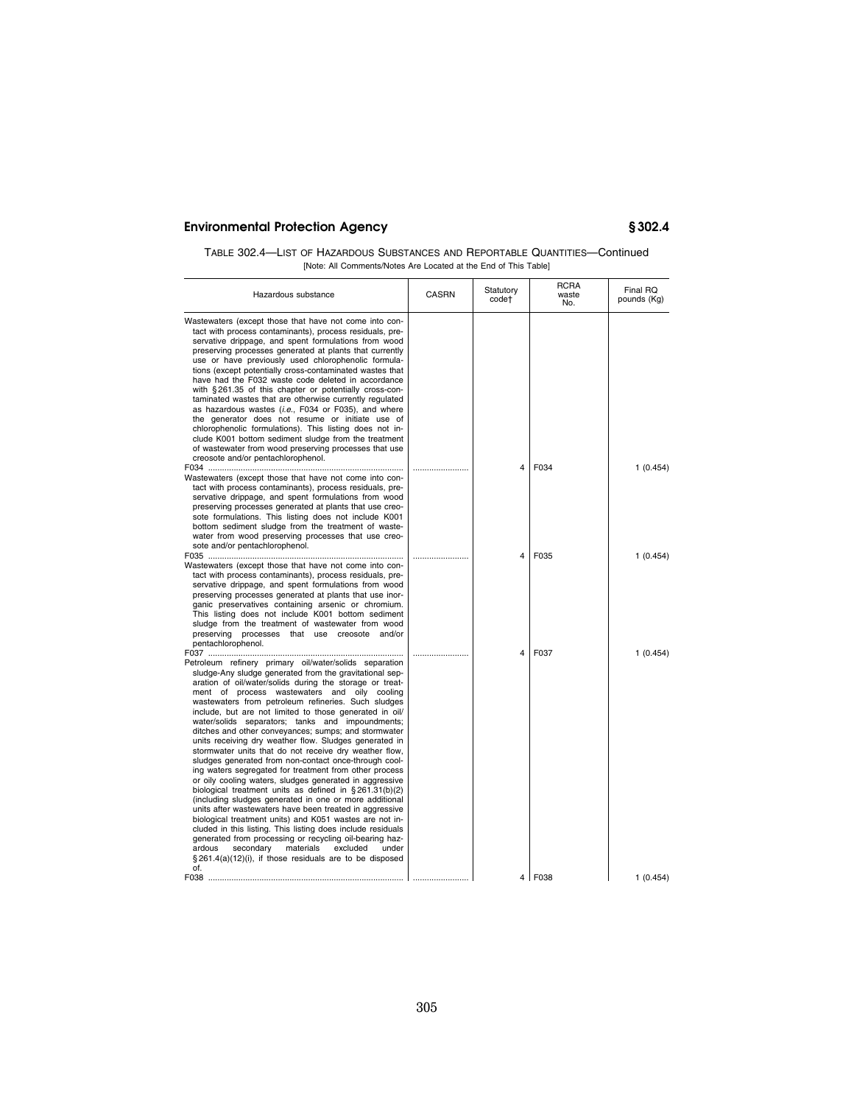| TABLE 302.4—LIST OF HAZARDOUS SUBSTANCES AND REPORTABLE QUANTITIES—Continued |  |
|------------------------------------------------------------------------------|--|
| [Note: All Comments/Notes Are Located at the End of This Table]              |  |

| Hazardous substance                                                                                                                                                                                                                                                                                                                                                                                                                                                                                                                                                                                                                                                                                                                                                                                                                                                                                                                                                                                                                                                                                                                                                                                                                                                           | <b>CASRN</b> | Statutory<br>code† | <b>RCRA</b><br>waste<br>No.    | Final RQ<br>pounds (Kg) |
|-------------------------------------------------------------------------------------------------------------------------------------------------------------------------------------------------------------------------------------------------------------------------------------------------------------------------------------------------------------------------------------------------------------------------------------------------------------------------------------------------------------------------------------------------------------------------------------------------------------------------------------------------------------------------------------------------------------------------------------------------------------------------------------------------------------------------------------------------------------------------------------------------------------------------------------------------------------------------------------------------------------------------------------------------------------------------------------------------------------------------------------------------------------------------------------------------------------------------------------------------------------------------------|--------------|--------------------|--------------------------------|-------------------------|
| Wastewaters (except those that have not come into con-<br>tact with process contaminants), process residuals, pre-<br>servative drippage, and spent formulations from wood<br>preserving processes generated at plants that currently<br>use or have previously used chlorophenolic formula-<br>tions (except potentially cross-contaminated wastes that<br>have had the F032 waste code deleted in accordance<br>with §261.35 of this chapter or potentially cross-con-<br>taminated wastes that are otherwise currently regulated<br>as hazardous wastes (i.e., F034 or F035), and where<br>the generator does not resume or initiate use of<br>chlorophenolic formulations). This listing does not in-<br>clude K001 bottom sediment sludge from the treatment<br>of wastewater from wood preserving processes that use<br>creosote and/or pentachlorophenol.                                                                                                                                                                                                                                                                                                                                                                                                              |              | 4                  | F034                           | 1(0.454)                |
| Wastewaters (except those that have not come into con-<br>tact with process contaminants), process residuals, pre-<br>servative drippage, and spent formulations from wood<br>preserving processes generated at plants that use creo-<br>sote formulations. This listing does not include K001<br>bottom sediment sludge from the treatment of waste-<br>water from wood preserving processes that use creo-<br>sote and/or pentachlorophenol.                                                                                                                                                                                                                                                                                                                                                                                                                                                                                                                                                                                                                                                                                                                                                                                                                                |              | 4                  | F035                           |                         |
| Wastewaters (except those that have not come into con-<br>tact with process contaminants), process residuals, pre-<br>servative drippage, and spent formulations from wood<br>preserving processes generated at plants that use inor-<br>ganic preservatives containing arsenic or chromium.<br>This listing does not include K001 bottom sediment<br>sludge from the treatment of wastewater from wood<br>preserving processes that use creosote and/or<br>pentachlorophenol.                                                                                                                                                                                                                                                                                                                                                                                                                                                                                                                                                                                                                                                                                                                                                                                                |              |                    |                                | 1 (0.454)               |
| Petroleum refinery primary oil/water/solids separation<br>sludge-Any sludge generated from the gravitational sep-<br>aration of oil/water/solids during the storage or treat-<br>ment of process wastewaters and oily cooling<br>wastewaters from petroleum refineries. Such sludges<br>include, but are not limited to those generated in oil/<br>water/solids separators; tanks and impoundments;<br>ditches and other conveyances; sumps; and stormwater<br>units receiving dry weather flow. Sludges generated in<br>stormwater units that do not receive dry weather flow,<br>sludges generated from non-contact once-through cool-<br>ing waters segregated for treatment from other process<br>or oily cooling waters, sludges generated in aggressive<br>biological treatment units as defined in $\S 261.31(b)(2)$<br>(including sludges generated in one or more additional<br>units after wastewaters have been treated in aggressive<br>biological treatment units) and K051 wastes are not in-<br>cluded in this listing. This listing does include residuals<br>generated from processing or recycling oil-bearing haz-<br>secondary<br>materials<br>excluded<br>ardous<br>under<br>$\S 261.4(a)(12)(i)$ , if those residuals are to be disposed<br>of.<br>F038 |              | 4                  | F037<br>$4$   F <sub>038</sub> | 1(0.454)<br>1(0.454)    |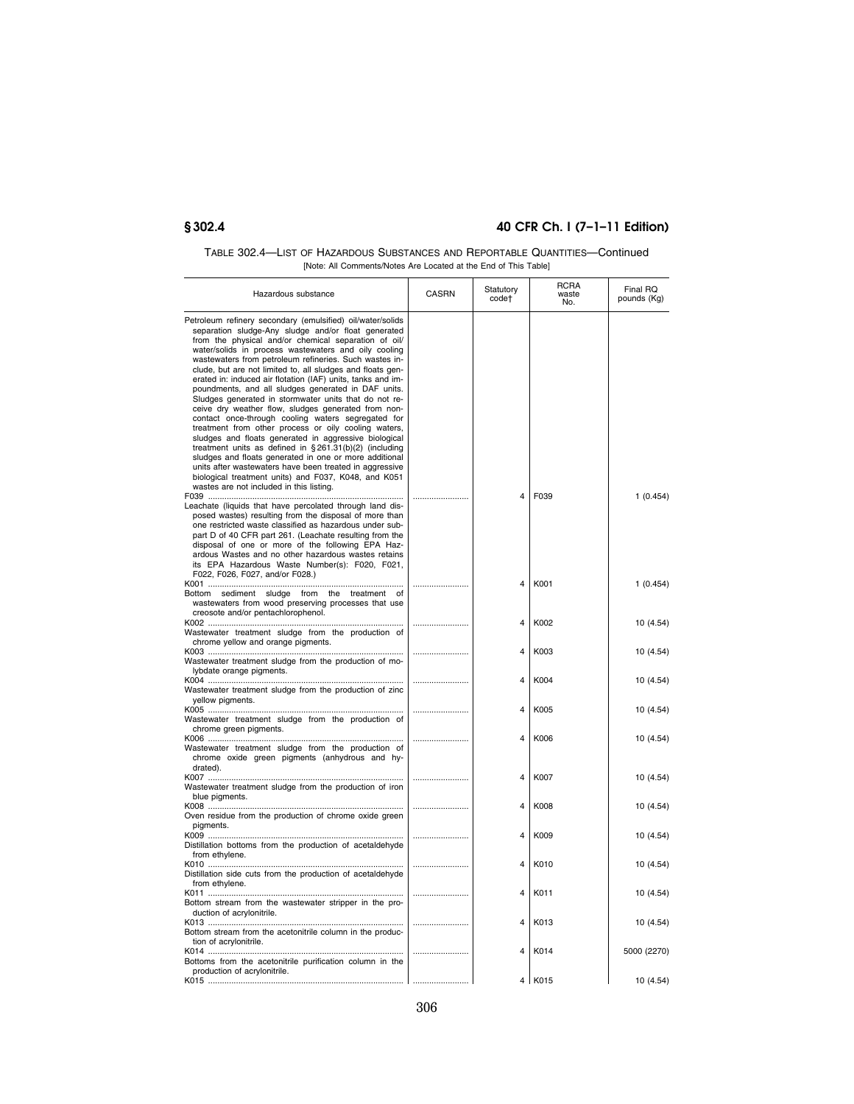| TABLE 302.4—LIST OF HAZARDOUS SUBSTANCES AND REPORTABLE QUANTITIES—Continued |
|------------------------------------------------------------------------------|
| [Note: All Comments/Notes Are Located at the End of This Table]              |

| Hazardous substance                                                                                                                                                                                                                                                                                                                                                                                                                                                                                                                                                                                                                                                                                                                                                                                                                                                                                                                                                                                                                                           | <b>CASRN</b> | Statutory<br>code†      | <b>RCRA</b><br>waste<br>No. | Final RQ<br>pounds (Kg) |
|---------------------------------------------------------------------------------------------------------------------------------------------------------------------------------------------------------------------------------------------------------------------------------------------------------------------------------------------------------------------------------------------------------------------------------------------------------------------------------------------------------------------------------------------------------------------------------------------------------------------------------------------------------------------------------------------------------------------------------------------------------------------------------------------------------------------------------------------------------------------------------------------------------------------------------------------------------------------------------------------------------------------------------------------------------------|--------------|-------------------------|-----------------------------|-------------------------|
| Petroleum refinery secondary (emulsified) oil/water/solids<br>separation sludge-Any sludge and/or float generated<br>from the physical and/or chemical separation of oil/<br>water/solids in process wastewaters and oily cooling<br>wastewaters from petroleum refineries. Such wastes in-<br>clude, but are not limited to, all sludges and floats gen-<br>erated in: induced air flotation (IAF) units, tanks and im-<br>poundments, and all sludges generated in DAF units.<br>Sludges generated in stormwater units that do not re-<br>ceive dry weather flow, sludges generated from non-<br>contact once-through cooling waters segregated for<br>treatment from other process or oily cooling waters,<br>sludges and floats generated in aggressive biological<br>treatment units as defined in $\S 261.31(b)(2)$ (including<br>sludges and floats generated in one or more additional<br>units after wastewaters have been treated in aggressive<br>biological treatment units) and F037, K048, and K051<br>wastes are not included in this listing. |              | 4                       | F <sub>039</sub>            |                         |
| Leachate (liquids that have percolated through land dis-<br>posed wastes) resulting from the disposal of more than<br>one restricted waste classified as hazardous under sub-<br>part D of 40 CFR part 261. (Leachate resulting from the<br>disposal of one or more of the following EPA Haz-<br>ardous Wastes and no other hazardous wastes retains<br>its EPA Hazardous Waste Number(s): F020, F021,<br>F022, F026, F027, and/or F028.)                                                                                                                                                                                                                                                                                                                                                                                                                                                                                                                                                                                                                     |              |                         |                             | 1(0.454)                |
| Bottom sediment sludge from the treatment of<br>wastewaters from wood preserving processes that use<br>creosote and/or pentachlorophenol.                                                                                                                                                                                                                                                                                                                                                                                                                                                                                                                                                                                                                                                                                                                                                                                                                                                                                                                     |              | $\overline{\mathbf{A}}$ | K001                        | 1(0.454)                |
| Wastewater treatment sludge from the production of<br>chrome yellow and orange pigments.                                                                                                                                                                                                                                                                                                                                                                                                                                                                                                                                                                                                                                                                                                                                                                                                                                                                                                                                                                      |              | 4                       | K002                        | 10 (4.54)               |
| Wastewater treatment sludge from the production of mo-<br>lybdate orange pigments.                                                                                                                                                                                                                                                                                                                                                                                                                                                                                                                                                                                                                                                                                                                                                                                                                                                                                                                                                                            |              | 4                       | K003                        | 10 (4.54)               |
| Wastewater treatment sludge from the production of zinc<br>yellow pigments.                                                                                                                                                                                                                                                                                                                                                                                                                                                                                                                                                                                                                                                                                                                                                                                                                                                                                                                                                                                   |              | 4<br>4                  | K004<br>K005                | 10 (4.54)               |
| Wastewater treatment sludge from the production of<br>chrome green pigments.                                                                                                                                                                                                                                                                                                                                                                                                                                                                                                                                                                                                                                                                                                                                                                                                                                                                                                                                                                                  |              | 4                       | K006                        | 10 (4.54)<br>10 (4.54)  |
| Wastewater treatment sludge from the production of<br>chrome oxide green pigments (anhydrous and hy-<br>drated).                                                                                                                                                                                                                                                                                                                                                                                                                                                                                                                                                                                                                                                                                                                                                                                                                                                                                                                                              |              |                         |                             |                         |
| Wastewater treatment sludge from the production of iron<br>blue pigments.                                                                                                                                                                                                                                                                                                                                                                                                                                                                                                                                                                                                                                                                                                                                                                                                                                                                                                                                                                                     |              | 4                       | K007                        | 10 (4.54)               |
| Oven residue from the production of chrome oxide green<br>pigments.                                                                                                                                                                                                                                                                                                                                                                                                                                                                                                                                                                                                                                                                                                                                                                                                                                                                                                                                                                                           |              | $\overline{\mathbf{A}}$ | K008                        | 10 (4.54)               |
| Distillation bottoms from the production of acetaldehyde<br>from ethylene.                                                                                                                                                                                                                                                                                                                                                                                                                                                                                                                                                                                                                                                                                                                                                                                                                                                                                                                                                                                    |              | 4                       | K009                        | 10 (4.54)               |
| Distillation side cuts from the production of acetaldehyde<br>from ethylene.                                                                                                                                                                                                                                                                                                                                                                                                                                                                                                                                                                                                                                                                                                                                                                                                                                                                                                                                                                                  |              | 4                       | K010                        | 10 (4.54)               |
| Bottom stream from the wastewater stripper in the pro-<br>duction of acrylonitrile.                                                                                                                                                                                                                                                                                                                                                                                                                                                                                                                                                                                                                                                                                                                                                                                                                                                                                                                                                                           |              | 4                       | K011                        | 10 (4.54)               |
| Bottom stream from the acetonitrile column in the produc-<br>tion of acrylonitrile.                                                                                                                                                                                                                                                                                                                                                                                                                                                                                                                                                                                                                                                                                                                                                                                                                                                                                                                                                                           |              | 4                       | K013                        | 10 (4.54)               |
| Bottoms from the acetonitrile purification column in the<br>production of acrylonitrile.                                                                                                                                                                                                                                                                                                                                                                                                                                                                                                                                                                                                                                                                                                                                                                                                                                                                                                                                                                      |              | 4                       | K014                        | 5000 (2270)             |
|                                                                                                                                                                                                                                                                                                                                                                                                                                                                                                                                                                                                                                                                                                                                                                                                                                                                                                                                                                                                                                                               |              |                         | 4 K015                      | 10 (4.54)               |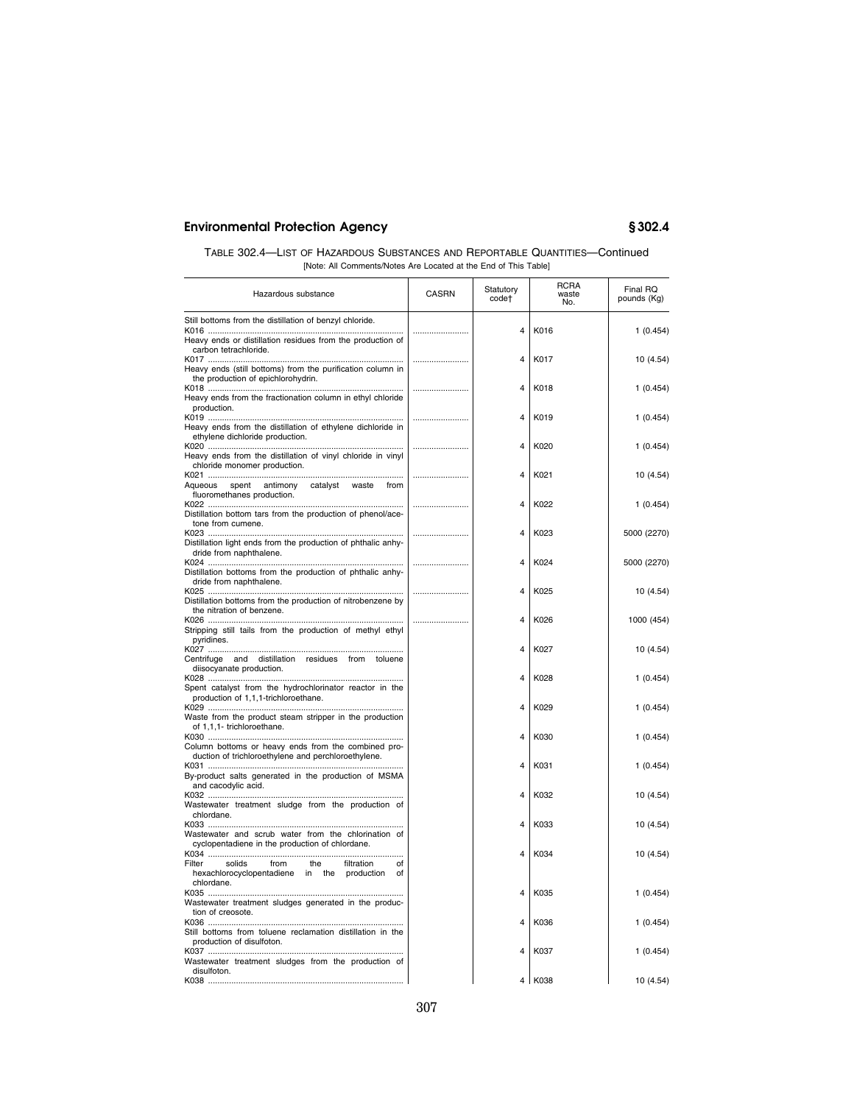| TABLE 302.4—LIST OF HAZARDOUS SUBSTANCES AND REPORTABLE QUANTITIES—Continued |
|------------------------------------------------------------------------------|
| [Note: All Comments/Notes Are Located at the End of This Table]              |

| Hazardous substance                                                                                                    | <b>CASRN</b> | Statutory<br>code <sup>+</sup> | <b>RCRA</b><br>waste<br>No. | Final RQ<br>pounds (Kg) |
|------------------------------------------------------------------------------------------------------------------------|--------------|--------------------------------|-----------------------------|-------------------------|
| Still bottoms from the distillation of benzyl chloride.                                                                |              |                                |                             |                         |
| Heavy ends or distillation residues from the production of<br>carbon tetrachloride.                                    |              | 4                              | K016                        | 1(0.454)                |
|                                                                                                                        |              | 4                              | K017                        | 10 (4.54)               |
| Heavy ends (still bottoms) from the purification column in<br>the production of epichlorohydrin.                       |              |                                |                             |                         |
|                                                                                                                        |              | $\overline{4}$                 | K018                        | 1(0.454)                |
| Heavy ends from the fractionation column in ethyl chloride                                                             |              |                                |                             |                         |
| production.                                                                                                            |              | 4                              | K019                        | 1(0.454)                |
| Heavy ends from the distillation of ethylene dichloride in<br>ethylene dichloride production.                          |              | 4                              |                             |                         |
| Heavy ends from the distillation of vinyl chloride in vinyl<br>chloride monomer production.                            |              |                                | K020                        | 1(0.454)                |
| spent antimony<br>Aqueous<br>catalyst waste<br>from                                                                    |              | 4                              | K021                        | 10 (4.54)               |
| fluoromethanes production.                                                                                             |              | 4                              | K022                        | 1(0.454)                |
| Distillation bottom tars from the production of phenol/ace-<br>tone from cumene.                                       |              |                                |                             |                         |
|                                                                                                                        |              | 4                              | K023                        | 5000 (2270)             |
| Distillation light ends from the production of phthalic anhy-<br>dride from naphthalene.                               |              | 4                              | K024                        | 5000 (2270)             |
| Distillation bottoms from the production of phthalic anhy-<br>dride from naphthalene.                                  |              | $\overline{\mathbf{A}}$        |                             |                         |
| Distillation bottoms from the production of nitrobenzene by<br>the nitration of benzene.                               |              |                                | K025                        | 10 (4.54)               |
| Stripping still tails from the production of methyl ethyl<br>pyridines.                                                |              | 4                              | K026                        | 1000 (454)              |
| Centrifuge and distillation residues from toluene                                                                      |              | 4                              | K027                        | 10 (4.54)               |
| diisocyanate production.<br>Spent catalyst from the hydrochlorinator reactor in the                                    |              | $\overline{\mathbf{A}}$        | K028                        | 1(0.454)                |
| production of 1,1,1-trichloroethane.                                                                                   |              | 4                              | K029                        | 1(0.454)                |
| Waste from the product steam stripper in the production<br>of 1,1,1- trichloroethane.                                  |              | 4                              | K030                        | 1(0.454)                |
| Column bottoms or heavy ends from the combined pro-<br>duction of trichloroethylene and perchloroethylene.             |              |                                |                             |                         |
| By-product salts generated in the production of MSMA<br>and cacodylic acid.                                            |              | 4                              | K031                        | 1(0.454)                |
| Wastewater treatment sludge from the production of                                                                     |              | $\overline{4}$                 | K032                        | 10 (4.54)               |
| chlordane.<br>Wastewater and scrub water from the chlorination of                                                      |              | 4                              | K033                        | 10 (4.54)               |
| cyclopentadiene in the production of chlordane.                                                                        |              | 4                              | K034                        | 10 (4.54)               |
| Filter<br>solids<br>from<br>the<br>filtration<br>of<br>hexachlorocyclopentadiene in the<br>production of<br>chlordane. |              |                                |                             |                         |
| Wastewater treatment sludges generated in the produc-<br>tion of creosote.                                             |              | 4                              | K035                        | 1(0.454)                |
| Still bottoms from toluene reclamation distillation in the                                                             |              | 4                              | K036                        | 1(0.454)                |
| production of disulfoton.<br>Wastewater treatment sludges from the production of                                       |              | $\overline{\mathbf{A}}$        | K037                        | 1(0.454)                |
| disulfoton.                                                                                                            |              |                                | 4 K038                      | 10 (4.54)               |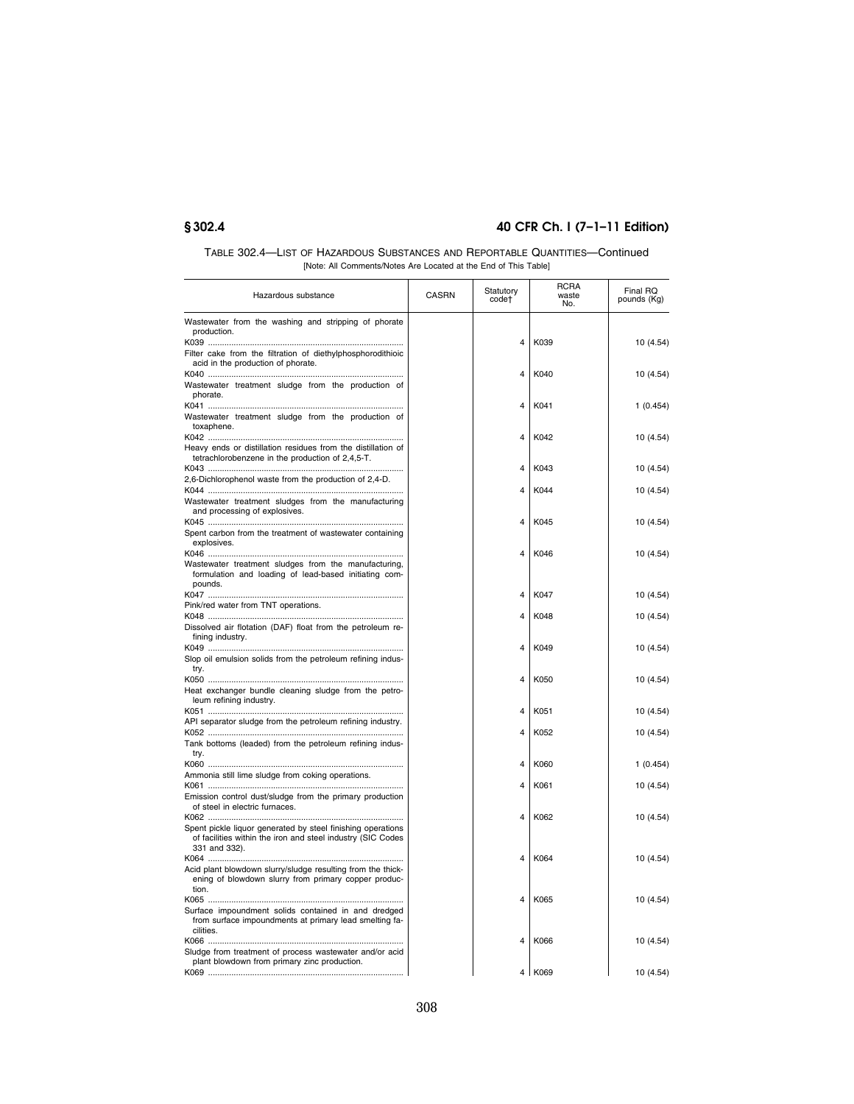| TABLE 302.4—LIST OF HAZARDOUS SUBSTANCES AND REPORTABLE QUANTITIES—Continued |
|------------------------------------------------------------------------------|
| [Note: All Comments/Notes Are Located at the End of This Table]              |

| Hazardous substance                                                                                                                         | <b>CASRN</b> | Statutory<br>code†      | RCRA<br>waste<br>No. | Final RQ<br>pounds (Kg) |
|---------------------------------------------------------------------------------------------------------------------------------------------|--------------|-------------------------|----------------------|-------------------------|
| Wastewater from the washing and stripping of phorate<br>production.                                                                         |              | $\overline{4}$          | K039                 | 10 (4.54)               |
| Filter cake from the filtration of diethylphosphorodithioic<br>acid in the production of phorate.                                           |              |                         |                      |                         |
| Wastewater treatment sludge from the production of<br>phorate.                                                                              |              | 4                       | K040                 | 10 (4.54)               |
| Wastewater treatment sludge from the production of<br>toxaphene.                                                                            |              | $\overline{4}$          | K041                 | 1(0.454)                |
| Heavy ends or distillation residues from the distillation of                                                                                |              | 4                       | K042                 | 10 (4.54)               |
| tetrachlorobenzene in the production of 2,4,5-T.<br>2,6-Dichlorophenol waste from the production of 2,4-D.                                  |              | $\overline{4}$          | K043                 | 10 (4.54)               |
| Wastewater treatment sludges from the manufacturing                                                                                         |              | $\overline{4}$          | K044                 | 10 (4.54)               |
| and processing of explosives.<br>Spent carbon from the treatment of wastewater containing                                                   |              | $\overline{4}$          | K045                 | 10 (4.54)               |
| explosives.                                                                                                                                 |              | $\overline{4}$          | K046                 | 10 (4.54)               |
| Wastewater treatment sludges from the manufacturing,<br>formulation and loading of lead-based initiating com-<br>pounds.                    |              |                         |                      |                         |
| Pink/red water from TNT operations.                                                                                                         |              | 4                       | K047                 | 10 (4.54)               |
| Dissolved air flotation (DAF) float from the petroleum re-                                                                                  |              | $\overline{4}$          | K048                 | 10 (4.54)               |
| fining industry.<br>Slop oil emulsion solids from the petroleum refining indus-<br>try.                                                     |              | $\overline{4}$          | K049                 | 10 (4.54)               |
| Heat exchanger bundle cleaning sludge from the petro-<br>leum refining industry.                                                            |              | 4                       | K050                 | 10 (4.54)               |
| API separator sludge from the petroleum refining industry.                                                                                  |              | $\overline{4}$          | K051                 | 10 (4.54)               |
| Tank bottoms (leaded) from the petroleum refining indus-                                                                                    |              | $\overline{4}$          | K052                 | 10 (4.54)               |
| try.                                                                                                                                        |              | $\overline{4}$          | K060                 | 1(0.454)                |
| Ammonia still lime sludge from coking operations.<br>Emission control dust/sludge from the primary production                               |              | $\overline{4}$          | K061                 | 10 (4.54)               |
| of steel in electric furnaces.                                                                                                              |              | $\overline{4}$          | K062                 | 10 (4.54)               |
| Spent pickle liquor generated by steel finishing operations<br>of facilities within the iron and steel industry (SIC Codes<br>331 and 332). |              |                         |                      |                         |
| Acid plant blowdown slurry/sludge resulting from the thick-<br>ening of blowdown slurry from primary copper produc-                         |              | $\overline{4}$          | K064                 | 10 (4.54)               |
| tion.<br>Surface impoundment solids contained in and dredged                                                                                |              | $\overline{4}$          | K065                 | 10 (4.54)               |
| from surface impoundments at primary lead smelting fa-<br>cilities.                                                                         |              | $\overline{\mathbf{A}}$ | K066                 | 10 (4.54)               |
| Sludge from treatment of process wastewater and/or acid<br>plant blowdown from primary zinc production.                                     |              |                         | 4   K069             | 10 (4.54)               |
|                                                                                                                                             |              |                         |                      |                         |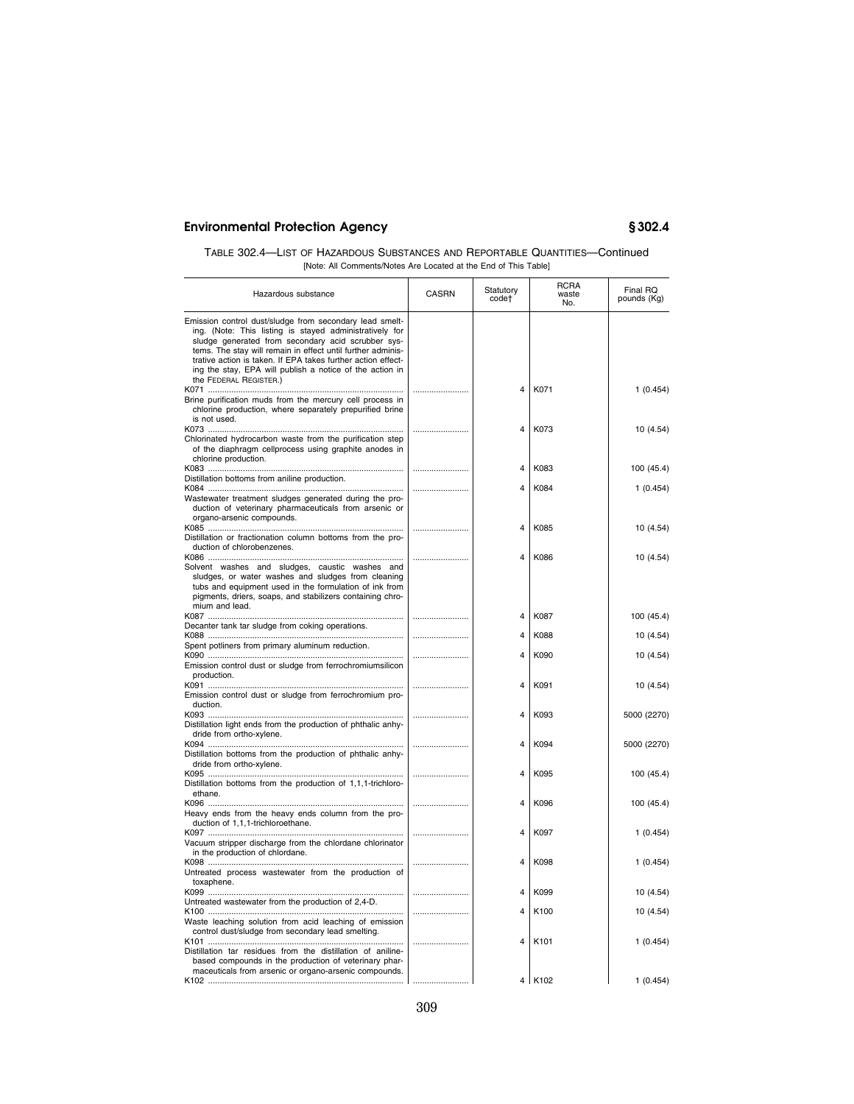| TABLE 302.4—LIST OF HAZARDOUS SUBSTANCES AND REPORTABLE QUANTITIES—Continued |  |
|------------------------------------------------------------------------------|--|
| [Note: All Comments/Notes Are Located at the End of This Table]              |  |

| Hazardous substance                                                                                                                                                                                                                                                                                                                                                                           | <b>CASRN</b> | Statutory<br>code† | <b>RCRA</b><br>waste<br>No. | Final RQ<br>pounds (Kg) |
|-----------------------------------------------------------------------------------------------------------------------------------------------------------------------------------------------------------------------------------------------------------------------------------------------------------------------------------------------------------------------------------------------|--------------|--------------------|-----------------------------|-------------------------|
| Emission control dust/sludge from secondary lead smelt-<br>ing. (Note: This listing is stayed administratively for<br>sludge generated from secondary acid scrubber sys-<br>tems. The stay will remain in effect until further adminis-<br>trative action is taken. If EPA takes further action effect-<br>ing the stay, EPA will publish a notice of the action in<br>the FEDERAL REGISTER.) |              |                    |                             |                         |
| Brine purification muds from the mercury cell process in<br>chlorine production, where separately prepurified brine                                                                                                                                                                                                                                                                           |              | 4                  | K071                        | 1(0.454)                |
| is not used.<br>Chlorinated hydrocarbon waste from the purification step<br>of the diaphragm cellprocess using graphite anodes in<br>chlorine production.                                                                                                                                                                                                                                     |              | 4                  | K073                        | 10 (4.54)               |
|                                                                                                                                                                                                                                                                                                                                                                                               |              | 4                  | K083                        | 100 (45.4)              |
| Distillation bottoms from aniline production.<br>Wastewater treatment sludges generated during the pro-<br>duction of veterinary pharmaceuticals from arsenic or<br>organo-arsenic compounds.                                                                                                                                                                                                 |              | 4                  | K084                        | 1(0.454)                |
| Distillation or fractionation column bottoms from the pro-<br>duction of chlorobenzenes.                                                                                                                                                                                                                                                                                                      |              | 4                  | K085                        | 10 (4.54)               |
| Solvent washes and sludges, caustic washes and<br>sludges, or water washes and sludges from cleaning<br>tubs and equipment used in the formulation of ink from<br>pigments, driers, soaps, and stabilizers containing chro-                                                                                                                                                                   |              | 4                  | K086                        | 10 (4.54)               |
| mium and lead.                                                                                                                                                                                                                                                                                                                                                                                |              | 4                  | K087                        | 100 (45.4)              |
| Decanter tank tar sludge from coking operations.                                                                                                                                                                                                                                                                                                                                              |              | 4                  | K088                        | 10 (4.54)               |
| Spent potliners from primary aluminum reduction.                                                                                                                                                                                                                                                                                                                                              |              |                    |                             |                         |
| Emission control dust or sludge from ferrochromiumsilicon<br>production.                                                                                                                                                                                                                                                                                                                      |              | 4                  | K090                        | 10 (4.54)               |
| Emission control dust or sludge from ferrochromium pro-<br>duction.                                                                                                                                                                                                                                                                                                                           |              | 4                  | K091                        | 10 (4.54)               |
| Distillation light ends from the production of phthalic anhy-<br>dride from ortho-xylene.                                                                                                                                                                                                                                                                                                     |              | 4                  | K093                        | 5000 (2270)             |
| Distillation bottoms from the production of phthalic anhy-<br>dride from ortho-xylene.                                                                                                                                                                                                                                                                                                        |              | 4                  | K094                        | 5000 (2270)             |
| Distillation bottoms from the production of 1,1,1-trichloro-<br>ethane.                                                                                                                                                                                                                                                                                                                       |              | 4                  | K095                        | 100 (45.4)              |
| Heavy ends from the heavy ends column from the pro-                                                                                                                                                                                                                                                                                                                                           |              | $\overline{4}$     | K096                        | 100 (45.4)              |
| duction of 1,1,1-trichloroethane.<br>Vacuum stripper discharge from the chlordane chlorinator                                                                                                                                                                                                                                                                                                 |              | 4                  | K097                        | 1(0.454)                |
| in the production of chlordane.<br>Untreated process wastewater from the production of                                                                                                                                                                                                                                                                                                        |              | 4                  | K098                        | 1(0.454)                |
| toxaphene.                                                                                                                                                                                                                                                                                                                                                                                    |              | 4                  | K099                        | 10 (4.54)               |
| Untreated wastewater from the production of 2,4-D.<br>Waste leaching solution from acid leaching of emission                                                                                                                                                                                                                                                                                  |              | 4                  | K100                        | 10 (4.54)               |
| control dust/sludge from secondary lead smelting.<br>Distillation tar residues from the distillation of aniline-                                                                                                                                                                                                                                                                              |              | 4                  | K <sub>101</sub>            | 1(0.454)                |
| based compounds in the production of veterinary phar-<br>maceuticals from arsenic or organo-arsenic compounds.                                                                                                                                                                                                                                                                                |              |                    | 4 K102                      | 1(0.454)                |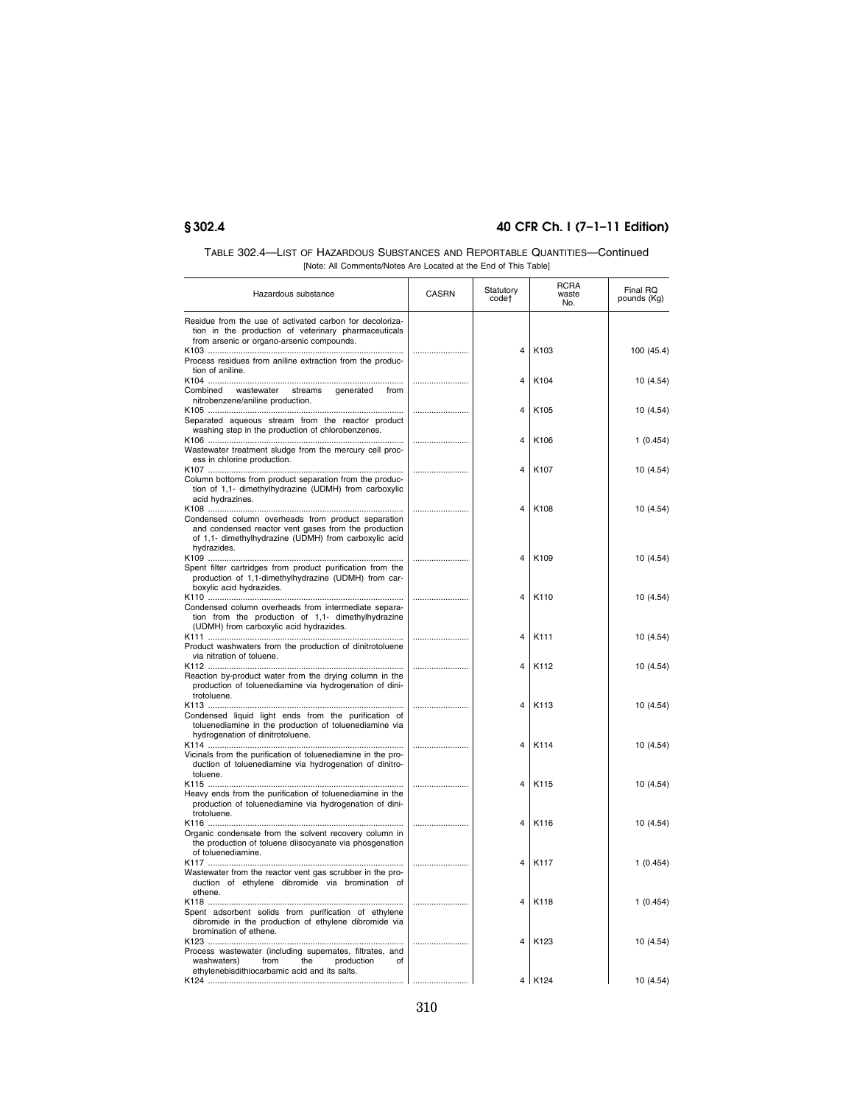| TABLE 302.4—LIST OF HAZARDOUS SUBSTANCES AND REPORTABLE QUANTITIES—Continued |
|------------------------------------------------------------------------------|
| [Note: All Comments/Notes Are Located at the End of This Table]              |

| Hazardous substance                                                                                                                                                                | <b>CASRN</b> | Statutory<br>code† | <b>RCRA</b><br>waste<br>No. | Final RQ<br>pounds (Kg) |
|------------------------------------------------------------------------------------------------------------------------------------------------------------------------------------|--------------|--------------------|-----------------------------|-------------------------|
| Residue from the use of activated carbon for decoloriza-<br>tion in the production of veterinary pharmaceuticals<br>from arsenic or organo-arsenic compounds.                      |              |                    |                             |                         |
| Process residues from aniline extraction from the produc-<br>tion of aniline.                                                                                                      |              | 4                  | K103                        | 100 (45.4)              |
| Combined wastewater<br>streams<br>generated<br>from<br>nitrobenzene/aniline production.                                                                                            |              | 4                  | K104                        | 10 (4.54)               |
| Separated aqueous stream from the reactor product                                                                                                                                  |              | 4                  | K105                        | 10 (4.54)               |
| washing step in the production of chlorobenzenes.<br>Wastewater treatment sludge from the mercury cell proc-                                                                       |              | 4                  | K106                        | 1(0.454)                |
| ess in chlorine production.<br>Column bottoms from product separation from the produc-                                                                                             |              | 4                  | K107                        | 10 (4.54)               |
| tion of 1,1- dimethylhydrazine (UDMH) from carboxylic<br>acid hydrazines.                                                                                                          |              |                    |                             |                         |
| Condensed column overheads from product separation<br>and condensed reactor vent gases from the production<br>of 1,1- dimethylhydrazine (UDMH) from carboxylic acid<br>hydrazides. |              | 4                  | K108                        | 10 (4.54)               |
| Spent filter cartridges from product purification from the<br>production of 1,1-dimethylhydrazine (UDMH) from car-<br>boxylic acid hydrazides.                                     |              | 4                  | K109                        | 10 (4.54)               |
| Condensed column overheads from intermediate separa-<br>tion from the production of 1,1- dimethylhydrazine<br>(UDMH) from carboxylic acid hydrazides.                              |              | 4                  | K110                        | 10 (4.54)               |
| Product washwaters from the production of dinitrotoluene<br>via nitration of toluene.                                                                                              |              | 4                  | K111                        | 10 (4.54)               |
| Reaction by-product water from the drying column in the<br>production of toluenediamine via hydrogenation of dini-<br>trotoluene.                                                  |              | 4                  | K112                        | 10 (4.54)               |
| Condensed liquid light ends from the purification of<br>toluenediamine in the production of toluenediamine via<br>hydrogenation of dinitrotoluene.                                 |              | 4                  | K113                        | 10 (4.54)               |
| Vicinals from the purification of toluenediamine in the pro-<br>duction of toluenediamine via hydrogenation of dinitro-<br>toluene.                                                |              | 4                  | K114                        | 10 (4.54)               |
| Heavy ends from the purification of toluenediamine in the<br>production of toluenediamine via hydrogenation of dini-<br>trotoluene.                                                |              | 4                  | K115                        | 10 (4.54)               |
| Organic condensate from the solvent recovery column in<br>the production of toluene diisocyanate via phosgenation<br>of toluenediamine.                                            |              | 4                  | K116                        | 10 (4.54)               |
| Wastewater from the reactor vent gas scrubber in the pro-<br>duction of ethylene dibromide via bromination of<br>ethene.                                                           |              | 4                  | K117                        | 1(0.454)                |
| Spent adsorbent solids from purification of ethylene<br>dibromide in the production of ethylene dibromide via<br>bromination of ethene.                                            |              | 4                  | K118                        | 1(0.454)                |
| Process wastewater (including supernates, filtrates, and<br>from<br>the<br>production<br>washwaters)<br>of<br>ethylenebisdithiocarbamic acid and its salts.                        |              | 4                  | K <sub>123</sub>            | 10 (4.54)               |
|                                                                                                                                                                                    |              |                    | 4 K124                      | 10 (4.54)               |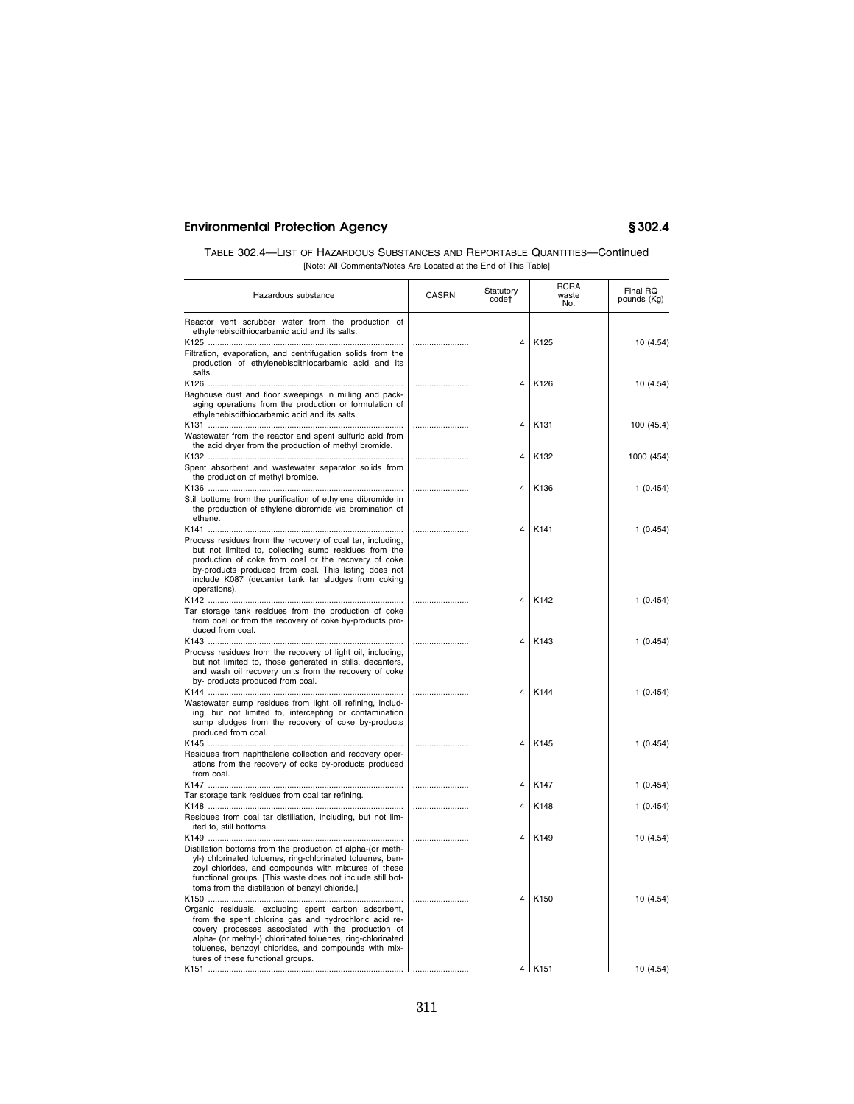| TABLE 302.4—LIST OF HAZARDOUS SUBSTANCES AND REPORTABLE QUANTITIES—Continued |  |  |
|------------------------------------------------------------------------------|--|--|
| [Note: All Comments/Notes Are Located at the End of This Table]              |  |  |

| Hazardous substance                                                                                                                                                                                                                                                                                                            | <b>CASRN</b> | Statutory<br>code†      | <b>RCRA</b><br>waste<br>No. | Final RQ<br>pounds (Kg) |
|--------------------------------------------------------------------------------------------------------------------------------------------------------------------------------------------------------------------------------------------------------------------------------------------------------------------------------|--------------|-------------------------|-----------------------------|-------------------------|
| Reactor vent scrubber water from the production of<br>ethylenebisdithiocarbamic acid and its salts.<br>Filtration, evaporation, and centrifugation solids from the<br>production of ethylenebisdithiocarbamic acid and its                                                                                                     |              | 4                       | K125                        | 10 (4.54)               |
| salts.<br>Baghouse dust and floor sweepings in milling and pack-<br>aging operations from the production or formulation of                                                                                                                                                                                                     |              | 4                       | K126                        | 10 (4.54)               |
| ethylenebisdithiocarbamic acid and its salts.<br>Wastewater from the reactor and spent sulfuric acid from                                                                                                                                                                                                                      |              | 4                       | K <sub>131</sub>            | 100 (45.4)              |
| the acid dryer from the production of methyl bromide.<br>Spent absorbent and wastewater separator solids from                                                                                                                                                                                                                  |              | 4                       | K132                        | 1000 (454)              |
| the production of methyl bromide.<br>Still bottoms from the purification of ethylene dibromide in<br>the production of ethylene dibromide via bromination of<br>ethene.                                                                                                                                                        |              | $\overline{\mathbf{A}}$ | K136                        | 1(0.454)                |
| Process residues from the recovery of coal tar, including,<br>but not limited to, collecting sump residues from the<br>production of coke from coal or the recovery of coke<br>by-products produced from coal. This listing does not<br>include K087 (decanter tank tar sludges from coking<br>operations).                    |              | 4                       | K141                        | 1(0.454)                |
| Tar storage tank residues from the production of coke<br>from coal or from the recovery of coke by-products pro-                                                                                                                                                                                                               |              | 4                       | K142                        | 1(0.454)                |
| duced from coal.<br>Process residues from the recovery of light oil, including,<br>but not limited to, those generated in stills, decanters,<br>and wash oil recovery units from the recovery of coke<br>by- products produced from coal.                                                                                      |              | 4                       | K143                        | 1(0.454)                |
| Wastewater sump residues from light oil refining, includ-<br>ing, but not limited to, intercepting or contamination<br>sump sludges from the recovery of coke by-products<br>produced from coal.                                                                                                                               |              | 4                       | K144                        | 1(0.454)                |
| Residues from naphthalene collection and recovery oper-<br>ations from the recovery of coke by-products produced<br>from coal.                                                                                                                                                                                                 |              | 4                       | K145                        | 1(0.454)                |
| Tar storage tank residues from coal tar refining.                                                                                                                                                                                                                                                                              |              | 4                       | K147                        | 1(0.454)                |
| Residues from coal tar distillation, including, but not lim-<br>ited to, still bottoms.                                                                                                                                                                                                                                        |              | 4                       | K148                        | 1(0.454)                |
| Distillation bottoms from the production of alpha-(or meth-<br>yl-) chlorinated toluenes, ring-chlorinated toluenes, ben-<br>zoyl chlorides, and compounds with mixtures of these<br>functional groups. [This waste does not include still bot-<br>toms from the distillation of benzyl chloride.]                             |              | 4                       | K149                        | 10 (4.54)               |
| Organic residuals, excluding spent carbon adsorbent,<br>from the spent chlorine gas and hydrochloric acid re-<br>covery processes associated with the production of<br>alpha- (or methyl-) chlorinated toluenes, ring-chlorinated<br>toluenes, benzoyl chlorides, and compounds with mix-<br>tures of these functional groups. |              | 4                       | K150                        | 10 (4.54)               |
|                                                                                                                                                                                                                                                                                                                                |              |                         | 4   K151                    | 10 (4.54)               |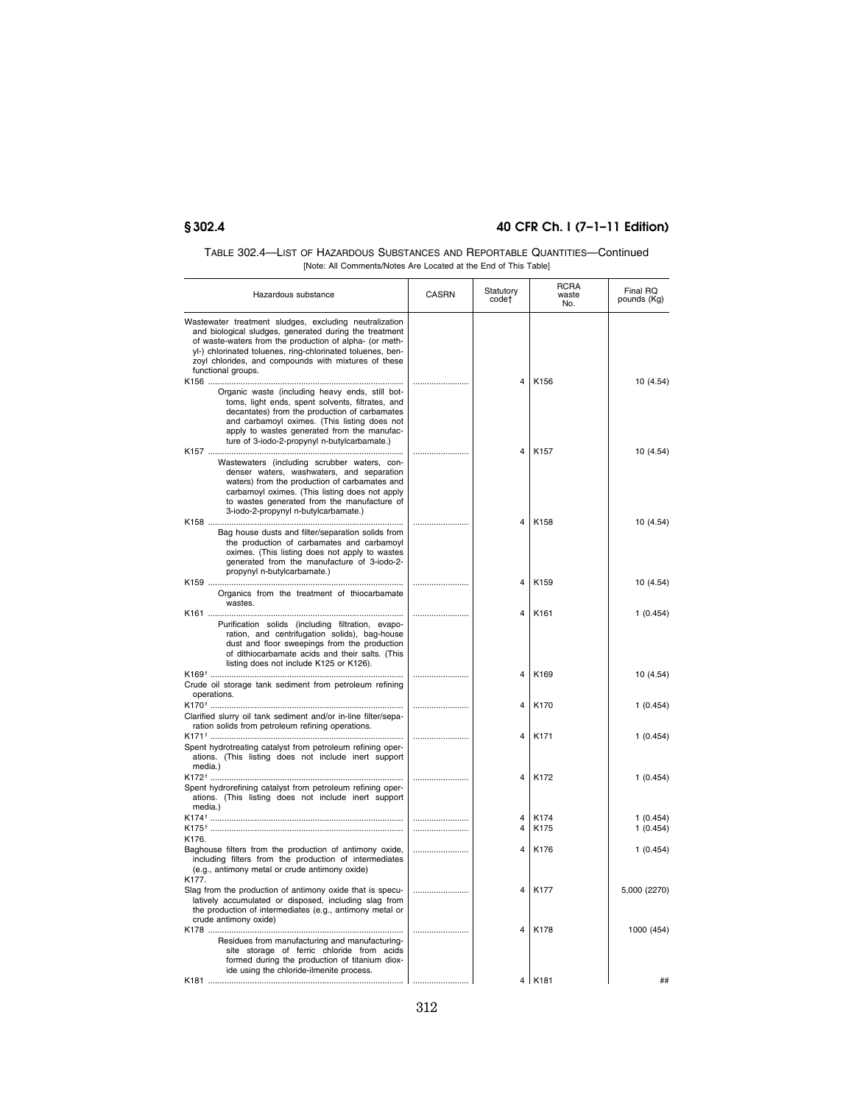| TABLE 302.4—LIST OF HAZARDOUS SUBSTANCES AND REPORTABLE QUANTITIES—Continued |
|------------------------------------------------------------------------------|
| [Note: All Comments/Notes Are Located at the End of This Table]              |

| Hazardous substance                                                                                                                                                                                                                                                                                                     | <b>CASRN</b> | Statutory<br>code†      | <b>RCRA</b><br>waste<br>No. | Final RQ<br>pounds (Kg) |
|-------------------------------------------------------------------------------------------------------------------------------------------------------------------------------------------------------------------------------------------------------------------------------------------------------------------------|--------------|-------------------------|-----------------------------|-------------------------|
| Wastewater treatment sludges, excluding neutralization<br>and biological sludges, generated during the treatment<br>of waste-waters from the production of alpha- (or meth-<br>yl-) chlorinated toluenes, ring-chlorinated toluenes, ben-<br>zoyl chlorides, and compounds with mixtures of these<br>functional groups. |              |                         |                             |                         |
| Organic waste (including heavy ends, still bot-<br>toms, light ends, spent solvents, filtrates, and<br>decantates) from the production of carbamates<br>and carbamoyl oximes. (This listing does not<br>apply to wastes generated from the manufac-<br>ture of 3-iodo-2-propynyl n-butylcarbamate.)                     |              | $\overline{\mathbf{A}}$ | K156                        | 10 (4.54)               |
| Wastewaters (including scrubber waters, con-<br>denser waters, washwaters, and separation<br>waters) from the production of carbamates and<br>carbamoyl oximes. (This listing does not apply<br>to wastes generated from the manufacture of<br>3-iodo-2-propynyl n-butylcarbamate.)                                     |              | 4                       | K157                        | 10 (4.54)               |
| Bag house dusts and filter/separation solids from<br>the production of carbamates and carbamoyl<br>oximes. (This listing does not apply to wastes<br>generated from the manufacture of 3-iodo-2-<br>propynyl n-butylcarbamate.)                                                                                         |              | 4                       | K158                        | 10 (4.54)               |
| Organics from the treatment of thiocarbamate<br>wastes.                                                                                                                                                                                                                                                                 |              | 4                       | K <sub>159</sub>            | 10 (4.54)               |
| Purification solids (including filtration, evapo-<br>ration, and centrifugation solids), bag-house<br>dust and floor sweepings from the production<br>of dithiocarbamate acids and their salts. (This                                                                                                                   |              | 4                       | K161                        | 1(0.454)                |
| listing does not include K125 or K126).<br>Crude oil storage tank sediment from petroleum refining                                                                                                                                                                                                                      |              | 4                       | K169                        | 10 (4.54)               |
| operations.<br>Clarified slurry oil tank sediment and/or in-line filter/sepa-<br>ration solids from petroleum refining operations.                                                                                                                                                                                      |              | $\overline{\mathbf{A}}$ | K170                        | 1(0.454)                |
| Spent hydrotreating catalyst from petroleum refining oper-<br>ations. (This listing does not include inert support<br>media.)                                                                                                                                                                                           |              | 4                       | K171                        | 1(0.454)                |
| Spent hydrorefining catalyst from petroleum refining oper-<br>ations. (This listing does not include inert support<br>media.)                                                                                                                                                                                           |              | 4                       | K172                        | 1(0.454)                |
|                                                                                                                                                                                                                                                                                                                         |              | 4<br>4                  | K174<br>K175                | 1(0.454)<br>1(0.454)    |
| K176.<br>Baghouse filters from the production of antimony oxide,<br>including filters from the production of intermediates<br>(e.g., antimony metal or crude antimony oxide)<br>K177.                                                                                                                                   |              | 4                       | K176                        | 1(0.454)                |
| Slag from the production of antimony oxide that is specu-<br>latively accumulated or disposed, including slag from<br>the production of intermediates (e.g., antimony metal or<br>crude antimony oxide)                                                                                                                 |              | 4                       | K177                        | 5,000 (2270)            |
| Residues from manufacturing and manufacturing-<br>site storage of ferric chloride from acids<br>formed during the production of titanium diox-<br>ide using the chloride-ilmenite process.                                                                                                                              |              | 4                       | K178                        | 1000 (454)              |
|                                                                                                                                                                                                                                                                                                                         |              |                         | 4 K181                      | ##                      |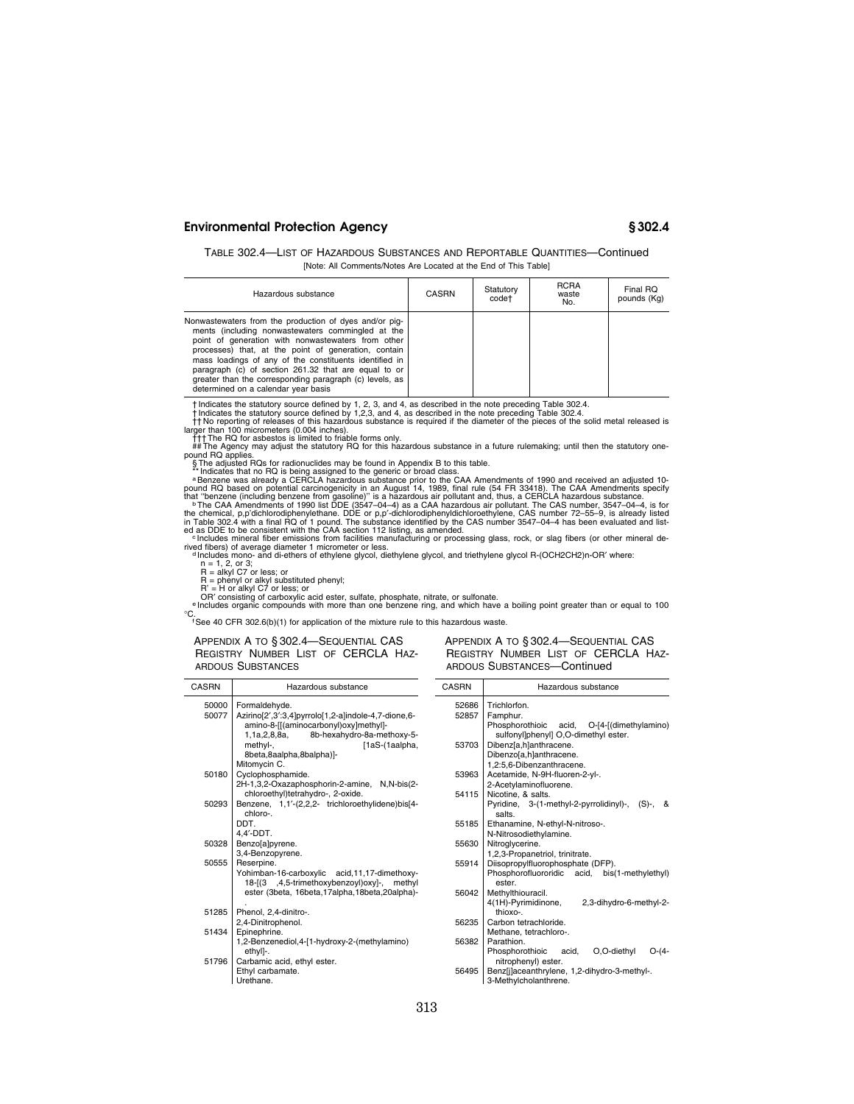TABLE 302.4—LIST OF HAZARDOUS SUBSTANCES AND REPORTABLE QUANTITIES—Continued [Note: All Comments/Notes Are Located at the End of This Table]

| Hazardous substance                                                                                                                                                                                                                                                                                                                                                                                                                           | <b>CASRN</b> | Statutory<br>code† | <b>RCRA</b><br>waste<br>No. | Final RQ<br>pounds (Kg) |
|-----------------------------------------------------------------------------------------------------------------------------------------------------------------------------------------------------------------------------------------------------------------------------------------------------------------------------------------------------------------------------------------------------------------------------------------------|--------------|--------------------|-----------------------------|-------------------------|
| Nonwastewaters from the production of dyes and/or pig-<br>ments (including nonwastewaters commingled at the<br>point of generation with nonwastewaters from other<br>processes) that, at the point of generation, contain<br>mass loadings of any of the constituents identified in<br>paragraph (c) of section 261.32 that are equal to or<br>greater than the corresponding paragraph (c) levels, as<br>determined on a calendar year basis |              |                    |                             |                         |

† Indicates the statutory source defined by 1, 2, 3, and 4, as described in the note preceding Table 302.4.<br>
Thickness the statutory source defined by 1,2,3, and 4, as described in the note preceding Table 302.4.<br>
This rep

S The adjusted RQs for radionuclides may be found in Appendix B to this table.<br>
"Indicates that no RQ is being assigned to the generic or broad class.<br>
"Indicates that no RQ is being assigned to the generic or broad class

rived fibers) of average diameter 1 micrometer or less.<br>
"Includes mono- and di-ethers of ethylene glycol, diethylene glycol, and triethylene glycol R-(OCH2CH2)n-OR' where:<br>
n = 1, 2, or 3;<br>
n = 1,kyl C7 or less; or<br>
R = a

50000 Formaldehyde.

Mitomycin C. 50180 Cyclophosphamide.

chloro-. DDT. 4,4′-DDT. 50328 Benzo[a]pyrene. 3,4-Benzopyrene.

. 51285 Phenol, 2,4-dinitro-. 2,4-Dinitrophenol. 51434 Epinephrine.

ethyl]-. 51796 Carbamic acid, ethyl ester. Ethyl carbamate. Urethane.

50555 Reserpine.

CASRN Hazardous substance

8beta,8aalpha,8balpha)]-

°C. fSee 40 CFR 302.6(b)(1) for application of the mixture rule to this hazardous waste.

1,1a,2,8,8a, 8b-hexahydro-8a-methoxy-5-

APPENDIX A TO § 302.4—SEQUENTIAL CAS REGISTRY NUMBER LIST OF CERCLA HAZ-ARDOUS SUBSTANCES

50077 Azirino[2′,3′:3,4]pyrrolo[1,2-a]indole-4,7-dione,6 amino-8-[[(aminocarbonyl)oxy]methyl]-<br>1,1a,2,8,8a, 8b-hexahydro-8a-me

methyl-, [1aS-(1aalpha,

2H-1,3,2-Oxazaphosphorin-2-amine, N,N-bis(2 chloroethyl)tetrahydro-, 2-oxide. 50293 Benzene, 1,1′-(2,2,2- trichloroethylidene)bis[4-

> Yohimban-16-carboxylic acid,11,17-dimethoxy-18-[(3 ,4,5-trimethoxybenzoyl)oxy]-, methyl ester (3beta, 16beta,17alpha,18beta,20alpha)-

1,2-Benzenediol,4-[1-hydroxy-2-(methylamino)

| CASRN          | Hazardous substance                                                                                                                      |  |  |
|----------------|------------------------------------------------------------------------------------------------------------------------------------------|--|--|
| 52686<br>52857 | Trichlorfon.<br>Famphur.                                                                                                                 |  |  |
| 53703          | Phosphorothioic acid, O-[4-[(dimethylamino)<br>sulfonyl]phenyl] O,O-dimethyl ester.<br>Dibenz[a,h]anthracene.<br>Dibenzo[a,h]anthracene. |  |  |
|                | 1,2:5,6-Dibenzanthracene.                                                                                                                |  |  |
| 53963          | Acetamide, N-9H-fluoren-2-yl-.<br>2-Acetvlaminofluorene.                                                                                 |  |  |
| 54115          | Nicotine, & salts.                                                                                                                       |  |  |
|                | Pyridine, 3-(1-methyl-2-pyrrolidinyl)-, (S)-,<br>&<br>salts.                                                                             |  |  |
| 55185          | Ethanamine, N-ethyl-N-nitroso-.                                                                                                          |  |  |
|                | N-Nitrosodiethylamine.                                                                                                                   |  |  |
| 55630          | Nitroglycerine.<br>1,2,3-Propanetriol, trinitrate.<br>Diisopropylfluorophosphate (DFP).                                                  |  |  |
| 55914          |                                                                                                                                          |  |  |
|                | Phosphorofluororidic acid, bis(1-methylethyl)                                                                                            |  |  |
|                | ester.                                                                                                                                   |  |  |
| 56042          | Methylthiouracil.                                                                                                                        |  |  |
|                | 4(1H)-Pyrimidinone,<br>2,3-dihydro-6-methyl-2-<br>thioxo-.                                                                               |  |  |
| 56235          | Carbon tetrachloride.                                                                                                                    |  |  |
|                | Methane, tetrachloro-.                                                                                                                   |  |  |
| 56382          | Parathion.                                                                                                                               |  |  |
|                | Phosphorothioic acid,<br>O,O-diethyl<br>O-(4-<br>nitrophenyl) ester.                                                                     |  |  |
| 56495          | Benz[j]aceanthrylene, 1,2-dihydro-3-methyl-.                                                                                             |  |  |
|                | 3-Methylcholanthrene.                                                                                                                    |  |  |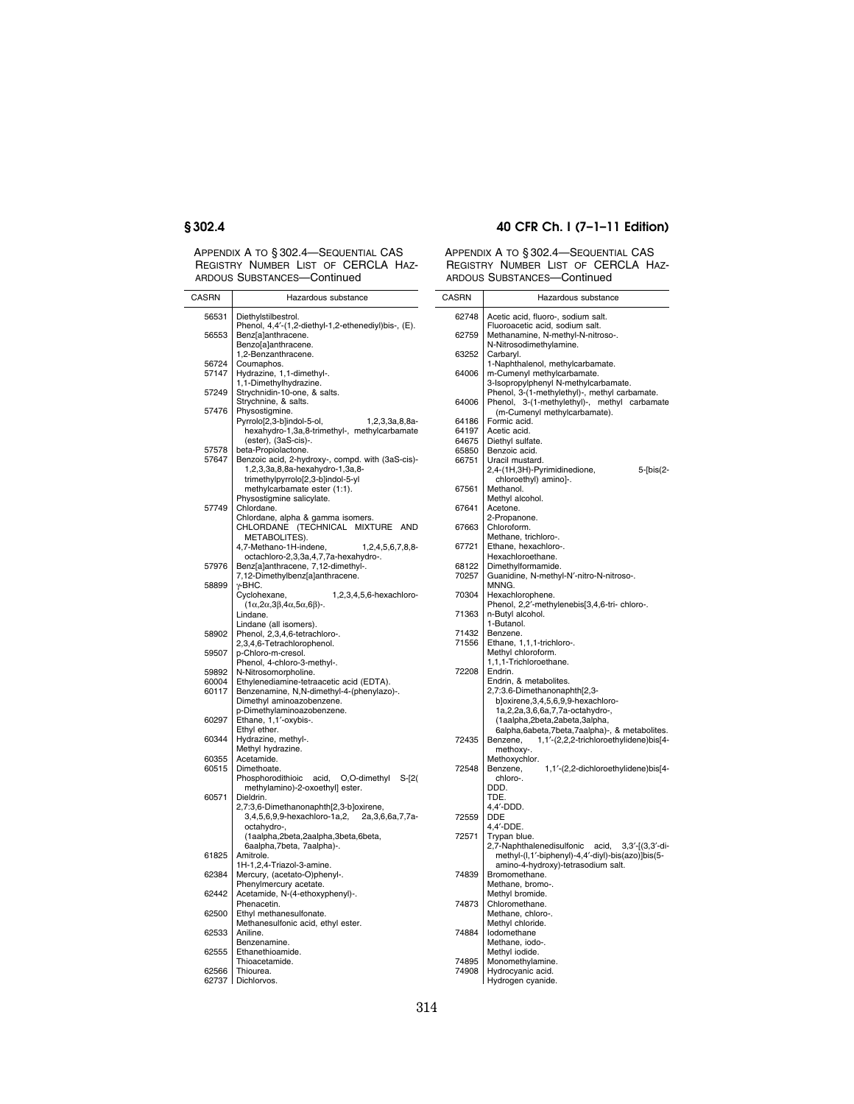APPENDIX A TO § 302.4—SEQUENTIAL CAS REGISTRY NUMBER LIST OF CERCLA HAZ-

## **§ 302.4 40 CFR Ch. I (7–1–11 Edition)**

|              | ARDOUS SUBSTANCES-Continued                                                                                              | <b>ARD</b>  |
|--------------|--------------------------------------------------------------------------------------------------------------------------|-------------|
| <b>CASRN</b> | Hazardous substance                                                                                                      | CASR        |
| 56531        | Diethylstilbestrol.<br>Phenol, 4,4'-(1,2-diethyl-1,2-ethenediyl)bis-, (E).                                               | 62          |
| 56553        | Benz[a]anthracene.<br>Benzo[a]anthracene.                                                                                | 62          |
| 56724        | 1,2-Benzanthracene.                                                                                                      | 63          |
| 57147        | Coumaphos.<br>Hydrazine, 1,1-dimethyl-.<br>1,1-Dimethylhydrazine.                                                        | 64          |
| 57249        | Strychnidin-10-one, & salts.<br>Strychnine, & salts.                                                                     | 64          |
| 57476        | Physostigmine.<br>Pyrrolo[2,3-b]indol-5-ol,<br>1,2,3,3a,8,8a-                                                            | 64          |
|              | hexahydro-1,3a,8-trimethyl-, methylcarbamate<br>(ester), (3aS-cis)-.                                                     | 64<br>64    |
| 57578        | beta-Propiolactone.                                                                                                      | 65          |
| 57647        | Benzoic acid, 2-hydroxy-, compd. with (3aS-cis)-<br>1,2,3,3a,8,8a-hexahydro-1,3a,8-<br>trimethylpyrrolo[2,3-b]indol-5-yl | 66          |
|              | methylcarbamate ester (1:1).<br>Physostigmine salicylate.                                                                | 67          |
| 57749        | Chlordane.                                                                                                               | 67          |
|              | Chlordane, alpha & gamma isomers.<br>CHLORDANE (TECHNICAL MIXTURE<br><b>AND</b><br>METABOLITES).                         | 67          |
|              | 4,7-Methano-1H-indene,<br>1,2,4,5,6,7,8,8-<br>octachloro-2,3,3a,4,7,7a-hexahydro-.                                       | 67          |
| 57976        | Benz[a]anthracene, 7,12-dimethyl-.<br>7,12-Dimethylbenz[a]anthracene.                                                    | 68<br>70    |
| 58899        | γ-BHC.<br>Cyclohexane,<br>1,2,3,4,5,6-hexachloro-                                                                        | 70          |
|              | $(1\alpha, 2\alpha, 3\beta, 4\alpha, 5\alpha, 6\beta)$ -.<br>Lindane.                                                    | 71:         |
| 58902        | Lindane (all isomers).<br>Phenol, 2,3,4,6-tetrachloro-.                                                                  | $71-$<br>71 |
| 59507        | 2,3,4,6-Tetrachlorophenol.<br>p-Chloro-m-cresol.                                                                         |             |
| 59892        | Phenol, 4-chloro-3-methyl-.<br>N-Nitrosomorpholine.                                                                      | 72:         |
| 60004        | Ethylenediamine-tetraacetic acid (EDTA).                                                                                 |             |
| 60117        | Benzenamine, N,N-dimethyl-4-(phenylazo)-.                                                                                |             |
|              | Dimethyl aminoazobenzene.<br>p-Dimethylaminoazobenzene.                                                                  |             |
| 60297        | Ethane, 1,1'-oxybis-.                                                                                                    |             |
|              | Ethyl ether.                                                                                                             |             |
| 60344        | Hydrazine, methyl-.                                                                                                      | 72          |
| 60355        | Methyl hydrazine.<br>Acetamide.                                                                                          |             |
| 60515        | Dimethoate.                                                                                                              | 72          |
|              | Phosphorodithioic<br>acid,<br>O,O-dimethyl<br>$S-[2($                                                                    |             |
| 60571        | methylamino)-2-oxoethyl] ester.<br>Dieldrin.                                                                             |             |
|              | 2,7:3,6-Dimethanonaphth[2,3-b]oxirene,                                                                                   |             |
|              | 3,4,5,6,9,9-hexachloro-1a,2,<br>2a, 3, 6, 6a, 7, 7a-<br>octahydro-,                                                      | 72          |
|              | (1aalpha,2beta,2aalpha,3beta,6beta,                                                                                      | 72          |
|              | 6aalpha,7beta, 7aalpha)-.                                                                                                |             |
| 61825        | Amitrole.                                                                                                                |             |
| 62384        | 1H-1,2,4-Triazol-3-amine.<br>Mercury, (acetato-O)phenyl-.                                                                | 74          |
| 62442        | Phenylmercury acetate.<br>Acetamide, N-(4-ethoxyphenyl)-.                                                                |             |
| 62500        | Phenacetin.<br>Ethyl methanesulfonate.                                                                                   | 74          |
|              | Methanesulfonic acid, ethyl ester.                                                                                       |             |
| 62533        | Aniline.                                                                                                                 | 74          |
| 62555        | Benzenamine.<br>Ethanethioamide.                                                                                         |             |
|              | Thioacetamide.                                                                                                           | 74          |
| 62566        | Thiourea.                                                                                                                | 74          |
|              | 62737   Dichlorvos.                                                                                                      |             |

| 62748          | Acetic acid, fluoro-, sodium salt.                                   |
|----------------|----------------------------------------------------------------------|
| 62759          | Fluoroacetic acid, sodium salt.<br>Methanamine, N-methyl-N-nitroso-. |
|                | N-Nitrosodimethylamine.                                              |
| 63252          | Carbaryl.<br>1-Naphthalenol, methylcarbamate.                        |
| 64006          | m-Cumenyl methylcarbamate.                                           |
|                | 3-Isopropylphenyl N-methylcarbamate.                                 |
|                | Phenol, 3-(1-methylethyl)-, methyl carbamate.                        |
| 64006          | 3-(1-methylethyl)-,<br>Phenol,<br>methyl carbamate                   |
|                | (m-Cumenyl methylcarbamate).                                         |
| 64186<br>64197 | Formic acid.<br>Acetic acid.                                         |
| 64675          | Diethyl sulfate.                                                     |
| 65850          | Benzoic acid.                                                        |
| 66751          | Uracil mustard.                                                      |
|                | 2,4-(1H,3H)-Pyrimidinedione,<br>5-[bis(2-                            |
|                | chloroethyl) amino]-.                                                |
| 67561          | Methanol.<br>Methyl alcohol.                                         |
| 67641          | Acetone.                                                             |
|                | 2-Propanone.                                                         |
| 67663          | Chloroform.                                                          |
|                | Methane, trichloro-.                                                 |
| 67721          | Ethane, hexachloro-.                                                 |
| 68122          | Hexachloroethane.<br>Dimethylformamide.                              |
| 70257          | Guanidine, N-methyl-N'-nitro-N-nitroso-.                             |
|                | MNNG.                                                                |
| 70304          | Hexachlorophene.                                                     |
|                | Phenol, 2,2'-methylenebis[3,4,6-tri-chloro-.                         |
| 71363          | n-Butyl alcohol.<br>1-Butanol.                                       |
| 71432          | Benzene.                                                             |
| 71556          | Ethane, 1,1,1-trichloro-.                                            |
|                | Methyl chloroform.                                                   |
|                | 1.1.1-Trichloroethane.                                               |
|                |                                                                      |
| 72208          | Endrin.                                                              |
|                | Endrin, & metabolites.                                               |
|                | 2,7:3.6-Dimethanonaphth[2,3-                                         |
|                | b]oxirene,3,4,5,6,9,9-hexachloro-                                    |
|                | 1a,2,2a,3,6,6a,7,7a-octahydro-,<br>(1aalpha,2beta,2abeta,3alpha,     |
|                | 6alpha,6abeta,7beta,7aalpha)-, & metabolites.                        |
| 72435          | Benzene,<br>1,1'-(2,2,2-trichloroethylidene)bis[4-                   |
|                | methoxy-.                                                            |
|                | Methoxychlor.                                                        |
| 72548          | 1,1'-(2,2-dichloroethylidene)bis[4-<br>Benzene,<br>chloro-.          |
|                | DDD.                                                                 |
|                | TDE.                                                                 |
|                | 4,4'-DDD.                                                            |
| 72559          | DDE                                                                  |
| 72571          | 4,4'-DDE.<br>Trypan blue.                                            |
|                | 2,7-Naphthalenedisulfonic<br>acid,<br>$3,3'-[(3,3'-di-$              |
|                | methyl-(l,1'-biphenyl)-4,4'-diyl)-bis(azo)]bis(5-                    |
|                | amino-4-hydroxy)-tetrasodium salt.                                   |
| 74839          | Bromomethane.                                                        |
|                | Methane, bromo-.                                                     |
|                | Methyl bromide.                                                      |
| 74873          | Chloromethane.<br>Methane, chloro-.                                  |
|                | Methyl chloride.                                                     |
| 74884          | Iodomethane                                                          |
|                | Methane, iodo-.                                                      |
|                | Methyl iodide.                                                       |
| 74895<br>74908 | Monomethylamine.<br>Hydrocyanic acid.                                |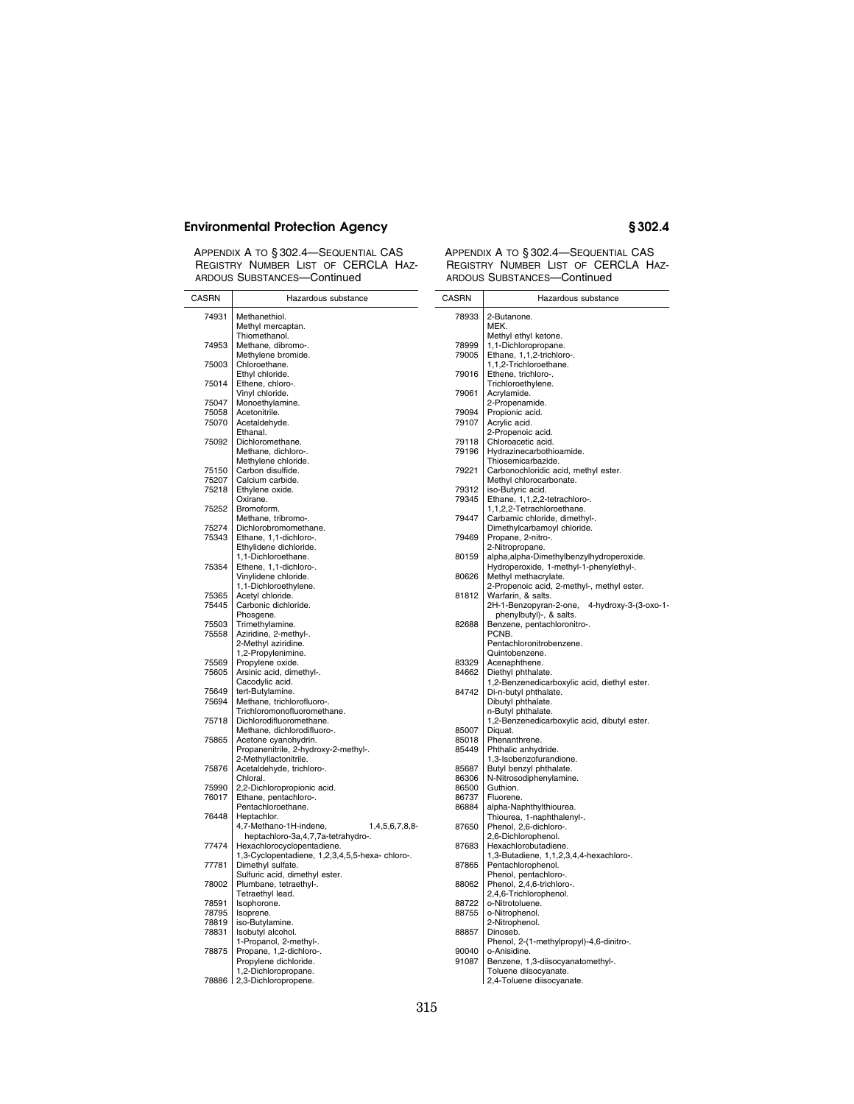APPENDIX A TO § 302.4—SEQUENTIAL CAS REGISTRY NUMBER LIST OF CERCLA HAZ-ARDOUS SUBSTANCES—Continued

| <b>CASRN</b>   | Hazardous substance                                                 | CASRN          |
|----------------|---------------------------------------------------------------------|----------------|
| 74931          | Methanethiol.                                                       | 78933          |
|                | Methyl mercaptan.                                                   |                |
| 74953          | Thiomethanol.<br>Methane, dibromo-.                                 | 78999          |
|                | Methylene bromide.                                                  | 79005          |
| 75003          | Chloroethane.                                                       |                |
|                | Ethyl chloride.                                                     | 79016          |
| 75014          | Ethene, chloro-.<br>Vinyl chloride.                                 | 79061          |
| 75047          | Monoethylamine.                                                     |                |
| 75058          | Acetonitrile.                                                       | 79094          |
| 75070          | Acetaldehyde.<br>Ethanal.                                           | 79107          |
| 75092          | Dichloromethane.                                                    | 79118          |
|                | Methane, dichloro-.                                                 | 79196          |
| 75150          | Methylene chloride.<br>Carbon disulfide.                            | 79221          |
| 75207          | Calcium carbide.                                                    |                |
| 75218          | Ethylene oxide.                                                     | 79312          |
| 75252          | Oxirane.<br>Bromoform.                                              | 79345          |
|                | Methane, tribromo-.                                                 | 79447          |
| 75274          | Dichlorobromomethane.                                               |                |
| 75343          | Ethane, 1,1-dichloro-.<br>Ethylidene dichloride.                    | 79469          |
|                | 1,1-Dichloroethane.                                                 | 80159          |
| 75354          | Ethene, 1,1-dichloro-.                                              |                |
|                | Vinylidene chloride.                                                | 80626          |
| 75365          | 1,1-Dichloroethylene.<br>Acetyl chloride.                           | 81812          |
| 75445          | Carbonic dichloride.                                                |                |
|                | Phosgene.                                                           |                |
| 75503<br>75558 | Trimethylamine.<br>Aziridine, 2-methyl-.                            | 82688          |
|                | 2-Methyl aziridine.                                                 |                |
|                | 1,2-Propylenimine.                                                  |                |
| 75569<br>75605 | Propylene oxide.<br>Arsinic acid, dimethyl-.                        | 83329<br>84662 |
|                | Cacodylic acid.                                                     |                |
| 75649          | tert-Butylamine.                                                    | 84742          |
| 75694          | Methane, trichlorofluoro-.<br>Trichloromonofluoromethane.           |                |
| 75718          | Dichlorodifluoromethane.                                            |                |
|                | Methane, dichlorodifluoro-.                                         | 85007          |
| 75865          | Acetone cyanohydrin.<br>Propanenitrile, 2-hydroxy-2-methyl-.        | 85018<br>85449 |
|                | 2-Methyllactonitrile.                                               |                |
| 75876          | Acetaldehyde, trichloro-.                                           | 85687          |
| 75990          | Chloral.<br>2,2-Dichloropropionic acid.                             | 86306<br>86500 |
| 76017          | Ethane, pentachloro-.                                               | 86737          |
|                | Pentachloroethane.                                                  | 86884          |
| 76448          | Heptachlor.<br>4,7-Methano-1H-indene,<br>1,4,5,6,7,8,8-             | 87650          |
|                | heptachloro-3a,4,7,7a-tetrahydro-.                                  |                |
| 77474          | Hexachlorocyclopentadiene.                                          | 87683          |
| 77781          | 1,3-Cyclopentadiene, 1,2,3,4,5,5-hexa-chloro-.<br>Dimethyl sulfate. | 87865          |
|                | Sulfuric acid, dimethyl ester.                                      |                |
| 78002          | Plumbane, tetraethyl-.                                              | 88062          |
| 78591          | Tetraethyl lead.<br>Isophorone.                                     | 88722          |
| 78795          | Isoprene.                                                           | 88755          |
| 78819          | iso-Butylamine.                                                     |                |
| 78831          | Isobutyl alcohol.<br>1-Propanol, 2-methyl-.                         | 88857          |
| 78875          | Propane, 1,2-dichloro-.                                             | 90040          |
|                | Propylene dichloride.                                               | 91087          |
| 78886          | 1,2-Dichloropropane.<br>2,3-Dichloropropene.                        |                |
|                |                                                                     |                |

| CASRN          | Hazardous substance                                                |
|----------------|--------------------------------------------------------------------|
| 78933          | 2-Butanone.                                                        |
|                | MEK.                                                               |
|                | Methyl ethyl ketone.                                               |
| 78999          | 1,1-Dichloropropane.                                               |
| 79005          | Ethane, 1,1,2-trichloro-.                                          |
|                | 1,1,2-Trichloroethane.                                             |
| 79016          | Ethene, trichloro-.                                                |
| 79061          | Trichloroethylene.<br>Acrylamide.                                  |
|                | 2-Propenamide.                                                     |
| 79094          | Propionic acid.                                                    |
| 79107          | Acrylic acid.                                                      |
|                | 2-Propenoic acid.                                                  |
| 79118<br>79196 | Chloroacetic acid.<br>Hydrazinecarbothioamide.                     |
|                | Thiosemicarbazide.                                                 |
| 79221          | Carbonochloridic acid, methyl ester.                               |
|                | Methyl chlorocarbonate.                                            |
| 79312          | iso-Butyric acid.                                                  |
| 79345          | Ethane, 1,1,2,2-tetrachloro-.<br>1,1,2,2-Tetrachloroethane.        |
| 79447          | Carbamic chloride, dimethyl-.                                      |
|                | Dimethylcarbamoyl chloride.                                        |
| 79469          | Propane, 2-nitro-.                                                 |
|                | 2-Nitropropane.                                                    |
| 80159          | alpha,alpha-Dimethylbenzylhydroperoxide.                           |
| 80626          | Hydroperoxide, 1-methyl-1-phenylethyl-.                            |
|                | Methyl methacrylate.<br>2-Propenoic acid, 2-methyl-, methyl ester. |
| 81812          | Warfarin, & salts.                                                 |
|                | 4-hydroxy-3-(3-oxo-1-<br>2H-1-Benzopyran-2-one,                    |
|                | phenylbutyl)-, & salts.                                            |
| 82688          | Benzene, pentachloronitro-.                                        |
|                | PCNB.<br>Pentachloronitrobenzene.                                  |
|                | Quintobenzene.                                                     |
| 83329          | Acenaphthene.                                                      |
| 84662          | Diethyl phthalate.                                                 |
|                | 1,2-Benzenedicarboxylic acid, diethyl ester.                       |
| 84742          | Di-n-butyl phthalate.                                              |
|                | Dibutyl phthalate.<br>n-Butyl phthalate.                           |
|                | 1,2-Benzenedicarboxylic acid, dibutyl ester.                       |
| 85007          | Diguat.                                                            |
| 85018          | Phenanthrene.                                                      |
| 85449          | Phthalic anhydride.                                                |
|                | 1,3-Isobenzofurandione.                                            |
| 85687<br>86306 | Butyl benzyl phthalate.<br>N-Nitrosodiphenylamine.                 |
| 86500          | Guthion.                                                           |
| 86737          | Fluorene.                                                          |
| 86884          | alpha-Naphthylthiourea.                                            |
|                | Thiourea, 1-naphthalenyl-.                                         |
| 87650          | Phenol, 2,6-dichloro-.<br>2,6-Dichlorophenol.                      |
| 87683          | Hexachlorobutadiene.                                               |
|                | 1,3-Butadiene, 1,1,2,3,4,4-hexachloro-.                            |
| 87865          | Pentachlorophenol.                                                 |
|                | Phenol, pentachloro-.                                              |
| 88062          | Phenol, 2,4,6-trichloro-.                                          |
| 88722          | 2,4,6-Trichlorophenol.<br>o-Nitrotoluene.                          |
| 88755          | o-Nitrophenol.                                                     |
|                | 2-Nitrophenol.                                                     |
| 88857          | Dinoseb.                                                           |
|                | Phenol, 2-(1-methylpropyl)-4,6-dinitro-.                           |
| 90040          | o-Anisidine.                                                       |
| 91087          | Benzene, 1,3-diisocyanatomethyl-.<br>Toluene diisocyanate.         |
|                | 2,4-Toluene diisocyanate.                                          |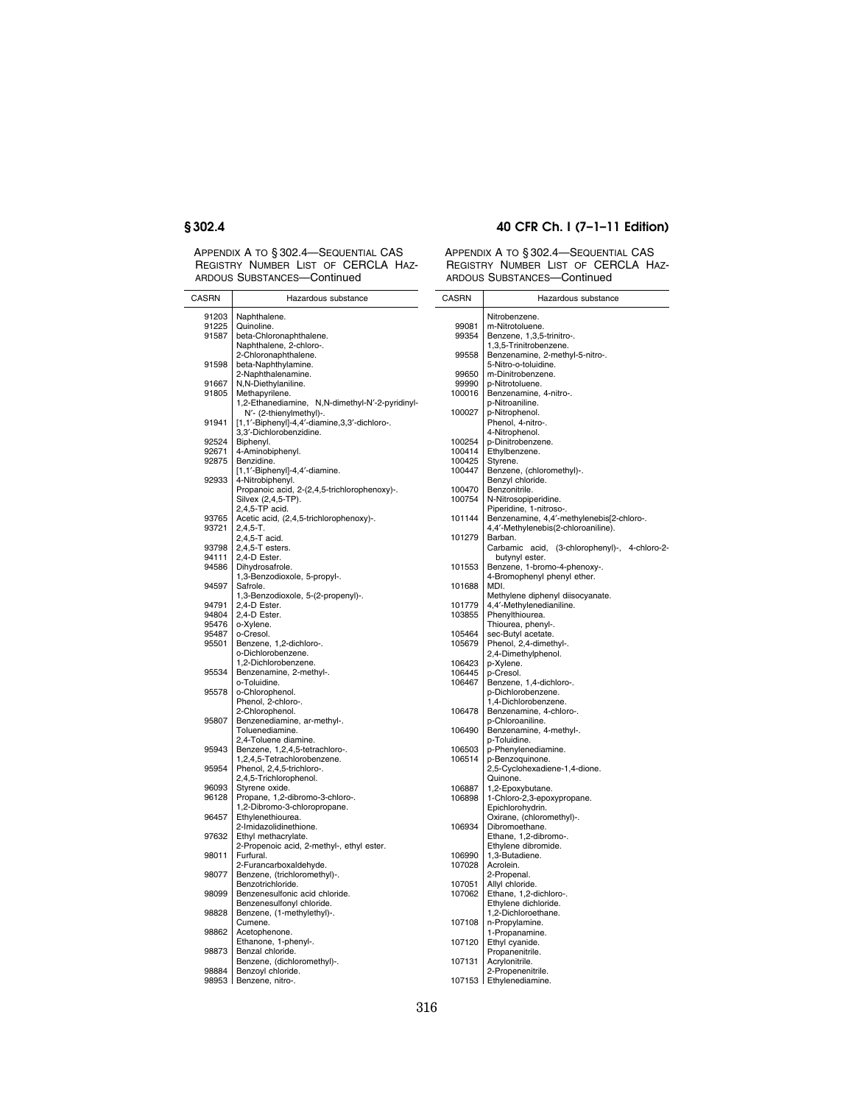L.

APPENDIX A TO § 302.4—SEQUENTIAL CAS REGISTRY NUMBER LIST OF CERCLA HAZ-ARDOUS SUBSTANCES—Continued

## **§ 302.4 40 CFR Ch. I (7–1–11 Edition)**

Hazardous substance

| CASRN | Hazardous substance                                               | CASRN           |
|-------|-------------------------------------------------------------------|-----------------|
| 91203 | Naphthalene.                                                      |                 |
| 91225 | Quinoline.                                                        | 99081           |
| 91587 | beta-Chloronaphthalene.                                           | 99354           |
|       | Naphthalene, 2-chloro-.                                           |                 |
|       | 2-Chloronaphthalene.                                              | 99558           |
| 91598 | beta-Naphthylamine.                                               |                 |
|       | 2-Naphthalenamine.                                                | 99650           |
| 91667 | N,N-Diethylaniline.                                               | 99990<br>100016 |
| 91805 | Methapyrilene.<br>1,2-Ethanediamine, N,N-dimethyl-N'-2-pyridinyl- |                 |
|       | N'- (2-thienylmethyl)-.                                           | 100027          |
| 91941 | [1,1'-Biphenyl]-4,4'-diamine,3,3'-dichloro-.                      |                 |
|       | 3,3'-Dichlorobenzidine.                                           |                 |
| 92524 | Biphenyl.                                                         | 100254          |
| 92671 | 4-Aminobiphenyl.                                                  | 100414          |
| 92875 | Benzidine.                                                        | 100425          |
|       | [1,1'-Biphenyl]-4,4'-diamine.                                     | 100447          |
| 92933 | 4-Nitrobiphenyl.                                                  |                 |
|       | Propanoic acid, 2-(2,4,5-trichlorophenoxy)-.                      | 100470          |
|       | Silvex (2,4,5-TP).                                                | 100754          |
|       | 2,4,5-TP acid.                                                    |                 |
| 93765 | Acetic acid, (2,4,5-trichlorophenoxy)-.                           | 101144          |
| 93721 | $2,4,5-T.$                                                        | 101279          |
| 93798 | 2,4,5-T acid.<br>2,4,5-T esters.                                  |                 |
| 94111 | 2,4-D Ester.                                                      |                 |
| 94586 | Dihydrosafrole.                                                   | 101553          |
|       | 1,3-Benzodioxole, 5-propyl-.                                      |                 |
| 94597 | Safrole.                                                          | 101688          |
|       | 1,3-Benzodioxole, 5-(2-propenyl)-.                                |                 |
| 94791 | 2,4-D Ester.                                                      | 101779          |
| 94804 | 2,4-D Ester.                                                      | 103855          |
| 95476 | o-Xylene.                                                         |                 |
| 95487 | o-Cresol.                                                         | 105464          |
| 95501 | Benzene, 1,2-dichloro-.                                           | 105679          |
|       | o-Dichlorobenzene.                                                |                 |
|       | 1,2-Dichlorobenzene.                                              | 106423          |
| 95534 | Benzenamine, 2-methyl-.                                           | 106445          |
| 95578 | o-Toluidine.<br>o-Chlorophenol.                                   | 106467          |
|       | Phenol, 2-chloro-.                                                |                 |
|       | 2-Chlorophenol.                                                   | 106478          |
| 95807 | Benzenediamine, ar-methyl-.                                       |                 |
|       | Toluenediamine.                                                   | 106490          |
|       | 2,4-Toluene diamine.                                              |                 |
| 95943 | Benzene, 1,2,4,5-tetrachloro-.                                    | 106503          |
|       | 1,2,4,5-Tetrachlorobenzene.                                       | 106514          |
| 95954 | Phenol, 2,4,5-trichloro-.                                         |                 |
|       | 2,4,5-Trichlorophenol.                                            |                 |
| 96093 | Styrene oxide.                                                    | 106887          |
| 96128 | Propane, 1,2-dibromo-3-chloro-.                                   | 106898          |
|       | 1,2-Dibromo-3-chloropropane.                                      |                 |
| 96457 | Ethylenethiourea.                                                 |                 |
| 97632 | 2-Imidazolidinethione.                                            | 106934          |
|       | Ethyl methacrylate.<br>2-Propenoic acid, 2-methyl-, ethyl ester.  |                 |
| 98011 | Furfural.                                                         | 106990          |
|       | 2-Furancarboxaldehyde.                                            | 107028          |
| 98077 | Benzene, (trichloromethyl)-.                                      |                 |
|       | Benzotrichloride.                                                 | 107051          |
| 98099 | Benzenesulfonic acid chloride.                                    | 107062          |
|       | Benzenesulfonyl chloride.                                         |                 |
| 98828 | Benzene, (1-methylethyl)-.                                        |                 |
|       | Cumene.                                                           | 107108          |
| 98862 | Acetophenone.                                                     |                 |
|       | Ethanone, 1-phenyl-.                                              | 107120          |
| 98873 | Benzal chloride.                                                  |                 |
|       | Benzene, (dichloromethyl)-.                                       | 107131          |
| 98884 | Benzoyl chloride.                                                 |                 |
|       | 98953 Benzene, nitro-.                                            | 107153          |
|       |                                                                   |                 |

|                  | Nitrobenzene.                                             |
|------------------|-----------------------------------------------------------|
| 99081            | m-Nitrotoluene.                                           |
| 99354            | Benzene, 1,3,5-trinitro-.                                 |
| 99558            | 1,3,5-Trinitrobenzene.<br>Benzenamine, 2-methyl-5-nitro-. |
|                  | 5-Nitro-o-toluidine.                                      |
| 99650            | m-Dinitrobenzene.                                         |
| 99990            | p-Nitrotoluene.                                           |
| 100016           | Benzenamine, 4-nitro-.                                    |
|                  | p-Nitroaniline.                                           |
| 100027           | p-Nitrophenol.<br>Phenol, 4-nitro-.                       |
|                  | 4-Nitrophenol.                                            |
| 100254           | p-Dinitrobenzene.                                         |
| 100414           | Ethylbenzene.                                             |
| 100425           | Styrene.                                                  |
| 100447           | Benzene, (chloromethyl)-.                                 |
|                  | Benzyl chloride.                                          |
| 100470<br>100754 | Benzonitrile.<br>N-Nitrosopiperidine.                     |
|                  | Piperidine, 1-nitroso-.                                   |
| 101144           | Benzenamine, 4,4'-methylenebis[2-chloro-.                 |
|                  | 4,4'-Methylenebis(2-chloroaniline).                       |
| 101279           | Barban.                                                   |
|                  | acid,<br>(3-chlorophenyl)-, 4-chloro-2-<br>Carbamic       |
| 101553           | butynyl ester.<br>Benzene, 1-bromo-4-phenoxy-.            |
|                  | 4-Bromophenyl phenyl ether.                               |
| 101688           | MDI.                                                      |
|                  | Methylene diphenyl diisocyanate.                          |
| 101779           | 4,4'-Methylenedianiline.                                  |
| 103855           | Phenylthiourea.                                           |
| 105464           | Thiourea, phenyl-.<br>sec-Butyl acetate.                  |
| 105679           | Phenol, 2,4-dimethyl-.                                    |
|                  | 2,4-Dimethylphenol.                                       |
| 106423           | p-Xylene.                                                 |
| 106445           | p-Cresol.                                                 |
| 106467           | Benzene, 1,4-dichloro-.                                   |
|                  | p-Dichlorobenzene.<br>1,4-Dichlorobenzene.                |
| 106478           | Benzenamine, 4-chloro-.                                   |
|                  | p-Chloroaniline.                                          |
| 106490           | Benzenamine, 4-methyl-.                                   |
|                  | p-Toluidine.                                              |
| 106503<br>106514 | p-Phenylenediamine.<br>p-Benzoquinone.                    |
|                  | 2,5-Cyclohexadiene-1,4-dione.                             |
|                  | Quinone.                                                  |
| 106887           | 1,2-Epoxybutane.                                          |
| 106898           | 1-Chloro-2,3-epoxypropane.                                |
|                  | Epichlorohydrin.                                          |
| 106934           | Oxirane, (chloromethyl)-.<br>Dibromoethane.               |
|                  | Ethane, 1,2-dibromo-.                                     |
|                  | Ethylene dibromide.                                       |
| 106990           | 1,3-Butadiene.                                            |
| 107028           | Acrolein.                                                 |
| 107051           | 2-Propenal.<br>Allyl chloride.                            |
| 107062           | Ethane, 1,2-dichloro-.                                    |
|                  | Ethylene dichloride.                                      |
|                  | 1,2-Dichloroethane.                                       |
| 107108           | n-Propylamine.                                            |
|                  | 1-Propanamine.                                            |
| 107120           | Ethyl cyanide.<br>Propanenitrile.                         |
| 107131           | Acrylonitrile.                                            |
|                  | 2-Propenenitrile.                                         |
|                  | 107153   Ethylenediamine.                                 |
|                  |                                                           |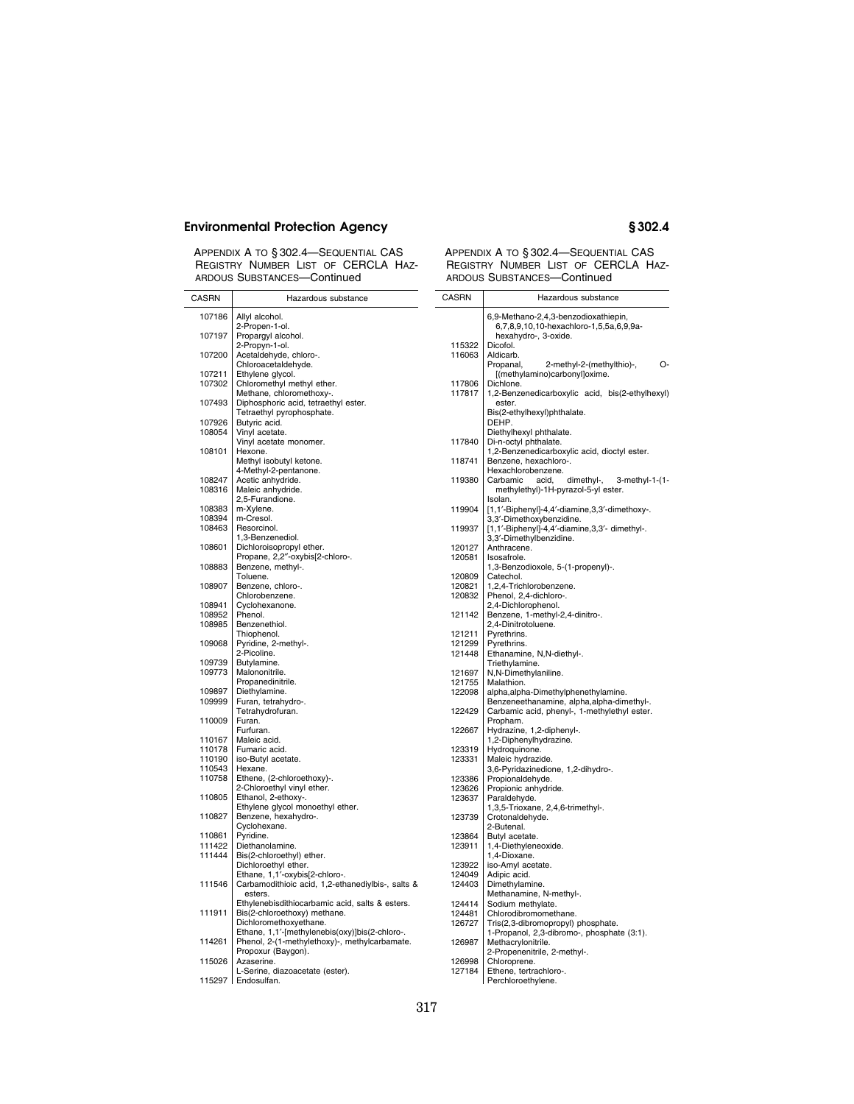| APPENDIX A TO § 302.4-SEQUENTIAL CAS |  |  |  |
|--------------------------------------|--|--|--|
| REGISTRY NUMBER LIST OF CERCLA HAZ-  |  |  |  |
| ARDOUS SUBSTANCES-Continued          |  |  |  |

| CASRN            | Hazardous substance                                              | CASRN          |
|------------------|------------------------------------------------------------------|----------------|
| 107186           | Allyl alcohol.                                                   |                |
|                  | 2-Propen-1-ol.                                                   |                |
| 107197           | Propargyl alcohol.                                               |                |
| 107200           | 2-Propyn-1-ol.<br>Acetaldehyde, chloro-.                         | 11532<br>11606 |
|                  | Chloroacetaldehyde.                                              |                |
| 107211           | Ethylene glycol.                                                 |                |
| 107302           | Chloromethyl methyl ether.                                       | 11780          |
| 107493           | Methane, chloromethoxy-.<br>Diphosphoric acid, tetraethyl ester. | 11781          |
|                  | Tetraethyl pyrophosphate.                                        |                |
| 107926           | Butyric acid.                                                    |                |
| 108054           | Vinyl acetate.                                                   |                |
| 108101           | Vinyl acetate monomer.<br>Hexone.                                | 11784          |
|                  | Methyl isobutyl ketone.                                          | 11874          |
|                  | 4-Methyl-2-pentanone.                                            |                |
| 108247           | Acetic anhydride.                                                | 11938          |
| 108316           | Maleic anhydride.<br>2,5-Furandione.                             |                |
| 108383           | m-Xylene.                                                        | 11990          |
| 108394           | m-Cresol.                                                        |                |
| 108463           | Resorcinol.                                                      | 11993          |
|                  | 1,3-Benzenediol.                                                 |                |
| 108601           | Dichloroisopropyl ether.<br>Propane, 2,2"-oxybis[2-chloro-.      | 12012<br>12058 |
| 108883           | Benzene, methyl-.                                                |                |
|                  | Toluene.                                                         | 12080          |
| 108907           | Benzene, chloro-.                                                | 12082          |
| 108941           | Chlorobenzene.                                                   | 12083          |
| 108952           | Cyclohexanone.<br>Phenol.                                        | 12114          |
| 108985           | Benzenethiol.                                                    |                |
|                  | Thiophenol.                                                      | 12121          |
| 109068           | Pyridine, 2-methyl-.                                             | 12129          |
| 109739           | 2-Picoline.<br>Butylamine.                                       | 12144          |
| 109773           | Malononitrile.                                                   | 12169          |
|                  | Propanedinitrile.                                                | 12175          |
| 109897           | Diethylamine.                                                    | 12209          |
| 109999           | Furan, tetrahydro-.<br>Tetrahydrofuran.                          | 12242          |
| 110009           | Furan.                                                           |                |
|                  | Furfuran.                                                        | 12266          |
| 110167           | Maleic acid.                                                     |                |
| 110178           | Fumaric acid.                                                    | 12331          |
| 110190<br>110543 | iso-Butyl acetate.<br>Hexane.                                    | 12333          |
| 110758           | Ethene, (2-chloroethoxy)-.                                       | 12338          |
|                  | 2-Chloroethyl vinyl ether.                                       | 12362          |
| 110805           | Ethanol, 2-ethoxy-.                                              | 12363          |
| 110827           | Ethylene glycol monoethyl ether.<br>Benzene, hexahydro-.         | 12373          |
|                  | Cyclohexane.                                                     |                |
| 110861           | Pyridine.                                                        | 12386          |
| 111422           | Diethanolamine.                                                  | 12391          |
| 111444           | Bis(2-chloroethyl) ether.<br>Dichloroethyl ether.                | 12392          |
|                  | Ethane, 1,1'-oxybis[2-chloro-.                                   | 12404          |
| 111546           | Carbamodithioic acid, 1,2-ethanediylbis-, salts &                | 12440          |
|                  | esters.                                                          |                |
|                  | Ethylenebisdithiocarbamic acid, salts & esters.                  | 12441          |
| 111911           | Bis(2-chloroethoxy) methane.<br>Dichloromethoxyethane.           | 12448<br>12672 |
|                  | Ethane, 1,1'-[methylenebis(oxy)]bis(2-chloro-.                   |                |
| 114261           | Phenol, 2-(1-methylethoxy)-, methylcarbamate.                    | 12698          |
|                  | Propoxur (Baygon).                                               |                |
| 115026           | Azaserine.<br>L-Serine, diazoacetate (ester).                    | 12699<br>12718 |
|                  | 115297 Endosulfan.                                               |                |
|                  |                                                                  |                |

| CASRN            | Hazardous substance                                                           |  |
|------------------|-------------------------------------------------------------------------------|--|
|                  | 6,9-Methano-2,4,3-benzodioxathiepin,                                          |  |
|                  | 6,7,8,9,10,10-hexachloro-1,5,5a,6,9,9a-<br>hexahydro-, 3-oxide.               |  |
| 115322           | Dicofol.                                                                      |  |
| 116063           | Aldicarb.                                                                     |  |
|                  | 2-methyl-2-(methylthio)-,<br>О-<br>Propanal,<br>[(methylamino)carbonyl]oxime. |  |
| 117806           | Dichlone.                                                                     |  |
| 117817           | 1,2-Benzenedicarboxylic acid, bis(2-ethylhexyl)                               |  |
|                  | ester.<br>Bis(2-ethylhexyl)phthalate.                                         |  |
|                  | DEHP.                                                                         |  |
|                  | Diethylhexyl phthalate.                                                       |  |
| 117840           | Di-n-octyl phthalate.<br>1,2-Benzenedicarboxylic acid, dioctyl ester.         |  |
| 118741           | Benzene, hexachloro-.                                                         |  |
| 119380           | Hexachlorobenzene.<br>3-methyl-1-(1-<br>Carbamic<br>acid,<br>dimethyl-,       |  |
|                  | methylethyl)-1H-pyrazol-5-yl ester.                                           |  |
|                  | Isolan.                                                                       |  |
| 119904           | [1,1'-Biphenyl]-4,4'-diamine,3,3'-dimethoxy-.<br>3,3'-Dimethoxybenzidine.     |  |
| 119937           | [1,1'-Biphenyl]-4,4'-diamine,3,3'- dimethyl-.                                 |  |
| 120127           | 3,3'-Dimethylbenzidine.<br>Anthracene.                                        |  |
| 120581           | Isosafrole.                                                                   |  |
|                  | 1,3-Benzodioxole, 5-(1-propenyl)-.                                            |  |
| 120809<br>120821 | Catechol.<br>1,2,4-Trichlorobenzene.                                          |  |
| 120832           | Phenol, 2,4-dichloro-.                                                        |  |
| 121142           | 2,4-Dichlorophenol.<br>Benzene, 1-methyl-2,4-dinitro-.                        |  |
|                  | 2,4-Dinitrotoluene.                                                           |  |
| 121211           | Pyrethrins.                                                                   |  |
| 121299<br>121448 | Pyrethrins.<br>Ethanamine, N,N-diethyl-.                                      |  |
|                  | Triethylamine.                                                                |  |
| 121697<br>121755 | N,N-Dimethylaniline.<br>Malathion.                                            |  |
| 122098           | alpha, alpha-Dimethylphenethylamine.                                          |  |
|                  | Benzeneethanamine, alpha, alpha-dimethyl-.                                    |  |
| 122429           | Carbamic acid, phenyl-, 1-methylethyl ester.<br>Propham.                      |  |
| 122667           | Hydrazine, 1,2-diphenyl-.                                                     |  |
| 123319           | 1,2-Diphenylhydrazine.<br>Hydroquinone.                                       |  |
| 123331           | Maleic hydrazide.                                                             |  |
|                  | 3,6-Pyridazinedione, 1,2-dihydro-.                                            |  |
| 123386<br>123626 | Propionaldehyde.<br>Propionic anhydride.                                      |  |
| 123637           | Paraldehyde.                                                                  |  |
| 123739           | 1,3,5-Trioxane, 2,4,6-trimethyl-.                                             |  |
|                  | Crotonaldehyde.<br>2-Butenal.                                                 |  |
| 123864           | Butyl acetate.                                                                |  |
| 123911           | 1,4-Diethyleneoxide.<br>1,4-Dioxane.                                          |  |
| 123922           | iso-Amyl acetate.                                                             |  |
| 124049           | Adipic acid.                                                                  |  |
| 124403           | Dimethylamine.<br>Methanamine, N-methyl-.                                     |  |
| 124414           | Sodium methylate.                                                             |  |
| 124481<br>126727 | Chlorodibromomethane.<br>Tris(2,3-dibromopropyl) phosphate.                   |  |
|                  | 1-Propanol, 2,3-dibromo-, phosphate (3:1).                                    |  |
| 126987           | Methacrylonitrile.                                                            |  |
| 126998           | 2-Propenenitrile, 2-methyl-.<br>Chloroprene.                                  |  |
| 127184           | Ethene, tertrachloro-.                                                        |  |
|                  | Perchloroethylene.                                                            |  |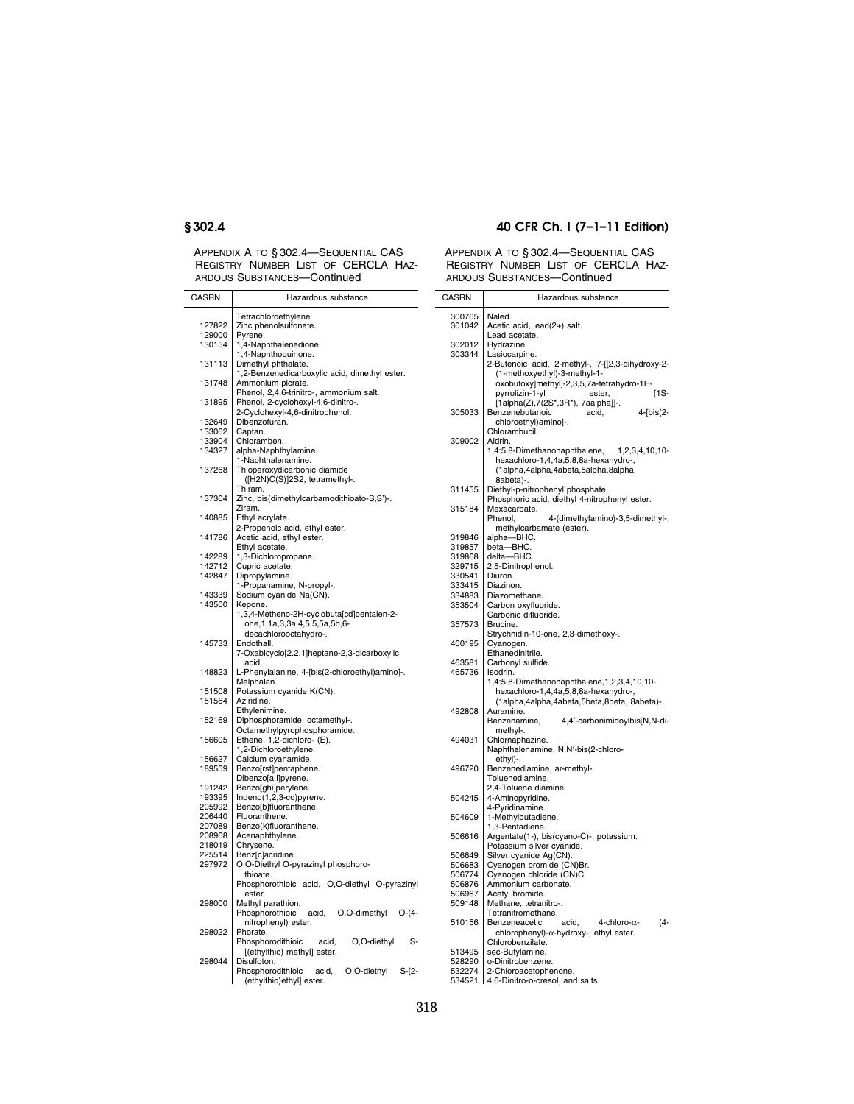APPENDIX A TO § 302.4—SEQUENTIAL CAS REGISTRY NUMBER LIST OF CERCLA HAZ-ARDOUS SUBSTANCES—Continued

## **§ 302.4 40 CFR Ch. I (7–1–11 Edition)**

| CASRN  | Hazardous substance                               | <b>CASRN</b>  |          |
|--------|---------------------------------------------------|---------------|----------|
|        | Tetrachloroethylene.                              | 300765        | Naled    |
| 127822 | Zinc phenolsulfonate.                             | 301042        | Acetic   |
| 129000 | Pyrene.                                           |               | Lead a   |
| 130154 | 1,4-Naphthalenedione.                             | 302012        | Hydra    |
|        | 1,4-Naphthoquinone.                               | 303344        | Lasioo   |
| 131113 | Dimethyl phthalate.                               |               | 2-Bute   |
|        |                                                   |               |          |
|        | 1,2-Benzenedicarboxylic acid, dimethyl ester.     |               | (1-n     |
| 131748 | Ammonium picrate.                                 |               | oxo      |
|        | Phenol, 2,4,6-trinitro-, ammonium salt.           |               | pyrr     |
| 131895 | Phenol, 2-cyclohexyl-4,6-dinitro-.                |               | [1al     |
|        | 2-Cyclohexyl-4,6-dinitrophenol.                   | 305033        | Benze    |
| 132649 | Dibenzofuran.                                     |               | chlc     |
| 133062 | Captan.                                           |               | Chlora   |
| 133904 | Chloramben.                                       | 309002        | Aldrin   |
| 134327 | alpha-Naphthylamine.                              |               | 1,4:5,8  |
|        | 1-Naphthalenamine.                                |               | hex      |
| 137268 | Thioperoxydicarbonic diamide                      |               | (1al     |
|        | ([H2N)C(S)]2S2, tetramethyl-.                     |               | 8ab      |
|        | Thiram.                                           | 311455        | Diethy   |
| 137304 | Zinc, bis(dimethylcarbamodithioato-S,S')-.        |               | Phosp    |
|        | Ziram.                                            | 315184        | Mexa     |
| 140885 | Ethyl acrylate.                                   |               | Pheno    |
|        | 2-Propenoic acid, ethyl ester.                    |               | met      |
|        |                                                   |               |          |
| 141786 | Acetic acid, ethyl ester.                         | 319846        | alpha-   |
|        | Ethyl acetate.                                    | 319857        | beta-    |
| 142289 | 1,3-Dichloropropane.                              | 319868        | delta-   |
| 142712 | Cupric acetate.                                   | 329715        | $2,5-Di$ |
| 142847 | Dipropylamine.                                    | 330541        | Diuror   |
|        | 1-Propanamine, N-propyl-.                         | 333415        | Diazin   |
| 143339 | Sodium cyanide Na(CN).                            | 334883        | Diazo    |
| 143500 | Kepone.                                           | 353504        | Carbo    |
|        | 1,3,4-Metheno-2H-cyclobuta[cd]pentalen-2-         |               | Carbo    |
|        | one, 1, 1a, 3, 3a, 4, 5, 5, 5a, 5b, 6-            | 357573        | Brucir   |
|        | decachlorooctahydro-.                             |               | Strych   |
| 145733 | Endothall.                                        | 460195        | Cyano    |
|        | 7-Oxabicyclo[2.2.1]heptane-2,3-dicarboxylic       |               | Ethan    |
|        | acid.                                             | 463581        | Carbo    |
| 148823 |                                                   |               |          |
|        | L-Phenylalanine, 4-[bis(2-chloroethyl)amino]-.    | 465736        | Isodrir  |
|        | Melphalan.                                        |               | 1,4:5,1  |
| 151508 | Potassium cyanide K(CN).                          |               | hex      |
| 151564 | Aziridine.                                        |               | (1al     |
|        | Ethylenimine.                                     | 492808        | Auran    |
| 152169 | Diphosphoramide, octamethyl-.                     |               | Benze    |
|        | Octamethylpyrophosphoramide.                      |               | met      |
| 156605 | Ethene, 1,2-dichloro- (E).                        | 494031        | Chlorr   |
|        | 1,2-Dichloroethylene.                             |               | Napht    |
| 156627 | Calcium cyanamide.                                |               | ethy     |
| 189559 | Benzo[rst]pentaphene.                             | 496720        | Benze    |
|        | Dibenzo[a,i]pyrene.                               |               | Toluer   |
| 191242 | Benzo[ghi]perylene.                               |               | $2,4-Tc$ |
| 193395 | Indeno(1,2,3-cd)pyrene.                           | 504245        | 4-Ami    |
| 205992 | Benzo[b]fluoranthene.                             |               | 4-Pyri   |
| 206440 | Fluoranthene.                                     | 504609        | 1-Met    |
| 207089 |                                                   |               |          |
|        | Benzo(k)fluoranthene.                             |               | 1,3-Pe   |
| 208968 | Acenaphthylene.                                   | 506616        | Argen    |
| 218019 | Chrysene.                                         |               | Potas:   |
| 225514 | Benz[c]acridine.                                  | 506649        | Silver   |
| 297972 | O,O-Diethyl O-pyrazinyl phosphoro-                | 506683        | Cyano    |
|        | thioate.                                          | 506774        | Cyano    |
|        | Phosphorothioic acid, O,O-diethyl O-pyrazinyl     | 506876        | Ammo     |
|        | ester.                                            | 506967        | Acetyl   |
| 298000 | Methyl parathion.                                 | 509148        | Metha    |
|        | Phosphorothioic<br>acid,<br>O,O-dimethyl<br>O-(4- |               | Tetrar   |
|        | nitrophenyl) ester.                               | 510156        | Benze    |
| 298022 | Phorate.                                          |               | chlc     |
|        | Phosphorodithioic<br>O,O-diethyl<br>s-<br>acid,   |               | Chlord   |
|        | [(ethylthio) methyl] ester.                       | 513495        | sec-B    |
| 298044 | Disulfoton.                                       | 528290        | o-Dini   |
|        | O,O-diethyl<br>acid,                              | 532274        | 2-Chlo   |
|        | Phosphorodithioic<br>S-[2-                        |               |          |
|        | (ethylthio)ethyl] ester.                          | 534521 4,6-Di |          |

| CASRN            | Hazardous substance                                                     |
|------------------|-------------------------------------------------------------------------|
| 300765           | Naled.                                                                  |
| 301042           | Acetic acid, lead(2+) salt.                                             |
|                  | Lead acetate.                                                           |
| 302012           | Hydrazine.                                                              |
| 303344           | Lasiocarpine.                                                           |
|                  | 2-Butenoic acid, 2-methyl-, 7-[[2,3-dihydroxy-2-                        |
|                  | (1-methoxyethyl)-3-methyl-1-                                            |
|                  | oxobutoxy]methyl]-2,3,5,7a-tetrahydro-1H-                               |
|                  | [1S-<br>pyrrolizin-1-yl<br>ester,<br>[1alpha(Z),7(2S*,3R*), 7aalpha]]-. |
| 305033           | Benzenebutanoic<br>$4$ - $bis(2-$<br>acid,                              |
|                  | chloroethyl)amino]-.                                                    |
|                  | Chlorambucil.                                                           |
| 309002           | Aldrin.                                                                 |
|                  | 1,4:5,8-Dimethanonaphthalene,<br>1,2,3,4,10,10-                         |
|                  | hexachloro-1,4,4a,5,8,8a-hexahydro-,                                    |
|                  | (1alpha,4alpha,4abeta,5alpha,8alpha,                                    |
|                  | 8abeta)-.                                                               |
| 311455           | Diethyl-p-nitrophenyl phosphate.                                        |
|                  | Phosphoric acid, diethyl 4-nitrophenyl ester.                           |
| 315184           | Mexacarbate.                                                            |
|                  | 4-(dimethylamino)-3,5-dimethyl-,<br>Phenol,                             |
| 319846           | methylcarbamate (ester).<br>alpha-BHC.                                  |
| 319857           | beta-BHC.                                                               |
| 319868           | delta-BHC.                                                              |
| 329715           | 2,5-Dinitrophenol.                                                      |
| 330541           | Diuron.                                                                 |
| 333415           | Diazinon.                                                               |
| 334883           | Diazomethane.                                                           |
| 353504           | Carbon oxyfluoride.                                                     |
|                  | Carbonic difluoride.                                                    |
| 357573           | Brucine.                                                                |
|                  | Strychnidin-10-one, 2,3-dimethoxy-.                                     |
| 460195           | Cyanogen.                                                               |
| 463581           | Ethanedinitrile.                                                        |
| 465736           | Carbonyl sulfide.<br>Isodrin.                                           |
|                  | 1,4:5,8-Dimethanonaphthalene,1,2,3,4,10,10-                             |
|                  | ,-hexachloro-1,4,4a,5,8,8a-hexahydro                                    |
|                  | (1alpha,4alpha,4abeta,5beta,8beta, 8abeta)-.                            |
| 492808           | Auramine.                                                               |
|                  | 4,4'-carbonimidoylbis[N,N-di-<br>Benzenamine,                           |
|                  | methyl-.                                                                |
| 494031           | Chlornaphazine.                                                         |
|                  | Naphthalenamine, N,N'-bis(2-chloro-                                     |
|                  | ethyl)-.                                                                |
| 496720           | Benzenediamine, ar-methyl-.                                             |
|                  | Toluenediamine.                                                         |
|                  | 2,4-Toluene diamine.                                                    |
| 504245           | 4-Aminopyridine.                                                        |
| 504609           | 4-Pyridinamine.                                                         |
|                  | 1-Methylbutadiene.<br>1,3-Pentadiene.                                   |
| 506616           | Argentate(1-), bis(cyano-C)-, potassium.                                |
|                  | Potassium silver cyanide.                                               |
| 506649           | Silver cyanide Ag(CN).                                                  |
| 506683           | Cyanogen bromide (CN)Br.                                                |
| 506774           | Cyanogen chloride (CN)Cl.                                               |
| 506876           | Ammonium carbonate.                                                     |
| 506967           | Acetyl bromide.                                                         |
| 509148           | Methane, tetranitro-.                                                   |
|                  | Tetranitromethane.                                                      |
| 510156           | acid,<br>4-chloro- $\alpha$ -<br>(4-<br>Benzeneacetic                   |
|                  | chlorophenyl)-α-hydroxy-, ethyl ester.                                  |
|                  | Chlorobenzilate.                                                        |
| 513495           | sec-Butylamine.                                                         |
| 528290<br>532274 | o-Dinitrobenzene.                                                       |
|                  | 2-Chloroacetophenone.<br>534521   4,6-Dinitro-o-cresol, and salts.      |
|                  |                                                                         |
|                  |                                                                         |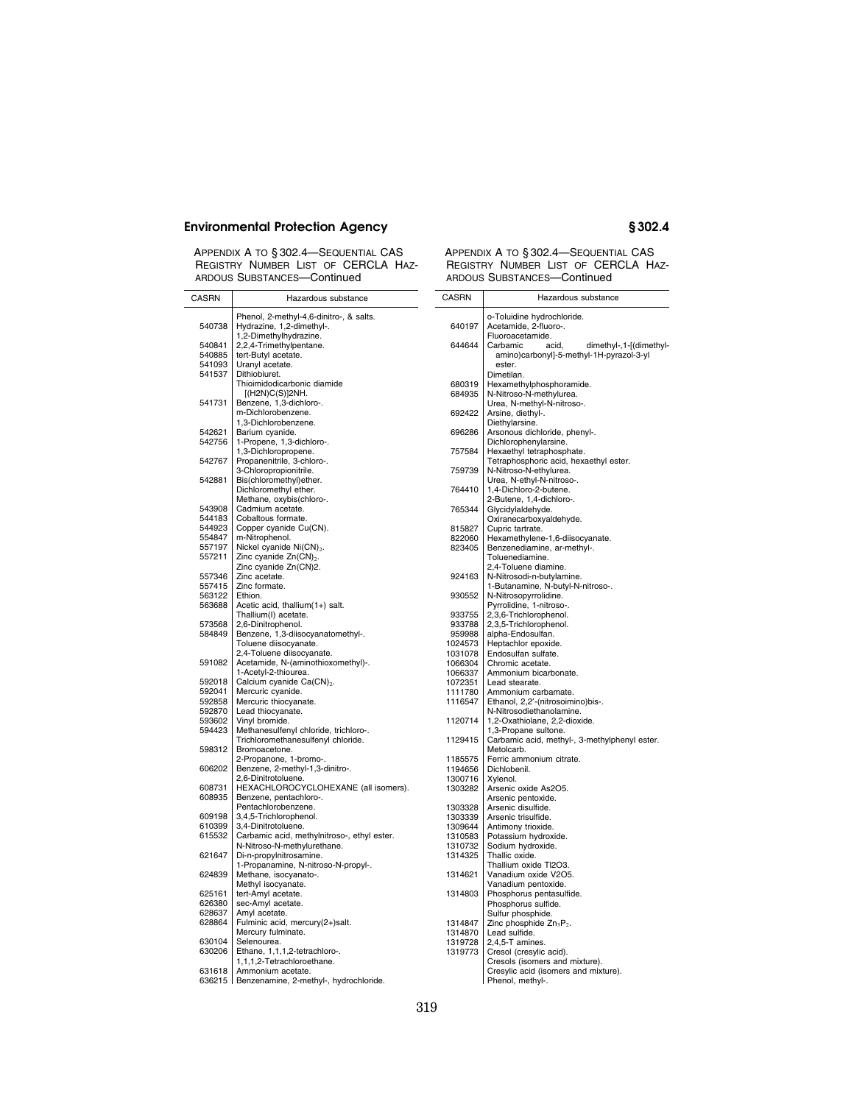APPENDIX A TO § 302.4—SEQUENTIAL CAS REGISTRY NUMBER LIST OF CERCLA HAZ-ARDOUS SUBSTANCES-Continued

### APPENDIX A TO § 302.4—SEQUENTIAL CAS REGISTRY NUMBER LIST OF CERCLA HAZ-ARDOUS SUBSTANCES—Continued

| CASRN            | Hazardous substance                                                         | <b>CASRN</b> | Hazardous substance                                         |
|------------------|-----------------------------------------------------------------------------|--------------|-------------------------------------------------------------|
|                  | Phenol, 2-methyl-4,6-dinitro-, & salts.                                     |              | o-Toluidine hydrochloride.                                  |
| 540738           | Hydrazine, 1,2-dimethyl-.                                                   | 640197       | Acetamide, 2-fluoro-.                                       |
|                  | 1,2-Dimethylhydrazine.                                                      |              | Fluoroacetamide.                                            |
| 540841           | 2,2,4-Trimethylpentane.                                                     | 644644       | dimethyl-, 1-[(dimethyl-<br>Carbamic<br>acid.               |
| 540885           | tert-Butyl acetate.                                                         |              | amino)carbonyl]-5-methyl-1H-pyrazol-3-yl                    |
| 541093           | Uranyl acetate.                                                             |              | ester.                                                      |
| 541537           | Dithiobiuret.                                                               |              | Dimetilan.                                                  |
|                  | Thioimidodicarbonic diamide                                                 | 680319       | Hexamethylphosphoramide.                                    |
|                  | [(H2N)C(S)]2NH.                                                             | 684935       | N-Nitroso-N-methylurea.                                     |
| 541731           | Benzene, 1,3-dichloro-.                                                     |              | Urea, N-methyl-N-nitroso-.                                  |
|                  | m-Dichlorobenzene.                                                          | 692422       | Arsine, diethyl-.                                           |
| 542621           | 1.3-Dichlorobenzene.<br>Barium cyanide.                                     |              | Diethylarsine.                                              |
| 542756           | 1-Propene, 1,3-dichloro-.                                                   | 696286       | Arsonous dichloride, phenyl-.<br>Dichlorophenylarsine.      |
|                  | 1,3-Dichloropropene.                                                        | 757584       | Hexaethyl tetraphosphate.                                   |
| 542767           | Propanenitrile, 3-chloro-.                                                  |              | Tetraphosphoric acid, hexaethyl ester.                      |
|                  | 3-Chloropropionitrile.                                                      | 759739       | N-Nitroso-N-ethylurea.                                      |
| 542881           | Bis(chloromethyl)ether.                                                     |              | Urea, N-ethyl-N-nitroso-.                                   |
|                  | Dichloromethyl ether.                                                       | 764410       | 1,4-Dichloro-2-butene.                                      |
|                  | Methane, oxybis(chloro-.                                                    |              | 2-Butene, 1,4-dichloro-.                                    |
| 543908           | Cadmium acetate.                                                            | 765344       | Glycidylaldehyde.                                           |
| 544183           | Cobaltous formate.                                                          |              | Oxiranecarboxyaldehyde.                                     |
| 544923           | Copper cyanide Cu(CN).                                                      | 815827       | Cupric tartrate.                                            |
| 554847           | m-Nitrophenol.                                                              | 822060       | Hexamethylene-1,6-diisocyanate.                             |
| 557197           | Nickel cyanide Ni(CN) <sub>2</sub> .                                        | 823405       | Benzenediamine, ar-methyl-.                                 |
| 557211           | Zinc cyanide Zn(CN) <sub>2</sub> .                                          |              | Toluenediamine.                                             |
|                  | Zinc cyanide Zn(CN)2.                                                       |              | 2,4-Toluene diamine.                                        |
| 557346           | Zinc acetate.                                                               | 924163       | N-Nitrosodi-n-butylamine.                                   |
| 557415           | Zinc formate.                                                               |              | 1-Butanamine, N-butyl-N-nitroso-.                           |
| 563122<br>563688 | Ethion.<br>Acetic acid, thallium(1+) salt.                                  | 930552       | N-Nitrosopyrrolidine.<br>Pyrrolidine, 1-nitroso-.           |
|                  | Thallium(I) acetate.                                                        | 933755       | 2,3,6-Trichlorophenol.                                      |
| 573568           | 2,6-Dinitrophenol.                                                          | 933788       | 2,3,5-Trichlorophenol.                                      |
| 584849           | Benzene, 1,3-diisocyanatomethyl-.                                           | 959988       | alpha-Endosulfan.                                           |
|                  | Toluene diisocyanate.                                                       | 1024573      | Heptachlor epoxide.                                         |
|                  | 2,4-Toluene diisocyanate.                                                   | 1031078      | Endosulfan sulfate.                                         |
| 591082           | Acetamide, N-(aminothioxomethyl)-.                                          | 1066304      | Chromic acetate.                                            |
|                  | 1-Acetyl-2-thiourea.                                                        | 1066337      | Ammonium bicarbonate.                                       |
| 592018           | Calcium cyanide Ca(CN) <sub>2</sub> .                                       | 1072351      | Lead stearate.                                              |
| 592041           | Mercuric cyanide.                                                           | 1111780      | Ammonium carbamate.                                         |
| 592858           | Mercuric thiocyanate.                                                       | 1116547      | Ethanol, 2,2'-(nitrosoimino)bis-.                           |
| 592870           | Lead thiocyanate.                                                           |              | N-Nitrosodiethanolamine.                                    |
| 593602           | Vinyl bromide.                                                              | 1120714      | 1,2-Oxathiolane, 2,2-dioxide.                               |
| 594423           | Methanesulfenyl chloride, trichloro-.<br>Trichloromethanesulfenyl chloride. | 1129415      | 1,3-Propane sultone.                                        |
| 598312           | Bromoacetone.                                                               |              | Carbamic acid, methyl-, 3-methylphenyl ester.<br>Metolcarb. |
|                  | 2-Propanone, 1-bromo-.                                                      | 1185575      | Ferric ammonium citrate.                                    |
| 606202           | Benzene, 2-methyl-1,3-dinitro-.                                             | 1194656      | Dichlobenil.                                                |
|                  | 2,6-Dinitrotoluene.                                                         | 1300716      | Xylenol.                                                    |
| 608731           | HEXACHLOROCYCLOHEXANE (all isomers).                                        | 1303282      | Arsenic oxide As2O5.                                        |
| 608935           | Benzene, pentachloro-.                                                      |              | Arsenic pentoxide.                                          |
|                  | Pentachlorobenzene.                                                         | 1303328      | Arsenic disulfide.                                          |
| 609198           | 3,4,5-Trichlorophenol.                                                      | 1303339      | Arsenic trisulfide.                                         |
| 610399           | 3,4-Dinitrotoluene.                                                         | 1309644      | Antimony trioxide.                                          |
| 615532           | Carbamic acid, methylnitroso-, ethyl ester.                                 | 1310583      | Potassium hydroxide.                                        |
|                  | N-Nitroso-N-methylurethane.                                                 | 1310732      | Sodium hydroxide.                                           |
| 621647           | Di-n-propylnitrosamine.                                                     | 1314325      | Thallic oxide.                                              |
|                  | 1-Propanamine, N-nitroso-N-propyl-.                                         |              | Thallium oxide TI2O3.                                       |
| 624839           | Methane, isocyanato-.<br>Methyl isocyanate.                                 | 1314621      | Vanadium oxide V2O5.                                        |
| 625161           | tert-Amyl acetate.                                                          | 1314803      | Vanadium pentoxide.<br>Phosphorus pentasulfide.             |
| 626380           | sec-Amyl acetate.                                                           |              | Phosphorus sulfide.                                         |
| 628637           | Amyl acetate.                                                               |              | Sulfur phosphide.                                           |
| 628864           | Fulminic acid, mercury(2+)salt.                                             | 1314847      | Zinc phosphide $Zn_3P_2$ .                                  |
|                  | Mercury fulminate.                                                          | 1314870      | Lead sulfide.                                               |
| 630104           | Selenourea.                                                                 | 1319728      | 2,4,5-T amines.                                             |
| 630206           | Ethane, 1,1,1,2-tetrachloro-.                                               | 1319773      | Cresol (cresylic acid).                                     |
|                  | 1,1,1,2-Tetrachloroethane.                                                  |              | Cresols (isomers and mixture).                              |
| 631618           | Ammonium acetate.                                                           |              | Cresylic acid (isomers and mixture).                        |
|                  | 636215   Benzenamine, 2-methyl-, hydrochloride.                             |              | Phenol, methyl-.                                            |

## 319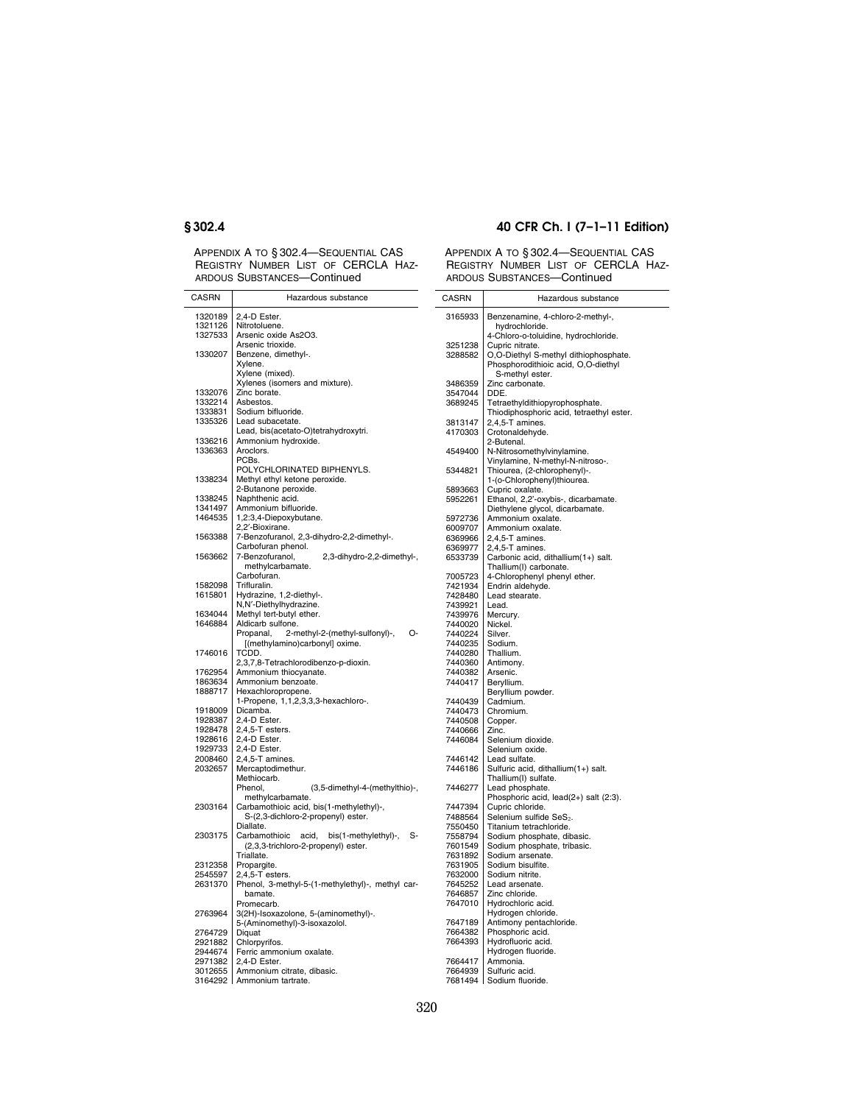APPENDIX A TO § 302.4—SEQUENTIAL CAS REGISTRY NUMBER LIST OF CERCLA HAZ-ARDOUS SUBSTANCES—Continued

## **§ 302.4 40 CFR Ch. I (7–1–11 Edition)**

| 1320189<br>2,4-D Ester.<br>3165933<br>Benzenamine, 4-chloro-2-methyl-,<br>1321126<br>Nitrotoluene.<br>hydrochloride.<br>1327533<br>Arsenic oxide As2O3.<br>4-Chloro-o-toluidine, hydrochloride.<br>Arsenic trioxide.<br>3251238<br>Cupric nitrate.<br>1330207<br>Benzene, dimethyl-.<br>O,O-Diethyl S-methyl dithiophosphate.<br>3288582<br>Xylene.<br>Phosphorodithioic acid, O,O-diethyl<br>Xylene (mixed).<br>S-methyl ester.<br>Xylenes (isomers and mixture).<br>3486359<br>Zinc carbonate.<br>1332076<br>Zinc borate.<br>3547044<br>DDE.<br>1332214<br>Asbestos.<br>Tetraethyldithiopyrophosphate.<br>3689245<br>1333831<br>Sodium bifluoride.<br>Thiodiphosphoric acid, tetraethyl ester.<br>1335326<br>Lead subacetate.<br>3813147<br>2,4,5-T amines.<br>Lead, bis(acetato-O)tetrahydroxytri.<br>4170303<br>Crotonaldehyde.<br>Ammonium hydroxide.<br>1336216<br>2-Butenal.<br>1336363<br>Aroclors.<br>4549400<br>N-Nitrosomethylvinylamine.<br>PCBs.<br>Vinylamine, N-methyl-N-nitroso-.<br>POLYCHLORINATED BIPHENYLS.<br>Thiourea, (2-chlorophenyl)-.<br>5344821<br>Methyl ethyl ketone peroxide.<br>1-(o-Chlorophenyl)thiourea.<br>1338234<br>2-Butanone peroxide.<br>Cupric oxalate.<br>5893663<br>1338245<br>Naphthenic acid.<br>Ethanol, 2,2'-oxybis-, dicarbamate.<br>5952261<br>Ammonium bifluoride.<br>1341497<br>Diethylene glycol, dicarbamate.<br>1464535<br>1,2:3,4-Diepoxybutane.<br>5972736<br>Ammonium oxalate.<br>2,2'-Bioxirane.<br>6009707<br>Ammonium oxalate.<br>7-Benzofuranol, 2,3-dihydro-2,2-dimethyl-.<br>1563388<br>6369966<br>$2,4,5$ -T amines.<br>Carbofuran phenol.<br>6369977<br>2,4,5-T amines.<br>1563662<br>7-Benzofuranol,<br>2,3-dihydro-2,2-dimethyl-,<br>Carbonic acid, dithallium(1+) salt.<br>6533739<br>methylcarbamate.<br>Thallium(I) carbonate.<br>Carbofuran.<br>4-Chlorophenyl phenyl ether.<br>7005723<br>Trifluralin.<br>1582098<br>Endrin aldehyde.<br>7421934<br>1615801<br>Hydrazine, 1,2-diethyl-.<br>7428480<br>Lead stearate.<br>N,N'-Diethylhydrazine.<br>7439921<br>Lead.<br>Methyl tert-butyl ether.<br>1634044<br>7439976<br>Mercury.<br>1646884<br>Aldicarb sulfone.<br>7440020<br>Nickel.<br>2-methyl-2-(methyl-sulfonyl)-,<br>Propanal.<br>О-<br>7440224<br>Silver.<br>[(methylamino)carbonyl] oxime.<br>7440235<br>Sodium.<br>1746016<br>TCDD.<br>7440280<br>Thallium.<br>2,3,7,8-Tetrachlorodibenzo-p-dioxin.<br>7440360<br>Antimony.<br>1762954<br>Ammonium thiocyanate.<br>7440382<br>Arsenic.<br>1863634<br>Ammonium benzoate.<br>7440417<br>Beryllium.<br>1888717<br>Hexachloropropene.<br>Beryllium powder.<br>1-Propene, 1,1,2,3,3,3-hexachloro-.<br>7440439<br>Cadmium.<br>1918009<br>Dicamba.<br>7440473<br>Chromium.<br>1928387<br>2,4-D Ester.<br>7440508<br>Copper.<br>1928478<br>$2,4,5$ -T esters.<br>7440666<br>Zinc.<br>2,4-D Ester.<br>7446084<br>Selenium dioxide.<br>1928616<br>2,4-D Ester.<br>1929733<br>Selenium oxide.<br>2008460<br>$2,4,5$ -T amines.<br>7446142<br>Lead sulfate.<br>2032657<br>Mercaptodimethur.<br>7446186<br>Sulfuric acid, dithallium(1+) salt.<br>Methiocarb.<br>Thallium(I) sulfate.<br>Phenol.<br>(3,5-dimethyl-4-(methylthio)-,<br>7446277<br>Lead phosphate.<br>methylcarbamate.<br>Phosphoric acid, lead(2+) salt (2:3).<br>Cupric chloride.<br>2303164<br>Carbamothioic acid, bis(1-methylethyl)-,<br>7447394<br>S-(2,3-dichloro-2-propenyl) ester.<br>7488564<br>Selenium sulfide SeS <sub>2</sub> .<br>Diallate.<br>Titanium tetrachloride.<br>7550450<br>2303175<br>Carbamothioic acid,<br>bis(1-methylethyl)-,<br>S-<br>7558794<br>Sodium phosphate, dibasic.<br>(2,3,3-trichloro-2-propenyl) ester.<br>Sodium phosphate, tribasic.<br>7601549<br>Sodium arsenate.<br>Triallate.<br>7631892<br>Sodium bisulfite.<br>2312358<br>Propargite.<br>7631905<br>2545597<br>$2,4,5$ -T esters.<br>7632000<br>Sodium nitrite.<br>2631370<br>Phenol, 3-methyl-5-(1-methylethyl)-, methyl car-<br>7645252<br>Lead arsenate.<br>bamate.<br>7646857<br>Zinc chloride.<br>7647010<br>Hydrochloric acid.<br>Promecarb.<br>3(2H)-Isoxazolone, 5-(aminomethyl)-.<br>Hydrogen chloride.<br>2763964<br>5-(Aminomethyl)-3-isoxazolol.<br>Antimony pentachloride.<br>7647189<br>Diquat<br>7664382<br>Phosphoric acid.<br>2764729<br>Hydrofluoric acid.<br>Chlorpyrifos.<br>2921882<br>7664393<br>Hydrogen fluoride.<br>2944674<br>Ferric ammonium oxalate.<br>2971382<br>2,4-D Ester.<br>7664417<br>Ammonia.<br>Ammonium citrate, dibasic.<br>7664939<br>Sulfuric acid.<br>3012655<br>3164292 Ammonium tartrate.<br>7681494 Sodium fluoride. | CASRN | Hazardous substance | CASRN | Hazardous substance |
|--------------------------------------------------------------------------------------------------------------------------------------------------------------------------------------------------------------------------------------------------------------------------------------------------------------------------------------------------------------------------------------------------------------------------------------------------------------------------------------------------------------------------------------------------------------------------------------------------------------------------------------------------------------------------------------------------------------------------------------------------------------------------------------------------------------------------------------------------------------------------------------------------------------------------------------------------------------------------------------------------------------------------------------------------------------------------------------------------------------------------------------------------------------------------------------------------------------------------------------------------------------------------------------------------------------------------------------------------------------------------------------------------------------------------------------------------------------------------------------------------------------------------------------------------------------------------------------------------------------------------------------------------------------------------------------------------------------------------------------------------------------------------------------------------------------------------------------------------------------------------------------------------------------------------------------------------------------------------------------------------------------------------------------------------------------------------------------------------------------------------------------------------------------------------------------------------------------------------------------------------------------------------------------------------------------------------------------------------------------------------------------------------------------------------------------------------------------------------------------------------------------------------------------------------------------------------------------------------------------------------------------------------------------------------------------------------------------------------------------------------------------------------------------------------------------------------------------------------------------------------------------------------------------------------------------------------------------------------------------------------------------------------------------------------------------------------------------------------------------------------------------------------------------------------------------------------------------------------------------------------------------------------------------------------------------------------------------------------------------------------------------------------------------------------------------------------------------------------------------------------------------------------------------------------------------------------------------------------------------------------------------------------------------------------------------------------------------------------------------------------------------------------------------------------------------------------------------------------------------------------------------------------------------------------------------------------------------------------------------------------------------------------------------------------------------------------------------------------------------------------------------------------------------------------------------------------------------------------------------------------------------------------------------------------------------------------------------------------------------------------------------------------------------------------------------------------------------------------------------------------------------------------------------------------------|-------|---------------------|-------|---------------------|
|                                                                                                                                                                                                                                                                                                                                                                                                                                                                                                                                                                                                                                                                                                                                                                                                                                                                                                                                                                                                                                                                                                                                                                                                                                                                                                                                                                                                                                                                                                                                                                                                                                                                                                                                                                                                                                                                                                                                                                                                                                                                                                                                                                                                                                                                                                                                                                                                                                                                                                                                                                                                                                                                                                                                                                                                                                                                                                                                                                                                                                                                                                                                                                                                                                                                                                                                                                                                                                                                                                                                                                                                                                                                                                                                                                                                                                                                                                                                                                                                                                                                                                                                                                                                                                                                                                                                                                                                                                                                                                                                                        |       |                     |       |                     |
|                                                                                                                                                                                                                                                                                                                                                                                                                                                                                                                                                                                                                                                                                                                                                                                                                                                                                                                                                                                                                                                                                                                                                                                                                                                                                                                                                                                                                                                                                                                                                                                                                                                                                                                                                                                                                                                                                                                                                                                                                                                                                                                                                                                                                                                                                                                                                                                                                                                                                                                                                                                                                                                                                                                                                                                                                                                                                                                                                                                                                                                                                                                                                                                                                                                                                                                                                                                                                                                                                                                                                                                                                                                                                                                                                                                                                                                                                                                                                                                                                                                                                                                                                                                                                                                                                                                                                                                                                                                                                                                                                        |       |                     |       |                     |
|                                                                                                                                                                                                                                                                                                                                                                                                                                                                                                                                                                                                                                                                                                                                                                                                                                                                                                                                                                                                                                                                                                                                                                                                                                                                                                                                                                                                                                                                                                                                                                                                                                                                                                                                                                                                                                                                                                                                                                                                                                                                                                                                                                                                                                                                                                                                                                                                                                                                                                                                                                                                                                                                                                                                                                                                                                                                                                                                                                                                                                                                                                                                                                                                                                                                                                                                                                                                                                                                                                                                                                                                                                                                                                                                                                                                                                                                                                                                                                                                                                                                                                                                                                                                                                                                                                                                                                                                                                                                                                                                                        |       |                     |       |                     |
|                                                                                                                                                                                                                                                                                                                                                                                                                                                                                                                                                                                                                                                                                                                                                                                                                                                                                                                                                                                                                                                                                                                                                                                                                                                                                                                                                                                                                                                                                                                                                                                                                                                                                                                                                                                                                                                                                                                                                                                                                                                                                                                                                                                                                                                                                                                                                                                                                                                                                                                                                                                                                                                                                                                                                                                                                                                                                                                                                                                                                                                                                                                                                                                                                                                                                                                                                                                                                                                                                                                                                                                                                                                                                                                                                                                                                                                                                                                                                                                                                                                                                                                                                                                                                                                                                                                                                                                                                                                                                                                                                        |       |                     |       |                     |
|                                                                                                                                                                                                                                                                                                                                                                                                                                                                                                                                                                                                                                                                                                                                                                                                                                                                                                                                                                                                                                                                                                                                                                                                                                                                                                                                                                                                                                                                                                                                                                                                                                                                                                                                                                                                                                                                                                                                                                                                                                                                                                                                                                                                                                                                                                                                                                                                                                                                                                                                                                                                                                                                                                                                                                                                                                                                                                                                                                                                                                                                                                                                                                                                                                                                                                                                                                                                                                                                                                                                                                                                                                                                                                                                                                                                                                                                                                                                                                                                                                                                                                                                                                                                                                                                                                                                                                                                                                                                                                                                                        |       |                     |       |                     |
|                                                                                                                                                                                                                                                                                                                                                                                                                                                                                                                                                                                                                                                                                                                                                                                                                                                                                                                                                                                                                                                                                                                                                                                                                                                                                                                                                                                                                                                                                                                                                                                                                                                                                                                                                                                                                                                                                                                                                                                                                                                                                                                                                                                                                                                                                                                                                                                                                                                                                                                                                                                                                                                                                                                                                                                                                                                                                                                                                                                                                                                                                                                                                                                                                                                                                                                                                                                                                                                                                                                                                                                                                                                                                                                                                                                                                                                                                                                                                                                                                                                                                                                                                                                                                                                                                                                                                                                                                                                                                                                                                        |       |                     |       |                     |
|                                                                                                                                                                                                                                                                                                                                                                                                                                                                                                                                                                                                                                                                                                                                                                                                                                                                                                                                                                                                                                                                                                                                                                                                                                                                                                                                                                                                                                                                                                                                                                                                                                                                                                                                                                                                                                                                                                                                                                                                                                                                                                                                                                                                                                                                                                                                                                                                                                                                                                                                                                                                                                                                                                                                                                                                                                                                                                                                                                                                                                                                                                                                                                                                                                                                                                                                                                                                                                                                                                                                                                                                                                                                                                                                                                                                                                                                                                                                                                                                                                                                                                                                                                                                                                                                                                                                                                                                                                                                                                                                                        |       |                     |       |                     |
|                                                                                                                                                                                                                                                                                                                                                                                                                                                                                                                                                                                                                                                                                                                                                                                                                                                                                                                                                                                                                                                                                                                                                                                                                                                                                                                                                                                                                                                                                                                                                                                                                                                                                                                                                                                                                                                                                                                                                                                                                                                                                                                                                                                                                                                                                                                                                                                                                                                                                                                                                                                                                                                                                                                                                                                                                                                                                                                                                                                                                                                                                                                                                                                                                                                                                                                                                                                                                                                                                                                                                                                                                                                                                                                                                                                                                                                                                                                                                                                                                                                                                                                                                                                                                                                                                                                                                                                                                                                                                                                                                        |       |                     |       |                     |
|                                                                                                                                                                                                                                                                                                                                                                                                                                                                                                                                                                                                                                                                                                                                                                                                                                                                                                                                                                                                                                                                                                                                                                                                                                                                                                                                                                                                                                                                                                                                                                                                                                                                                                                                                                                                                                                                                                                                                                                                                                                                                                                                                                                                                                                                                                                                                                                                                                                                                                                                                                                                                                                                                                                                                                                                                                                                                                                                                                                                                                                                                                                                                                                                                                                                                                                                                                                                                                                                                                                                                                                                                                                                                                                                                                                                                                                                                                                                                                                                                                                                                                                                                                                                                                                                                                                                                                                                                                                                                                                                                        |       |                     |       |                     |
|                                                                                                                                                                                                                                                                                                                                                                                                                                                                                                                                                                                                                                                                                                                                                                                                                                                                                                                                                                                                                                                                                                                                                                                                                                                                                                                                                                                                                                                                                                                                                                                                                                                                                                                                                                                                                                                                                                                                                                                                                                                                                                                                                                                                                                                                                                                                                                                                                                                                                                                                                                                                                                                                                                                                                                                                                                                                                                                                                                                                                                                                                                                                                                                                                                                                                                                                                                                                                                                                                                                                                                                                                                                                                                                                                                                                                                                                                                                                                                                                                                                                                                                                                                                                                                                                                                                                                                                                                                                                                                                                                        |       |                     |       |                     |
|                                                                                                                                                                                                                                                                                                                                                                                                                                                                                                                                                                                                                                                                                                                                                                                                                                                                                                                                                                                                                                                                                                                                                                                                                                                                                                                                                                                                                                                                                                                                                                                                                                                                                                                                                                                                                                                                                                                                                                                                                                                                                                                                                                                                                                                                                                                                                                                                                                                                                                                                                                                                                                                                                                                                                                                                                                                                                                                                                                                                                                                                                                                                                                                                                                                                                                                                                                                                                                                                                                                                                                                                                                                                                                                                                                                                                                                                                                                                                                                                                                                                                                                                                                                                                                                                                                                                                                                                                                                                                                                                                        |       |                     |       |                     |
|                                                                                                                                                                                                                                                                                                                                                                                                                                                                                                                                                                                                                                                                                                                                                                                                                                                                                                                                                                                                                                                                                                                                                                                                                                                                                                                                                                                                                                                                                                                                                                                                                                                                                                                                                                                                                                                                                                                                                                                                                                                                                                                                                                                                                                                                                                                                                                                                                                                                                                                                                                                                                                                                                                                                                                                                                                                                                                                                                                                                                                                                                                                                                                                                                                                                                                                                                                                                                                                                                                                                                                                                                                                                                                                                                                                                                                                                                                                                                                                                                                                                                                                                                                                                                                                                                                                                                                                                                                                                                                                                                        |       |                     |       |                     |
|                                                                                                                                                                                                                                                                                                                                                                                                                                                                                                                                                                                                                                                                                                                                                                                                                                                                                                                                                                                                                                                                                                                                                                                                                                                                                                                                                                                                                                                                                                                                                                                                                                                                                                                                                                                                                                                                                                                                                                                                                                                                                                                                                                                                                                                                                                                                                                                                                                                                                                                                                                                                                                                                                                                                                                                                                                                                                                                                                                                                                                                                                                                                                                                                                                                                                                                                                                                                                                                                                                                                                                                                                                                                                                                                                                                                                                                                                                                                                                                                                                                                                                                                                                                                                                                                                                                                                                                                                                                                                                                                                        |       |                     |       |                     |
|                                                                                                                                                                                                                                                                                                                                                                                                                                                                                                                                                                                                                                                                                                                                                                                                                                                                                                                                                                                                                                                                                                                                                                                                                                                                                                                                                                                                                                                                                                                                                                                                                                                                                                                                                                                                                                                                                                                                                                                                                                                                                                                                                                                                                                                                                                                                                                                                                                                                                                                                                                                                                                                                                                                                                                                                                                                                                                                                                                                                                                                                                                                                                                                                                                                                                                                                                                                                                                                                                                                                                                                                                                                                                                                                                                                                                                                                                                                                                                                                                                                                                                                                                                                                                                                                                                                                                                                                                                                                                                                                                        |       |                     |       |                     |
|                                                                                                                                                                                                                                                                                                                                                                                                                                                                                                                                                                                                                                                                                                                                                                                                                                                                                                                                                                                                                                                                                                                                                                                                                                                                                                                                                                                                                                                                                                                                                                                                                                                                                                                                                                                                                                                                                                                                                                                                                                                                                                                                                                                                                                                                                                                                                                                                                                                                                                                                                                                                                                                                                                                                                                                                                                                                                                                                                                                                                                                                                                                                                                                                                                                                                                                                                                                                                                                                                                                                                                                                                                                                                                                                                                                                                                                                                                                                                                                                                                                                                                                                                                                                                                                                                                                                                                                                                                                                                                                                                        |       |                     |       |                     |
|                                                                                                                                                                                                                                                                                                                                                                                                                                                                                                                                                                                                                                                                                                                                                                                                                                                                                                                                                                                                                                                                                                                                                                                                                                                                                                                                                                                                                                                                                                                                                                                                                                                                                                                                                                                                                                                                                                                                                                                                                                                                                                                                                                                                                                                                                                                                                                                                                                                                                                                                                                                                                                                                                                                                                                                                                                                                                                                                                                                                                                                                                                                                                                                                                                                                                                                                                                                                                                                                                                                                                                                                                                                                                                                                                                                                                                                                                                                                                                                                                                                                                                                                                                                                                                                                                                                                                                                                                                                                                                                                                        |       |                     |       |                     |
|                                                                                                                                                                                                                                                                                                                                                                                                                                                                                                                                                                                                                                                                                                                                                                                                                                                                                                                                                                                                                                                                                                                                                                                                                                                                                                                                                                                                                                                                                                                                                                                                                                                                                                                                                                                                                                                                                                                                                                                                                                                                                                                                                                                                                                                                                                                                                                                                                                                                                                                                                                                                                                                                                                                                                                                                                                                                                                                                                                                                                                                                                                                                                                                                                                                                                                                                                                                                                                                                                                                                                                                                                                                                                                                                                                                                                                                                                                                                                                                                                                                                                                                                                                                                                                                                                                                                                                                                                                                                                                                                                        |       |                     |       |                     |
|                                                                                                                                                                                                                                                                                                                                                                                                                                                                                                                                                                                                                                                                                                                                                                                                                                                                                                                                                                                                                                                                                                                                                                                                                                                                                                                                                                                                                                                                                                                                                                                                                                                                                                                                                                                                                                                                                                                                                                                                                                                                                                                                                                                                                                                                                                                                                                                                                                                                                                                                                                                                                                                                                                                                                                                                                                                                                                                                                                                                                                                                                                                                                                                                                                                                                                                                                                                                                                                                                                                                                                                                                                                                                                                                                                                                                                                                                                                                                                                                                                                                                                                                                                                                                                                                                                                                                                                                                                                                                                                                                        |       |                     |       |                     |
|                                                                                                                                                                                                                                                                                                                                                                                                                                                                                                                                                                                                                                                                                                                                                                                                                                                                                                                                                                                                                                                                                                                                                                                                                                                                                                                                                                                                                                                                                                                                                                                                                                                                                                                                                                                                                                                                                                                                                                                                                                                                                                                                                                                                                                                                                                                                                                                                                                                                                                                                                                                                                                                                                                                                                                                                                                                                                                                                                                                                                                                                                                                                                                                                                                                                                                                                                                                                                                                                                                                                                                                                                                                                                                                                                                                                                                                                                                                                                                                                                                                                                                                                                                                                                                                                                                                                                                                                                                                                                                                                                        |       |                     |       |                     |
|                                                                                                                                                                                                                                                                                                                                                                                                                                                                                                                                                                                                                                                                                                                                                                                                                                                                                                                                                                                                                                                                                                                                                                                                                                                                                                                                                                                                                                                                                                                                                                                                                                                                                                                                                                                                                                                                                                                                                                                                                                                                                                                                                                                                                                                                                                                                                                                                                                                                                                                                                                                                                                                                                                                                                                                                                                                                                                                                                                                                                                                                                                                                                                                                                                                                                                                                                                                                                                                                                                                                                                                                                                                                                                                                                                                                                                                                                                                                                                                                                                                                                                                                                                                                                                                                                                                                                                                                                                                                                                                                                        |       |                     |       |                     |
|                                                                                                                                                                                                                                                                                                                                                                                                                                                                                                                                                                                                                                                                                                                                                                                                                                                                                                                                                                                                                                                                                                                                                                                                                                                                                                                                                                                                                                                                                                                                                                                                                                                                                                                                                                                                                                                                                                                                                                                                                                                                                                                                                                                                                                                                                                                                                                                                                                                                                                                                                                                                                                                                                                                                                                                                                                                                                                                                                                                                                                                                                                                                                                                                                                                                                                                                                                                                                                                                                                                                                                                                                                                                                                                                                                                                                                                                                                                                                                                                                                                                                                                                                                                                                                                                                                                                                                                                                                                                                                                                                        |       |                     |       |                     |
|                                                                                                                                                                                                                                                                                                                                                                                                                                                                                                                                                                                                                                                                                                                                                                                                                                                                                                                                                                                                                                                                                                                                                                                                                                                                                                                                                                                                                                                                                                                                                                                                                                                                                                                                                                                                                                                                                                                                                                                                                                                                                                                                                                                                                                                                                                                                                                                                                                                                                                                                                                                                                                                                                                                                                                                                                                                                                                                                                                                                                                                                                                                                                                                                                                                                                                                                                                                                                                                                                                                                                                                                                                                                                                                                                                                                                                                                                                                                                                                                                                                                                                                                                                                                                                                                                                                                                                                                                                                                                                                                                        |       |                     |       |                     |
|                                                                                                                                                                                                                                                                                                                                                                                                                                                                                                                                                                                                                                                                                                                                                                                                                                                                                                                                                                                                                                                                                                                                                                                                                                                                                                                                                                                                                                                                                                                                                                                                                                                                                                                                                                                                                                                                                                                                                                                                                                                                                                                                                                                                                                                                                                                                                                                                                                                                                                                                                                                                                                                                                                                                                                                                                                                                                                                                                                                                                                                                                                                                                                                                                                                                                                                                                                                                                                                                                                                                                                                                                                                                                                                                                                                                                                                                                                                                                                                                                                                                                                                                                                                                                                                                                                                                                                                                                                                                                                                                                        |       |                     |       |                     |
|                                                                                                                                                                                                                                                                                                                                                                                                                                                                                                                                                                                                                                                                                                                                                                                                                                                                                                                                                                                                                                                                                                                                                                                                                                                                                                                                                                                                                                                                                                                                                                                                                                                                                                                                                                                                                                                                                                                                                                                                                                                                                                                                                                                                                                                                                                                                                                                                                                                                                                                                                                                                                                                                                                                                                                                                                                                                                                                                                                                                                                                                                                                                                                                                                                                                                                                                                                                                                                                                                                                                                                                                                                                                                                                                                                                                                                                                                                                                                                                                                                                                                                                                                                                                                                                                                                                                                                                                                                                                                                                                                        |       |                     |       |                     |
|                                                                                                                                                                                                                                                                                                                                                                                                                                                                                                                                                                                                                                                                                                                                                                                                                                                                                                                                                                                                                                                                                                                                                                                                                                                                                                                                                                                                                                                                                                                                                                                                                                                                                                                                                                                                                                                                                                                                                                                                                                                                                                                                                                                                                                                                                                                                                                                                                                                                                                                                                                                                                                                                                                                                                                                                                                                                                                                                                                                                                                                                                                                                                                                                                                                                                                                                                                                                                                                                                                                                                                                                                                                                                                                                                                                                                                                                                                                                                                                                                                                                                                                                                                                                                                                                                                                                                                                                                                                                                                                                                        |       |                     |       |                     |
|                                                                                                                                                                                                                                                                                                                                                                                                                                                                                                                                                                                                                                                                                                                                                                                                                                                                                                                                                                                                                                                                                                                                                                                                                                                                                                                                                                                                                                                                                                                                                                                                                                                                                                                                                                                                                                                                                                                                                                                                                                                                                                                                                                                                                                                                                                                                                                                                                                                                                                                                                                                                                                                                                                                                                                                                                                                                                                                                                                                                                                                                                                                                                                                                                                                                                                                                                                                                                                                                                                                                                                                                                                                                                                                                                                                                                                                                                                                                                                                                                                                                                                                                                                                                                                                                                                                                                                                                                                                                                                                                                        |       |                     |       |                     |
|                                                                                                                                                                                                                                                                                                                                                                                                                                                                                                                                                                                                                                                                                                                                                                                                                                                                                                                                                                                                                                                                                                                                                                                                                                                                                                                                                                                                                                                                                                                                                                                                                                                                                                                                                                                                                                                                                                                                                                                                                                                                                                                                                                                                                                                                                                                                                                                                                                                                                                                                                                                                                                                                                                                                                                                                                                                                                                                                                                                                                                                                                                                                                                                                                                                                                                                                                                                                                                                                                                                                                                                                                                                                                                                                                                                                                                                                                                                                                                                                                                                                                                                                                                                                                                                                                                                                                                                                                                                                                                                                                        |       |                     |       |                     |
|                                                                                                                                                                                                                                                                                                                                                                                                                                                                                                                                                                                                                                                                                                                                                                                                                                                                                                                                                                                                                                                                                                                                                                                                                                                                                                                                                                                                                                                                                                                                                                                                                                                                                                                                                                                                                                                                                                                                                                                                                                                                                                                                                                                                                                                                                                                                                                                                                                                                                                                                                                                                                                                                                                                                                                                                                                                                                                                                                                                                                                                                                                                                                                                                                                                                                                                                                                                                                                                                                                                                                                                                                                                                                                                                                                                                                                                                                                                                                                                                                                                                                                                                                                                                                                                                                                                                                                                                                                                                                                                                                        |       |                     |       |                     |
|                                                                                                                                                                                                                                                                                                                                                                                                                                                                                                                                                                                                                                                                                                                                                                                                                                                                                                                                                                                                                                                                                                                                                                                                                                                                                                                                                                                                                                                                                                                                                                                                                                                                                                                                                                                                                                                                                                                                                                                                                                                                                                                                                                                                                                                                                                                                                                                                                                                                                                                                                                                                                                                                                                                                                                                                                                                                                                                                                                                                                                                                                                                                                                                                                                                                                                                                                                                                                                                                                                                                                                                                                                                                                                                                                                                                                                                                                                                                                                                                                                                                                                                                                                                                                                                                                                                                                                                                                                                                                                                                                        |       |                     |       |                     |
|                                                                                                                                                                                                                                                                                                                                                                                                                                                                                                                                                                                                                                                                                                                                                                                                                                                                                                                                                                                                                                                                                                                                                                                                                                                                                                                                                                                                                                                                                                                                                                                                                                                                                                                                                                                                                                                                                                                                                                                                                                                                                                                                                                                                                                                                                                                                                                                                                                                                                                                                                                                                                                                                                                                                                                                                                                                                                                                                                                                                                                                                                                                                                                                                                                                                                                                                                                                                                                                                                                                                                                                                                                                                                                                                                                                                                                                                                                                                                                                                                                                                                                                                                                                                                                                                                                                                                                                                                                                                                                                                                        |       |                     |       |                     |
|                                                                                                                                                                                                                                                                                                                                                                                                                                                                                                                                                                                                                                                                                                                                                                                                                                                                                                                                                                                                                                                                                                                                                                                                                                                                                                                                                                                                                                                                                                                                                                                                                                                                                                                                                                                                                                                                                                                                                                                                                                                                                                                                                                                                                                                                                                                                                                                                                                                                                                                                                                                                                                                                                                                                                                                                                                                                                                                                                                                                                                                                                                                                                                                                                                                                                                                                                                                                                                                                                                                                                                                                                                                                                                                                                                                                                                                                                                                                                                                                                                                                                                                                                                                                                                                                                                                                                                                                                                                                                                                                                        |       |                     |       |                     |
|                                                                                                                                                                                                                                                                                                                                                                                                                                                                                                                                                                                                                                                                                                                                                                                                                                                                                                                                                                                                                                                                                                                                                                                                                                                                                                                                                                                                                                                                                                                                                                                                                                                                                                                                                                                                                                                                                                                                                                                                                                                                                                                                                                                                                                                                                                                                                                                                                                                                                                                                                                                                                                                                                                                                                                                                                                                                                                                                                                                                                                                                                                                                                                                                                                                                                                                                                                                                                                                                                                                                                                                                                                                                                                                                                                                                                                                                                                                                                                                                                                                                                                                                                                                                                                                                                                                                                                                                                                                                                                                                                        |       |                     |       |                     |
|                                                                                                                                                                                                                                                                                                                                                                                                                                                                                                                                                                                                                                                                                                                                                                                                                                                                                                                                                                                                                                                                                                                                                                                                                                                                                                                                                                                                                                                                                                                                                                                                                                                                                                                                                                                                                                                                                                                                                                                                                                                                                                                                                                                                                                                                                                                                                                                                                                                                                                                                                                                                                                                                                                                                                                                                                                                                                                                                                                                                                                                                                                                                                                                                                                                                                                                                                                                                                                                                                                                                                                                                                                                                                                                                                                                                                                                                                                                                                                                                                                                                                                                                                                                                                                                                                                                                                                                                                                                                                                                                                        |       |                     |       |                     |
|                                                                                                                                                                                                                                                                                                                                                                                                                                                                                                                                                                                                                                                                                                                                                                                                                                                                                                                                                                                                                                                                                                                                                                                                                                                                                                                                                                                                                                                                                                                                                                                                                                                                                                                                                                                                                                                                                                                                                                                                                                                                                                                                                                                                                                                                                                                                                                                                                                                                                                                                                                                                                                                                                                                                                                                                                                                                                                                                                                                                                                                                                                                                                                                                                                                                                                                                                                                                                                                                                                                                                                                                                                                                                                                                                                                                                                                                                                                                                                                                                                                                                                                                                                                                                                                                                                                                                                                                                                                                                                                                                        |       |                     |       |                     |
|                                                                                                                                                                                                                                                                                                                                                                                                                                                                                                                                                                                                                                                                                                                                                                                                                                                                                                                                                                                                                                                                                                                                                                                                                                                                                                                                                                                                                                                                                                                                                                                                                                                                                                                                                                                                                                                                                                                                                                                                                                                                                                                                                                                                                                                                                                                                                                                                                                                                                                                                                                                                                                                                                                                                                                                                                                                                                                                                                                                                                                                                                                                                                                                                                                                                                                                                                                                                                                                                                                                                                                                                                                                                                                                                                                                                                                                                                                                                                                                                                                                                                                                                                                                                                                                                                                                                                                                                                                                                                                                                                        |       |                     |       |                     |
|                                                                                                                                                                                                                                                                                                                                                                                                                                                                                                                                                                                                                                                                                                                                                                                                                                                                                                                                                                                                                                                                                                                                                                                                                                                                                                                                                                                                                                                                                                                                                                                                                                                                                                                                                                                                                                                                                                                                                                                                                                                                                                                                                                                                                                                                                                                                                                                                                                                                                                                                                                                                                                                                                                                                                                                                                                                                                                                                                                                                                                                                                                                                                                                                                                                                                                                                                                                                                                                                                                                                                                                                                                                                                                                                                                                                                                                                                                                                                                                                                                                                                                                                                                                                                                                                                                                                                                                                                                                                                                                                                        |       |                     |       |                     |
|                                                                                                                                                                                                                                                                                                                                                                                                                                                                                                                                                                                                                                                                                                                                                                                                                                                                                                                                                                                                                                                                                                                                                                                                                                                                                                                                                                                                                                                                                                                                                                                                                                                                                                                                                                                                                                                                                                                                                                                                                                                                                                                                                                                                                                                                                                                                                                                                                                                                                                                                                                                                                                                                                                                                                                                                                                                                                                                                                                                                                                                                                                                                                                                                                                                                                                                                                                                                                                                                                                                                                                                                                                                                                                                                                                                                                                                                                                                                                                                                                                                                                                                                                                                                                                                                                                                                                                                                                                                                                                                                                        |       |                     |       |                     |
|                                                                                                                                                                                                                                                                                                                                                                                                                                                                                                                                                                                                                                                                                                                                                                                                                                                                                                                                                                                                                                                                                                                                                                                                                                                                                                                                                                                                                                                                                                                                                                                                                                                                                                                                                                                                                                                                                                                                                                                                                                                                                                                                                                                                                                                                                                                                                                                                                                                                                                                                                                                                                                                                                                                                                                                                                                                                                                                                                                                                                                                                                                                                                                                                                                                                                                                                                                                                                                                                                                                                                                                                                                                                                                                                                                                                                                                                                                                                                                                                                                                                                                                                                                                                                                                                                                                                                                                                                                                                                                                                                        |       |                     |       |                     |
|                                                                                                                                                                                                                                                                                                                                                                                                                                                                                                                                                                                                                                                                                                                                                                                                                                                                                                                                                                                                                                                                                                                                                                                                                                                                                                                                                                                                                                                                                                                                                                                                                                                                                                                                                                                                                                                                                                                                                                                                                                                                                                                                                                                                                                                                                                                                                                                                                                                                                                                                                                                                                                                                                                                                                                                                                                                                                                                                                                                                                                                                                                                                                                                                                                                                                                                                                                                                                                                                                                                                                                                                                                                                                                                                                                                                                                                                                                                                                                                                                                                                                                                                                                                                                                                                                                                                                                                                                                                                                                                                                        |       |                     |       |                     |
|                                                                                                                                                                                                                                                                                                                                                                                                                                                                                                                                                                                                                                                                                                                                                                                                                                                                                                                                                                                                                                                                                                                                                                                                                                                                                                                                                                                                                                                                                                                                                                                                                                                                                                                                                                                                                                                                                                                                                                                                                                                                                                                                                                                                                                                                                                                                                                                                                                                                                                                                                                                                                                                                                                                                                                                                                                                                                                                                                                                                                                                                                                                                                                                                                                                                                                                                                                                                                                                                                                                                                                                                                                                                                                                                                                                                                                                                                                                                                                                                                                                                                                                                                                                                                                                                                                                                                                                                                                                                                                                                                        |       |                     |       |                     |
|                                                                                                                                                                                                                                                                                                                                                                                                                                                                                                                                                                                                                                                                                                                                                                                                                                                                                                                                                                                                                                                                                                                                                                                                                                                                                                                                                                                                                                                                                                                                                                                                                                                                                                                                                                                                                                                                                                                                                                                                                                                                                                                                                                                                                                                                                                                                                                                                                                                                                                                                                                                                                                                                                                                                                                                                                                                                                                                                                                                                                                                                                                                                                                                                                                                                                                                                                                                                                                                                                                                                                                                                                                                                                                                                                                                                                                                                                                                                                                                                                                                                                                                                                                                                                                                                                                                                                                                                                                                                                                                                                        |       |                     |       |                     |
|                                                                                                                                                                                                                                                                                                                                                                                                                                                                                                                                                                                                                                                                                                                                                                                                                                                                                                                                                                                                                                                                                                                                                                                                                                                                                                                                                                                                                                                                                                                                                                                                                                                                                                                                                                                                                                                                                                                                                                                                                                                                                                                                                                                                                                                                                                                                                                                                                                                                                                                                                                                                                                                                                                                                                                                                                                                                                                                                                                                                                                                                                                                                                                                                                                                                                                                                                                                                                                                                                                                                                                                                                                                                                                                                                                                                                                                                                                                                                                                                                                                                                                                                                                                                                                                                                                                                                                                                                                                                                                                                                        |       |                     |       |                     |
|                                                                                                                                                                                                                                                                                                                                                                                                                                                                                                                                                                                                                                                                                                                                                                                                                                                                                                                                                                                                                                                                                                                                                                                                                                                                                                                                                                                                                                                                                                                                                                                                                                                                                                                                                                                                                                                                                                                                                                                                                                                                                                                                                                                                                                                                                                                                                                                                                                                                                                                                                                                                                                                                                                                                                                                                                                                                                                                                                                                                                                                                                                                                                                                                                                                                                                                                                                                                                                                                                                                                                                                                                                                                                                                                                                                                                                                                                                                                                                                                                                                                                                                                                                                                                                                                                                                                                                                                                                                                                                                                                        |       |                     |       |                     |
|                                                                                                                                                                                                                                                                                                                                                                                                                                                                                                                                                                                                                                                                                                                                                                                                                                                                                                                                                                                                                                                                                                                                                                                                                                                                                                                                                                                                                                                                                                                                                                                                                                                                                                                                                                                                                                                                                                                                                                                                                                                                                                                                                                                                                                                                                                                                                                                                                                                                                                                                                                                                                                                                                                                                                                                                                                                                                                                                                                                                                                                                                                                                                                                                                                                                                                                                                                                                                                                                                                                                                                                                                                                                                                                                                                                                                                                                                                                                                                                                                                                                                                                                                                                                                                                                                                                                                                                                                                                                                                                                                        |       |                     |       |                     |
|                                                                                                                                                                                                                                                                                                                                                                                                                                                                                                                                                                                                                                                                                                                                                                                                                                                                                                                                                                                                                                                                                                                                                                                                                                                                                                                                                                                                                                                                                                                                                                                                                                                                                                                                                                                                                                                                                                                                                                                                                                                                                                                                                                                                                                                                                                                                                                                                                                                                                                                                                                                                                                                                                                                                                                                                                                                                                                                                                                                                                                                                                                                                                                                                                                                                                                                                                                                                                                                                                                                                                                                                                                                                                                                                                                                                                                                                                                                                                                                                                                                                                                                                                                                                                                                                                                                                                                                                                                                                                                                                                        |       |                     |       |                     |
|                                                                                                                                                                                                                                                                                                                                                                                                                                                                                                                                                                                                                                                                                                                                                                                                                                                                                                                                                                                                                                                                                                                                                                                                                                                                                                                                                                                                                                                                                                                                                                                                                                                                                                                                                                                                                                                                                                                                                                                                                                                                                                                                                                                                                                                                                                                                                                                                                                                                                                                                                                                                                                                                                                                                                                                                                                                                                                                                                                                                                                                                                                                                                                                                                                                                                                                                                                                                                                                                                                                                                                                                                                                                                                                                                                                                                                                                                                                                                                                                                                                                                                                                                                                                                                                                                                                                                                                                                                                                                                                                                        |       |                     |       |                     |
|                                                                                                                                                                                                                                                                                                                                                                                                                                                                                                                                                                                                                                                                                                                                                                                                                                                                                                                                                                                                                                                                                                                                                                                                                                                                                                                                                                                                                                                                                                                                                                                                                                                                                                                                                                                                                                                                                                                                                                                                                                                                                                                                                                                                                                                                                                                                                                                                                                                                                                                                                                                                                                                                                                                                                                                                                                                                                                                                                                                                                                                                                                                                                                                                                                                                                                                                                                                                                                                                                                                                                                                                                                                                                                                                                                                                                                                                                                                                                                                                                                                                                                                                                                                                                                                                                                                                                                                                                                                                                                                                                        |       |                     |       |                     |
|                                                                                                                                                                                                                                                                                                                                                                                                                                                                                                                                                                                                                                                                                                                                                                                                                                                                                                                                                                                                                                                                                                                                                                                                                                                                                                                                                                                                                                                                                                                                                                                                                                                                                                                                                                                                                                                                                                                                                                                                                                                                                                                                                                                                                                                                                                                                                                                                                                                                                                                                                                                                                                                                                                                                                                                                                                                                                                                                                                                                                                                                                                                                                                                                                                                                                                                                                                                                                                                                                                                                                                                                                                                                                                                                                                                                                                                                                                                                                                                                                                                                                                                                                                                                                                                                                                                                                                                                                                                                                                                                                        |       |                     |       |                     |
|                                                                                                                                                                                                                                                                                                                                                                                                                                                                                                                                                                                                                                                                                                                                                                                                                                                                                                                                                                                                                                                                                                                                                                                                                                                                                                                                                                                                                                                                                                                                                                                                                                                                                                                                                                                                                                                                                                                                                                                                                                                                                                                                                                                                                                                                                                                                                                                                                                                                                                                                                                                                                                                                                                                                                                                                                                                                                                                                                                                                                                                                                                                                                                                                                                                                                                                                                                                                                                                                                                                                                                                                                                                                                                                                                                                                                                                                                                                                                                                                                                                                                                                                                                                                                                                                                                                                                                                                                                                                                                                                                        |       |                     |       |                     |
|                                                                                                                                                                                                                                                                                                                                                                                                                                                                                                                                                                                                                                                                                                                                                                                                                                                                                                                                                                                                                                                                                                                                                                                                                                                                                                                                                                                                                                                                                                                                                                                                                                                                                                                                                                                                                                                                                                                                                                                                                                                                                                                                                                                                                                                                                                                                                                                                                                                                                                                                                                                                                                                                                                                                                                                                                                                                                                                                                                                                                                                                                                                                                                                                                                                                                                                                                                                                                                                                                                                                                                                                                                                                                                                                                                                                                                                                                                                                                                                                                                                                                                                                                                                                                                                                                                                                                                                                                                                                                                                                                        |       |                     |       |                     |
|                                                                                                                                                                                                                                                                                                                                                                                                                                                                                                                                                                                                                                                                                                                                                                                                                                                                                                                                                                                                                                                                                                                                                                                                                                                                                                                                                                                                                                                                                                                                                                                                                                                                                                                                                                                                                                                                                                                                                                                                                                                                                                                                                                                                                                                                                                                                                                                                                                                                                                                                                                                                                                                                                                                                                                                                                                                                                                                                                                                                                                                                                                                                                                                                                                                                                                                                                                                                                                                                                                                                                                                                                                                                                                                                                                                                                                                                                                                                                                                                                                                                                                                                                                                                                                                                                                                                                                                                                                                                                                                                                        |       |                     |       |                     |
|                                                                                                                                                                                                                                                                                                                                                                                                                                                                                                                                                                                                                                                                                                                                                                                                                                                                                                                                                                                                                                                                                                                                                                                                                                                                                                                                                                                                                                                                                                                                                                                                                                                                                                                                                                                                                                                                                                                                                                                                                                                                                                                                                                                                                                                                                                                                                                                                                                                                                                                                                                                                                                                                                                                                                                                                                                                                                                                                                                                                                                                                                                                                                                                                                                                                                                                                                                                                                                                                                                                                                                                                                                                                                                                                                                                                                                                                                                                                                                                                                                                                                                                                                                                                                                                                                                                                                                                                                                                                                                                                                        |       |                     |       |                     |
|                                                                                                                                                                                                                                                                                                                                                                                                                                                                                                                                                                                                                                                                                                                                                                                                                                                                                                                                                                                                                                                                                                                                                                                                                                                                                                                                                                                                                                                                                                                                                                                                                                                                                                                                                                                                                                                                                                                                                                                                                                                                                                                                                                                                                                                                                                                                                                                                                                                                                                                                                                                                                                                                                                                                                                                                                                                                                                                                                                                                                                                                                                                                                                                                                                                                                                                                                                                                                                                                                                                                                                                                                                                                                                                                                                                                                                                                                                                                                                                                                                                                                                                                                                                                                                                                                                                                                                                                                                                                                                                                                        |       |                     |       |                     |
|                                                                                                                                                                                                                                                                                                                                                                                                                                                                                                                                                                                                                                                                                                                                                                                                                                                                                                                                                                                                                                                                                                                                                                                                                                                                                                                                                                                                                                                                                                                                                                                                                                                                                                                                                                                                                                                                                                                                                                                                                                                                                                                                                                                                                                                                                                                                                                                                                                                                                                                                                                                                                                                                                                                                                                                                                                                                                                                                                                                                                                                                                                                                                                                                                                                                                                                                                                                                                                                                                                                                                                                                                                                                                                                                                                                                                                                                                                                                                                                                                                                                                                                                                                                                                                                                                                                                                                                                                                                                                                                                                        |       |                     |       |                     |
|                                                                                                                                                                                                                                                                                                                                                                                                                                                                                                                                                                                                                                                                                                                                                                                                                                                                                                                                                                                                                                                                                                                                                                                                                                                                                                                                                                                                                                                                                                                                                                                                                                                                                                                                                                                                                                                                                                                                                                                                                                                                                                                                                                                                                                                                                                                                                                                                                                                                                                                                                                                                                                                                                                                                                                                                                                                                                                                                                                                                                                                                                                                                                                                                                                                                                                                                                                                                                                                                                                                                                                                                                                                                                                                                                                                                                                                                                                                                                                                                                                                                                                                                                                                                                                                                                                                                                                                                                                                                                                                                                        |       |                     |       |                     |
|                                                                                                                                                                                                                                                                                                                                                                                                                                                                                                                                                                                                                                                                                                                                                                                                                                                                                                                                                                                                                                                                                                                                                                                                                                                                                                                                                                                                                                                                                                                                                                                                                                                                                                                                                                                                                                                                                                                                                                                                                                                                                                                                                                                                                                                                                                                                                                                                                                                                                                                                                                                                                                                                                                                                                                                                                                                                                                                                                                                                                                                                                                                                                                                                                                                                                                                                                                                                                                                                                                                                                                                                                                                                                                                                                                                                                                                                                                                                                                                                                                                                                                                                                                                                                                                                                                                                                                                                                                                                                                                                                        |       |                     |       |                     |
|                                                                                                                                                                                                                                                                                                                                                                                                                                                                                                                                                                                                                                                                                                                                                                                                                                                                                                                                                                                                                                                                                                                                                                                                                                                                                                                                                                                                                                                                                                                                                                                                                                                                                                                                                                                                                                                                                                                                                                                                                                                                                                                                                                                                                                                                                                                                                                                                                                                                                                                                                                                                                                                                                                                                                                                                                                                                                                                                                                                                                                                                                                                                                                                                                                                                                                                                                                                                                                                                                                                                                                                                                                                                                                                                                                                                                                                                                                                                                                                                                                                                                                                                                                                                                                                                                                                                                                                                                                                                                                                                                        |       |                     |       |                     |
|                                                                                                                                                                                                                                                                                                                                                                                                                                                                                                                                                                                                                                                                                                                                                                                                                                                                                                                                                                                                                                                                                                                                                                                                                                                                                                                                                                                                                                                                                                                                                                                                                                                                                                                                                                                                                                                                                                                                                                                                                                                                                                                                                                                                                                                                                                                                                                                                                                                                                                                                                                                                                                                                                                                                                                                                                                                                                                                                                                                                                                                                                                                                                                                                                                                                                                                                                                                                                                                                                                                                                                                                                                                                                                                                                                                                                                                                                                                                                                                                                                                                                                                                                                                                                                                                                                                                                                                                                                                                                                                                                        |       |                     |       |                     |
|                                                                                                                                                                                                                                                                                                                                                                                                                                                                                                                                                                                                                                                                                                                                                                                                                                                                                                                                                                                                                                                                                                                                                                                                                                                                                                                                                                                                                                                                                                                                                                                                                                                                                                                                                                                                                                                                                                                                                                                                                                                                                                                                                                                                                                                                                                                                                                                                                                                                                                                                                                                                                                                                                                                                                                                                                                                                                                                                                                                                                                                                                                                                                                                                                                                                                                                                                                                                                                                                                                                                                                                                                                                                                                                                                                                                                                                                                                                                                                                                                                                                                                                                                                                                                                                                                                                                                                                                                                                                                                                                                        |       |                     |       |                     |
|                                                                                                                                                                                                                                                                                                                                                                                                                                                                                                                                                                                                                                                                                                                                                                                                                                                                                                                                                                                                                                                                                                                                                                                                                                                                                                                                                                                                                                                                                                                                                                                                                                                                                                                                                                                                                                                                                                                                                                                                                                                                                                                                                                                                                                                                                                                                                                                                                                                                                                                                                                                                                                                                                                                                                                                                                                                                                                                                                                                                                                                                                                                                                                                                                                                                                                                                                                                                                                                                                                                                                                                                                                                                                                                                                                                                                                                                                                                                                                                                                                                                                                                                                                                                                                                                                                                                                                                                                                                                                                                                                        |       |                     |       |                     |
|                                                                                                                                                                                                                                                                                                                                                                                                                                                                                                                                                                                                                                                                                                                                                                                                                                                                                                                                                                                                                                                                                                                                                                                                                                                                                                                                                                                                                                                                                                                                                                                                                                                                                                                                                                                                                                                                                                                                                                                                                                                                                                                                                                                                                                                                                                                                                                                                                                                                                                                                                                                                                                                                                                                                                                                                                                                                                                                                                                                                                                                                                                                                                                                                                                                                                                                                                                                                                                                                                                                                                                                                                                                                                                                                                                                                                                                                                                                                                                                                                                                                                                                                                                                                                                                                                                                                                                                                                                                                                                                                                        |       |                     |       |                     |
|                                                                                                                                                                                                                                                                                                                                                                                                                                                                                                                                                                                                                                                                                                                                                                                                                                                                                                                                                                                                                                                                                                                                                                                                                                                                                                                                                                                                                                                                                                                                                                                                                                                                                                                                                                                                                                                                                                                                                                                                                                                                                                                                                                                                                                                                                                                                                                                                                                                                                                                                                                                                                                                                                                                                                                                                                                                                                                                                                                                                                                                                                                                                                                                                                                                                                                                                                                                                                                                                                                                                                                                                                                                                                                                                                                                                                                                                                                                                                                                                                                                                                                                                                                                                                                                                                                                                                                                                                                                                                                                                                        |       |                     |       |                     |
|                                                                                                                                                                                                                                                                                                                                                                                                                                                                                                                                                                                                                                                                                                                                                                                                                                                                                                                                                                                                                                                                                                                                                                                                                                                                                                                                                                                                                                                                                                                                                                                                                                                                                                                                                                                                                                                                                                                                                                                                                                                                                                                                                                                                                                                                                                                                                                                                                                                                                                                                                                                                                                                                                                                                                                                                                                                                                                                                                                                                                                                                                                                                                                                                                                                                                                                                                                                                                                                                                                                                                                                                                                                                                                                                                                                                                                                                                                                                                                                                                                                                                                                                                                                                                                                                                                                                                                                                                                                                                                                                                        |       |                     |       |                     |
|                                                                                                                                                                                                                                                                                                                                                                                                                                                                                                                                                                                                                                                                                                                                                                                                                                                                                                                                                                                                                                                                                                                                                                                                                                                                                                                                                                                                                                                                                                                                                                                                                                                                                                                                                                                                                                                                                                                                                                                                                                                                                                                                                                                                                                                                                                                                                                                                                                                                                                                                                                                                                                                                                                                                                                                                                                                                                                                                                                                                                                                                                                                                                                                                                                                                                                                                                                                                                                                                                                                                                                                                                                                                                                                                                                                                                                                                                                                                                                                                                                                                                                                                                                                                                                                                                                                                                                                                                                                                                                                                                        |       |                     |       |                     |
|                                                                                                                                                                                                                                                                                                                                                                                                                                                                                                                                                                                                                                                                                                                                                                                                                                                                                                                                                                                                                                                                                                                                                                                                                                                                                                                                                                                                                                                                                                                                                                                                                                                                                                                                                                                                                                                                                                                                                                                                                                                                                                                                                                                                                                                                                                                                                                                                                                                                                                                                                                                                                                                                                                                                                                                                                                                                                                                                                                                                                                                                                                                                                                                                                                                                                                                                                                                                                                                                                                                                                                                                                                                                                                                                                                                                                                                                                                                                                                                                                                                                                                                                                                                                                                                                                                                                                                                                                                                                                                                                                        |       |                     |       |                     |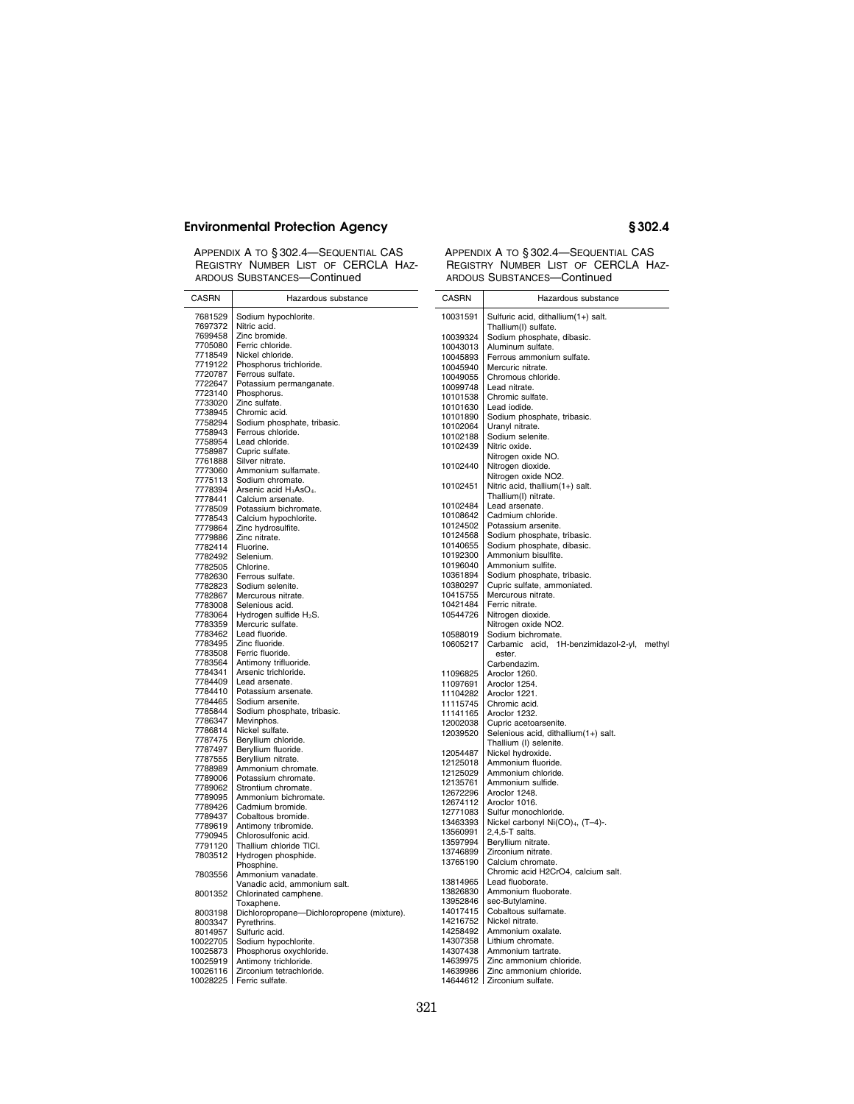APPENDIX A TO § 302.4—SEQUENTIAL CAS REGISTRY NUMBER LIST OF CERCLA HAZ-ARDOUS SUBSTANCES—Continued

| <b>CASRN</b>         | Hazardous substance                              | CASRN                | Hazardous substance                                       |
|----------------------|--------------------------------------------------|----------------------|-----------------------------------------------------------|
| 7681529<br>7697372   | Sodium hypochlorite.<br>Nitric acid.             | 10031591             | Sulfuric acid, dithallium(1+) salt.                       |
| 7699458              | Zinc bromide.                                    | 10039324             | Thallium(I) sulfate.<br>Sodium phosphate, dibasic.        |
| 7705080              | Ferric chloride.                                 | 10043013             | Aluminum sulfate.                                         |
| 7718549              | Nickel chloride.                                 | 10045893             | Ferrous ammonium sulfate.                                 |
| 7719122              | Phosphorus trichloride.                          | 10045940             | Mercuric nitrate.                                         |
| 7720787              | Ferrous sulfate.                                 | 10049055             | Chromous chloride.                                        |
| 7722647              | Potassium permanganate.                          | 10099748             | Lead nitrate.                                             |
| 7723140              | Phosphorus.                                      | 10101538             | Chromic sulfate.                                          |
| 7733020              | Zinc sulfate.                                    | 10101630             | Lead iodide.                                              |
| 7738945              | Chromic acid.                                    | 10101890             | Sodium phosphate, tribasic.                               |
| 7758294              | Sodium phosphate, tribasic.                      | 10102064             | Uranyl nitrate.                                           |
| 7758943<br>7758954   | Ferrous chloride.<br>Lead chloride.              | 10102188             | Sodium selenite.                                          |
| 7758987              | Cupric sulfate.                                  | 10102439             | Nitric oxide.                                             |
| 7761888              | Silver nitrate.                                  |                      | Nitrogen oxide NO.                                        |
| 7773060              | Ammonium sulfamate.                              | 10102440             | Nitrogen dioxide.                                         |
| 7775113              | Sodium chromate.                                 |                      | Nitrogen oxide NO2.                                       |
| 7778394              | Arsenic acid H <sub>3</sub> AsO <sub>4</sub> .   | 10102451             | Nitric acid, thallium(1+) salt.                           |
| 7778441              | Calcium arsenate.                                |                      | Thallium(I) nitrate.                                      |
| 7778509              | Potassium bichromate.                            | 10102484             | Lead arsenate.                                            |
| 7778543              | Calcium hypochlorite.                            | 10108642             | Cadmium chloride.                                         |
| 7779864              | Zinc hydrosulfite.                               | 10124502<br>10124568 | Potassium arsenite.                                       |
| 7779886              | Zinc nitrate.                                    | 10140655             | Sodium phosphate, tribasic.<br>Sodium phosphate, dibasic. |
| 7782414              | Fluorine.                                        | 10192300             | Ammonium bisulfite.                                       |
| 7782492              | Selenium.                                        | 10196040             | Ammonium sulfite.                                         |
| 7782505<br>7782630   | Chlorine.<br>Ferrous sulfate.                    | 10361894             | Sodium phosphate, tribasic.                               |
| 7782823              | Sodium selenite.                                 | 10380297             | Cupric sulfate, ammoniated.                               |
| 7782867              | Mercurous nitrate.                               | 10415755             | Mercurous nitrate.                                        |
| 7783008              | Selenious acid.                                  | 10421484             | Ferric nitrate.                                           |
| 7783064              | Hydrogen sulfide $H_2S$ .                        | 10544726             | Nitrogen dioxide.                                         |
| 7783359              | Mercuric sulfate.                                |                      | Nitrogen oxide NO2.                                       |
| 7783462              | Lead fluoride.                                   | 10588019             | Sodium bichromate.                                        |
| 7783495              | Zinc fluoride.                                   | 10605217             | Carbamic acid, 1H-benzimidazol-2-yl, methyl               |
| 7783508              | Ferric fluoride.                                 |                      | ester.                                                    |
| 7783564              | Antimony trifluoride.                            |                      | Carbendazim.                                              |
| 7784341              | Arsenic trichloride.                             | 11096825             | Aroclor 1260.                                             |
| 7784409<br>7784410   | Lead arsenate.<br>Potassium arsenate.            | 11097691             | Aroclor 1254.                                             |
| 7784465              | Sodium arsenite.                                 | 11104282             | Aroclor 1221.                                             |
| 7785844              | Sodium phosphate, tribasic.                      | 11115745             | Chromic acid.                                             |
| 7786347              | Mevinphos.                                       | 11141165<br>12002038 | Aroclor 1232.<br>Cupric acetoarsenite.                    |
| 7786814              | Nickel sulfate.                                  | 12039520             | Selenious acid, dithallium(1+) salt.                      |
| 7787475              | Beryllium chloride.                              |                      | Thallium (I) selenite.                                    |
| 7787497              | Beryllium fluoride.                              | 12054487             | Nickel hydroxide.                                         |
| 7787555              | Beryllium nitrate.                               | 12125018             | Ammonium fluoride.                                        |
| 7788989              | Ammonium chromate.                               | 12125029             | Ammonium chloride.                                        |
| 7789006              | Potassium chromate.                              | 12135761             | Ammonium sulfide.                                         |
| 7789062              | Strontium chromate.                              | 12672296             | Aroclor 1248.                                             |
| 7789095              | Ammonium bichromate.                             | 12674112             | Aroclor 1016.                                             |
| 7789426<br>7789437   | Cadmium bromide.<br>Cobaltous bromide.           | 12771083             | Sulfur monochloride.                                      |
| 7789619              | Antimony tribromide.                             | 13463393             | Nickel carbonyl Ni(CO) <sub>4</sub> , (T-4)-.             |
| 7790945              | Chlorosulfonic acid.                             | 13560991             | 2,4,5-T salts.                                            |
| 7791120              | Thallium chloride TICI.                          | 13597994             | Beryllium nitrate.                                        |
| 7803512              | Hydrogen phosphide.                              | 13746899             | Zirconium nitrate.                                        |
|                      | Phosphine.                                       | 13765190             | Calcium chromate.                                         |
| 7803556              | Ammonium vanadate.                               |                      | Chromic acid H2CrO4, calcium salt.                        |
|                      | Vanadic acid, ammonium salt.                     | 13814965             | Lead fluoborate.                                          |
| 8001352              | Chlorinated camphene.                            | 13826830             | Ammonium fluoborate.                                      |
|                      | Toxaphene.                                       | 13952846             | sec-Butylamine.                                           |
| 8003198              | Dichloropropane-Dichloropropene (mixture).       | 14017415             | Cobaltous sulfamate.                                      |
| 8003347              | Pyrethrins.                                      | 14216752             | Nickel nitrate.                                           |
| 8014957              | Sulfuric acid.                                   | 14258492<br>14307358 | Ammonium oxalate.<br>Lithium chromate.                    |
| 10022705             | Sodium hypochlorite.                             | 14307438             | Ammonium tartrate.                                        |
| 10025873<br>10025919 | Phosphorus oxychloride.<br>Antimony trichloride. | 14639975             | Zinc ammonium chloride.                                   |
| 10026116             | Zirconium tetrachloride.                         | 14639986             | Zinc ammonium chloride.                                   |
|                      | 10028225   Ferric sulfate.                       |                      | 14644612   Zirconium sulfate.                             |
|                      |                                                  |                      |                                                           |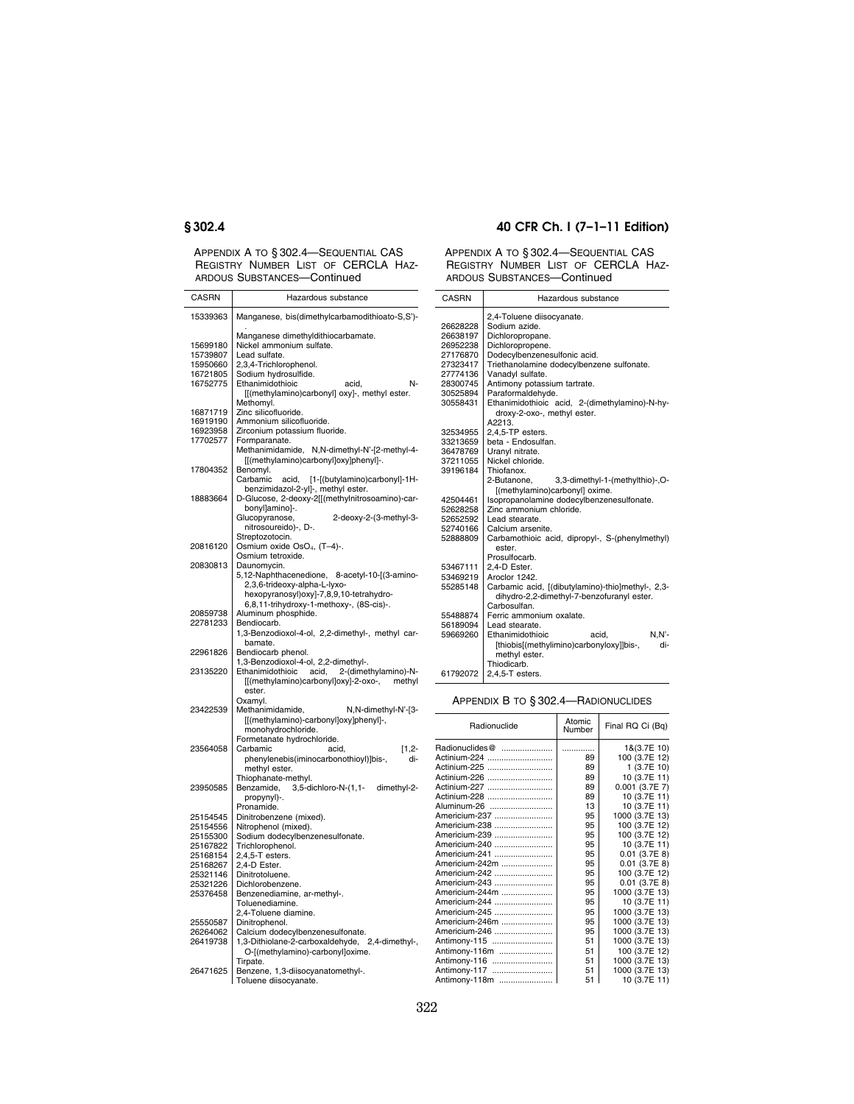APPENDIX A TO § 302.4—SEQUENTIAL CAS REGISTRY NUMBER LIST OF CERCLA HAZ-ARDOUS SUBSTANCES—Continued

### CASRN Hazardous substance 15339363 Manganese, bis(dimethylcarbamodithioato-S,S')- . Manganese dimethyldithiocarbamate. 15699180 Nickel ammonium sulfate.<br>15739807 Lead sulfate. 15739807 Lead sulfate.<br>15950660 2,3,4-Trichlor 15950660 2,3,4-Trichlorophenol.<br>16721805 Sodium hydrosulfide.<br>16752775 Ethanimidothioic Sodium hydrosulfide. Ethanimidothioic acid, N-[[(methylamino)carbonyl] oxy]-, methyl ester. Methomyl. 16871719 Zinc silicofluoride.<br>16919190 Ammonium silicofl 16919190 Ammonium silicofluoride.<br>16923958 Zirconium potassium fluo 16923958 Zirconium potassium fluoride.<br>17702577 Formparanate. Formparanate. Methanimidamide, N,N-dimethyl-N'-[2-methyl-4- [[(methylamino)carbonyl]oxy]phenyl]-. 17804352 Benomyl. Carbamic acid, [1-[(butylamino)carbonyl]-1Hbenzimidazol-2-yl]-, methyl ester. 18883664 D-Glucose, 2-deoxy-2[[(methylnitrosoamino)-carbonyl]amino]-.<br>Glucopyranose, 2-deoxy-2-(3-methyl-3nitrosoureido)-, D-. Streptozotocin. 20816120 Osmium oxide OsO4, (T–4)-. Osmium tetroxide. 20830813 Daunomycin. 5,12-Naphthacenedione, 8-acetyl-10-[(3-amino-2,3,6-trideoxy-alpha-L-lyxo-hexopyranosyl)oxy]-7,8,9,10-tetrahydro-6,8,11-trihydroxy-1-methoxy-, (8S-cis)-. 20859738 Aluminum phosphide.<br>22781233 Bendiocarb. Bendiocarb. 1,3-Benzodioxol-4-ol, 2,2-dimethyl-, methyl carbamate. 22961826 Bendiocarb phenol. 1,3-Benzodioxol-4-ol, 2,2-dimethyl-. 23135220 Ethanimidothioic acid, 2-(dimethylamino)-N- [[(methylamino)carbonyl]oxy]-2-oxo-, methyl ester. Oxamyl.<br>Methanimidamide, 23422539 Methanimidamide, N,N-dimethyl-N'-[3-[[(methylamino)-carbonyl]oxy]phenyl]-, monohydrochloride. Formetanate hydrochloride.<br>Carbamic acid 23564058 Carbamic acid, [1,2- phenylenebis(iminocarbonothioyl)]bis-, dimethyl ester. Thiophanate-methyl. 23950585 Benzamide, 3,5-dichloro-N-(1,1- dimethyl-2 propynyl)-. Pronamide. 25154545 Dinitrobenzene (mixed).<br>25154556 Nitrophenol (mixed) 25154556 Nitrophenol (mixed).<br>25155300 Sodium dodecylben: 25155300 Sodium dodecylbenzenesulfonate.<br>25167822 Trichlorophenol. 25167822 Trichlorophenol.<br>25168154 2.4.5-T esters. 25168154 2,4,5-T esters.<br>25168267 2,4-D Ester. 25168267 2,4-D Ester.<br>25321146 Dinitrotoluer

25321146 Dinitrotoluene.<br>25321226 Dichlorobenze 25321226 Dichlorobenzene.<br>25376458 Benzenediamine,

25550587 Dinitrophenol.<br>26264062 Calcium dodec

Tirpate.

26471625 Benzene, 1,3-diisocyanatomethyl-. Toluene diisocyanate.

Benzenediamine, ar-methyl-. Toluenediamine. 2,4-Toluene diamine.

26264062 Calcium dodecylbenzenesulfonate. 26419738 1,3-Dithiolane-2-carboxaldehyde, 2,4-dimethyl-, O-[(methylamino)-carbonyl]oxime.

## **§ 302.4 40 CFR Ch. I (7–1–11 Edition)**

APPENDIX A TO § 302.4—SEQUENTIAL CAS REGISTRY NUMBER LIST OF CERCLA HAZ-ARDOUS SUBSTANCES—Continued

| <b>CASRN</b> | Hazardous substance                               |  |  |  |  |
|--------------|---------------------------------------------------|--|--|--|--|
|              | 2,4-Toluene diisocyanate.                         |  |  |  |  |
| 26628228     | Sodium azide.                                     |  |  |  |  |
| 26638197     | Dichloropropane.                                  |  |  |  |  |
| 26952238     | Dichloropropene.                                  |  |  |  |  |
| 27176870     | Dodecylbenzenesulfonic acid.                      |  |  |  |  |
| 27323417     | Triethanolamine dodecylbenzene sulfonate.         |  |  |  |  |
| 27774136     | Vanadyl sulfate.                                  |  |  |  |  |
| 28300745     | Antimony potassium tartrate.                      |  |  |  |  |
| 30525894     | Paraformaldehyde.                                 |  |  |  |  |
| 30558431     | Ethanimidothioic acid, 2-(dimethylamino)-N-hy-    |  |  |  |  |
|              | droxy-2-oxo-, methyl ester.                       |  |  |  |  |
|              | A2213.                                            |  |  |  |  |
| 32534955     | 2,4,5-TP esters.                                  |  |  |  |  |
| 33213659     | beta - Endosulfan.                                |  |  |  |  |
| 36478769     | Uranyl nitrate.                                   |  |  |  |  |
| 37211055     | Nickel chloride.                                  |  |  |  |  |
| 39196184     | Thiofanox.                                        |  |  |  |  |
|              | 3,3-dimethyl-1-(methylthio)-,O-<br>2-Butanone.    |  |  |  |  |
|              | [(methylamino)carbonyl] oxime.                    |  |  |  |  |
| 42504461     | Isopropanolamine dodecylbenzenesulfonate.         |  |  |  |  |
| 52628258     | Zinc ammonium chloride.                           |  |  |  |  |
| 52652592     | Lead stearate.                                    |  |  |  |  |
| 52740166     | Calcium arsenite.                                 |  |  |  |  |
| 52888809     | Carbamothioic acid, dipropyl-, S-(phenylmethyl)   |  |  |  |  |
|              | ester.                                            |  |  |  |  |
|              | Prosulfocarb.                                     |  |  |  |  |
| 53467111     | 2,4-D Ester.                                      |  |  |  |  |
| 53469219     | Aroclor 1242.                                     |  |  |  |  |
| 55285148     | Carbamic acid, [(dibutylamino)-thio]methyl-, 2,3- |  |  |  |  |
|              | dihydro-2,2-dimethyl-7-benzofuranyl ester.        |  |  |  |  |
|              | Carbosulfan.                                      |  |  |  |  |
| 55488874     | Ferric ammonium oxalate.                          |  |  |  |  |
| 56189094     | Lead stearate.                                    |  |  |  |  |
| 59669260     | $N.N'$ -<br>Ethanimidothioic<br>acid.             |  |  |  |  |
|              | [thiobis](methylimino)carbonyloxy]]bis-,<br>di-   |  |  |  |  |
|              | methyl ester.                                     |  |  |  |  |
|              | Thiodicarb.                                       |  |  |  |  |
| 61792072     | $2.4.5 - T$ esters.                               |  |  |  |  |

APPENDIX B TO § 302.4—RADIONUCLIDES

| Radionuclide   | Atomic<br>Number | Final RQ Ci (Bq) |
|----------------|------------------|------------------|
| Radionuclides@ |                  | 1&(3.7E 10)      |
| Actinium-224   | 89               | 100 (3.7E 12)    |
| Actinium-225   | 89               | 1(3.7E10)        |
| Actinium-226   | 89               | 10 (3.7E 11)     |
| Actinium-227   | 89               | $0.001$ (3.7E 7) |
| Actinium-228   | 89               | 10 (3.7E 11)     |
| Aluminum-26    | 13               | 10 (3.7E 11)     |
| Americium-237  | 95               | 1000 (3.7E 13)   |
| Americium-238  | 95               | 100 (3.7E 12)    |
| Americium-239  | 95               | 100 (3.7E 12)    |
| Americium-240  | 95               | 10 (3.7E 11)     |
| Americium-241  | 95               | $0.01$ (3.7E 8)  |
| Americium-242m | 95               | $0.01$ (3.7E 8)  |
| Americium-242  | 95               | 100 (3.7E 12)    |
| Americium-243  | 95               | $0.01$ (3.7E 8)  |
| Americium-244m | 95               | 1000 (3.7E 13)   |
| Americium-244  | 95               | 10 (3.7E 11)     |
| Americium-245  | 95               | 1000 (3.7E 13)   |
| Americium-246m | 95               | 1000 (3.7E 13)   |
| Americium-246  | 95               | 1000 (3.7E 13)   |
| Antimony-115   | 51               | 1000 (3.7E 13)   |
| Antimony-116m  | 51               | 100 (3.7E 12)    |
| Antimony-116   | 51               | 1000 (3.7E 13)   |
| Antimony-117   | 51               | 1000 (3.7E 13)   |
| Antimony-118m  | 51               | 10 (3.7E 11)     |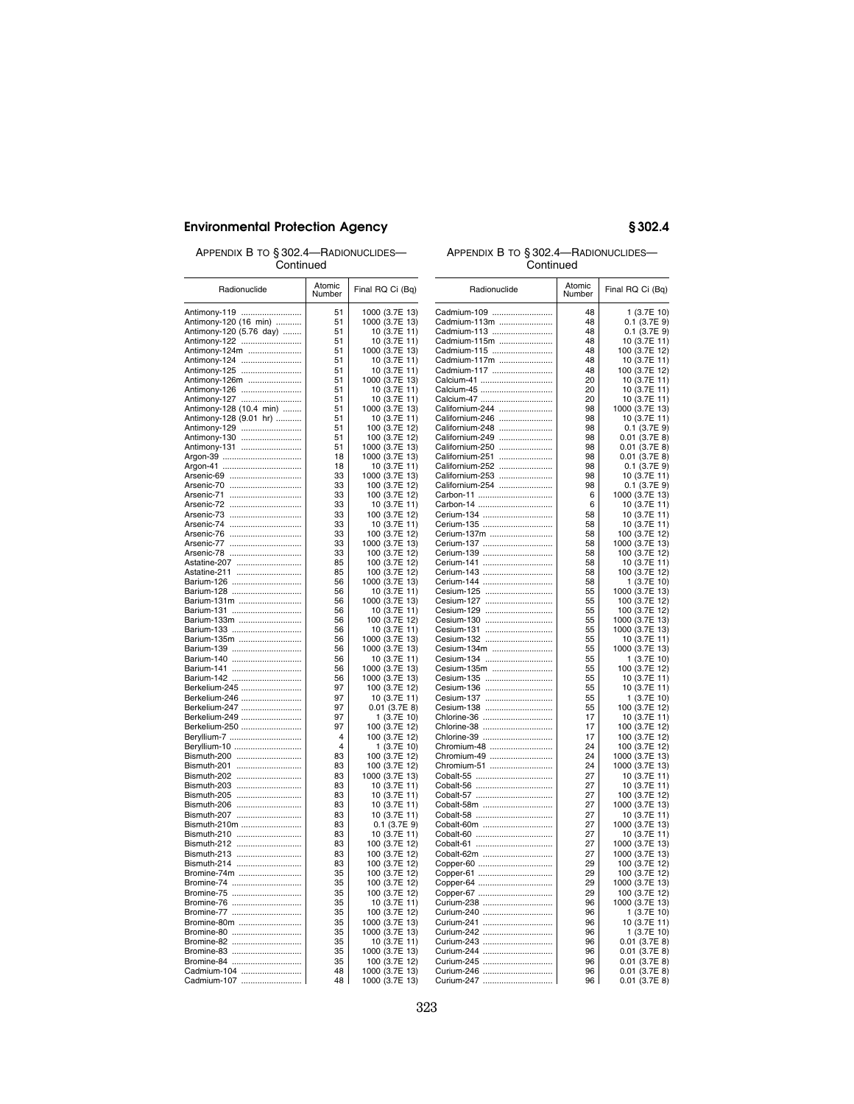APPENDIX B TO § 302.4—RADIONUCLIDES— **Continued** 

## APPENDIX B TO § 302.4—RADIONUCLIDES— **Continued**

| Radionuclide                            | Atomic<br>Number | Final RQ Ci (Bq)               | Radionuclide               | <b>Atomic</b><br>Number | Final RQ Ci (Bq)                 |
|-----------------------------------------|------------------|--------------------------------|----------------------------|-------------------------|----------------------------------|
| Antimony-119                            | 51               | 1000 (3.7E 13)                 | Cadmium-109                | 48                      | 1 (3.7E 10)                      |
| Antimony-120 (16 min)                   | 51               | 1000 (3.7E 13)                 | Cadmium-113m               | 48                      | $0.1$ (3.7E 9)                   |
| Antimony-120 (5.76 day)                 | 51               | 10 (3.7E 11)                   | Cadmium-113                | 48                      | $0.1$ (3.7E 9)                   |
| Antimony-122                            | 51               | 10 (3.7E 11)                   | Cadmium-115m               | 48                      | 10 (3.7E 11)                     |
| Antimony-124m                           | 51               | 1000 (3.7E 13)                 | Cadmium-115                | 48                      | 100 (3.7E 12)                    |
| Antimony-124                            | 51               | 10 (3.7E 11)                   | Cadmium-117m               | 48                      | 10 (3.7E 11)                     |
| Antimony-125                            | 51               | 10 (3.7E 11)                   | Cadmium-117                | 48                      | 100 (3.7E 12)                    |
| Antimony-126m                           | 51               | 1000 (3.7E 13)                 | Calcium-41                 | 20                      | 10 (3.7E 11)                     |
| Antimony-126                            | 51               | 10 (3.7E 11)                   | Calcium-45<br>Calcium-47   | 20                      | 10 (3.7E 11)                     |
| Antimony-127<br>Antimony-128 (10.4 min) | 51<br>51         | 10 (3.7E 11)<br>1000 (3.7E 13) | Californium-244            | 20<br>98                | 10 (3.7E 11)<br>1000 (3.7E 13)   |
| Antimony-128 (9.01 hr)                  | 51               | 10 (3.7E 11)                   | Californium-246            | 98                      | 10 (3.7E 11)                     |
| Antimony-129                            | 51               | 100 (3.7E 12)                  | Californium-248            | 98                      | $0.1$ (3.7E 9)                   |
| Antimony-130                            | 51               | 100 (3.7E 12)                  | Californium-249            | 98                      | $0.01$ (3.7E 8)                  |
| Antimony-131                            | 51               | 1000 (3.7E 13)                 | Californium-250            | 98                      | $0.01$ (3.7E 8)                  |
| Argon-39                                | 18               | 1000 (3.7E 13)                 | Californium-251            | 98                      | $0.01$ (3.7E 8)                  |
|                                         | 18               | 10 (3.7E 11)                   | Californium-252            | 98                      | $0.1$ (3.7E 9)                   |
| Arsenic-69                              | 33               | 1000 (3.7E 13)                 | Californium-253            | 98                      | 10 (3.7E 11)                     |
| Arsenic-70                              | 33               | 100 (3.7E 12)                  | Californium-254            | 98                      | $0.1$ (3.7E 9)                   |
| Arsenic-71                              | 33               | 100 (3.7E 12)                  | Carbon-11                  | 6                       | 1000 (3.7E 13)                   |
| Arsenic-72                              | 33               | 10 (3.7E 11)                   | Carbon-14                  | 6                       | 10 (3.7E 11)                     |
| Arsenic-73<br>Arsenic-74                | 33<br>33         | 100 (3.7E 12)                  | Cerium-134<br>Cerium-135   | 58<br>58                | 10 (3.7E 11)                     |
| Arsenic-76                              | 33               | 10 (3.7E 11)<br>100 (3.7E 12)  | Cerium-137m                | 58                      | 10 (3.7E 11)<br>100 (3.7E 12)    |
| Arsenic-77                              | 33               | 1000 (3.7E 13)                 | Cerium-137                 | 58                      | 1000 (3.7E 13)                   |
| Arsenic-78                              | 33               | 100 (3.7E 12)                  | Cerium-139                 | 58                      | 100 (3.7E 12)                    |
| Astatine-207                            | 85               | 100 (3.7E 12)                  | Cerium-141                 | 58                      | 10 (3.7E 11)                     |
| Astatine-211                            | 85               | 100 (3.7E 12)                  | Cerium-143                 | 58                      | 100 (3.7E 12)                    |
| Barium-126                              | 56               | 1000 (3.7E 13)                 | Cerium-144                 | 58                      | 1 (3.7E 10)                      |
| Barium-128                              | 56               | 10 (3.7E 11)                   | Cesium-125                 | 55                      | 1000 (3.7E 13)                   |
| Barium-131m                             | 56               | 1000 (3.7E 13)                 | Cesium-127                 | 55                      | 100 (3.7E 12)                    |
| Barium-131                              | 56               | 10 (3.7E 11)                   | Cesium-129                 | 55                      | 100 (3.7E 12)                    |
| Barium-133m<br>Barium-133               | 56<br>56         | 100 (3.7E 12)<br>10 (3.7E 11)  | Cesium-130<br>Cesium-131   | 55<br>55                | 1000 (3.7E 13)<br>1000 (3.7E 13) |
| Barium-135m                             | 56               | 1000 (3.7E 13)                 | Cesium-132                 | 55                      | 10 (3.7E 11)                     |
| Barium-139                              | 56               | 1000 (3.7E 13)                 | Cesium-134m                | 55                      | 1000 (3.7E 13)                   |
| Barium-140                              | 56               | 10 (3.7E 11)                   | Cesium-134                 | 55                      | 1 (3.7E 10)                      |
| Barium-141                              | 56               | 1000 (3.7E 13)                 | Cesium-135m                | 55                      | 100 (3.7E 12)                    |
| Barium-142                              | 56               | 1000 (3.7E 13)                 | Cesium-135                 | 55                      | 10 (3.7E 11)                     |
| Berkelium-245                           | 97               | 100 (3.7E 12)                  | Cesium-136                 | 55                      | 10 (3.7E 11)                     |
| Berkelium-246                           | 97               | 10 (3.7E 11)                   | Cesium-137                 | 55                      | 1(3.7E10)                        |
| Berkelium-247                           | 97               | $0.01$ (3.7E 8)                | Cesium-138                 | 55                      | 100 (3.7E 12)                    |
| Berkelium-249                           | 97               | 1 (3.7E 10)                    | Chlorine-36                | 17                      | 10 (3.7E 11)                     |
| Berkelium-250                           | 97               | 100 (3.7E 12)                  | Chlorine-38                | 17                      | 100 (3.7E 12)                    |
| Beryllium-7                             | 4<br>4           | 100 (3.7E 12)                  | Chlorine-39<br>Chromium-48 | 17<br>24                | 100 (3.7E 12)<br>100 (3.7E 12)   |
| Beryllium-10<br>Bismuth-200             | 83               | 1 (3.7E 10)<br>100 (3.7E 12)   | Chromium-49                | 24                      | 1000 (3.7E 13)                   |
| Bismuth-201                             | 83               | 100 (3.7E 12)                  | Chromium-51                | 24                      | 1000 (3.7E 13)                   |
| Bismuth-202                             | 83               | 1000 (3.7E 13)                 | Cobalt-55                  | 27                      | 10 (3.7E 11)                     |
| Bismuth-203                             | 83               | 10 (3.7E 11)                   | Cobalt-56                  | 27                      | 10 (3.7E 11)                     |
| Bismuth-205                             | 83               | 10 (3.7E 11)                   | Cobalt-57                  | 27                      | 100 (3.7E 12)                    |
| Bismuth-206                             | 83               | 10 (3.7E 11)                   | Cobalt-58m                 | 27                      | 1000 (3.7E 13)                   |
| Bismuth-207                             | 83               | 10 (3.7E 11)                   | Cobalt-58                  | 27                      | 10 (3.7E 11)                     |
| Bismuth-210m                            | 83               | $0.1$ (3.7E 9)                 | Cobalt-60m                 | 27                      | 1000 (3.7E 13)                   |
| Bismuth-210                             | 83               | 10 (3.7E 11)                   | Cobalt-60                  | 27                      | 10 (3.7E 11)                     |
| Bismuth-212                             | 83               | 100 (3.7E 12)                  | Cobalt-61                  | 27                      | 1000 (3.7E 13)                   |
| Bismuth-213                             | 83               | 100 (3.7E 12)                  | Cobalt-62m                 | 27                      | 1000 (3.7E 13)                   |
| Bismuth-214                             | 83               | 100 (3.7E 12)                  | Copper-60                  | 29<br>29                | 100 (3.7E 12)                    |
| Bromine-74m<br>Bromine-74               | 35<br>35         | 100 (3.7E 12)                  | Copper-61                  | 29                      | 100 (3.7E 12)                    |
| Bromine-75                              | 35               | 100 (3.7E 12)<br>100 (3.7E 12) | Copper-64<br>Copper-67     | 29                      | 1000 (3.7E 13)<br>100 (3.7E 12)  |
| Bromine-76                              | 35               | 10 (3.7E 11)                   | Curium-238                 | 96                      | 1000 (3.7E 13)                   |
| Bromine-77                              | 35               | 100 (3.7E 12)                  | Curium-240                 | 96                      | 1 (3.7E 10)                      |
| Bromine-80m                             | 35               | 1000 (3.7E 13)                 | Curium-241                 | 96                      | 10 (3.7E 11)                     |
| Bromine-80                              | 35               | 1000 (3.7E 13)                 | Curium-242                 | 96                      | 1 (3.7E 10)                      |
| Bromine-82                              | 35               | 10 (3.7E 11)                   | Curium-243                 | 96                      | $0.01$ (3.7E 8)                  |
| Bromine-83                              | 35               | 1000 (3.7E 13)                 | Curium-244                 | 96                      | $0.01$ (3.7E 8)                  |
| Bromine-84                              | 35               | 100 (3.7E 12)                  | Curium-245                 | 96                      | $0.01$ (3.7E 8)                  |
| Cadmium-104                             | 48               | 1000 (3.7E 13)                 | Curium-246                 | 96                      | $0.01$ (3.7E 8)                  |
|                                         | 48               | 1000 (3.7E 13)                 | Curium-247                 | 96                      | $0.01$ (3.7E 8)                  |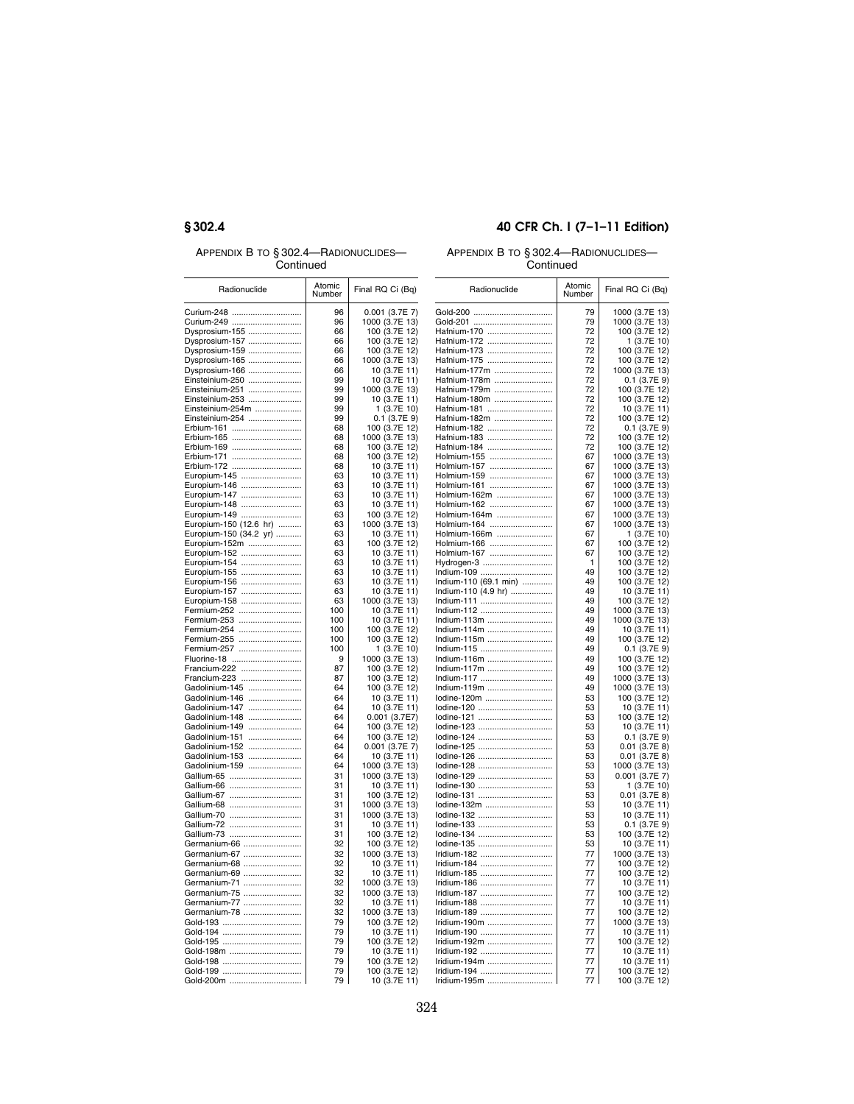APPENDIX B TO § 302.4—RADIONUCLIDES— **Continued** 

## **§ 302.4 40 CFR Ch. I (7–1–11 Edition)**

## APPENDIX B TO § 302.4—RADIONUCLIDES— **Continued**

| Radionuclide                 | Atomic<br>Number | Final RQ Ci (Bq)               | Radionuclide               | Atomic<br>Number | Final RQ Ci (Bq)                 |
|------------------------------|------------------|--------------------------------|----------------------------|------------------|----------------------------------|
| Curium-248                   | 96               | $0.001$ (3.7E 7)               |                            | 79               | 1000 (3.7E 13)                   |
| Curium-249                   | 96               | 1000 (3.7E 13)                 | Gold-201                   | 79               | 1000 (3.7E 13)                   |
| Dysprosium-155               | 66               | 100 (3.7E 12)                  | Hafnium-170                | 72               | 100 (3.7E 12)                    |
| Dysprosium-157               | 66               | 100 (3.7E 12)                  | Hafnium-172                | 72               | 1 (3.7E 10)                      |
| Dysprosium-159               | 66               | 100 (3.7E 12)                  | Hafnium-173                | 72               | 100 (3.7E 12)                    |
| Dysprosium-165               | 66               | 1000 (3.7E 13)                 | Hafnium-175                | 72               | 100 (3.7E 12)                    |
| Dysprosium-166               | 66               | 10 (3.7E 11)                   | Hafnium-177m               | 72               | 1000 (3.7E 13)                   |
| Einsteinium-250              | 99               | 10 (3.7E 11)                   | Hafnium-178m               | 72               | $0.1$ (3.7E 9)                   |
| Einsteinium-251              | 99               | 1000 (3.7E 13)                 | Hafnium-179m               | 72               | 100 (3.7E 12)                    |
| Einsteinium-253              | 99               | 10 (3.7E 11)                   | Hafnium-180m               | 72               | 100 (3.7E 12)                    |
| Einsteinium-254m             | 99               | 1 (3.7E 10)                    | Hafnium-181                | 72               | 10 (3.7E 11)                     |
| Einsteinium-254              | 99               | $0.1$ (3.7E 9)                 | Hafnium-182m               | 72               | 100 (3.7E 12)                    |
| Erbium-161                   | 68               | 100 (3.7E 12)                  | Hafnium-182                | 72               | 0.1 (3.7E 9)                     |
| Erbium-165                   | 68               | 1000 (3.7E 13)                 | Hafnium-183                | 72               | 100 (3.7E 12)                    |
| Erbium-169                   | 68               | 100 (3.7E 12)                  | Hafnium-184                | 72               | 100 (3.7E 12)                    |
| Erbium-171                   | 68<br>68         | 100 (3.7E 12)                  | Holmium-155                | 67<br>67         | 1000 (3.7E 13)                   |
| Erbium-172<br>Europium-145   | 63               | 10 (3.7E 11)<br>10 (3.7E 11)   | Holmium-157<br>Holmium-159 | 67               | 1000 (3.7E 13)<br>1000 (3.7E 13) |
| Europium-146                 | 63               | 10 (3.7E 11)                   | Holmium-161                | 67               | 1000 (3.7E 13)                   |
| Europium-147                 | 63               | 10 (3.7E 11)                   | Holmium-162m               | 67               | 1000 (3.7E 13)                   |
| Europium-148                 | 63               | 10 (3.7E 11)                   | Holmium-162                | 67               | 1000 (3.7E 13)                   |
| Europium-149                 | 63               | 100 (3.7E 12)                  | Holmium-164m               | 67               | 1000 (3.7E 13)                   |
| Europium-150 (12.6 hr)       | 63               | 1000 (3.7E 13)                 | Holmium-164                | 67               | 1000 (3.7E 13)                   |
| Europium-150 (34.2 yr)       | 63               | 10 (3.7E 11)                   | Holmium-166m               | 67               | 1(3.7E10)                        |
| Europium-152m                | 63               | 100 (3.7E 12)                  | Holmium-166                | 67               | 100 (3.7E 12)                    |
| Europium-152                 | 63               | 10 (3.7E 11)                   | Holmium-167                | 67               | 100 (3.7E 12)                    |
| Europium-154                 | 63               | 10 (3.7E 11)                   | Hydrogen-3                 | 1                | 100 (3.7E 12)                    |
| Europium-155                 | 63               | 10 (3.7E 11)                   | Indium-109                 | 49               | 100 (3.7E 12)                    |
| Europium-156                 | 63               | 10 (3.7E 11)                   | Indium-110 (69.1 min)      | 49               | 100 (3.7E 12)                    |
| Europium-157                 | 63               | 10 (3.7E 11)                   | Indium-110 (4.9 hr)        | 49               | 10 (3.7E 11)                     |
| Europium-158                 | 63               | 1000 (3.7E 13)                 | Indium-111                 | 49               | 100 (3.7E 12)                    |
| Fermium-252                  | 100              | 10 (3.7E 11)                   | Indium-112                 | 49               | 1000 (3.7E 13)                   |
| Fermium-253                  | 100              | 10 (3.7E 11)                   | Indium-113m                | 49               | 1000 (3.7E 13)                   |
| Fermium-254                  | 100              | 100 (3.7E 12)                  | Indium-114m                | 49               | 10 (3.7E 11)                     |
| Fermium-255                  | 100              | 100 (3.7E 12)                  | Indium-115m                | 49               | 100 (3.7E 12)                    |
| Fermium-257                  | 100              | 1 (3.7E 10)                    | Indium-115                 | 49               | $0.1$ (3.7E 9)                   |
| Fluorine-18                  | 9                | 1000 (3.7E 13)                 | Indium-116m                | 49               | 100 (3.7E 12)                    |
| Francium-222<br>Francium-223 | 87<br>87         | 100 (3.7E 12)<br>100 (3.7E 12) | Indium-117m<br>Indium-117  | 49<br>49         | 100 (3.7E 12)<br>1000 (3.7E 13)  |
| Gadolinium-145               | 64               | 100 (3.7E 12)                  | Indium-119m                | 49               | 1000 (3.7E 13)                   |
| Gadolinium-146               | 64               | 10 (3.7E 11)                   | lodine-120m                | 53               | 100 (3.7E 12)                    |
| Gadolinium-147               | 64               | 10 (3.7E 11)                   | lodine-120                 | 53               | 10 (3.7E 11)                     |
| Gadolinium-148               | 64               | 0.001 (3.7E7)                  | lodine-121                 | 53               | 100 (3.7E 12)                    |
| Gadolinium-149               | 64               | 100 (3.7E 12)                  | lodine-123                 | 53               | 10 (3.7E 11)                     |
| Gadolinium-151               | 64               | 100 (3.7E 12)                  | lodine-124                 | 53               | $0.1$ (3.7E 9)                   |
| Gadolinium-152               | 64               | 0.001 (3.7E 7)                 | lodine-125                 | 53               | $0.01$ (3.7E 8)                  |
| Gadolinium-153               | 64               | 10 (3.7E 11)                   | lodine-126                 | 53               | $0.01$ (3.7E 8)                  |
| Gadolinium-159               | 64               | 1000 (3.7E 13)                 | lodine-128                 | 53               | 1000 (3.7E 13)                   |
| Gallium-65                   | 31               | 1000 (3.7E 13)                 | lodine-129                 | 53               | 0.001 (3.7E 7)                   |
| Gallium-66                   | 31               | 10 (3.7E 11)                   | lodine-130                 | 53               | 1 (3.7E 10)                      |
| Gallium-67                   | 31               | 100 (3.7E 12)                  | lodine-131                 | 53               | $0.01$ (3.7E 8)                  |
| Gallium-68                   | 31               | 1000 (3.7E 13)                 | lodine-132m                | 53               | 10 (3.7E 11)                     |
| Gallium-70                   | 31               | 1000 (3.7E 13)                 | lodine-132                 | 53               | 10 (3.7E 11)                     |
| Gallium-72                   | 31               | 10 (3.7E 11)                   | lodine-133                 | 53               | $0.1$ (3.7E 9)                   |
| Gallium-73                   | 31               | 100 (3.7E 12)                  | lodine-134                 | 53               | 100 (3.7E 12)                    |
| Germanium-66                 | 32               | 100 (3.7E 12)                  | lodine-135                 | 53               | 10 (3.7E 11)                     |
| Germanium-67                 | 32               | 1000 (3.7E 13)                 | Iridium-182                | 77               | 1000 (3.7E 13)                   |
| Germanium-68                 | 32               | 10 (3.7E 11)                   | Iridium-184                | 77               | 100 (3.7E 12)                    |
| Germanium-69                 | 32               | 10 (3.7E 11)                   | Iridium-185                | 77               | 100 (3.7E 12)                    |
| Germanium-71                 | 32               | 1000 (3.7E 13)                 | Iridium-186                | 77               | 10 (3.7E 11)                     |
| Germanium-75                 | 32               | 1000 (3.7E 13)                 | Iridium-187                | 77               | 100 (3.7E 12)                    |
| Germanium-77                 | 32               | 10 (3.7E 11)                   | Iridium-188                | 77               | 10 (3.7E 11)                     |
| Germanium-78                 | 32               | 1000 (3.7E 13)                 | Iridium-189                | 77               | 100 (3.7E 12)                    |
| Gold-193                     | 79               | 100 (3.7E 12)                  | Iridium-190m               | 77               | 1000 (3.7E 13)                   |
| Gold-194                     | 79               | 10 (3.7E 11)                   | Iridium-190                | 77               | 10 (3.7E 11)                     |
| Gold-195                     | 79               | 100 (3.7E 12)                  | Iridium-192m               | 77               | 100 (3.7E 12)                    |
| Gold-198m                    | 79               | 10 (3.7E 11)                   | Iridium-192                | 77               | 10 (3.7E 11)                     |
|                              | 79               | 100 (3.7E 12)                  | Iridium-194m               | 77               | 10 (3.7E 11)                     |
|                              | 79               | 100 (3.7E 12)                  | Iridium-194                | 77               | 100 (3.7E 12)                    |
| Gold-200m                    | 79               | 10 (3.7E 11)                   | Iridium-195m               | 77               | 100 (3.7E 12)                    |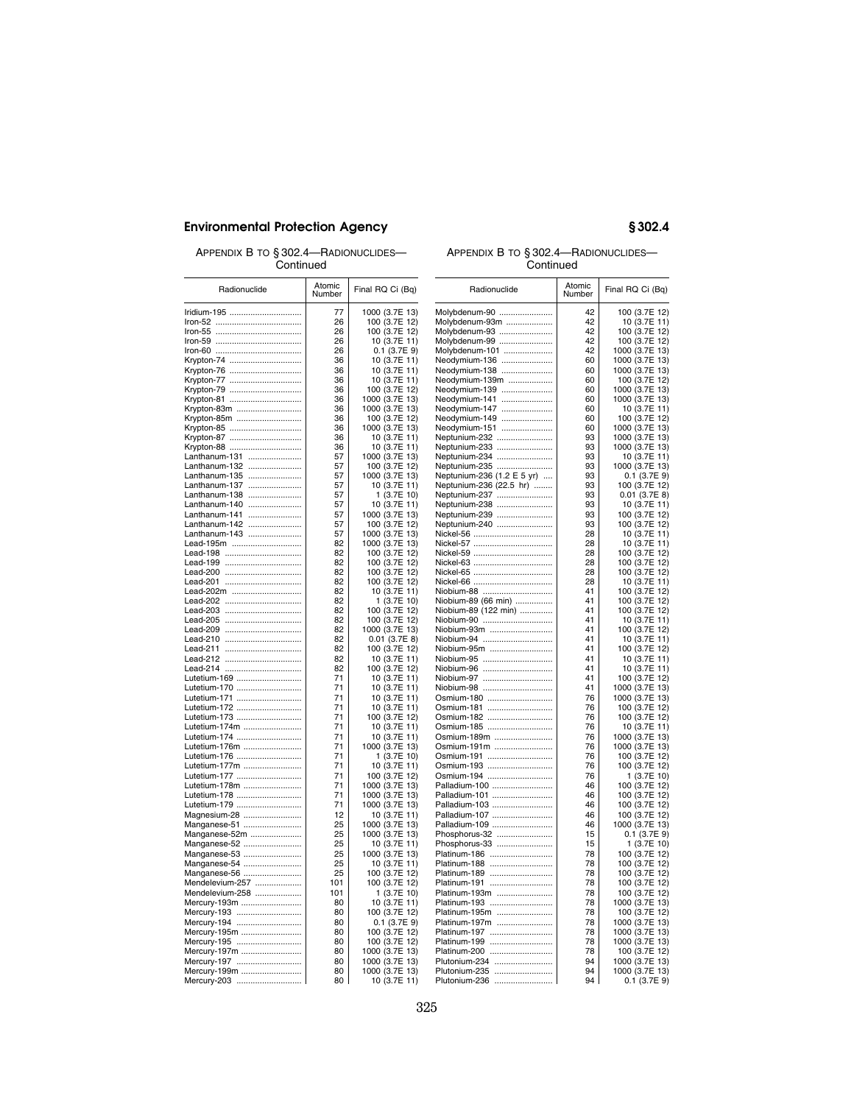APPENDIX B TO § 302.4—RADIONUCLIDES— Continued

# APPENDIX B TO § 302.4—RADIONUCLIDES—

| Continued                      |                  |                                 | Continued                                   |                  |                                 |
|--------------------------------|------------------|---------------------------------|---------------------------------------------|------------------|---------------------------------|
| Radionuclide                   | Atomic<br>Number | Final RQ Ci (Bq)                | Radionuclide                                | Atomic<br>Number | Final RQ Ci (Bq)                |
| Iridium-195                    | 77               | 1000 (3.7E 13)                  | Molybdenum-90                               | 42               | 100 (3.7E 12)                   |
|                                | 26               | 100 (3.7E 12)                   | Molybdenum-93m                              | 42               | 10 (3.7E 11)                    |
|                                | 26               | 100 (3.7E 12)                   | Molybdenum-93                               | 42               | 100 (3.7E 12)                   |
|                                | 26               | 10 (3.7E 11)                    | Molybdenum-99                               | 42               | 100 (3.7E 12)                   |
|                                | 26               | $0.1$ (3.7E 9)                  | Molybdenum-101                              | 42               | 1000 (3.7E 13)                  |
| Krypton-74                     | 36<br>36         | 10 (3.7E 11)                    | Neodymium-136                               | 60<br>60         | 1000 (3.7E 13)                  |
| Krypton-76<br>Krypton-77       | 36               | 10 (3.7E 11)<br>10 (3.7E 11)    | Neodymium-138<br>Neodymium-139m             | 60               | 1000 (3.7E 13)<br>100 (3.7E 12) |
| Krypton-79                     | 36               | 100 (3.7E 12)                   | Neodymium-139                               | 60               | 1000 (3.7E 13)                  |
| Krypton-81                     | 36               | 1000 (3.7E 13)                  | Neodymium-141                               | 60               | 1000 (3.7E 13)                  |
| Krypton-83m                    | 36               | 1000 (3.7E 13)                  | Neodymium-147                               | 60               | 10 (3.7E 11)                    |
| Krypton-85m                    | 36               | 100 (3.7E 12)                   | Neodymium-149                               | 60               | 100 (3.7E 12)                   |
| Krypton-85                     | 36               | 1000 (3.7E 13)                  | Neodymium-151                               | 60               | 1000 (3.7E 13)                  |
| Krypton-87                     | 36               | 10 (3.7E 11)                    | Neptunium-232                               | 93               | 1000 (3.7E 13)                  |
| Krypton-88                     | 36               | 10 (3.7E 11)                    | Neptunium-233                               | 93               | 1000 (3.7E 13)                  |
| Lanthanum-131                  | 57               | 1000 (3.7E 13)                  | Neptunium-234                               | 93               | 10 (3.7E 11)                    |
| Lanthanum-132<br>Lanthanum-135 | 57<br>57         | 100 (3.7E 12)<br>1000 (3.7E 13) | Neptunium-235<br>Neptunium-236 (1.2 E 5 yr) | 93<br>93         | 1000 (3.7E 13)                  |
| Lanthanum-137                  | 57               | 10 (3.7E 11)                    | Neptunium-236 (22.5 hr)                     | 93               | $0.1$ (3.7E 9)<br>100 (3.7E 12) |
| Lanthanum-138                  | 57               | 1 (3.7E 10)                     | Neptunium-237                               | 93               | $0.01$ (3.7E 8)                 |
| Lanthanum-140                  | 57               | 10 (3.7E 11)                    | Neptunium-238                               | 93               | 10 (3.7E 11)                    |
| Lanthanum-141                  | 57               | 1000 (3.7E 13)                  | Neptunium-239                               | 93               | 100 (3.7E 12)                   |
| Lanthanum-142                  | 57               | 100 (3.7E 12)                   | Neptunium-240                               | 93               | 100 (3.7E 12)                   |
| Lanthanum-143                  | 57               | 1000 (3.7E 13)                  | Nickel-56                                   | 28               | 10 (3.7E 11)                    |
| Lead-195m                      | 82               | 1000 (3.7E 13)                  | Nickel-57                                   | 28               | 10 (3.7E 11)                    |
| Lead-198                       | 82               | 100 (3.7E 12)                   | Nickel-59                                   | 28               | 100 (3.7E 12)                   |
| Lead-199                       | 82               | 100 (3.7E 12)                   | Nickel-63                                   | 28               | 100 (3.7E 12)                   |
| Lead-200                       | 82               | 100 (3.7E 12)                   | Nickel-65                                   | 28               | 100 (3.7E 12)                   |
| Lead-201<br>Lead-202m          | 82<br>82         | 100 (3.7E 12)                   | Niobium-88                                  | 28<br>41         | 10 (3.7E 11)                    |
|                                | 82               | 10 (3.7E 11)<br>1 (3.7E 10)     | Niobium-89 (66 min)                         | 41               | 100 (3.7E 12)<br>100 (3.7E 12)  |
| Lead-203                       | 82               | 100 (3.7E 12)                   | Niobium-89 (122 min)                        | 41               | 100 (3.7E 12)                   |
| Lead-205                       | 82               | 100 (3.7E 12)                   | Niobium-90                                  | 41               | 10 (3.7E 11)                    |
| Lead-209                       | 82               | 1000 (3.7E 13)                  | Niobium-93m                                 | 41               | 100 (3.7E 12)                   |
| Lead-210                       | 82               | $0.01$ (3.7E 8)                 | Niobium-94                                  | 41               | 10 (3.7E 11)                    |
|                                | 82               | 100 (3.7E 12)                   | Niobium-95m                                 | 41               | 100 (3.7E 12)                   |
|                                | 82               | 10 (3.7E 11)                    | Niobium-95                                  | 41               | 10 (3.7E 11)                    |
|                                | 82<br>71         | 100 (3.7E 12)                   | Niobium-96                                  | 41<br>41         | 10 (3.7E 11)                    |
| Lutetium-169<br>Lutetium-170   | 71               | 10 (3.7E 11)<br>10 (3.7E 11)    | Niobium-97<br>Niobium-98                    | 41               | 100 (3.7E 12)<br>1000 (3.7E 13) |
| Lutetium-171                   | 71               | 10 (3.7E 11)                    | Osmium-180                                  | 76               | 1000 (3.7E 13)                  |
| Lutetium-172                   | 71               | 10 (3.7E 11)                    | Osmium-181                                  | 76               | 100 (3.7E 12)                   |
| Lutetium-173                   | 71               | 100 (3.7E 12)                   | Osmium-182                                  | 76               | 100 (3.7E 12)                   |
| Lutetium-174m                  | 71               | 10 (3.7E 11)                    | Osmium-185                                  | 76               | 10 (3.7E 11)                    |
| Lutetium-174                   | 71               | 10 (3.7E 11)                    | Osmium-189m                                 | 76               | 1000 (3.7E 13)                  |
| Lutetium-176m                  | 71               | 1000 (3.7E 13)                  | Osmium-191m                                 | 76               | 1000 (3.7E 13)                  |
| Lutetium-176                   | 71               | 1 (3.7E 10)                     | Osmium-191                                  | 76               | 100 (3.7E 12)                   |
| Lutetium-177m                  | 71               | 10 (3.7E 11)                    | Osmium-193                                  | 76               | 100 (3.7E 12)                   |
| Lutetium-177                   | 71               | 100 (3.7E 12)                   | Osmium-194                                  | 76               | 1 (3.7E 10)                     |
| Lutetium-178m                  | 71               | 1000 (3.7E 13)                  | Palladium-100                               | 46               | 100 (3.7E 12)                   |
| Lutetium-178<br>Lutetium-179   | 71<br>71         | 1000 (3.7E 13)                  | Palladium-101<br>Palladium-103              | 46<br>46         | 100 (3.7E 12)                   |
| Magnesium-28                   | 12               | 1000 (3.7E 13)<br>10 (3.7E 11)  | Palladium-107                               | 46               | 100 (3.7E 12)<br>100 (3.7E 12)  |
| Manganese-51                   | 25               | 1000 (3.7E 13)                  | Palladium-109                               | 46               | 1000 (3.7E 13)                  |
| Manganese-52m                  | 25               | 1000 (3.7E 13)                  | Phosphorus-32                               | 15               | $0.1$ (3.7E 9)                  |
| Manganese-52                   | 25               | 10 (3.7E 11)                    | Phosphorus-33                               | 15               | 1 (3.7E 10)                     |
| Manganese-53                   | 25               | 1000 (3.7E 13)                  | Platinum-186                                | 78               | 100 (3.7E 12)                   |
| Manganese-54                   | 25               | 10 (3.7E 11)                    | Platinum-188                                | 78               | 100 (3.7E 12)                   |
| Manganese-56                   | 25               | 100 (3.7E 12)                   | Platinum-189                                | 78               | 100 (3.7E 12)                   |
| Mendelevium-257                | 101              | 100 (3.7E 12)                   | Platinum-191                                | 78               | 100 (3.7E 12)                   |
| Mendelevium-258                | 101              | 1 (3.7E 10)                     | Platinum-193m                               | 78               | 100 (3.7E 12)                   |
| Mercury-193m                   | 80               | 10 (3.7E 11)                    | Platinum-193                                | 78               | 1000 (3.7E 13)                  |
| Mercury-193                    | 80               | 100 (3.7E 12)                   | Platinum-195m                               | 78               | 100 (3.7E 12)                   |
| Mercury-194                    | 80               | $0.1$ (3.7E 9)                  | Platinum-197m                               | 78               | 1000 (3.7E 13)                  |
| Mercury-195m                   | 80<br>80         | 100 (3.7E 12)                   | Platinum-197<br>Platinum-199                | 78<br>78         | 1000 (3.7E 13)                  |
| Mercury-195<br>Mercury-197m    | 80               | 100 (3.7E 12)<br>1000 (3.7E 13) | Platinum-200                                | 78               | 1000 (3.7E 13)<br>100 (3.7E 12) |
| Mercury-197                    | 80               | 1000 (3.7E 13)                  | Plutonium-234                               | 94               | 1000 (3.7E 13)                  |
| Mercury-199m                   | 80               | 1000 (3.7E 13)                  | Plutonium-235                               | 94               | 1000 (3.7E 13)                  |
| Mercury-203                    | 80               | 10 (3.7E 11)                    | Plutonium-236                               | 94               | $0.1$ (3.7E 9)                  |
|                                |                  |                                 |                                             |                  |                                 |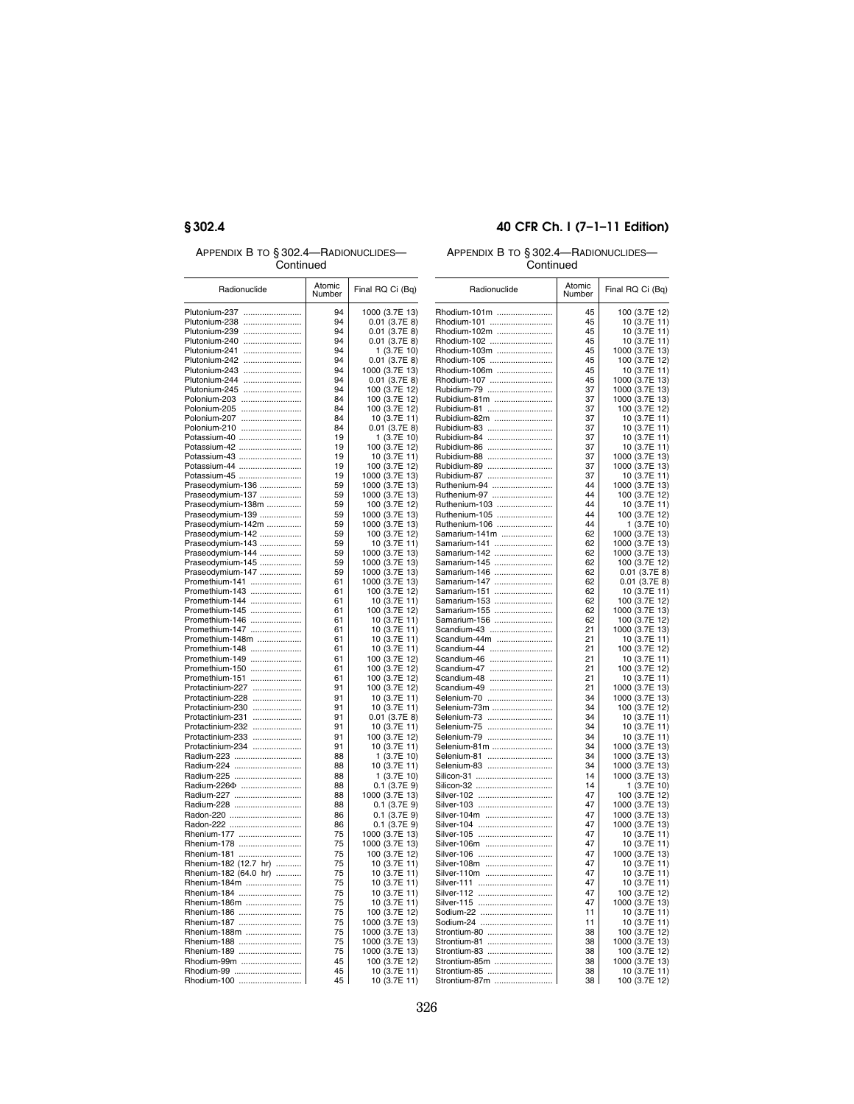APPENDIX B TO § 302.4—RADIONUCLIDES— **Continued** 

## **§ 302.4 40 CFR Ch. I (7–1–11 Edition)**

### APPENDIX B TO § 302.4—RADIONUCLIDES— **Continued**

| --------                                |                  |                  | -------       |                  |                  |  |
|-----------------------------------------|------------------|------------------|---------------|------------------|------------------|--|
| Radionuclide                            | Atomic<br>Number | Final RQ Ci (Bq) | Radionuclide  | Atomic<br>Number | Final RQ Ci (Bq) |  |
| Plutonium-237                           | 94               | 1000 (3.7E 13)   | Rhodium-101m  | 45               | 100 (3.7E 12)    |  |
| Plutonium-238                           | 94               | $0.01$ (3.7E 8)  | Rhodium-101   | 45               | 10 (3.7E 11)     |  |
| Plutonium-239                           | 94               | $0.01$ (3.7E 8)  | Rhodium-102m  | 45               | 10 (3.7E 11)     |  |
| Plutonium-240                           | 94               | $0.01$ (3.7E 8)  | Rhodium-102   | 45               | 10 (3.7E 11)     |  |
| Plutonium-241                           | 94               | 1 (3.7E 10)      | Rhodium-103m  | 45               | 1000 (3.7E 13)   |  |
| Plutonium-242                           | 94               | $0.01$ (3.7E 8)  | Rhodium-105   | 45               | 100 (3.7E 12)    |  |
| Plutonium-243                           | 94               | 1000 (3.7E 13)   | Rhodium-106m  | 45               | 10 (3.7E 11)     |  |
| Plutonium-244                           | 94               | $0.01$ (3.7E 8)  | Rhodium-107   | 45               | 1000 (3.7E 13)   |  |
| Plutonium-245                           | 94               | 100 (3.7E 12)    | Rubidium-79   | 37               | 1000 (3.7E 13)   |  |
| Polonium-203                            | 84               | 100 (3.7E 12)    | Rubidium-81m  | 37               | 1000 (3.7E 13)   |  |
| Polonium-205                            | 84               | 100 (3.7E 12)    | Rubidium-81   | 37               | 100 (3.7E 12)    |  |
| Polonium-207                            | 84               | 10 (3.7E 11)     | Rubidium-82m  | 37               | 10 (3.7E 11)     |  |
| Polonium-210                            | 84               | $0.01$ (3.7E 8)  | Rubidium-83   | 37               | 10 (3.7E 11)     |  |
| Potassium-40                            | 19               | 1 (3.7E 10)      | Rubidium-84   | 37               | 10 (3.7E 11)     |  |
| Potassium-42                            | 19               | 100 (3.7E 12)    | Rubidium-86   | 37               | 10 (3.7E 11)     |  |
| Potassium-43                            | 19               | 10 (3.7E 11)     | Rubidium-88   | 37               | 1000 (3.7E 13)   |  |
| Potassium-44                            | 19               | 100 (3.7E 12)    | Rubidium-89   | 37               | 1000 (3.7E 13)   |  |
| Potassium-45                            | 19               | 1000 (3.7E 13)   | Rubidium-87   | 37               | 10 (3.7E 11)     |  |
| Praseodymium-136                        | 59               | 1000 (3.7E 13)   | Ruthenium-94  | 44               | 1000 (3.7E 13)   |  |
| Praseodymium-137                        | 59               | 1000 (3.7E 13)   | Ruthenium-97  | 44               | 100 (3.7E 12)    |  |
| Praseodymium-138m                       | 59               | 100 (3.7E 12)    | Ruthenium-103 | 44               | 10 (3.7E 11)     |  |
| Praseodymium-139                        | 59               | 1000 (3.7E 13)   | Ruthenium-105 | 44               | 100 (3.7E 12)    |  |
| Praseodymium-142m                       | 59               | 1000 (3.7E 13)   | Ruthenium-106 | 44               | 1 (3.7E 10)      |  |
| Praseodymium-142                        | 59               | 100 (3.7E 12)    | Samarium-141m | 62               | 1000 (3.7E 13)   |  |
| Praseodymium-143                        | 59               | 10 (3.7E 11)     | Samarium-141  | 62               | 1000 (3.7E 13)   |  |
| Praseodymium-144                        | 59               | 1000 (3.7E 13)   | Samarium-142  | 62               | 1000 (3.7E 13)   |  |
| Praseodymium-145                        | 59               | 1000 (3.7E 13)   | Samarium-145  | 62               | 100 (3.7E 12)    |  |
| Praseodymium-147                        | 59               | 1000 (3.7E 13)   | Samarium-146  | 62               | $0.01$ (3.7E 8)  |  |
| Promethium-141                          | 61               | 1000 (3.7E 13)   | Samarium-147  | 62               | $0.01$ (3.7E 8)  |  |
| Promethium-143                          | 61               | 100 (3.7E 12)    | Samarium-151  | 62               | 10 (3.7E 11)     |  |
| Promethium-144                          | 61               | 10 (3.7E 11)     | Samarium-153  | 62               | 100 (3.7E 12)    |  |
| Promethium-145                          | 61               | 100 (3.7E 12)    | Samarium-155  | 62               | 1000 (3.7E 13)   |  |
| Promethium-146                          | 61               | 10 (3.7E 11)     | Samarium-156  | 62               | 100 (3.7E 12)    |  |
| Promethium-147                          | 61               | 10 (3.7E 11)     | Scandium-43   | 21               | 1000 (3.7E 13)   |  |
| Promethium-148m                         | 61               | 10 (3.7E 11)     | Scandium-44m  | 21               | 10 (3.7E 11)     |  |
| Promethium-148                          | 61               | 10 (3.7E 11)     | Scandium-44   | 21               | 100 (3.7E 12)    |  |
| Promethium-149                          | 61               | 100 (3.7E 12)    | Scandium-46   | 21               | 10 (3.7E 11)     |  |
| Promethium-150                          | 61               | 100 (3.7E 12)    | Scandium-47   | 21               | 100 (3.7E 12)    |  |
| Promethium-151                          | 61               | 100 (3.7E 12)    | Scandium-48   | 21               | 10 (3.7E 11)     |  |
| Protactinium-227                        | 91               | 100 (3.7E 12)    | Scandium-49   | 21               | 1000 (3.7E 13)   |  |
| Protactinium-228                        | 91               | 10 (3.7E 11)     | Selenium-70   | 34               | 1000 (3.7E 13)   |  |
| Protactinium-230                        | 91               | 10 (3.7E 11)     | Selenium-73m  | 34               | 100 (3.7E 12)    |  |
| Protactinium-231                        | 91               | $0.01$ (3.7E 8)  | Selenium-73   | 34               | 10 (3.7E 11)     |  |
| Protactinium-232                        | 91               | 10 (3.7E 11)     | Selenium-75   | 34               | 10 (3.7E 11)     |  |
| Protactinium-233                        | 91               | 100 (3.7E 12)    | Selenium-79   | 34               | 10 (3.7E 11)     |  |
| Protactinium-234                        | 91               | 10 (3.7E 11)     | Selenium-81m  | 34               | 1000 (3.7E 13)   |  |
| Radium-223                              | 88               | 1 (3.7E 10)      | Selenium-81   | 34               | 1000 (3.7E 13)   |  |
| Radium-224                              | 88               | 10 (3.7E 11)     | Selenium-83   | 34               | 1000 (3.7E 13)   |  |
| Radium-225                              | 88               | 1 (3.7E 10)      | Silicon-31    | 14               | 1000 (3.7E 13)   |  |
| Radium-226 <sup><math>\Phi</math></sup> | 88               | $0.1$ (3.7E 9)   | Silicon-32    | 14               | 1 (3.7E 10)      |  |
| Radium-227                              | 88               | 1000 (3.7E 13)   | Silver-102    | 47               | 100 (3.7E 12)    |  |
| Radium-228                              | 88               | $0.1$ (3.7E 9)   | Silver-103    | 47               | 1000 (3.7E 13)   |  |
| Radon-220                               | 86               | $0.1$ (3.7E 9)   | Silver-104m   | 47               | 1000 (3.7E 13)   |  |
| Radon-222                               | 86               | $0.1$ (3.7E 9)   | Silver-104    | 47               | 1000 (3.7E 13)   |  |
| Rhenium-177                             | 75               | 1000 (3.7E 13)   | Silver-105    | 47               | 10 (3.7E 11)     |  |
| Rhenium-178                             | 75               | 1000 (3.7E 13)   | Silver-106m   | 47               | 10 (3.7E 11)     |  |
| Rhenium-181                             | 75               | 100 (3.7E 12)    | Silver-106    | 47               | 1000 (3.7E 13)   |  |
| Rhenium-182 (12.7 hr)                   | 75               | 10 (3.7E 11)     | Silver-108m   | 47               | 10 (3.7E 11)     |  |
| Rhenium-182 (64.0 hr)                   | 75               | 10 (3.7E 11)     | Silver-110m   | 47               | 10 (3.7E 11)     |  |
| Rhenium-184m                            | 75               | 10 (3.7E 11)     | Silver-111    | 47               | 10 (3.7E 11)     |  |
| Rhenium-184                             | 75               | 10 (3.7E 11)     | Silver-112    | 47               | 100 (3.7E 12)    |  |
| Rhenium-186m                            | 75               | 10 (3.7E 11)     | Silver-115    | 47               | 1000 (3.7E 13)   |  |
| Rhenium-186                             | 75               | 100 (3.7E 12)    | Sodium-22     | 11               | 10 (3.7E 11)     |  |
| Rhenium-187                             | 75               | 1000 (3.7E 13)   | Sodium-24     | 11               | 10 (3.7E 11)     |  |
| Rhenium-188m                            | 75               | 1000 (3.7E 13)   | Strontium-80  | 38               | 100 (3.7E 12)    |  |
| Rhenium-188                             | 75               | 1000 (3.7E 13)   | Strontium-81  | 38               | 1000 (3.7E 13)   |  |
| Rhenium-189                             | 75               | 1000 (3.7E 13)   | Strontium-83  | 38               | 100 (3.7E 12)    |  |
| Rhodium-99m                             | 45               | 100 (3.7E 12)    | Strontium-85m | 38               | 1000 (3.7E 13)   |  |
| Rhodium-99                              | 45               | 10 (3.7E 11)     | Strontium-85  | 38               | 10 (3.7E 11)     |  |
| Rhodium-100                             | 45               | 10 (3.7E 11)     | Strontium-87m | 38               | 100 (3.7E 12)    |  |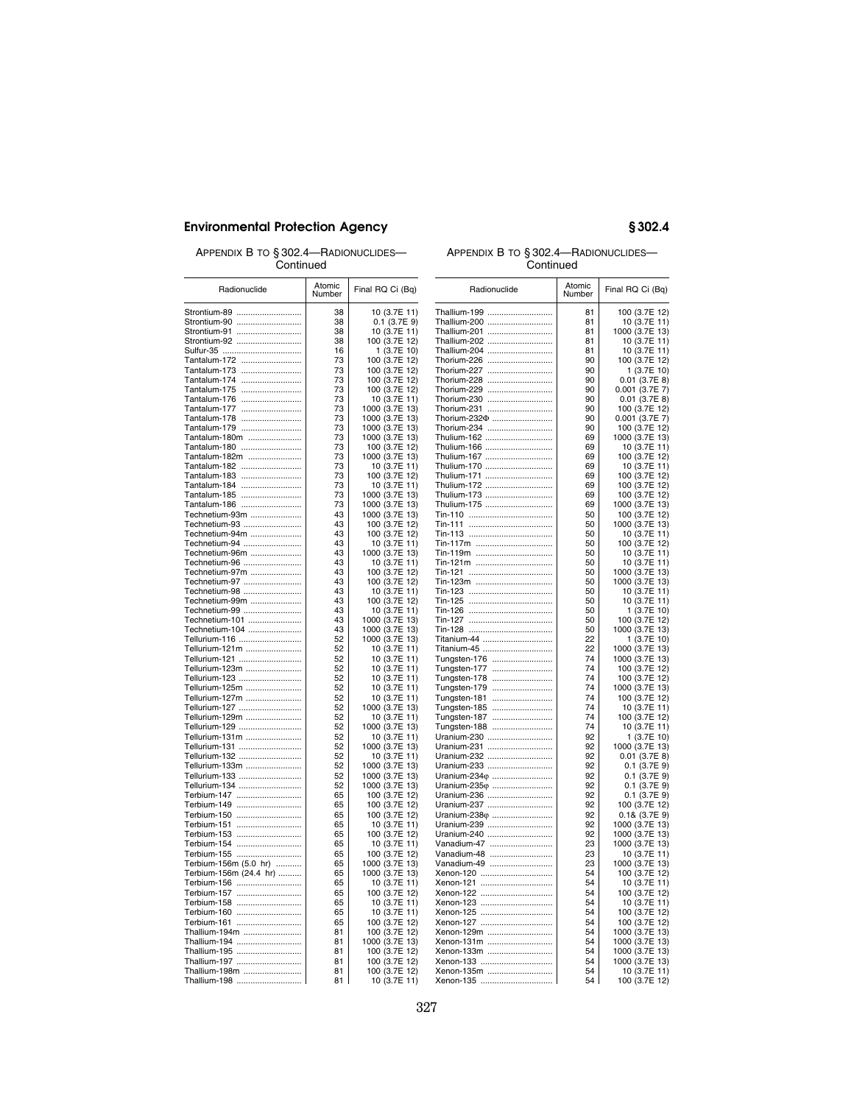APPENDIX B TO § 302.4—RADIONUCLIDES— Continued

### APPENDIX B TO § 302.4—RADIONUCLIDES— Continued

| ovininuvu                       |                  |                                | oununuu                      |                  |                                   |  |
|---------------------------------|------------------|--------------------------------|------------------------------|------------------|-----------------------------------|--|
| Radionuclide                    | Atomic<br>Number | Final RQ Ci (Bq)               | Radionuclide                 | Atomic<br>Number | Final RQ Ci (Bq)                  |  |
| Strontium-89                    | 38               | 10 (3.7E 11)                   | Thallium-199                 | 81               | 100 (3.7E 12)                     |  |
| Strontium-90                    | 38               | $0.1$ (3.7E 9)                 | Thallium-200                 | 81               | 10 (3.7E 11)                      |  |
| Strontium-91                    | 38               | 10 (3.7E 11)                   | Thallium-201                 | 81               | 1000 (3.7E 13)                    |  |
| Strontium-92                    | 38               | 100 (3.7E 12)                  | Thallium-202                 | 81               | 10 (3.7E 11)                      |  |
| Sulfur-35                       | 16               | 1(3.7E10)                      | Thallium-204                 | 81               | 10 (3.7E 11)                      |  |
| Tantalum-172                    | 73               | 100 (3.7E 12)                  | Thorium-226                  | 90               | 100 (3.7E 12)                     |  |
| Tantalum-173                    | 73               | 100 (3.7E 12)                  | Thorium-227                  | 90               | 1 (3.7E 10)                       |  |
| Tantalum-174                    | 73               | 100 (3.7E 12)                  | Thorium-228                  | 90<br>90         | $0.01$ (3.7E 8)                   |  |
| Tantalum-175<br>Tantalum-176    | 73<br>73         | 100 (3.7E 12)<br>10 (3.7E 11)  | Thorium-229<br>Thorium-230   | 90               | 0.001 (3.7E 7)<br>$0.01$ (3.7E 8) |  |
| Tantalum-177                    | 73               | 1000 (3.7E 13)                 | Thorium-231                  | 90               | 100 (3.7E 12)                     |  |
| Tantalum-178                    | 73               | 1000 (3.7E 13)                 | Thorium-232 $\Phi$           | 90               | 0.001 (3.7E 7)                    |  |
| Tantalum-179                    | 73               | 1000 (3.7E 13)                 | Thorium-234                  | 90               | 100 (3.7E 12)                     |  |
| Tantalum-180m                   | 73               | 1000 (3.7E 13)                 | Thulium-162                  | 69               | 1000 (3.7E 13)                    |  |
| Tantalum-180                    | 73               | 100 (3.7E 12)                  | Thulium-166                  | 69               | 10 (3.7E 11)                      |  |
| Tantalum-182m                   | 73               | 1000 (3.7E 13)                 | Thulium-167                  | 69               | 100 (3.7E 12)                     |  |
| Tantalum-182                    | 73               | 10 (3.7E 11)                   | Thulium-170                  | 69               | 10 (3.7E 11)                      |  |
| Tantalum-183                    | 73               | 100 (3.7E 12)                  | Thulium-171                  | 69               | 100 (3.7E 12)                     |  |
| Tantalum-184                    | 73               | 10 (3.7E 11)                   | Thulium-172                  | 69               | 100 (3.7E 12)                     |  |
| Tantalum-185                    | 73               | 1000 (3.7E 13)                 | Thulium-173                  | 69               | 100 (3.7E 12)                     |  |
| Tantalum-186                    | 73               | 1000 (3.7E 13)                 | Thulium-175                  | 69               | 1000 (3.7E 13)                    |  |
| Technetium-93m                  | 43               | 1000 (3.7E 13)                 |                              | 50               | 100 (3.7E 12)                     |  |
| Technetium-93                   | 43               | 100 (3.7E 12)                  |                              | 50               | 1000 (3.7E 13)                    |  |
| Technetium-94m                  | 43               | 100 (3.7E 12)                  |                              | 50               | 10 (3.7E 11)                      |  |
| Technetium-94<br>Technetium-96m | 43<br>43         | 10 (3.7E 11)<br>1000 (3.7E 13) | Tin-117m<br>Tin-119m         | 50<br>50         | 100 (3.7E 12)<br>10 (3.7E 11)     |  |
| Technetium-96                   | 43               | 10 (3.7E 11)                   | Tin-121m                     | 50               | 10 (3.7E 11)                      |  |
| Technetium-97m                  | 43               | 100 (3.7E 12)                  |                              | 50               | 1000 (3.7E 13)                    |  |
| Technetium-97                   | 43               | 100 (3.7E 12)                  | Tin-123m                     | 50               | 1000 (3.7E 13)                    |  |
| Technetium-98                   | 43               | 10 (3.7E 11)                   |                              | 50               | 10 (3.7E 11)                      |  |
| Technetium-99m                  | 43               | 100 (3.7E 12)                  |                              | 50               | 10 (3.7E 11)                      |  |
| Technetium-99                   | 43               | 10 (3.7E 11)                   |                              | 50               | 1 (3.7E 10)                       |  |
| Technetium-101                  | 43               | 1000 (3.7E 13)                 |                              | 50               | 100 (3.7E 12)                     |  |
| Technetium-104                  | 43               | 1000 (3.7E 13)                 |                              | 50               | 1000 (3.7E 13)                    |  |
| Tellurium-116                   | 52               | 1000 (3.7E 13)                 | Titanium-44                  | 22               | 1(3.7E10)                         |  |
| Tellurium-121m                  | 52               | 10 (3.7E 11)                   | Titanium-45                  | 22               | 1000 (3.7E 13)                    |  |
| Tellurium-121                   | 52               | 10 (3.7E 11)                   | Tungsten-176                 | 74               | 1000 (3.7E 13)                    |  |
| Tellurium-123m                  | 52               | 10 (3.7E 11)                   | Tungsten-177                 | 74               | 100 (3.7E 12)                     |  |
| Tellurium-123                   | 52               | 10 (3.7E 11)                   | Tungsten-178                 | 74               | 100 (3.7E 12)                     |  |
| Tellurium-125m                  | 52               | 10 (3.7E 11)                   | Tungsten-179                 | 74               | 1000 (3.7E 13)                    |  |
| Tellurium-127m<br>Tellurium-127 | 52<br>52         | 10 (3.7E 11)<br>1000 (3.7E 13) | Tungsten-181                 | 74<br>74         | 100 (3.7E 12)<br>10 (3.7E 11)     |  |
| Tellurium-129m                  | 52               | 10 (3.7E 11)                   | Tungsten-185                 | 74               | 100 (3.7E 12)                     |  |
| Tellurium-129                   | 52               | 1000 (3.7E 13)                 | Tungsten-187<br>Tungsten-188 | 74               | 10 (3.7E 11)                      |  |
| Tellurium-131m                  | 52               | 10 (3.7E 11)                   | Uranium-230                  | 92               | 1 (3.7E 10)                       |  |
| Tellurium-131                   | 52               | 1000 (3.7E 13)                 | Uranium-231                  | 92               | 1000 (3.7E 13)                    |  |
| Tellurium-132                   | 52               | 10 (3.7E 11)                   | Uranium-232                  | 92               | $0.01$ (3.7E 8)                   |  |
| Tellurium-133m                  | 52               | 1000 (3.7E 13)                 | Uranium-233                  | 92               | $0.1$ (3.7E 9)                    |  |
| Tellurium-133                   | 52               | 1000 (3.7E 13)                 | Uranium-234 $\varphi$        | 92               | $0.1$ (3.7E 9)                    |  |
| Tellurium-134                   | 52               | 1000 (3.7E 13)                 | Uranium-235 $\varphi$        | 92               | $0.1$ (3.7E 9)                    |  |
| Terbium-147                     | 65               | 100 (3.7E 12)                  | Uranium-236                  | 92               | $0.1$ (3.7E 9)                    |  |
| Terbium-149                     | 65               | 100 (3.7E 12)                  | Uranium-237                  | 92               | 100 (3.7E 12)                     |  |
| Terbium-150                     | 65               | 100 (3.7E 12)                  | Uranium-238 $\varphi$        | 92               | $0.18$ (3.7E 9)                   |  |
| Terbium-151                     | 65               | 10 (3.7E 11)                   | Uranium-239                  | 92               | 1000 (3.7E 13)                    |  |
| Terbium-153                     | 65               | 100 (3.7E 12)                  | Uranium-240                  | 92               | 1000 (3.7E 13)                    |  |
| Terbium-154                     | 65               | 10 (3.7E 11)                   | Vanadium-47                  | 23               | 1000 (3.7E 13)                    |  |
| Terbium-155                     | 65               | 100 (3.7E 12)                  | Vanadium-48                  | 23               | 10 (3.7E 11)                      |  |
| Terbium-156m (5.0 hr)           | 65               | 1000 (3.7E 13)                 | Vanadium-49                  | 23               | 1000 (3.7E 13)                    |  |
| Terbium-156m (24.4 hr)          | 65               | 1000 (3.7E 13)                 | Xenon-120                    | 54               | 100 (3.7E 12)                     |  |
| Terbium-156                     | 65<br>65         | 10 (3.7E 11)                   | Xenon-121<br>Xenon-122       | 54<br>54         | 10 (3.7E 11)                      |  |
| Terbium-157<br>Terbium-158      | 65               | 100 (3.7E 12)<br>10 (3.7E 11)  | Xenon-123                    | 54               | 100 (3.7E 12)<br>10 (3.7E 11)     |  |
| Terbium-160                     | 65               | 10 (3.7E 11)                   | Xenon-125                    | 54               | 100 (3.7E 12)                     |  |
| Terbium-161                     | 65               | 100 (3.7E 12)                  | Xenon-127                    | 54               | 100 (3.7E 12)                     |  |
| Thallium-194m                   | 81               | 100 (3.7E 12)                  | Xenon-129m                   | 54               | 1000 (3.7E 13)                    |  |
| Thallium-194                    | 81               | 1000 (3.7E 13)                 | Xenon-131m                   | 54               | 1000 (3.7E 13)                    |  |
| Thallium-195                    | 81               | 100 (3.7E 12)                  | Xenon-133m                   | 54               | 1000 (3.7E 13)                    |  |
| Thallium-197                    | 81               | 100 (3.7E 12)                  | Xenon-133                    | 54               | 1000 (3.7E 13)                    |  |
| Thallium-198m                   | 81               | 100 (3.7E 12)                  | Xenon-135m                   | 54               | 10 (3.7E 11)                      |  |
| Thallium-198                    | 81               | 10 (3.7E 11)                   | Xenon-135                    | 54               | 100 (3.7E 12)                     |  |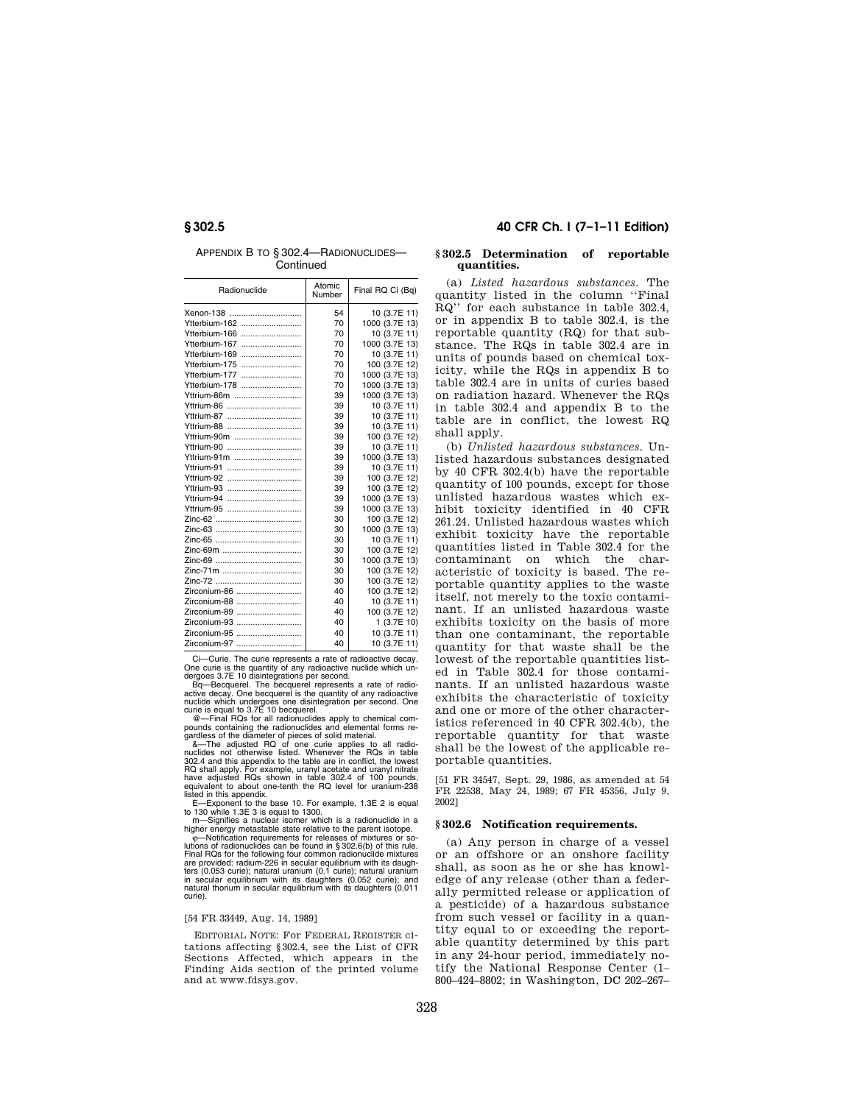APPENDIX B TO § 302.4—RADIONUCLIDES— **Continued** 

| Radionuclide  | Atomic<br>Number | Final RQ Ci (Bq) |
|---------------|------------------|------------------|
|               | 54               | 10 (3.7E 11)     |
| Ytterbium-162 | 70               | 1000 (3.7E 13)   |
| Ytterbium-166 | 70               | 10 (3.7E 11)     |
| Ytterbium-167 | 70               | 1000 (3.7E 13)   |
| Ytterbium-169 | 70               | 10 (3.7E 11)     |
| Ytterbium-175 | 70               | 100 (3.7E 12)    |
| Ytterbium-177 | 70               | 1000 (3.7E 13)   |
| Ytterbium-178 | 70               | 1000 (3.7E 13)   |
| Yttrium-86m   | 39               | 1000 (3.7E 13)   |
| Yttrium-86    | 39               | 10 (3.7E 11)     |
| Yttrium-87    | 39               | 10 (3.7E 11)     |
| Yttrium-88    | 39               | 10 (3.7E 11)     |
| Yttrium-90m   | 39               | 100 (3.7E 12)    |
| Yttrium-90    | 39               | 10 (3.7E 11)     |
| Yttrium-91m   | 39               | 1000 (3.7E 13)   |
| Yttrium-91    | 39               | 10 (3.7E 11)     |
| Yttrium-92    | 39               | 100 (3.7E 12)    |
| Yttrium-93    | 39               | 100 (3.7E 12)    |
| Yttrium-94    | 39               | 1000 (3.7E 13)   |
| Yttrium-95    | 39               | 1000 (3.7E 13)   |
|               | 30               | 100 (3.7E 12)    |
|               | 30               | 1000 (3.7E 13)   |
|               | 30               | 10 (3.7E 11)     |
| Zinc-69m      | 30               | 100 (3.7E 12)    |
|               | 30               | 1000 (3.7E 13)   |
| Zinc-71m      | 30               | 100 (3.7E 12)    |
|               | 30               | 100 (3.7E 12)    |
| Zirconium-86  | 40               | 100 (3.7E 12)    |
| Zirconium-88  | 40               | 10 (3.7E 11)     |
| Zirconium-89  | 40               | 100 (3.7E 12)    |
| Zirconium-93  | 40               | 1 (3.7E 10)      |
| Zirconium-95  | 40               | 10 (3.7E 11)     |
| Zirconium-97  | 40               | 10 (3.7E 11)     |

Ci—Curie. The curie represents a rate of radioactive decay. One curie is the quantity of any radioactive nuclide which un-dergoes 3.7E 10 disintegrations per second. Bq—Becquerel. The becquerel represents a rate of radio-

active decay. One becquerel is the quantity of any radioactive nuclide which undergoes one disintegration per second. One curie is equal to 3.7E 10 becquerel.

@—Final RQs for all radionuclides apply to chemical com-pounds containing the radionuclides and elemental forms re-gardless of the diameter of pieces of solid material. &—The adjusted RQ of one curie applies to all radio-

nuclides not otherwise listed. Whenever the RQs in table<br>302.4 and this appendix to the table are in conflict, the lowest<br>RQ shall apply. For example, uranyl acetate and uranyl nitrate<br>have adjusted RQs shown in table 302. equivalent to about one-tenth the RQ level for uranium-238

listed in this appendix. E—Exponent to the base 10. For example, 1.3E 2 is equal

to 130 while 1.3E 3 is equal to 1300. m—Signifies a nuclear isomer which is a radionuclide in a

higher energy metastable state relative to the parent isotope.<br>  $\phi$ —Notification requirements for releases of mixtures or solutions of radionuclides can be found in  $\S 302.6(b)$ Final RQs for the following four common radionuclide mixtures are provided: radium-226 in secular equilibrium with its daughters (0.053 curie); natural uranium (0.1 curie); natural uranium in secular equilibrium with its daughters (0.052 curie); and natural thorium in secular equilibrium with its daughters (0.011 curie).

### [54 FR 33449, Aug. 14, 1989]

EDITORIAL NOTE: For FEDERAL REGISTER citations affecting §302.4, see the List of CFR Sections Affected, which appears in the Finding Aids section of the printed volume and at www.fdsys.gov.

## **§ 302.5 40 CFR Ch. I (7–1–11 Edition)**

### **§ 302.5 Determination of reportable quantities.**

(a) *Listed hazardous substances.* The quantity listed in the column ''Final RQ'' for each substance in table 302.4, or in appendix B to table 302.4, is the reportable quantity (RQ) for that substance. The RQs in table 302.4 are in units of pounds based on chemical toxicity, while the RQs in appendix B to table 302.4 are in units of curies based on radiation hazard. Whenever the RQs in table 302.4 and appendix B to the table are in conflict, the lowest RQ shall apply.

(b) *Unlisted hazardous substances.* Unlisted hazardous substances designated by 40 CFR 302.4(b) have the reportable quantity of 100 pounds, except for those unlisted hazardous wastes which exhibit toxicity identified in 40 CFR 261.24. Unlisted hazardous wastes which exhibit toxicity have the reportable quantities listed in Table 302.4 for the contaminant on which the characteristic of toxicity is based. The reportable quantity applies to the waste itself, not merely to the toxic contaminant. If an unlisted hazardous waste exhibits toxicity on the basis of more than one contaminant, the reportable quantity for that waste shall be the lowest of the reportable quantities listed in Table 302.4 for those contaminants. If an unlisted hazardous waste exhibits the characteristic of toxicity and one or more of the other characteristics referenced in 40 CFR 302.4(b), the reportable quantity for that waste shall be the lowest of the applicable reportable quantities.

[51 FR 34547, Sept. 29, 1986, as amended at 54 FR 22538, May 24, 1989; 67 FR 45356, July 9, 2002]

### **§ 302.6 Notification requirements.**

(a) Any person in charge of a vessel or an offshore or an onshore facility shall, as soon as he or she has knowledge of any release (other than a federally permitted release or application of a pesticide) of a hazardous substance from such vessel or facility in a quantity equal to or exceeding the reportable quantity determined by this part in any 24-hour period, immediately notify the National Response Center (1– 800–424–8802; in Washington, DC 202–267–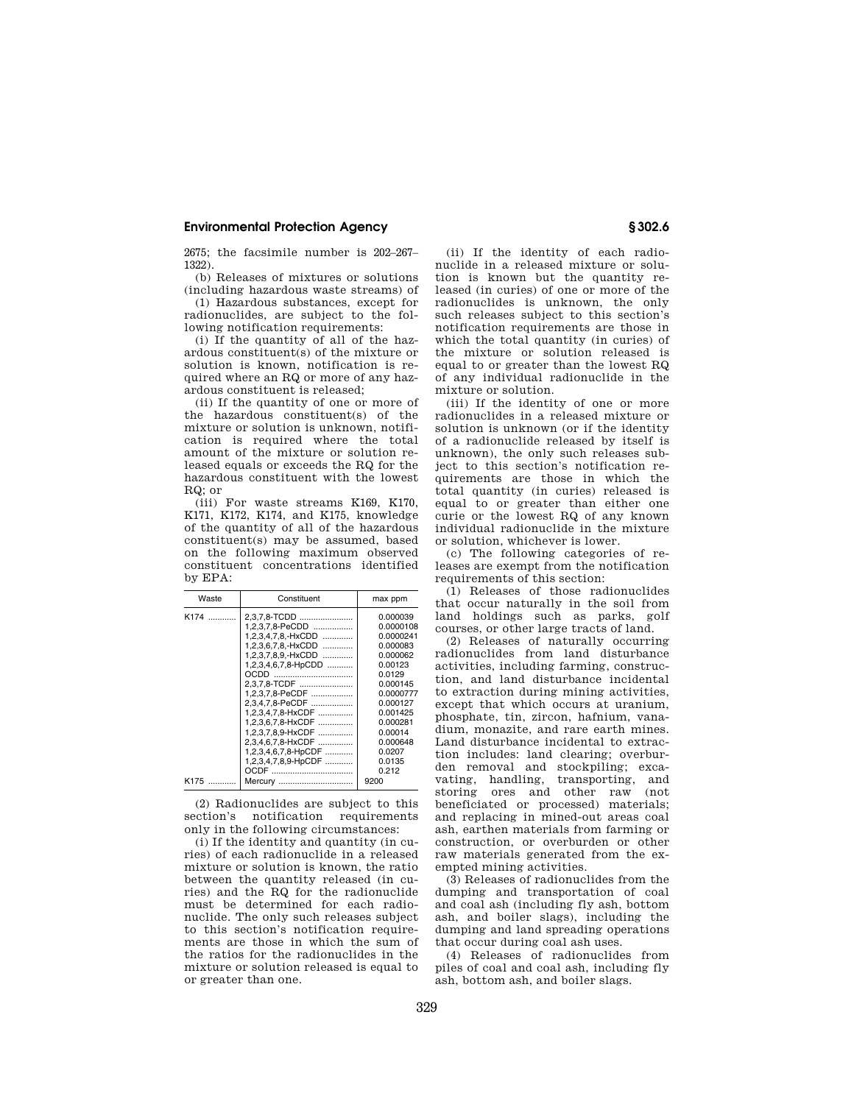2675; the facsimile number is 202–267– 1322).

(b) Releases of mixtures or solutions (including hazardous waste streams) of

(1) Hazardous substances, except for radionuclides, are subject to the following notification requirements:

(i) If the quantity of all of the hazardous constituent(s) of the mixture or solution is known, notification is required where an RQ or more of any hazardous constituent is released;

(ii) If the quantity of one or more of the hazardous constituent(s) of the mixture or solution is unknown, notification is required where the total amount of the mixture or solution released equals or exceeds the RQ for the hazardous constituent with the lowest RQ; or

(iii) For waste streams K169, K170, K171, K172, K174, and K175, knowledge of the quantity of all of the hazardous constituent(s) may be assumed, based on the following maximum observed constituent concentrations identified by EPA:

| Waste | Constituent         | max ppm   |
|-------|---------------------|-----------|
| K174  | 2,3,7,8-TCDD        | 0.000039  |
|       | 1,2,3,7,8-PeCDD     | 0.0000108 |
|       | 1,2,3,4,7,8,-HxCDD  | 0.0000241 |
|       | 1.2.3.6.7.8.-HxCDD  | 0.000083  |
|       | 1,2,3,7,8,9,-HxCDD  | 0.000062  |
|       | 1,2,3,4,6,7,8-HpCDD | 0.00123   |
|       |                     | 0.0129    |
|       | 2,3,7,8-TCDF        | 0.000145  |
|       | 1,2,3,7,8-PeCDF     | 0.0000777 |
|       | 2.3.4.7.8-PeCDF     | 0.000127  |
|       | 1,2,3,4,7,8-HxCDF   | 0.001425  |
|       | 1,2,3,6,7,8-HxCDF   | 0.000281  |
|       | 1,2,3,7,8,9-HxCDF   | 0.00014   |
|       | 2,3,4,6,7,8-HxCDF   | 0.000648  |
|       | 1,2,3,4,6,7,8-HpCDF | 0.0207    |
|       | 1,2,3,4,7,8,9-HpCDF | 0.0135    |
|       |                     | 0.212     |
| K175  | Mercury             | 9200      |

(2) Radionuclides are subject to this section's notification requirements only in the following circumstances:

(i) If the identity and quantity (in curies) of each radionuclide in a released mixture or solution is known, the ratio between the quantity released (in curies) and the RQ for the radionuclide must be determined for each radionuclide. The only such releases subject to this section's notification requirements are those in which the sum of the ratios for the radionuclides in the mixture or solution released is equal to or greater than one.

(ii) If the identity of each radionuclide in a released mixture or solution is known but the quantity released (in curies) of one or more of the radionuclides is unknown, the only such releases subject to this section's notification requirements are those in which the total quantity (in curies) of the mixture or solution released is equal to or greater than the lowest RQ of any individual radionuclide in the mixture or solution.

(iii) If the identity of one or more radionuclides in a released mixture or solution is unknown (or if the identity of a radionuclide released by itself is unknown), the only such releases subject to this section's notification requirements are those in which the total quantity (in curies) released is equal to or greater than either one curie or the lowest RQ of any known individual radionuclide in the mixture or solution, whichever is lower.

(c) The following categories of releases are exempt from the notification requirements of this section:

(1) Releases of those radionuclides that occur naturally in the soil from land holdings such as parks, golf courses, or other large tracts of land.

(2) Releases of naturally occurring radionuclides from land disturbance activities, including farming, construction, and land disturbance incidental to extraction during mining activities, except that which occurs at uranium, phosphate, tin, zircon, hafnium, vanadium, monazite, and rare earth mines. Land disturbance incidental to extraction includes: land clearing; overburden removal and stockpiling; excavating, handling, transporting, and storing ores and other raw (not beneficiated or processed) materials; and replacing in mined-out areas coal ash, earthen materials from farming or construction, or overburden or other raw materials generated from the exempted mining activities.

(3) Releases of radionuclides from the dumping and transportation of coal and coal ash (including fly ash, bottom ash, and boiler slags), including the dumping and land spreading operations that occur during coal ash uses.

(4) Releases of radionuclides from piles of coal and coal ash, including fly ash, bottom ash, and boiler slags.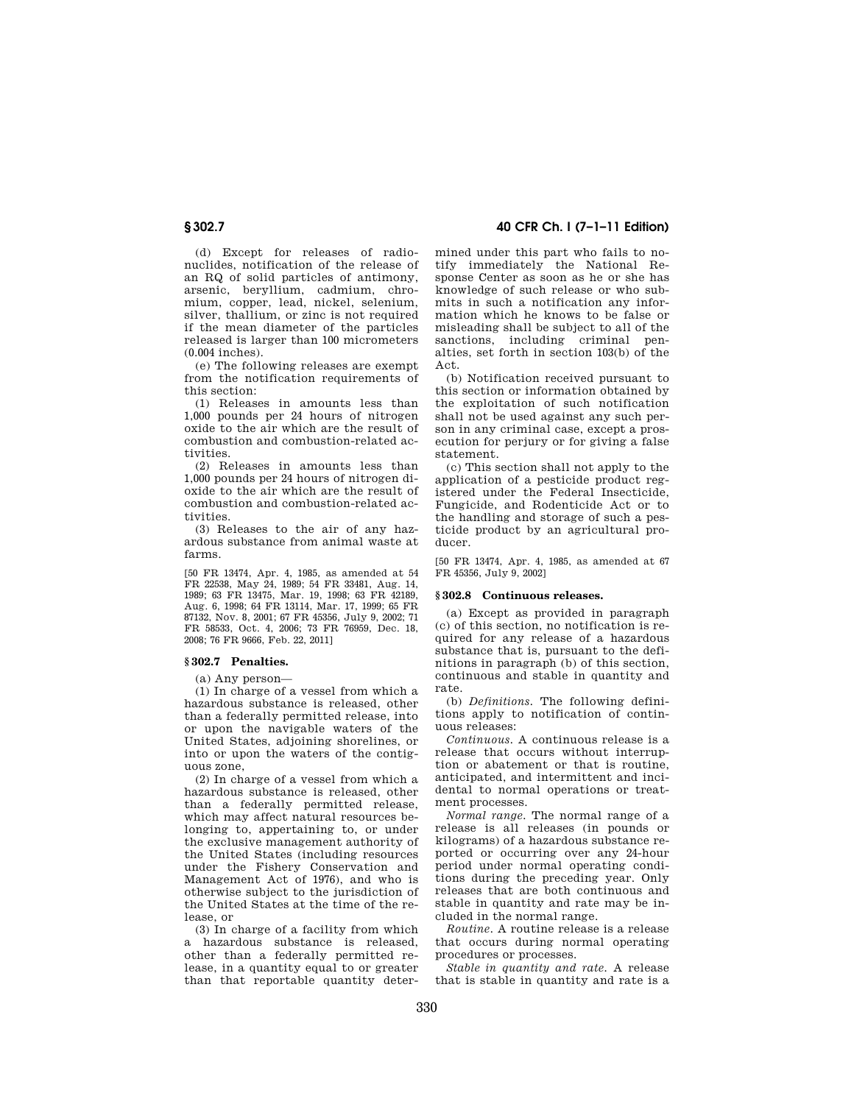(d) Except for releases of radionuclides, notification of the release of an RQ of solid particles of antimony, arsenic, beryllium, cadmium, chromium, copper, lead, nickel, selenium, silver, thallium, or zinc is not required if the mean diameter of the particles released is larger than 100 micrometers (0.004 inches).

(e) The following releases are exempt from the notification requirements of this section:

(1) Releases in amounts less than 1,000 pounds per 24 hours of nitrogen oxide to the air which are the result of combustion and combustion-related activities.

(2) Releases in amounts less than 1,000 pounds per 24 hours of nitrogen dioxide to the air which are the result of combustion and combustion-related activities.

(3) Releases to the air of any hazardous substance from animal waste at farms.

[50 FR 13474, Apr. 4, 1985, as amended at 54 FR 22538, May 24, 1989; 54 FR 33481, Aug. 14, 1989; 63 FR 13475, Mar. 19, 1998; 63 FR 42189, Aug. 6, 1998; 64 FR 13114, Mar. 17, 1999; 65 FR 87132, Nov. 8, 2001; 67 FR 45356, July 9, 2002; 71 FR 58533, Oct. 4, 2006; 73 FR 76959, Dec. 18, 2008; 76 FR 9666, Feb. 22, 2011]

### **§ 302.7 Penalties.**

(a) Any person—

(1) In charge of a vessel from which a hazardous substance is released, other than a federally permitted release, into or upon the navigable waters of the United States, adjoining shorelines, or into or upon the waters of the contiguous zone,

(2) In charge of a vessel from which a hazardous substance is released, other than a federally permitted release, which may affect natural resources belonging to, appertaining to, or under the exclusive management authority of the United States (including resources under the Fishery Conservation and Management Act of 1976), and who is otherwise subject to the jurisdiction of the United States at the time of the release, or

(3) In charge of a facility from which a hazardous substance is released, other than a federally permitted release, in a quantity equal to or greater than that reportable quantity deter-

## **§ 302.7 40 CFR Ch. I (7–1–11 Edition)**

mined under this part who fails to notify immediately the National Response Center as soon as he or she has knowledge of such release or who submits in such a notification any information which he knows to be false or misleading shall be subject to all of the sanctions, including criminal penalties, set forth in section 103(b) of the Act.

(b) Notification received pursuant to this section or information obtained by the exploitation of such notification shall not be used against any such person in any criminal case, except a prosecution for perjury or for giving a false statement.

(c) This section shall not apply to the application of a pesticide product registered under the Federal Insecticide, Fungicide, and Rodenticide Act or to the handling and storage of such a pesticide product by an agricultural producer.

[50 FR 13474, Apr. 4, 1985, as amended at 67 FR 45356, July 9, 2002]

### **§ 302.8 Continuous releases.**

(a) Except as provided in paragraph (c) of this section, no notification is required for any release of a hazardous substance that is, pursuant to the definitions in paragraph (b) of this section, continuous and stable in quantity and rate.

(b) *Definitions.* The following definitions apply to notification of continuous releases:

*Continuous.* A continuous release is a release that occurs without interruption or abatement or that is routine, anticipated, and intermittent and incidental to normal operations or treatment processes.

*Normal range.* The normal range of a release is all releases (in pounds or kilograms) of a hazardous substance reported or occurring over any 24-hour period under normal operating conditions during the preceding year. Only releases that are both continuous and stable in quantity and rate may be included in the normal range.

*Routine.* A routine release is a release that occurs during normal operating procedures or processes.

*Stable in quantity and rate.* A release that is stable in quantity and rate is a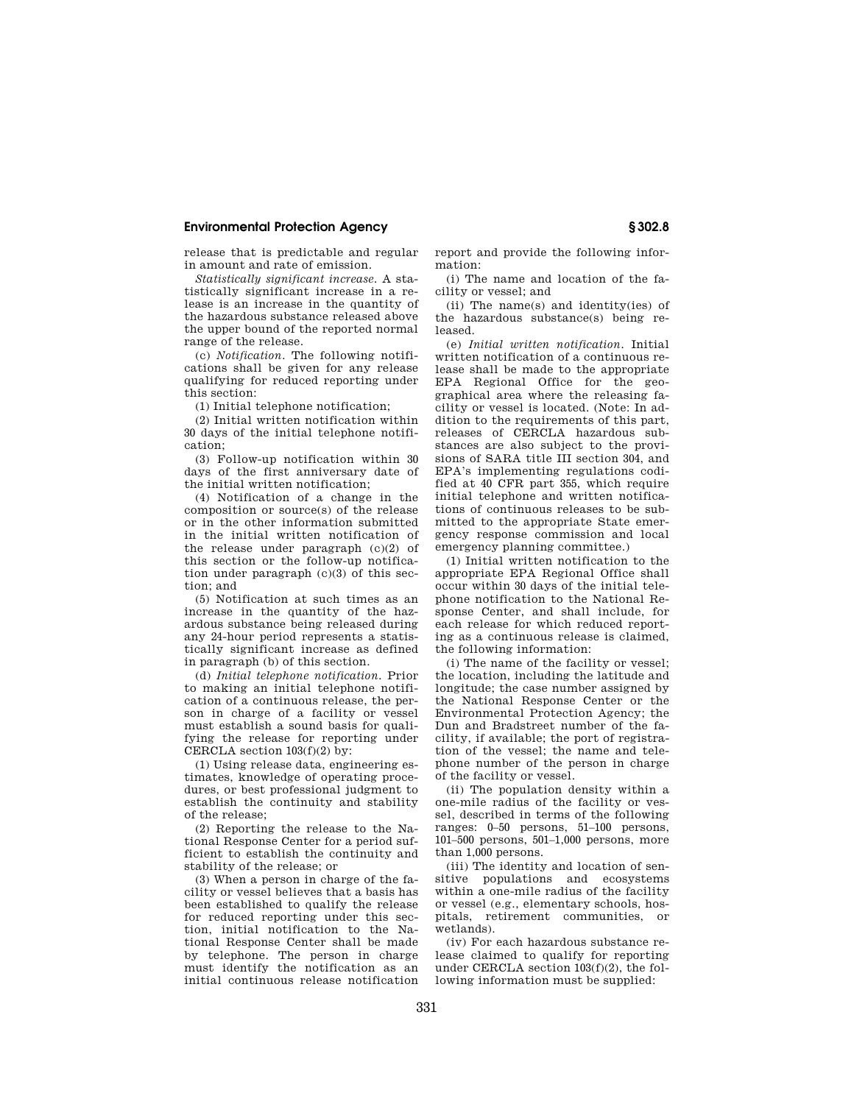release that is predictable and regular in amount and rate of emission.

*Statistically significant increase.* A statistically significant increase in a release is an increase in the quantity of the hazardous substance released above the upper bound of the reported normal range of the release.

(c) *Notification.* The following notifications shall be given for any release qualifying for reduced reporting under this section:

(1) Initial telephone notification;

(2) Initial written notification within 30 days of the initial telephone notification;

(3) Follow-up notification within 30 days of the first anniversary date of the initial written notification;

(4) Notification of a change in the composition or source(s) of the release or in the other information submitted in the initial written notification of the release under paragraph (c)(2) of this section or the follow-up notification under paragraph  $(c)(3)$  of this section; and

(5) Notification at such times as an increase in the quantity of the hazardous substance being released during any 24-hour period represents a statistically significant increase as defined in paragraph (b) of this section.

(d) *Initial telephone notification.* Prior to making an initial telephone notification of a continuous release, the person in charge of a facility or vessel must establish a sound basis for qualifying the release for reporting under CERCLA section  $103(f)(2)$  by:

(1) Using release data, engineering estimates, knowledge of operating procedures, or best professional judgment to establish the continuity and stability of the release;

(2) Reporting the release to the National Response Center for a period sufficient to establish the continuity and stability of the release; or

(3) When a person in charge of the facility or vessel believes that a basis has been established to qualify the release for reduced reporting under this section, initial notification to the National Response Center shall be made by telephone. The person in charge must identify the notification as an initial continuous release notification

report and provide the following information:

(i) The name and location of the facility or vessel; and

(ii) The name(s) and identity(ies) of the hazardous substance(s) being released.

(e) *Initial written notification.* Initial written notification of a continuous release shall be made to the appropriate EPA Regional Office for the geographical area where the releasing facility or vessel is located. (Note: In addition to the requirements of this part, releases of CERCLA hazardous substances are also subject to the provisions of SARA title III section 304, and EPA's implementing regulations codified at 40 CFR part 355, which require initial telephone and written notifications of continuous releases to be submitted to the appropriate State emergency response commission and local emergency planning committee.)

(1) Initial written notification to the appropriate EPA Regional Office shall occur within 30 days of the initial telephone notification to the National Response Center, and shall include, for each release for which reduced reporting as a continuous release is claimed, the following information:

(i) The name of the facility or vessel; the location, including the latitude and longitude; the case number assigned by the National Response Center or the Environmental Protection Agency; the Dun and Bradstreet number of the facility, if available; the port of registration of the vessel; the name and telephone number of the person in charge of the facility or vessel.

(ii) The population density within a one-mile radius of the facility or vessel, described in terms of the following ranges: 0–50 persons, 51–100 persons, 101–500 persons, 501–1,000 persons, more than 1,000 persons.

(iii) The identity and location of sensitive populations and ecosystems within a one-mile radius of the facility or vessel (e.g., elementary schools, hospitals, retirement communities, or wetlands).

(iv) For each hazardous substance release claimed to qualify for reporting under CERCLA section 103(f)(2), the following information must be supplied: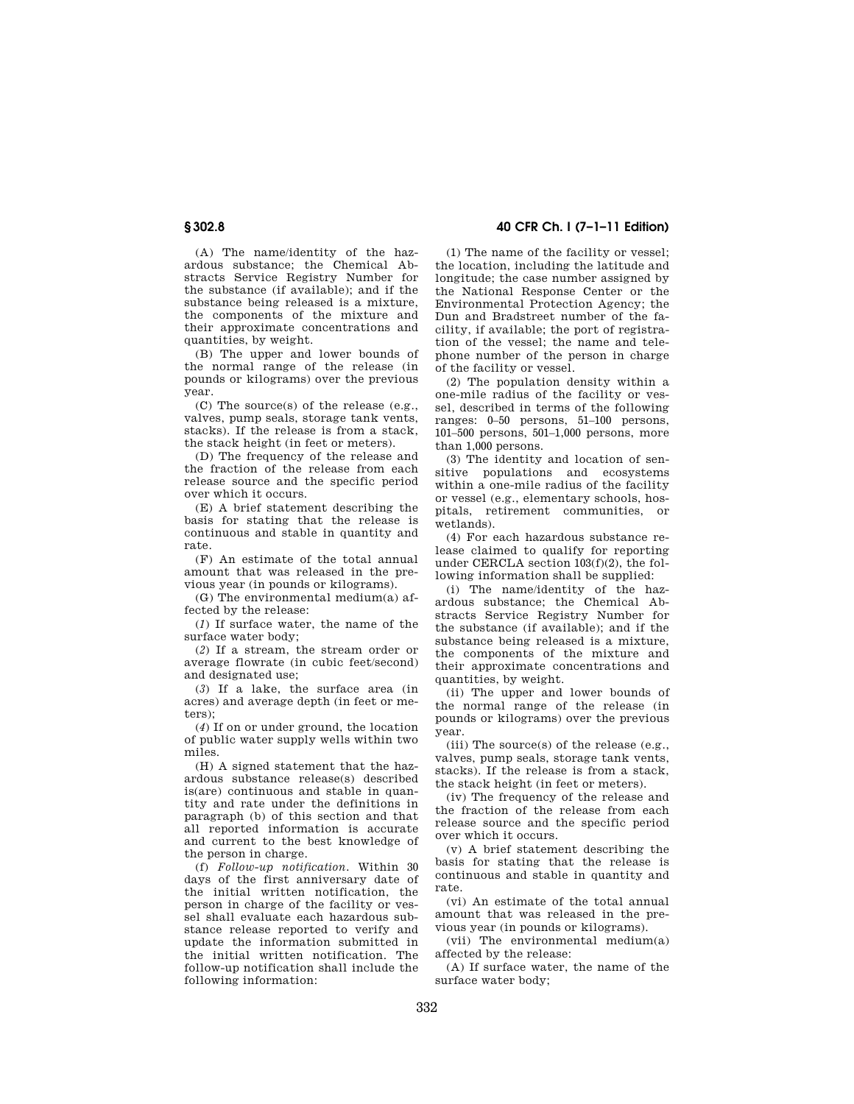(A) The name/identity of the hazardous substance; the Chemical Abstracts Service Registry Number for the substance (if available); and if the substance being released is a mixture, the components of the mixture and their approximate concentrations and quantities, by weight.

(B) The upper and lower bounds of the normal range of the release (in pounds or kilograms) over the previous year.

(C) The source(s) of the release (e.g., valves, pump seals, storage tank vents, stacks). If the release is from a stack, the stack height (in feet or meters).

(D) The frequency of the release and the fraction of the release from each release source and the specific period over which it occurs.

(E) A brief statement describing the basis for stating that the release is continuous and stable in quantity and rate.

(F) An estimate of the total annual amount that was released in the previous year (in pounds or kilograms).

(G) The environmental medium(a) affected by the release:

(*1*) If surface water, the name of the surface water body;

(*2*) If a stream, the stream order or average flowrate (in cubic feet/second) and designated use;

(*3*) If a lake, the surface area (in acres) and average depth (in feet or meters);

(*4*) If on or under ground, the location of public water supply wells within two miles.

(H) A signed statement that the hazardous substance release(s) described is(are) continuous and stable in quantity and rate under the definitions in paragraph (b) of this section and that all reported information is accurate and current to the best knowledge of the person in charge.

(f) *Follow-up notification.* Within 30 days of the first anniversary date of the initial written notification, the person in charge of the facility or vessel shall evaluate each hazardous substance release reported to verify and update the information submitted in the initial written notification. The follow-up notification shall include the following information:

## **§ 302.8 40 CFR Ch. I (7–1–11 Edition)**

(1) The name of the facility or vessel; the location, including the latitude and longitude; the case number assigned by the National Response Center or the Environmental Protection Agency; the Dun and Bradstreet number of the facility, if available; the port of registration of the vessel; the name and telephone number of the person in charge of the facility or vessel.

(2) The population density within a one-mile radius of the facility or vessel, described in terms of the following ranges: 0–50 persons, 51–100 persons, 101–500 persons, 501–1,000 persons, more than 1,000 persons.

(3) The identity and location of sensitive populations and ecosystems within a one-mile radius of the facility or vessel (e.g., elementary schools, hospitals, retirement communities, or wetlands).

(4) For each hazardous substance release claimed to qualify for reporting under CERCLA section 103(f)(2), the following information shall be supplied:

(i) The name/identity of the hazardous substance; the Chemical Abstracts Service Registry Number for the substance (if available); and if the substance being released is a mixture, the components of the mixture and their approximate concentrations and quantities, by weight.

(ii) The upper and lower bounds of the normal range of the release (in pounds or kilograms) over the previous year.

(iii) The source(s) of the release (e.g., valves, pump seals, storage tank vents, stacks). If the release is from a stack, the stack height (in feet or meters).

(iv) The frequency of the release and the fraction of the release from each release source and the specific period over which it occurs.

(v) A brief statement describing the basis for stating that the release is continuous and stable in quantity and rate.

(vi) An estimate of the total annual amount that was released in the previous year (in pounds or kilograms).

(vii) The environmental medium(a) affected by the release:

(A) If surface water, the name of the surface water body;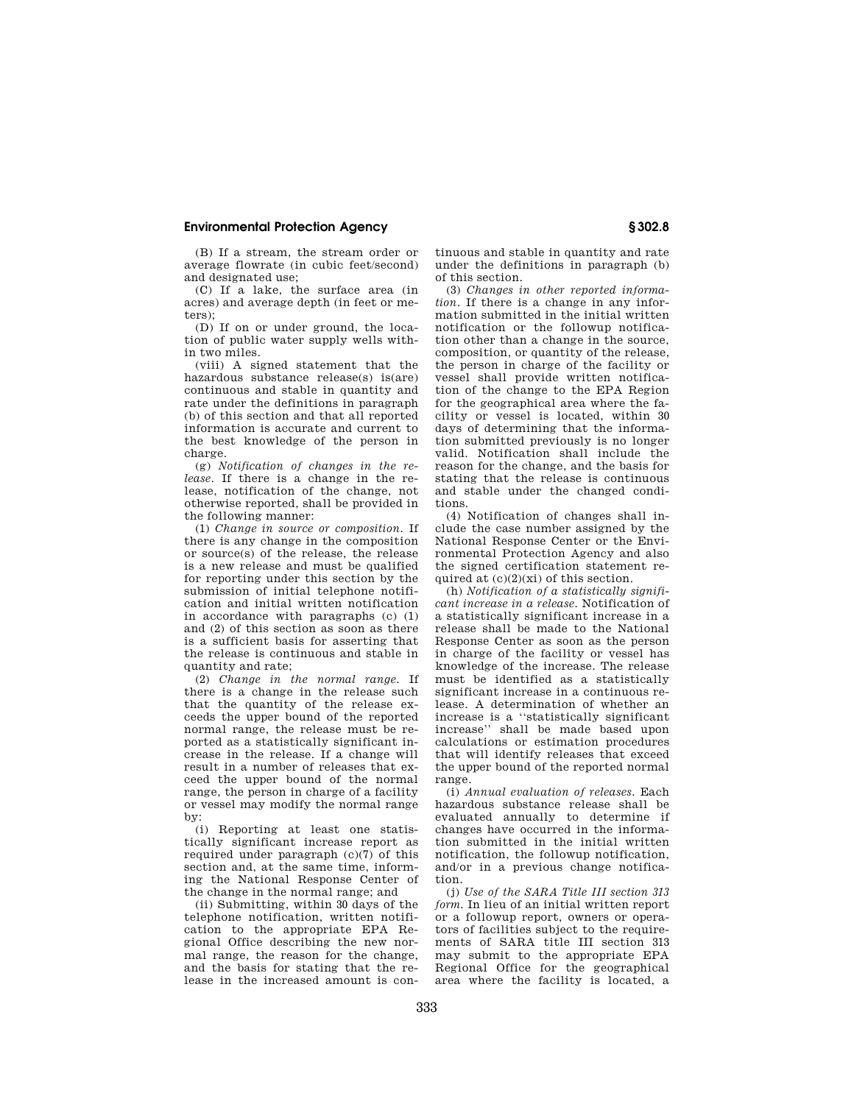(B) If a stream, the stream order or average flowrate (in cubic feet/second) and designated use;

(C) If a lake, the surface area (in acres) and average depth (in feet or meters);

(D) If on or under ground, the location of public water supply wells within two miles.

(viii) A signed statement that the hazardous substance release(s) is(are) continuous and stable in quantity and rate under the definitions in paragraph (b) of this section and that all reported information is accurate and current to the best knowledge of the person in charge.

(g) *Notification of changes in the release.* If there is a change in the release, notification of the change, not otherwise reported, shall be provided in the following manner:

(1) *Change in source or composition.* If there is any change in the composition or source(s) of the release, the release is a new release and must be qualified for reporting under this section by the submission of initial telephone notification and initial written notification in accordance with paragraphs (c) (1) and (2) of this section as soon as there is a sufficient basis for asserting that the release is continuous and stable in quantity and rate;

(2) *Change in the normal range.* If there is a change in the release such that the quantity of the release exceeds the upper bound of the reported normal range, the release must be reported as a statistically significant increase in the release. If a change will result in a number of releases that exceed the upper bound of the normal range, the person in charge of a facility or vessel may modify the normal range by:

(i) Reporting at least one statistically significant increase report as required under paragraph  $(c)(7)$  of this section and, at the same time, informing the National Response Center of the change in the normal range; and

(ii) Submitting, within 30 days of the telephone notification, written notification to the appropriate EPA Regional Office describing the new normal range, the reason for the change, and the basis for stating that the release in the increased amount is continuous and stable in quantity and rate under the definitions in paragraph (b) of this section.

(3) *Changes in other reported information.* If there is a change in any information submitted in the initial written notification or the followup notification other than a change in the source, composition, or quantity of the release, the person in charge of the facility or vessel shall provide written notification of the change to the EPA Region for the geographical area where the facility or vessel is located, within 30 days of determining that the information submitted previously is no longer valid. Notification shall include the reason for the change, and the basis for stating that the release is continuous and stable under the changed conditions.

(4) Notification of changes shall include the case number assigned by the National Response Center or the Environmental Protection Agency and also the signed certification statement required at  $(c)(2)(xi)$  of this section.

(h) *Notification of a statistically significant increase in a release.* Notification of a statistically significant increase in a release shall be made to the National Response Center as soon as the person in charge of the facility or vessel has knowledge of the increase. The release must be identified as a statistically significant increase in a continuous release. A determination of whether an increase is a ''statistically significant increase'' shall be made based upon calculations or estimation procedures that will identify releases that exceed the upper bound of the reported normal range.

(i) *Annual evaluation of releases.* Each hazardous substance release shall be evaluated annually to determine if changes have occurred in the information submitted in the initial written notification, the followup notification, and/or in a previous change notification.

(j) *Use of the SARA Title III section 313 form.* In lieu of an initial written report or a followup report, owners or operators of facilities subject to the requirements of SARA title III section 313 may submit to the appropriate EPA Regional Office for the geographical area where the facility is located, a